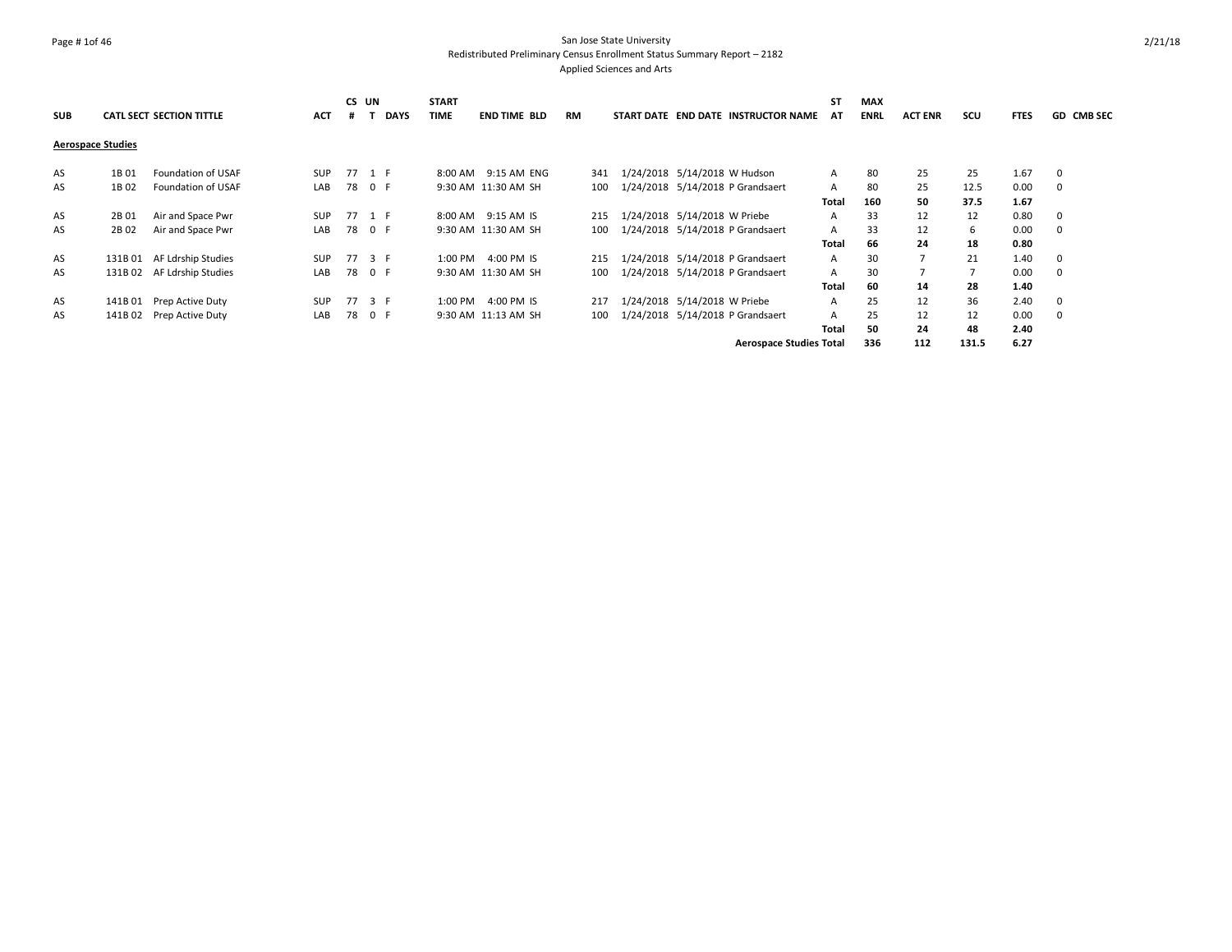## Page # 1of 46 San Jose State University Redistributed Preliminary Census Enrollment Status Summary Report – 2182 Applied Sciences and Arts

|                          |         |                                 |            | CS UN  |     |             | <b>START</b> |                     |     |                                     | <b>ST</b>    | MAX         |                |       |             |                   |
|--------------------------|---------|---------------------------------|------------|--------|-----|-------------|--------------|---------------------|-----|-------------------------------------|--------------|-------------|----------------|-------|-------------|-------------------|
| <b>SUB</b>               |         | <b>CATL SECT SECTION TITTLE</b> | <b>ACT</b> | #      |     | <b>DAYS</b> | <b>TIME</b>  | <b>END TIME BLD</b> | RM  | START DATE END DATE INSTRUCTOR NAME | AT           | <b>ENRL</b> | <b>ACT ENR</b> | scu   | <b>FTES</b> | <b>GD CMB SEC</b> |
| <b>Aerospace Studies</b> |         |                                 |            |        |     |             |              |                     |     |                                     |              |             |                |       |             |                   |
| AS                       | 1B 01   | Foundation of USAF              | <b>SUP</b> | 77 1 F |     |             | 8:00 AM      | 9:15 AM ENG         | 341 | 1/24/2018 5/14/2018 W Hudson        | A            | 80          | 25             | 25    | 1.67        | $\mathbf 0$       |
| AS                       | 1B 02   | Foundation of USAF              | LAB        | 78 0 F |     |             |              | 9:30 AM 11:30 AM SH | 100 | 1/24/2018 5/14/2018 P Grandsaert    | A            | 80          | 25             | 12.5  | 0.00        | 0                 |
|                          |         |                                 |            |        |     |             |              |                     |     |                                     | Total        | 160         | 50             | 37.5  | 1.67        |                   |
| AS                       | 2B 01   | Air and Space Pwr               | <b>SUP</b> | 77 1 F |     |             |              | 8:00 AM 9:15 AM IS  | 215 | 1/24/2018 5/14/2018 W Priebe        | A            | 33          | 12             | 12    | 0.80        | - 0               |
| AS                       | 2B 02   | Air and Space Pwr               | LAB        | 78 0 F |     |             |              | 9:30 AM 11:30 AM SH | 100 | 1/24/2018 5/14/2018 P Grandsaert    | A            | 33          | 12             | 6     | 0.00        | $\mathbf 0$       |
|                          |         |                                 |            |        |     |             |              |                     |     |                                     | <b>Total</b> | 66          | 24             | 18    | 0.80        |                   |
| AS                       | 131B 01 | AF Ldrship Studies              | <b>SUP</b> | 77 3 F |     |             | 1:00 PM      | 4:00 PM IS          | 215 | 1/24/2018 5/14/2018 P Grandsaert    | A            | 30          |                | 21    | 1.40        | 0                 |
| AS                       |         | 131B 02 AF Ldrship Studies      | LAB        | 78 0 F |     |             |              | 9:30 AM 11:30 AM SH | 100 | 1/24/2018 5/14/2018 P Grandsaert    | A            | 30          |                |       | 0.00        | - 0               |
|                          |         |                                 |            |        |     |             |              |                     |     |                                     | <b>Total</b> | 60          | 14             | 28    | 1.40        |                   |
| AS                       | 141B 01 | Prep Active Duty                | <b>SUP</b> | 77     | 3 F |             | 1:00 PM      | 4:00 PM IS          | 217 | 1/24/2018 5/14/2018 W Priebe        | A            | 25          | 12             | 36    | 2.40        | 0                 |
| AS                       | 141B 02 | Prep Active Duty                | LAB        | 78     | 0 F |             |              | 9:30 AM 11:13 AM SH | 100 | 1/24/2018 5/14/2018 P Grandsaert    | A            | 25          | 12             | 12    | 0.00        | 0                 |
|                          |         |                                 |            |        |     |             |              |                     |     |                                     | Total        | 50          | 24             | 48    | 2.40        |                   |
|                          |         |                                 |            |        |     |             |              |                     |     | <b>Aerospace Studies Total</b>      |              | 336         | 112            | 131.5 | 6.27        |                   |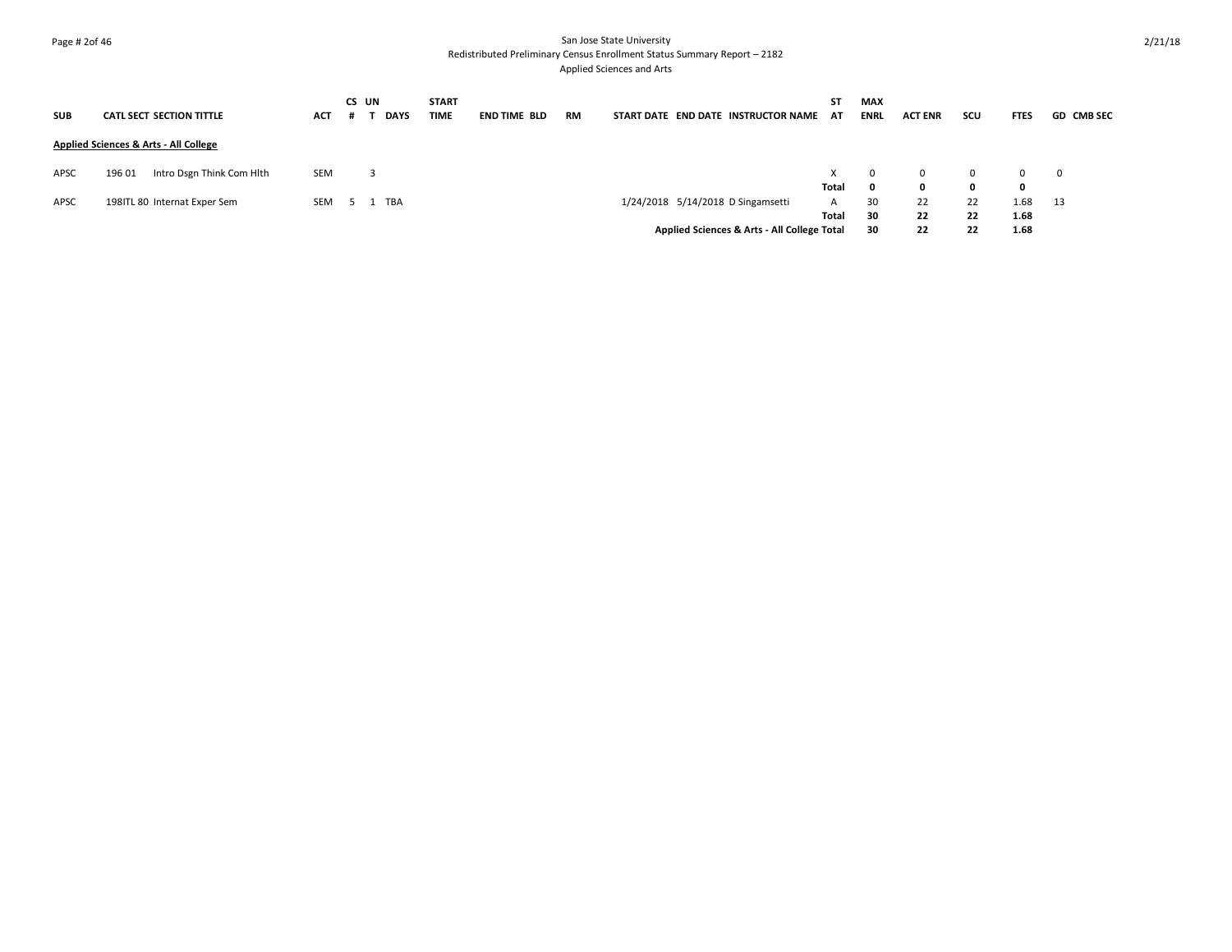## Page # 2of 46 San Jose State University Redistributed Preliminary Census Enrollment Status Summary Report – 2182 Applied Sciences and Arts

| <b>SUB</b> | <b>CATL SECT SECTION TITTLE</b>                  | ACT | CS UN | <b>DAYS</b> | <b>START</b><br><b>TIME</b> | <b>END TIME BLD</b> | RM | START DATE END DATE INSTRUCTOR NAME         | <b>ST</b><br>AT | <b>MAX</b><br><b>ENRL</b> | <b>ACT ENR</b> | SCU      | <b>FTES</b>  | <b>GD CMB SEC</b> |
|------------|--------------------------------------------------|-----|-------|-------------|-----------------------------|---------------------|----|---------------------------------------------|-----------------|---------------------------|----------------|----------|--------------|-------------------|
|            | <b>Applied Sciences &amp; Arts - All College</b> |     |       |             |                             |                     |    |                                             |                 |                           |                |          |              |                   |
| APSC       | 196 01<br>Intro Dsgn Think Com Hlth              | SEM |       | 3           |                             |                     |    |                                             | X.              | $\Omega$                  | $\Omega$       | $\Omega$ |              | 0                 |
| APSC       | 198ITL 80 Internat Exper Sem                     | SEM |       | TBA         |                             |                     |    | 1/24/2018 5/14/2018 D Singamsetti           | Total<br>A      | 0<br>30                   | 0<br>22        | 0<br>22  | 0<br>1.68    | - 13              |
|            |                                                  |     |       |             |                             |                     |    | Applied Sciences & Arts - All College Total | Total           | 30<br>30                  | 22<br>22       | 22<br>22 | 1.68<br>1.68 |                   |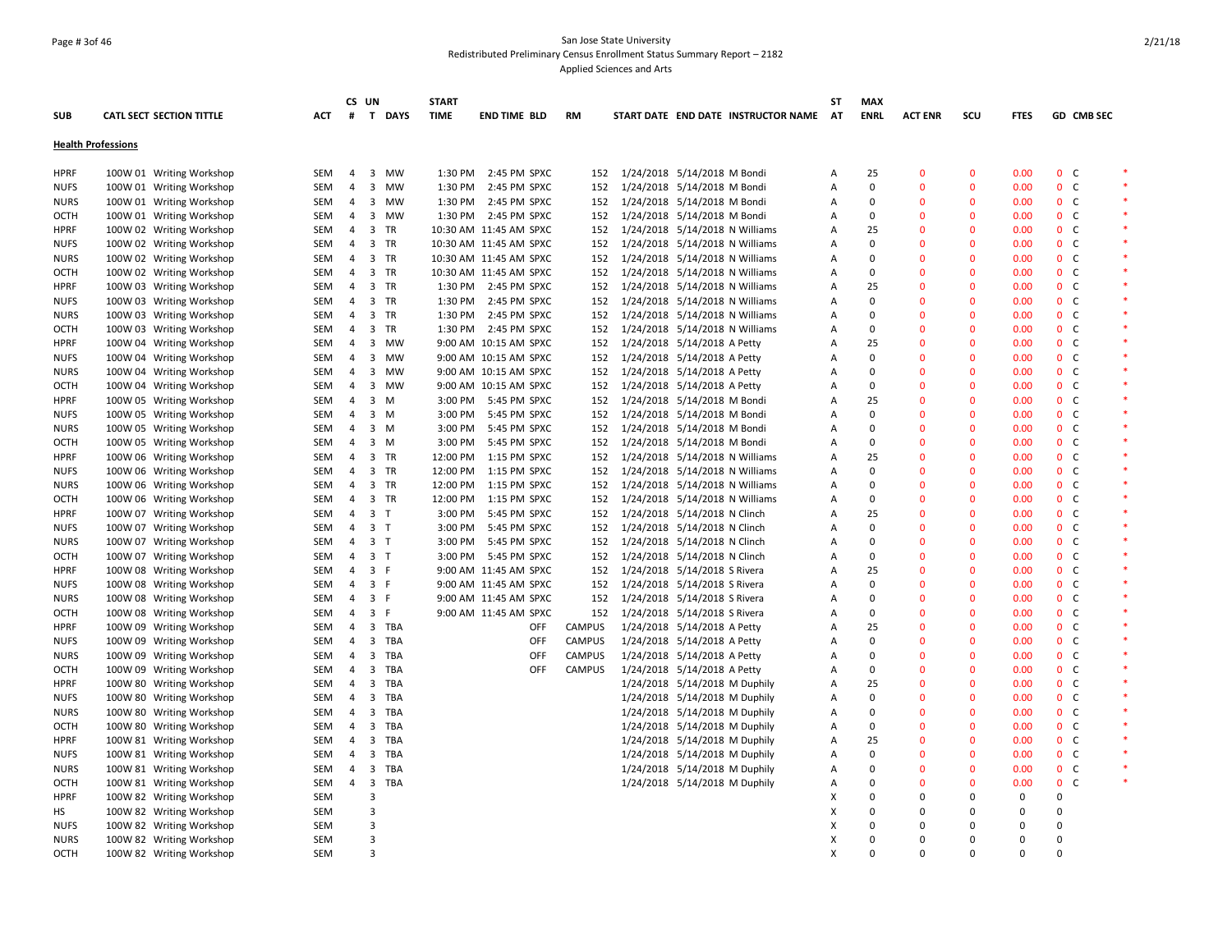## Page # 3of 46 San Jose State University Redistributed Preliminary Census Enrollment Status Summary Report – 2182 Applied Sciences and Arts

|                           |                                 |            | CS UN          |                             | <b>START</b> |                        |            |               |                                    |                               |                                     | SΤ        | <b>MAX</b>  |                |              |             |                |                   |         |
|---------------------------|---------------------------------|------------|----------------|-----------------------------|--------------|------------------------|------------|---------------|------------------------------------|-------------------------------|-------------------------------------|-----------|-------------|----------------|--------------|-------------|----------------|-------------------|---------|
| <b>SUB</b>                | <b>CATL SECT SECTION TITTLE</b> | <b>ACT</b> | #              | T DAYS                      | <b>TIME</b>  | <b>END TIME BLD</b>    |            | <b>RM</b>     |                                    |                               | START DATE END DATE INSTRUCTOR NAME | <b>AT</b> | <b>ENRL</b> | <b>ACT ENR</b> | scu          | <b>FTES</b> |                | <b>GD CMB SEC</b> |         |
| <b>Health Professions</b> |                                 |            |                |                             |              |                        |            |               |                                    |                               |                                     |           |             |                |              |             |                |                   |         |
| <b>HPRF</b>               | 100W 01 Writing Workshop        | SEM        | $\overline{4}$ | 3 MW                        |              | 1:30 PM 2:45 PM SPXC   |            |               | 152 1/24/2018 5/14/2018 M Bondi    |                               |                                     | Α         | 25          | $\Omega$       | $\mathbf{0}$ | 0.00        |                | 0 <sup>o</sup>    | $\ast$  |
| <b>NUFS</b>               | 100W 01 Writing Workshop        | <b>SEM</b> | $\overline{4}$ | $\overline{3}$<br><b>MW</b> | 1:30 PM      | 2:45 PM SPXC           |            | 152           | 1/24/2018 5/14/2018 M Bondi        |                               |                                     | A         | $\mathbf 0$ | $\Omega$       | $\mathbf{0}$ | 0.00        |                | 0 <sub>c</sub>    |         |
| <b>NURS</b>               | 100W 01 Writing Workshop        | <b>SEM</b> | $\overline{4}$ | 3 MW                        |              | 1:30 PM 2:45 PM SPXC   |            | 152           | 1/24/2018 5/14/2018 M Bondi        |                               |                                     | A         | 0           | $\mathbf{0}$   | $\mathbf{0}$ | 0.00        |                | 0 <sup>o</sup>    | $\ast$  |
| OCTH                      | 100W 01 Writing Workshop        | SEM        | $\overline{4}$ | $\mathbf{3}$<br>MW          |              | 1:30 PM 2:45 PM SPXC   |            | 152           | 1/24/2018 5/14/2018 M Bondi        |                               |                                     | A         | 0           | $\mathbf 0$    | $\mathbf 0$  | 0.00        | 0 <sup>o</sup> |                   |         |
| HPRF                      | 100W 02 Writing Workshop        | SEM        | $\overline{4}$ | 3 TR                        |              | 10:30 AM 11:45 AM SPXC |            | 152           | 1/24/2018 5/14/2018 N Williams     |                               |                                     | Α         | 25          | $\mathbf 0$    | $\mathbf 0$  | 0.00        |                | 0 <sup>o</sup>    |         |
| NUFS                      | 100W 02 Writing Workshop        | SEM        | 4              | 3 TR                        |              | 10:30 AM 11:45 AM SPXC |            | 152           | 1/24/2018 5/14/2018 N Williams     |                               |                                     | A         | 0           | $\overline{0}$ | $\mathbf 0$  | 0.00        |                | 0 <sup>o</sup>    | $\ast$  |
| <b>NURS</b>               | 100W 02 Writing Workshop        | SEM        | $\overline{4}$ | 3 TR                        |              | 10:30 AM 11:45 AM SPXC |            | 152           | 1/24/2018 5/14/2018 N Williams     |                               |                                     | A         | 0           | $\mathbf{0}$   | $\mathbf 0$  | 0.00        | 0 <sup>o</sup> |                   |         |
| <b>OCTH</b>               | 100W 02 Writing Workshop        | SEM        | $\overline{4}$ | 3 TR                        |              | 10:30 AM 11:45 AM SPXC |            | 152           | 1/24/2018 5/14/2018 N Williams     |                               |                                     | A         | 0           | $\mathbf{0}$   | $\mathbf{0}$ | 0.00        |                | 0 <sup>o</sup>    | $\ast$  |
| <b>HPRF</b>               | 100W 03 Writing Workshop        | SEM        | $\overline{4}$ | 3 TR                        |              | 1:30 PM 2:45 PM SPXC   |            | 152           | 1/24/2018 5/14/2018 N Williams     |                               |                                     | A         | 25          | $\Omega$       | $\mathbf{0}$ | 0.00        |                | 0 <sup>o</sup>    | $\ast$  |
| <b>NUFS</b>               | 100W 03 Writing Workshop        | <b>SEM</b> | $\overline{4}$ | 3 TR                        |              | 1:30 PM 2:45 PM SPXC   |            | 152           | 1/24/2018 5/14/2018 N Williams     |                               |                                     | А         | 0           | $\Omega$       | $\mathbf{0}$ | 0.00        |                | 0 <sup>o</sup>    |         |
| NURS                      | 100W 03 Writing Workshop        | SEM        | $\overline{4}$ | 3 TR                        |              | 1:30 PM 2:45 PM SPXC   |            | 152           | 1/24/2018 5/14/2018 N Williams     |                               |                                     | A         | 0           | $\mathbf 0$    | $\mathbf 0$  | 0.00        |                | 0 <sub>c</sub>    |         |
| OCTH                      | 100W 03 Writing Workshop        | SEM        | $\overline{4}$ | 3 TR                        |              | 1:30 PM 2:45 PM SPXC   |            | 152           | 1/24/2018 5/14/2018 N Williams     |                               |                                     | A         | $\mathbf 0$ | $\mathbf{0}$   | $\Omega$     | 0.00        |                | 0 <sub>c</sub>    | $\star$ |
| HPRF                      | 100W 04 Writing Workshop        | SEM        | $\overline{4}$ | 3 MW                        |              | 9:00 AM 10:15 AM SPXC  |            | 152           | 1/24/2018 5/14/2018 A Petty        |                               |                                     | Α         | 25          | $\mathbf 0$    | $\mathbf 0$  | 0.00        |                | 0 <sup>o</sup>    |         |
| NUFS                      | 100W 04 Writing Workshop        | SEM        | $\overline{4}$ | 3 MW                        |              | 9:00 AM 10:15 AM SPXC  |            | 152           | 1/24/2018 5/14/2018 A Petty        |                               |                                     | A         | 0           | $\overline{0}$ | $\mathbf{0}$ | 0.00        |                | 0 <sup>o</sup>    | $\ast$  |
| NURS                      | 100W 04 Writing Workshop        | SEM        | $\overline{4}$ | $\overline{3}$<br>MW        |              | 9:00 AM 10:15 AM SPXC  |            | 152           | 1/24/2018 5/14/2018 A Petty        |                               |                                     | A         | $\Omega$    | $\mathbf{0}$   | $\mathbf 0$  | 0.00        |                | 0 <sup>o</sup>    |         |
| <b>OCTH</b>               | 100W 04 Writing Workshop        | <b>SEM</b> | 4              | 3 MW                        |              | 9:00 AM 10:15 AM SPXC  |            | 152           | 1/24/2018 5/14/2018 A Petty        |                               |                                     | A         | 0           | $\mathbf{0}$   | $\mathbf{0}$ | 0.00        |                | 0 <sup>o</sup>    | $\ast$  |
| <b>HPRF</b>               | 100W 05 Writing Workshop        | <b>SEM</b> | $\overline{4}$ | 3<br>M                      |              | 3:00 PM 5:45 PM SPXC   |            | 152           | 1/24/2018 5/14/2018 M Bondi        |                               |                                     | A         | 25          | $\Omega$       | $\mathbf{0}$ | 0.00        |                | 0 <sup>o</sup>    | $\ast$  |
| <b>NUFS</b>               | 100W 05 Writing Workshop        | SEM        | $\overline{4}$ | $3 \, M$                    |              | 3:00 PM 5:45 PM SPXC   |            | 152           | 1/24/2018 5/14/2018 M Bondi        |                               |                                     | A         | $\mathbf 0$ | $\mathbf 0$    | $\mathbf 0$  | 0.00        |                | 0 <sup>o</sup>    |         |
| NURS                      | 100W 05 Writing Workshop        | SEM        | 4              | $3 \, M$                    |              | 3:00 PM 5:45 PM SPXC   |            | 152           | 1/24/2018 5/14/2018 M Bondi        |                               |                                     | A         | 0           | $\overline{0}$ | $\mathbf 0$  | 0.00        |                | 0 <sub>c</sub>    | $\ast$  |
| ОСТН                      | 100W 05 Writing Workshop        | SEM        | $\overline{4}$ | 3 M                         |              | 3:00 PM 5:45 PM SPXC   |            | 152           | 1/24/2018 5/14/2018 M Bondi        |                               |                                     | A         | 0           | $\mathbf{0}$   | $\mathbf 0$  | 0.00        |                | 0 <sup>o</sup>    |         |
| HPRF                      | 100W 06 Writing Workshop        | SEM        |                | 4 3 TR                      |              | 12:00 PM  1:15 PM SPXC |            |               | 152 1/24/2018 5/14/2018 N Williams |                               |                                     | A         | 25          | $\mathbf{0}$   | $\mathbf{0}$ | 0.00        |                | 0 <sup>o</sup>    | $\ast$  |
| <b>NUFS</b>               | 100W 06 Writing Workshop        | SEM        | $\overline{4}$ | 3 TR                        |              | 12:00 PM  1:15 PM SPXC |            | 152           | 1/24/2018 5/14/2018 N Williams     |                               |                                     | A         | $\mathbf 0$ | $\mathbf 0$    | $\mathbf 0$  | 0.00        | 0 <sup>o</sup> |                   | $\ast$  |
| <b>NURS</b>               | 100W 06 Writing Workshop        | <b>SEM</b> | $\overline{4}$ | 3 TR                        |              | 12:00 PM  1:15 PM SPXC |            | 152           | 1/24/2018 5/14/2018 N Williams     |                               |                                     | A         | 0           | $\Omega$       | $\mathbf 0$  | 0.00        |                | 0 <sup>o</sup>    |         |
| ОСТН                      | 100W 06 Writing Workshop        | <b>SEM</b> | 4              | 3 TR                        |              | 12:00 PM  1:15 PM SPXC |            | 152           | 1/24/2018 5/14/2018 N Williams     |                               |                                     | A         | $\mathbf 0$ | $\mathbf{0}$   | $\mathbf{0}$ | 0.00        |                | 0 <sup>o</sup>    |         |
| <b>HPRF</b>               | 100W 07 Writing Workshop        | SEM        | $\overline{4}$ | 3 <sub>T</sub>              |              | 3:00 PM 5:45 PM SPXC   |            | 152           | 1/24/2018 5/14/2018 N Clinch       |                               |                                     | A         | 25          | $\Omega$       | $\mathbf 0$  | 0.00        | 0 <sup>o</sup> |                   | $\ast$  |
| NUFS                      | 100W 07 Writing Workshop        | SEM        |                | 4 3 T                       |              | 3:00 PM 5:45 PM SPXC   |            | 152           | 1/24/2018 5/14/2018 N Clinch       |                               |                                     | A         | 0           | $\mathbf 0$    | $\mathbf 0$  | 0.00        |                | 0 <sup>o</sup>    |         |
| NURS                      | 100W 07 Writing Workshop        | SEM        | 4              | 3 <sub>T</sub>              |              | 3:00 PM 5:45 PM SPXC   |            | 152           | 1/24/2018 5/14/2018 N Clinch       |                               |                                     | A         | 0           | $\overline{0}$ | $\mathbf 0$  | 0.00        |                | 0 <sup>o</sup>    | $\ast$  |
| OCTH                      | 100W 07 Writing Workshop        | SEM        | $\overline{4}$ | 3 <sub>T</sub>              |              | 3:00 PM 5:45 PM SPXC   |            | 152           | 1/24/2018 5/14/2018 N Clinch       |                               |                                     | A         | 0           | $\mathbf{0}$   | $\mathbf 0$  | 0.00        |                | 0 <sup>o</sup>    |         |
| <b>HPRF</b>               | 100W 08 Writing Workshop        | SEM        |                | 4 3 F                       |              | 9:00 AM 11:45 AM SPXC  |            | 152           | 1/24/2018 5/14/2018 S Rivera       |                               |                                     | A         | 25          | $\mathbf{0}$   | $\mathbf{0}$ | 0.00        |                | 0 <sub>c</sub>    | $\ast$  |
| <b>NUFS</b>               | 100W 08 Writing Workshop        | <b>SEM</b> | $\overline{4}$ | 3 F                         |              | 9:00 AM 11:45 AM SPXC  |            | 152           | 1/24/2018 5/14/2018 S Rivera       |                               |                                     | Α         | $\Omega$    | $\Omega$       | $\Omega$     | 0.00        |                | 0 <sup>o</sup>    | $\ast$  |
| NURS                      | 100W 08 Writing Workshop        | SEM        |                | 4 3 F                       |              | 9:00 AM 11:45 AM SPXC  |            | 152           | 1/24/2018 5/14/2018 S Rivera       |                               |                                     | A         | 0           | $\mathbf{0}$   | $\mathbf 0$  | 0.00        |                | 0 <sup>o</sup>    |         |
| ОСТН                      | 100W 08 Writing Workshop        | SEM        | $\overline{4}$ | 3 F                         |              | 9:00 AM 11:45 AM SPXC  |            | 152           | 1/24/2018 5/14/2018 S Rivera       |                               |                                     | Α         | $\mathbf 0$ | $\overline{0}$ | $\mathbf 0$  | 0.00        |                | 0 <sub>c</sub>    | $\ast$  |
| HPRF                      | 100W 09 Writing Workshop        | SEM        | $\overline{4}$ | 3 TBA                       |              |                        | <b>OFF</b> | CAMPUS        | 1/24/2018 5/14/2018 A Petty        |                               |                                     | Α         | 25          | $\mathbf 0$    | $\mathbf 0$  | 0.00        |                | 0 <sup>o</sup>    |         |
| <b>NUFS</b>               | 100W 09 Writing Workshop        | SEM        | $\overline{4}$ | 3 TBA                       |              |                        | <b>OFF</b> | <b>CAMPUS</b> | 1/24/2018 5/14/2018 A Petty        |                               |                                     | A         | 0           | $\Omega$       | $\mathbf{0}$ | 0.00        |                | 0 <sup>o</sup>    | $\ast$  |
| <b>NURS</b>               | 100W 09 Writing Workshop        | SEM        | $\overline{4}$ | 3<br>TBA                    |              |                        | OFF        | CAMPUS        | 1/24/2018 5/14/2018 A Petty        |                               |                                     | A         | $\Omega$    | $\mathbf{0}$   | $\mathbf 0$  | 0.00        |                | 0 <sup>o</sup>    |         |
| OCTH                      | 100W 09 Writing Workshop        | SEM        | $\overline{4}$ | 3 TBA                       |              |                        | OFF        | CAMPUS        | 1/24/2018 5/14/2018 A Petty        |                               |                                     | A         | $\mathbf 0$ | $\mathbf 0$    | $\mathbf 0$  | 0.00        |                | 0 <sup>o</sup>    | $\ast$  |
| HPRF                      | 100W 80 Writing Workshop        | SEM        | $\overline{4}$ | 3 TBA                       |              |                        |            |               |                                    | 1/24/2018 5/14/2018 M Duphily |                                     | A         | 25          | $\mathbf{0}$   | $\mathbf{0}$ | 0.00        |                | 0 <sub>c</sub>    |         |
| <b>NUFS</b>               | 100W 80 Writing Workshop        | SEM        | $\overline{4}$ | 3 TBA                       |              |                        |            |               |                                    | 1/24/2018 5/14/2018 M Duphily |                                     | Α         | $\Omega$    | $\mathbf 0$    | $\mathbf 0$  | 0.00        | 0 <sup>o</sup> |                   |         |
| <b>NURS</b>               | 100W 80 Writing Workshop        | SEM        | $\overline{4}$ | 3 TBA                       |              |                        |            |               |                                    | 1/24/2018 5/14/2018 M Duphily |                                     | A         | 0           | $\mathbf 0$    | $\mathbf 0$  | 0.00        |                | 0 <sup>o</sup>    | $\ast$  |
| ОСТН                      | 100W 80 Writing Workshop        | SEM        | $\overline{4}$ | 3 TBA                       |              |                        |            |               |                                    | 1/24/2018 5/14/2018 M Duphily |                                     | Α         | 0           | $\mathbf 0$    | $\mathbf 0$  | 0.00        | 0 <sup>o</sup> |                   | $\ast$  |
| HPRF                      | 100W 81 Writing Workshop        | SEM        | $\overline{4}$ | 3 TBA                       |              |                        |            |               |                                    | 1/24/2018 5/14/2018 M Duphily |                                     | Α         | 25          | $\Omega$       | $\mathbf 0$  | 0.00        |                | 0 <sup>o</sup>    |         |
| <b>NUFS</b>               | 100W 81 Writing Workshop        | SEM        | 4              | 3 TBA                       |              |                        |            |               |                                    | 1/24/2018 5/14/2018 M Duphily |                                     | A         | 0           | $\mathbf{0}$   | $\mathbf{0}$ | 0.00        |                | 0 <sub>c</sub>    | $\ast$  |
| <b>NURS</b>               | 100W 81 Writing Workshop        | SEM        | $\overline{4}$ | 3<br>TBA                    |              |                        |            |               |                                    | 1/24/2018 5/14/2018 M Duphily |                                     | Α         | 0           | $\Omega$       | $\mathbf{0}$ | 0.00        |                | 0 <sup>o</sup>    | $\ast$  |
| OCTH                      | 100W 81 Writing Workshop        | SEM        | $\overline{4}$ | 3 TBA                       |              |                        |            |               |                                    | 1/24/2018 5/14/2018 M Duphily |                                     | A         | 0           | $\mathbf{0}$   | $\mathbf{0}$ | 0.00        | $0-$           |                   |         |
| <b>HPRF</b>               | 100W 82 Writing Workshop        | <b>SEM</b> |                | 3                           |              |                        |            |               |                                    |                               |                                     | х         | $\Omega$    | $\Omega$       | $\Omega$     | 0           | $\Omega$       |                   |         |
| НS                        | 100W 82 Writing Workshop        | <b>SEM</b> |                | 3                           |              |                        |            |               |                                    |                               |                                     | X         | 0           | 0              | $\mathbf 0$  | $\mathbf 0$ | $\mathbf 0$    |                   |         |
| NUFS                      | 100W 82 Writing Workshop        | SEM        |                | $\overline{3}$              |              |                        |            |               |                                    |                               |                                     | X         | $\Omega$    | $\Omega$       | $\Omega$     | $\mathbf 0$ | 0              |                   |         |
| <b>NURS</b>               | 100W 82 Writing Workshop        | <b>SEM</b> |                | $\overline{3}$              |              |                        |            |               |                                    |                               |                                     | X         | $\Omega$    | $\Omega$       | $\mathbf 0$  | $\mathbf 0$ | $\mathbf 0$    |                   |         |
| ОСТН                      | 100W 82 Writing Workshop        | <b>SEM</b> |                | $\mathbf{a}$                |              |                        |            |               |                                    |                               |                                     | X         | $\Omega$    | $\Omega$       | $\Omega$     | $\Omega$    | $\Omega$       |                   |         |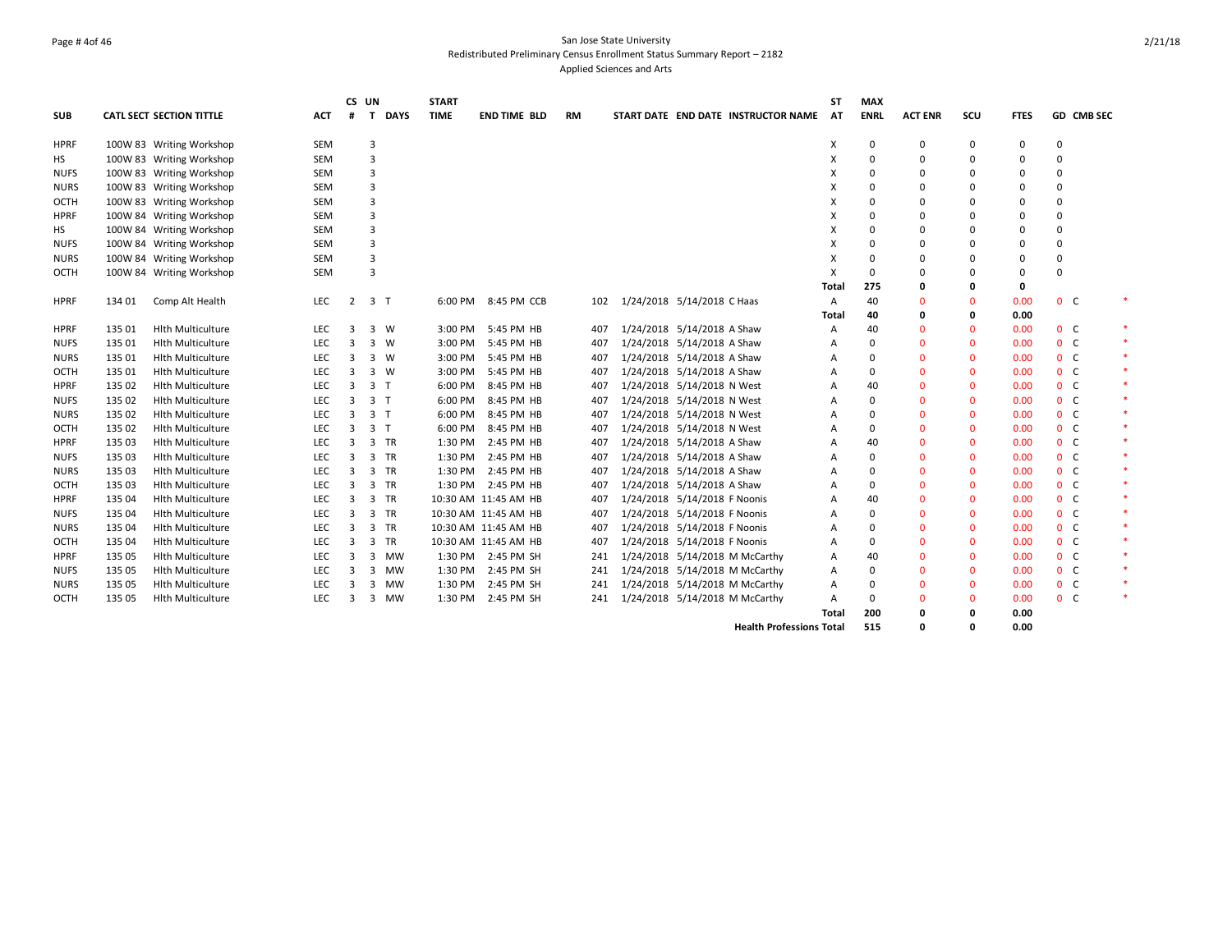## Page # 4of 46 San Jose State University Redistributed Preliminary Census Enrollment Status Summary Report – 2182 Applied Sciences and Arts

|             |        |                                 |            | CS UN          |                             | <b>START</b> |                      |           |                              |                                     | ST           | <b>MAX</b>  |                |              |             |                |            |        |
|-------------|--------|---------------------------------|------------|----------------|-----------------------------|--------------|----------------------|-----------|------------------------------|-------------------------------------|--------------|-------------|----------------|--------------|-------------|----------------|------------|--------|
| <b>SUB</b>  |        | <b>CATL SECT SECTION TITTLE</b> | <b>ACT</b> | #              | <b>DAYS</b><br>$\mathbf{T}$ | <b>TIME</b>  | <b>END TIME BLD</b>  | <b>RM</b> |                              | START DATE END DATE INSTRUCTOR NAME | AT           | <b>ENRL</b> | <b>ACT ENR</b> | scu          | <b>FTES</b> |                | GD CMB SEC |        |
| <b>HPRF</b> |        | 100W 83 Writing Workshop        | <b>SEM</b> |                | 3                           |              |                      |           |                              |                                     | х            | 0           | 0              | 0            | 0           | 0              |            |        |
| нs          |        | 100W 83 Writing Workshop        | SEM        |                | $\overline{3}$              |              |                      |           |                              |                                     | X            | $\Omega$    | $\Omega$       | $\Omega$     | 0           | $\Omega$       |            |        |
| <b>NUFS</b> |        | 100W 83 Writing Workshop        | SEM        |                | $\overline{3}$              |              |                      |           |                              |                                     | X            | $\Omega$    | 0              | $\Omega$     | 0           | 0              |            |        |
| <b>NURS</b> |        | 100W 83 Writing Workshop        | <b>SEM</b> |                | $\overline{3}$              |              |                      |           |                              |                                     | X            | $\Omega$    | $\Omega$       | 0            | 0           | $\Omega$       |            |        |
| ОСТН        |        | 100W 83 Writing Workshop        | SEM        |                | $\overline{3}$              |              |                      |           |                              |                                     | X            | $\Omega$    | $\Omega$       | $\Omega$     | 0           | $\Omega$       |            |        |
| <b>HPRF</b> |        | 100W 84 Writing Workshop        | SEM        |                | 3                           |              |                      |           |                              |                                     | X            | $\Omega$    | $\Omega$       | $\Omega$     | $\Omega$    | 0              |            |        |
| НS          |        | 100W 84 Writing Workshop        | <b>SEM</b> |                | 3                           |              |                      |           |                              |                                     | X            | $\Omega$    | $\Omega$       | $\mathbf 0$  | $\Omega$    | 0              |            |        |
| NUFS        |        | 100W 84 Writing Workshop        | <b>SEM</b> |                | $\overline{3}$              |              |                      |           |                              |                                     | X            | $\Omega$    | $\Omega$       | 0            | 0           | $\Omega$       |            |        |
| NURS        |        | 100W 84 Writing Workshop        | <b>SEM</b> |                | $\overline{3}$              |              |                      |           |                              |                                     | X            | $\Omega$    | $\Omega$       | $\Omega$     | 0           | 0              |            |        |
| ОСТН        |        | 100W 84 Writing Workshop        | <b>SEM</b> |                | 3                           |              |                      |           |                              |                                     | X            | $\Omega$    | $\Omega$       | $\Omega$     | 0           | $\Omega$       |            |        |
|             |        |                                 |            |                |                             |              |                      |           |                              |                                     | <b>Total</b> | 275         | 0              | 0            | 0           |                |            |        |
| <b>HPRF</b> | 134 01 | Comp Alt Health                 | <b>LEC</b> | $\overline{2}$ | $\overline{3}$<br>ா         | 6:00 PM      | 8:45 PM CCB          | 102       | 1/24/2018 5/14/2018 C Haas   |                                     | Α            | 40          | $\Omega$       | $\Omega$     | 0.00        | 0 <sub>c</sub> |            |        |
|             |        |                                 |            |                |                             |              |                      |           |                              |                                     | Total        | 40          | 0              | 0            | 0.00        |                |            |        |
| <b>HPRF</b> | 135 01 | <b>Hith Multiculture</b>        | LEC        | 3              | 3<br>W                      | 3:00 PM      | 5:45 PM HB           | 407       | 1/24/2018 5/14/2018 A Shaw   |                                     | A            | 40          | $\Omega$       | $\Omega$     | 0.00        | 0 <sup>o</sup> |            | $\ast$ |
| <b>NUFS</b> | 135 01 | <b>Hith Multiculture</b>        | <b>LEC</b> | 3              | 3<br>W                      | 3:00 PM      | 5:45 PM HB           | 407       | 1/24/2018 5/14/2018 A Shaw   |                                     | A            | $\Omega$    | $\Omega$       | $\mathbf{0}$ | 0.00        | 0 <sup>o</sup> |            | $\ast$ |
| <b>NURS</b> | 135 01 | <b>Hith Multiculture</b>        | LEC        | 3              | 3<br>W                      | 3:00 PM      | 5:45 PM HB           | 407       | 1/24/2018 5/14/2018 A Shaw   |                                     | A            | $\Omega$    | $\Omega$       | $\Omega$     | 0.00        | 0 <sup>o</sup> |            | $\ast$ |
| OCTH        | 135 01 | <b>Hith Multiculture</b>        | LEC        | 3              | 3<br>w                      | 3:00 PM      | 5:45 PM HB           | 407       | 1/24/2018 5/14/2018 A Shaw   |                                     | Α            | $\Omega$    | $\Omega$       | $\Omega$     | 0.00        | 0 <sup>o</sup> |            |        |
| <b>HPRF</b> | 135 02 | <b>Hith Multiculture</b>        | LEC        | 3              | 3 <sub>T</sub>              | 6:00 PM      | 8:45 PM HB           | 407       | 1/24/2018 5/14/2018 N West   |                                     | Α            | 40          | $\Omega$       | $\Omega$     | 0.00        | 0 <sub>c</sub> |            |        |
| <b>NUFS</b> | 135 02 | <b>Hith Multiculture</b>        | <b>LEC</b> | 3              | 3 <sub>T</sub>              | 6:00 PM      | 8:45 PM HB           | 407       | 1/24/2018 5/14/2018 N West   |                                     | A            | $\Omega$    | $\Omega$       | $\mathbf{0}$ | 0.00        | 0 <sub>c</sub> |            |        |
| <b>NURS</b> | 135 02 | <b>Hith Multiculture</b>        | LEC        | 3              | 3 <sub>T</sub>              | 6:00 PM      | 8:45 PM HB           | 407       | 1/24/2018 5/14/2018 N West   |                                     | A            | $\Omega$    | $\Omega$       | $\mathbf{0}$ | 0.00        | 0 <sup>o</sup> |            |        |
| OCTH        | 135 02 | <b>Hith Multiculture</b>        | LEC        | 3              | 3 <sub>T</sub>              | 6:00 PM      | 8:45 PM HB           | 407       | 1/24/2018 5/14/2018 N West   |                                     | A            | $\Omega$    | $\mathbf{0}$   | $\mathbf{0}$ | 0.00        | 0 <sub>c</sub> |            | $\ast$ |
| <b>HPRF</b> | 135 03 | <b>Hith Multiculture</b>        | <b>LEC</b> | 3              | 3 TR                        | 1:30 PM      | 2:45 PM HB           | 407       | 1/24/2018 5/14/2018 A Shaw   |                                     | A            | 40          | $\Omega$       | 0            | 0.00        | 0 <sup>o</sup> |            | $\ast$ |
| NUFS        | 135 03 | <b>Hith Multiculture</b>        | <b>LEC</b> | 3              | 3 TR                        | 1:30 PM      | 2:45 PM HB           | 407       | 1/24/2018 5/14/2018 A Shaw   |                                     | A            | $\Omega$    | $\mathbf{0}$   | $\mathbf{0}$ | 0.00        | 0 <sup>o</sup> |            | $\ast$ |
| <b>NURS</b> | 135 03 | <b>Hith Multiculture</b>        | LEC        | 3              | 3 TR                        |              | 1:30 PM 2:45 PM HB   | 407       | 1/24/2018 5/14/2018 A Shaw   |                                     | A            | $\Omega$    | $\Omega$       | $\mathbf{0}$ | 0.00        | 0 <sup>o</sup> |            | $\ast$ |
| ОСТН        | 135 03 | <b>Hith Multiculture</b>        | LEC        | 3              | 3 TR                        |              | 1:30 PM 2:45 PM HB   | 407       | 1/24/2018 5/14/2018 A Shaw   |                                     | A            | $\Omega$    | $\mathbf{0}$   | $\Omega$     | 0.00        | 0 <sup>o</sup> |            | $\ast$ |
| <b>HPRF</b> | 135 04 | <b>Hith Multiculture</b>        | LEC        | 3              | TR<br>3                     |              | 10:30 AM 11:45 AM HB | 407       | 1/24/2018 5/14/2018 F Noonis |                                     | A            | 40          | $\Omega$       | $\Omega$     | 0.00        | 0 <sup>o</sup> |            | $\ast$ |
| NUFS        | 135 04 | <b>Hith Multiculture</b>        | LEC        | 3              | 3<br>TR                     |              | 10:30 AM 11:45 AM HB | 407       | 1/24/2018 5/14/2018 F Noonis |                                     | A            | $\Omega$    | $\Omega$       | $\mathbf{0}$ | 0.00        | 0 <sup>o</sup> |            | $\ast$ |
| <b>NURS</b> | 135 04 | <b>Hith Multiculture</b>        | LEC        | 3              | 3<br>TR                     |              | 10:30 AM 11:45 AM HB | 407       | 1/24/2018 5/14/2018 F Noonis |                                     | A            | $\Omega$    | $\Omega$       | $\mathbf{0}$ | 0.00        | 0 <sup>o</sup> |            | $\ast$ |
| OCTH        | 135 04 | <b>Hith Multiculture</b>        | <b>LEC</b> | 3              | 3<br>TR                     |              | 10:30 AM 11:45 AM HB | 407       | 1/24/2018 5/14/2018 F Noonis |                                     | A            | $\Omega$    | $\Omega$       | $\mathbf{0}$ | 0.00        | 0 <sup>o</sup> |            | $\ast$ |
| <b>HPRF</b> | 135 05 | <b>Hith Multiculture</b>        | <b>LEC</b> | 3              | 3<br>MW                     |              | 1:30 PM 2:45 PM SH   | 241       |                              | 1/24/2018 5/14/2018 M McCarthy      | A            | 40          | $\Omega$       | $\Omega$     | 0.00        | 0 <sup>o</sup> |            | $\ast$ |
| NUFS        | 135 05 | <b>Hith Multiculture</b>        | <b>LEC</b> | 3              | 3<br>MW                     | 1:30 PM      | 2:45 PM SH           | 241       |                              | 1/24/2018 5/14/2018 M McCarthy      | Α            | $\Omega$    | $\Omega$       | $\Omega$     | 0.00        | 0 <sub>c</sub> |            | $\ast$ |
| <b>NURS</b> | 135 05 | <b>Hith Multiculture</b>        | LEC        | 3              | 3<br>MW                     | 1:30 PM      | 2:45 PM SH           | 241       |                              | 1/24/2018 5/14/2018 M McCarthy      | Α            | $\Omega$    | $\mathbf{0}$   | 0            | 0.00        | 0 <sub>c</sub> |            | $\ast$ |
| ОСТН        | 135 05 | <b>Hith Multiculture</b>        | LEC        | 3              | 3<br>МW                     | 1:30 PM      | 2:45 PM SH           | 241       |                              | 1/24/2018 5/14/2018 M McCarthy      | A            | $\Omega$    | $\mathbf{0}$   | $\Omega$     | 0.00        | 0 <sub>c</sub> |            |        |
|             |        |                                 |            |                |                             |              |                      |           |                              |                                     | <b>Total</b> | 200         | 0              | 0            | 0.00        |                |            |        |
|             |        |                                 |            |                |                             |              |                      |           |                              | <b>Health Professions Total</b>     |              | 515         | O              | $\Omega$     | 0.00        |                |            |        |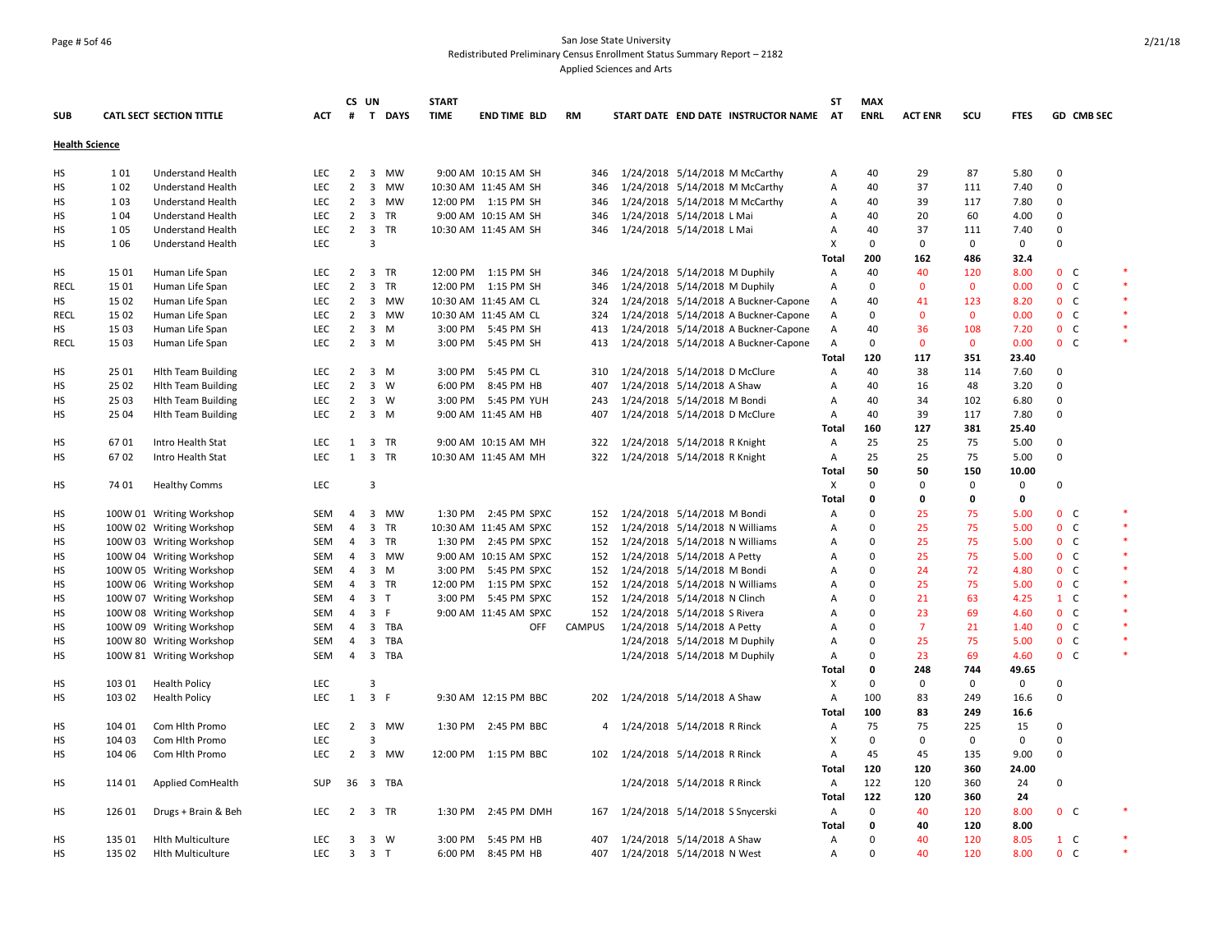## Page # 5of 46 San Jose State University Redistributed Preliminary Census Enrollment Status Summary Report – 2182 Applied Sciences and Arts

|                       |        |                                 |            | CS UN          |                               | <b>START</b> |                        |               |                                |                                 |                                      | ST           | <b>MAX</b>  |                |              |             |                |            |        |
|-----------------------|--------|---------------------------------|------------|----------------|-------------------------------|--------------|------------------------|---------------|--------------------------------|---------------------------------|--------------------------------------|--------------|-------------|----------------|--------------|-------------|----------------|------------|--------|
| <b>SUB</b>            |        | <b>CATL SECT SECTION TITTLE</b> | ACT        |                | # T DAYS                      | <b>TIME</b>  | END TIME BLD           | <b>RM</b>     |                                |                                 | START DATE END DATE INSTRUCTOR NAME  | <b>AT</b>    | <b>ENRL</b> | <b>ACT ENR</b> | scu          | <b>FTES</b> |                | GD CMB SEC |        |
| <b>Health Science</b> |        |                                 |            |                |                               |              |                        |               |                                |                                 |                                      |              |             |                |              |             |                |            |        |
| HS                    | 101    | <b>Understand Health</b>        | <b>LEC</b> | $\overline{2}$ | 3 MW                          |              | 9:00 AM 10:15 AM SH    | 346           |                                |                                 | 1/24/2018 5/14/2018 M McCarthy       | A            | 40          | 29             | 87           | 5.80        | $\mathbf 0$    |            |        |
| HS                    | 102    | <b>Understand Health</b>        | <b>LEC</b> | $\overline{2}$ | 3<br><b>MW</b>                |              | 10:30 AM 11:45 AM SH   | 346           |                                |                                 | 1/24/2018 5/14/2018 M McCarthy       | Α            | 40          | 37             | 111          | 7.40        | 0              |            |        |
| <b>HS</b>             | 103    | Understand Health               | LEC        | $\overline{2}$ | 3 MW                          |              | 12:00 PM 1:15 PM SH    | 346           |                                |                                 | 1/24/2018 5/14/2018 M McCarthy       | Α            | 40          | 39             | 117          | 7.80        | 0              |            |        |
| HS                    | 104    | Understand Health               | <b>LEC</b> | $\overline{2}$ | 3 TR                          |              | 9:00 AM 10:15 AM SH    | 346           | 1/24/2018 5/14/2018 L Mai      |                                 |                                      | A            | 40          | 20             | 60           | 4.00        | 0              |            |        |
| HS                    | 105    | Understand Health               | <b>LEC</b> | $\overline{2}$ | 3 TR                          |              | 10:30 AM 11:45 AM SH   | 346           | 1/24/2018 5/14/2018 L Mai      |                                 |                                      | Α            | 40          | 37             | 111          | 7.40        | 0              |            |        |
| НS                    | 106    | <b>Understand Health</b>        | <b>LEC</b> |                | $\overline{3}$                |              |                        |               |                                |                                 |                                      | х            | $\mathbf 0$ | $\mathbf 0$    | 0            | $\mathbf 0$ | 0              |            |        |
|                       |        |                                 |            |                |                               |              |                        |               |                                |                                 |                                      | <b>Total</b> | 200         | 162            | 486          | 32.4        |                |            |        |
| <b>HS</b>             | 15 01  | Human Life Span                 | LEC        |                | 2 3 TR                        |              | 12:00 PM 1:15 PM SH    | 346           | 1/24/2018 5/14/2018 M Duphily  |                                 |                                      | Α            | 40          | 40             | 120          | 8.00        | 0 <sub>c</sub> |            |        |
| RECL                  | 15 01  | Human Life Span                 | LEC        | $\overline{2}$ | $\overline{\mathbf{3}}$<br>TR |              | 12:00 PM 1:15 PM SH    | 346           |                                | 1/24/2018 5/14/2018 M Duphily   |                                      | A            | $\mathbf 0$ | $\mathbf{0}$   | $\mathbf 0$  | 0.00        | 0 <sub>c</sub> |            | $\ast$ |
| HS                    | 15 02  | Human Life Span                 | <b>LEC</b> | $\overline{2}$ | 3 MW                          |              | 10:30 AM 11:45 AM CL   | 324           |                                |                                 | 1/24/2018 5/14/2018 A Buckner-Capone | Α            | 40          | 41             | 123          | 8.20        | 0 <sup>o</sup> |            | $\ast$ |
| <b>RECL</b>           | 15 02  |                                 | <b>LEC</b> | 2              | 3 MW                          |              | 10:30 AM 11:45 AM CL   | 324           |                                |                                 |                                      |              | 0           | $\mathbf{0}$   | $\mathbf{0}$ | 0.00        | 0 <sub>c</sub> |            | $\ast$ |
| HS                    | 15 03  | Human Life Span                 | LEC        | $\overline{2}$ | $\overline{3}$<br>M           |              | 3:00 PM 5:45 PM SH     | 413           |                                |                                 | 1/24/2018 5/14/2018 A Buckner-Capone | Α<br>Α       | 40          | 36             | 108          | 7.20        | $0-$           |            |        |
|                       | 1503   | Human Life Span                 | <b>LEC</b> | $2^{\circ}$    | 3 M                           |              |                        | 413           |                                |                                 | 1/24/2018 5/14/2018 A Buckner-Capone |              | $\mathbf 0$ | $\mathbf{0}$   | $\mathbf{0}$ | 0.00        | 0 <sup>o</sup> |            | $\ast$ |
| <b>RECL</b>           |        | Human Life Span                 |            |                |                               |              | 3:00 PM 5:45 PM SH     |               |                                |                                 | 1/24/2018 5/14/2018 A Buckner-Capone | Α            |             |                |              |             |                |            |        |
|                       |        |                                 |            |                |                               |              |                        |               |                                |                                 |                                      | Total        | 120         | 117            | 351          | 23.40       |                |            |        |
| <b>HS</b>             | 25 01  | <b>Hith Team Building</b>       | LEC        | $\overline{2}$ | $3 \, M$                      |              | 3:00 PM 5:45 PM CL     | 310           | 1/24/2018 5/14/2018 D McClure  |                                 |                                      | Α            | 40          | 38             | 114          | 7.60        | 0              |            |        |
| HS                    | 25 02  | <b>Hith Team Building</b>       | LEC        | $\overline{2}$ | $3 \quad W$                   |              | 6:00 PM 8:45 PM HB     | 407           |                                | 1/24/2018 5/14/2018 A Shaw      |                                      | A            | 40          | 16             | 48           | 3.20        | $\mathsf 0$    |            |        |
| НS                    | 25 03  | <b>Hith Team Building</b>       | <b>LEC</b> | $\overline{2}$ | 3 W                           |              | 3:00 PM 5:45 PM YUH    | 243           | 1/24/2018 5/14/2018 M Bondi    |                                 |                                      | Α            | 40          | 34             | 102          | 6.80        | 0              |            |        |
| HS                    | 25 04  | <b>Hith Team Building</b>       | <b>LEC</b> | $\overline{2}$ | 3 M                           |              | 9:00 AM 11:45 AM HB    | 407           |                                | 1/24/2018 5/14/2018 D McClure   |                                      | Α            | 40          | 39             | 117          | 7.80        | $\mathbf 0$    |            |        |
|                       |        |                                 |            |                |                               |              |                        |               |                                |                                 |                                      | Total        | 160         | 127            | 381          | 25.40       |                |            |        |
| HS                    | 6701   | Intro Health Stat               | LEC        | 1              | 3<br>TR                       |              | 9:00 AM 10:15 AM MH    | 322           |                                | 1/24/2018 5/14/2018 R Knight    |                                      | Α            | 25          | 25             | 75           | 5.00        | $\Omega$       |            |        |
| <b>HS</b>             | 6702   | Intro Health Stat               | <b>LEC</b> | 1              | 3 TR                          |              | 10:30 AM 11:45 AM MH   | 322           | 1/24/2018 5/14/2018 R Knight   |                                 |                                      | A            | 25          | 25             | 75           | 5.00        | 0              |            |        |
|                       |        |                                 |            |                |                               |              |                        |               |                                |                                 |                                      | Total        | 50          | 50             | 150          | 10.00       |                |            |        |
| HS                    | 74 01  | <b>Healthy Comms</b>            | LEC        |                | 3                             |              |                        |               |                                |                                 |                                      | Χ            | $\mathbf 0$ | $\mathbf 0$    | 0            | 0           | $\mathbf 0$    |            |        |
|                       |        |                                 |            |                |                               |              |                        |               |                                |                                 |                                      | Total        | 0           | $\mathbf 0$    | 0            | 0           |                |            |        |
| HS                    |        | 100W 01 Writing Workshop        | <b>SEM</b> | $\overline{4}$ | 3 MW                          |              | 1:30 PM 2:45 PM SPXC   | 152           | 1/24/2018 5/14/2018 M Bondi    |                                 |                                      | Α            | $\Omega$    | 25             | 75           | 5.00        | $0-$           |            |        |
| HS                    |        | 100W 02 Writing Workshop        | <b>SEM</b> | $\overline{a}$ | $\overline{3}$<br><b>TR</b>   |              | 10:30 AM 11:45 AM SPXC | 152           | 1/24/2018 5/14/2018 N Williams |                                 |                                      | A            | $\Omega$    | 25             | 75           | 5.00        | $0\quad C$     |            | $\ast$ |
| HS                    |        | 100W 03 Writing Workshop        | <b>SEM</b> | 4              | 3 TR                          |              | 1:30 PM 2:45 PM SPXC   | 152           | 1/24/2018 5/14/2018 N Williams |                                 |                                      | A            | $\mathbf 0$ | 25             | 75           | 5.00        | $0-$           |            | $\ast$ |
| НS                    |        | 100W 04 Writing Workshop        | SEM        | 4              | 3 MW                          |              | 9:00 AM 10:15 AM SPXC  | 152           | 1/24/2018 5/14/2018 A Petty    |                                 |                                      | A            | 0           | 25             | 75           | 5.00        | 0 <sup>o</sup> |            | $\ast$ |
| HS                    |        | 100W 05 Writing Workshop        | SEM        | 4              | $3 \, M$                      |              | 3:00 PM 5:45 PM SPXC   | 152           |                                | 1/24/2018 5/14/2018 M Bondi     |                                      | A            | $\mathbf 0$ | 24             | 72           | 4.80        | 0 <sub>c</sub> |            |        |
| HS                    |        | 100W 06 Writing Workshop        | <b>SEM</b> | $\overline{4}$ | 3 TR                          |              | 12:00 PM  1:15 PM SPXC | 152           | 1/24/2018 5/14/2018 N Williams |                                 |                                      | A            | $\Omega$    | 25             | 75           | 5.00        | 0 <sup>o</sup> |            |        |
| HS                    |        | 100W 07 Writing Workshop        | SEM        | $\overline{4}$ | 3 <sub>T</sub>                |              | 3:00 PM 5:45 PM SPXC   | 152           | 1/24/2018 5/14/2018 N Clinch   |                                 |                                      | A            | $\mathbf 0$ | 21             | 63           | 4.25        | $1\quad C$     |            |        |
| НS                    |        | 100W 08 Writing Workshop        | <b>SEM</b> | 4              | 3 F                           |              | 9:00 AM 11:45 AM SPXC  | 152           | 1/24/2018 5/14/2018 S Rivera   |                                 |                                      | A            | $\mathbf 0$ | 23             | 69           | 4.60        | $0\quad C$     |            | $\ast$ |
| HS                    |        | 100W 09 Writing Workshop        | SEM        | 4              | 3 TBA                         |              | <b>OFF</b>             | <b>CAMPUS</b> |                                | 1/24/2018 5/14/2018 A Petty     |                                      | Α            | $\Omega$    | $\overline{7}$ | 21           | 1.40        | 0 <sub>c</sub> |            |        |
| НS                    |        | 100W 80 Writing Workshop        | SEM        | 4              | 3 TBA                         |              |                        |               |                                | 1/24/2018 5/14/2018 M Duphily   |                                      | Α            | $\mathbf 0$ | 25             | 75           | 5.00        | $0\quad C$     |            |        |
| HS                    |        | 100W 81 Writing Workshop        | <b>SEM</b> | $\overline{4}$ | 3 TBA                         |              |                        |               |                                | 1/24/2018 5/14/2018 M Duphily   |                                      | Α            | $\Omega$    | 23             | 69           | 4.60        | 0 <sup>o</sup> |            | $\ast$ |
|                       |        |                                 |            |                |                               |              |                        |               |                                |                                 |                                      | Total        | 0           | 248            | 744          | 49.65       |                |            |        |
| HS                    | 103 01 | <b>Health Policy</b>            | LEC        |                | 3                             |              |                        |               |                                |                                 |                                      | Х            | $\mathbf 0$ | 0              | 0            | 0           | $\mathbf 0$    |            |        |
| HS                    | 103 02 | <b>Health Policy</b>            | <b>LEC</b> | 1              | 3 F                           |              | 9:30 AM 12:15 PM BBC   | 202           | 1/24/2018 5/14/2018 A Shaw     |                                 |                                      | Α            | 100         | 83             | 249          | 16.6        | $\mathbf 0$    |            |        |
|                       |        |                                 |            |                |                               |              |                        |               |                                |                                 |                                      | Total        | 100         | 83             | 249          | 16.6        |                |            |        |
| НS                    | 104 01 | Com Hith Promo                  | <b>LEC</b> | $\overline{2}$ | 3 MW                          | 1:30 PM      | 2:45 PM BBC            | 4             | 1/24/2018 5/14/2018 R Rinck    |                                 |                                      | Α            | 75          | 75             | 225          | 15          | 0              |            |        |
| HS                    | 104 03 | Com Hlth Promo                  | <b>LEC</b> |                | 3                             |              |                        |               |                                |                                 |                                      | X            | $\mathbf 0$ | 0              | 0            | 0           | 0              |            |        |
| HS                    | 104 06 | Com Hith Promo                  | <b>LEC</b> | $\overline{2}$ | 3 MW                          |              | 12:00 PM 1:15 PM BBC   | 102           | 1/24/2018 5/14/2018 R Rinck    |                                 |                                      | Α            | 45          | 45             | 135          | 9.00        | 0              |            |        |
|                       |        |                                 |            |                |                               |              |                        |               |                                |                                 |                                      | Total        | 120         | 120            | 360          | 24.00       |                |            |        |
|                       |        |                                 |            |                |                               |              |                        |               |                                |                                 |                                      |              |             |                |              |             |                |            |        |
| HS                    | 114 01 | Applied ComHealth               | <b>SUP</b> |                | 36 3 TBA                      |              |                        |               |                                | 1/24/2018 5/14/2018 R Rinck     |                                      | Α            | 122         | 120            | 360          | 24          | 0              |            |        |
|                       |        |                                 |            |                |                               |              |                        |               |                                |                                 |                                      | Total        | 122         | 120            | 360          | 24          |                |            |        |
| НS                    | 126 01 | Drugs + Brain & Beh             | <b>LEC</b> | $\overline{2}$ | 3 TR                          | 1:30 PM      | 2:45 PM DMH            | 167           |                                | 1/24/2018 5/14/2018 S Snycerski |                                      | Α            | $\mathbf 0$ | 40             | 120          | 8.00        | 0 <sub>c</sub> |            |        |
|                       |        |                                 |            |                |                               |              |                        |               |                                |                                 |                                      | Total        | 0           | 40             | 120          | 8.00        |                |            | $\ast$ |
| HS                    | 135 01 | <b>Hith Multiculture</b>        | <b>LEC</b> | $\overline{3}$ | 3 W                           |              | 3:00 PM 5:45 PM HB     | 407           |                                | 1/24/2018 5/14/2018 A Shaw      |                                      | Α            | 0           | 40             | 120          | 8.05        | $1\quad C$     |            |        |
| <b>HS</b>             | 135 02 | <b>Hith Multiculture</b>        | LEC        | $\overline{3}$ | 3 <sub>T</sub>                |              | 6:00 PM 8:45 PM HB     | 407           |                                | 1/24/2018 5/14/2018 N West      |                                      | A            | $\Omega$    | 40             | 120          | 8.00        | 0 <sup>o</sup> |            | $\ast$ |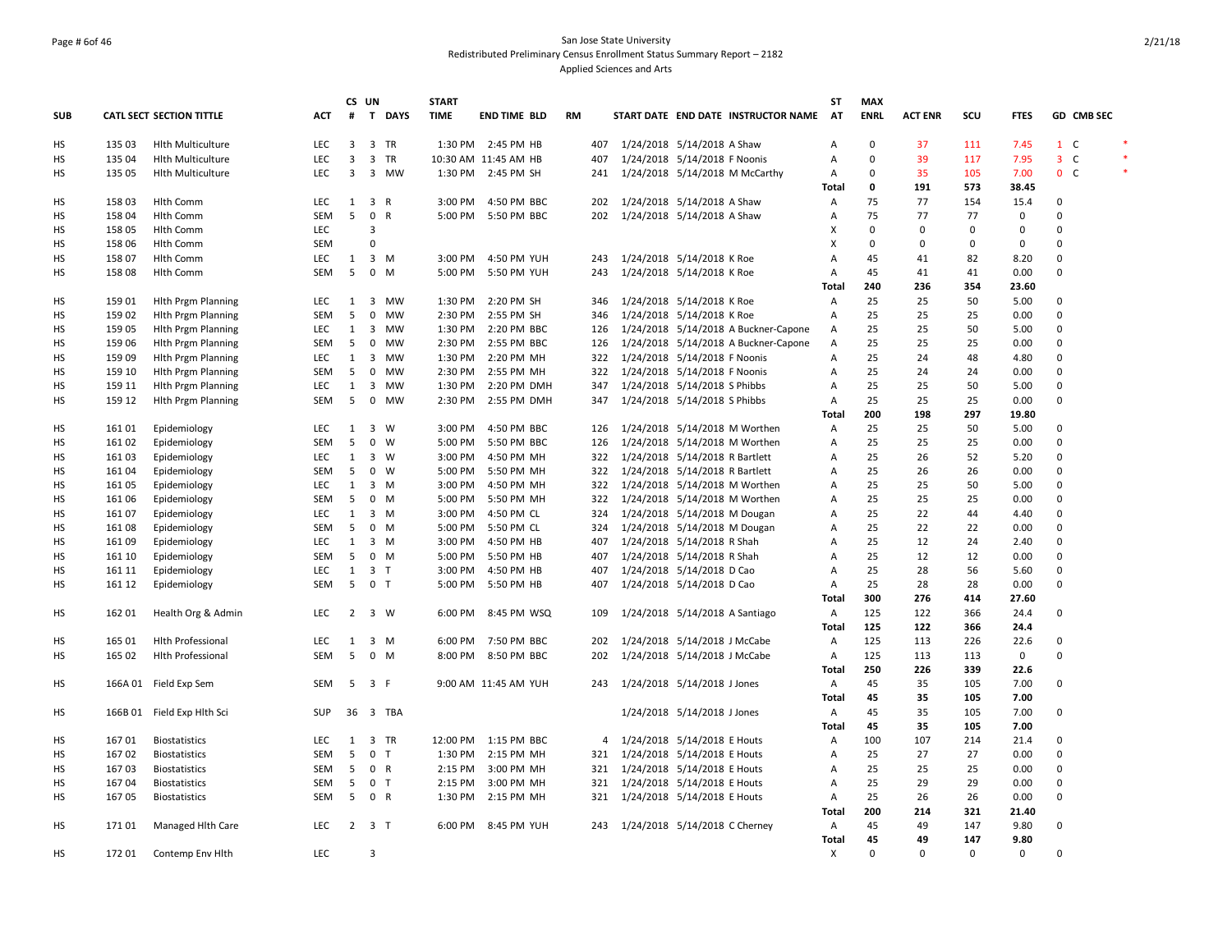## Page # 6of 46 San Jose State University Redistributed Preliminary Census Enrollment Status Summary Report – 2182 Applied Sciences and Arts

|            |        |                                 |            |                | CS UN               | <b>START</b> |         |                      |    |     |                                   |                                      | ST             | <b>MAX</b>  |                |          |             |                |            |  |
|------------|--------|---------------------------------|------------|----------------|---------------------|--------------|---------|----------------------|----|-----|-----------------------------------|--------------------------------------|----------------|-------------|----------------|----------|-------------|----------------|------------|--|
| <b>SUB</b> |        | <b>CATL SECT SECTION TITTLE</b> | ACT        | #              | T DAYS              | <b>TIME</b>  |         | <b>END TIME BLD</b>  | RM |     |                                   | START DATE END DATE INSTRUCTOR NAME  | AT             | <b>ENRL</b> | <b>ACT ENR</b> | scu      | <b>FTES</b> |                | GD CMB SEC |  |
| <b>HS</b>  | 135 03 | <b>Hith Multiculture</b>        | <b>LEC</b> | 3              | 3 TR                |              |         | 1:30 PM 2:45 PM HB   |    | 407 | 1/24/2018 5/14/2018 A Shaw        |                                      | $\overline{A}$ | $\mathbf 0$ | 37             | 111      | 7.45        | $1 \quad C$    |            |  |
| HS         | 135 04 | <b>Hith Multiculture</b>        | LEC        | 3              | 3 TR                |              |         | 10:30 AM 11:45 AM HB |    | 407 | 1/24/2018 5/14/2018 F Noonis      |                                      | Α              | $\mathbf 0$ | 39             | 117      | 7.95        | $3-$           |            |  |
| HS         | 135 05 | <b>Hith Multiculture</b>        | LEC        | $\overline{3}$ | 3 MW                |              |         | 1:30 PM 2:45 PM SH   |    | 241 |                                   | 1/24/2018 5/14/2018 M McCarthy       | Α              | $\Omega$    | 35             | 105      | 7.00        | 0 <sup>o</sup> |            |  |
|            |        |                                 |            |                |                     |              |         |                      |    |     |                                   |                                      | Total          | 0           | 191            | 573      | 38.45       |                |            |  |
| HS         | 15803  | <b>Hlth Comm</b>                | <b>LEC</b> | 1              | 3 R                 |              | 3:00 PM | 4:50 PM BBC          |    | 202 | 1/24/2018 5/14/2018 A Shaw        |                                      | Α              | 75          | 77             | 154      | 15.4        | 0              |            |  |
| HS         | 158 04 | <b>Hlth Comm</b>                | SEM        | 5              | 0 R                 |              | 5:00 PM | 5:50 PM BBC          |    | 202 | 1/24/2018 5/14/2018 A Shaw        |                                      | Α              | 75          | 77             | 77       | $\mathbf 0$ | 0              |            |  |
| HS         | 158 05 | <b>Hlth Comm</b>                | <b>LEC</b> |                | $\mathbf{a}$        |              |         |                      |    |     |                                   |                                      | X              | $\Omega$    | 0              | 0        | $\mathbf 0$ | $\Omega$       |            |  |
| HS         | 158 06 | <b>Hlth Comm</b>                | <b>SEM</b> |                | $\Omega$            |              |         |                      |    |     |                                   |                                      | X              | $\mathsf 0$ | 0              | 0        | $\mathbf 0$ | 0              |            |  |
| HS         | 158 07 | Hlth Comm                       | LEC        | 1              | 3 M                 |              | 3:00 PM | 4:50 PM YUH          |    | 243 | 1/24/2018 5/14/2018 K Roe         |                                      | A              | 45          | 41             | 82       | 8.20        | 0              |            |  |
| HS         | 158 08 | Hlth Comm                       | SEM        | 5              | $0$ M               |              | 5:00 PM | 5:50 PM YUH          |    | 243 | 1/24/2018 5/14/2018 K Roe         |                                      | Α              | 45          | 41             | 41       | 0.00        | $\mathbf 0$    |            |  |
|            |        |                                 |            |                |                     |              |         |                      |    |     |                                   |                                      | Total          | 240         | 236            | 354      | 23.60       |                |            |  |
| HS         | 159 01 | <b>Hith Prgm Planning</b>       | <b>LEC</b> | 1              | 3 MW                | 1:30 PM      |         | 2:20 PM SH           |    | 346 | 1/24/2018 5/14/2018 K Roe         |                                      | Α              | 25          | 25             | 50       | 5.00        | 0              |            |  |
| HS         | 159 02 | <b>Hith Prgm Planning</b>       | SEM        | 5              | 0 MW                |              | 2:30 PM | 2:55 PM SH           |    | 346 | 1/24/2018 5/14/2018 K Roe         |                                      | Α              | 25          | 25             | 25       | 0.00        | 0              |            |  |
| НS         | 159 05 | <b>Hith Prgm Planning</b>       | LEC        | 1              | 3<br>МW             | 1:30 PM      |         | 2:20 PM BBC          |    | 126 |                                   | 1/24/2018 5/14/2018 A Buckner-Capone | Α              | 25          | 25             | 50       | 5.00        | 0              |            |  |
| HS         | 159 06 | <b>Hith Prgm Planning</b>       | SEM        | 5              | 0 MW                |              |         | 2:30 PM 2:55 PM BBC  |    | 126 |                                   | 1/24/2018 5/14/2018 A Buckner-Capone | Α              | 25          | 25             | 25       | 0.00        | 0              |            |  |
| <b>HS</b>  | 159 09 | <b>Hlth Prgm Planning</b>       | <b>LEC</b> | 1              | 3 MW                | 1:30 PM      |         | 2:20 PM MH           |    | 322 | 1/24/2018 5/14/2018 F Noonis      |                                      | Α              | 25          | 24             | 48       | 4.80        | $\mathbf 0$    |            |  |
| HS         | 159 10 | <b>Hith Prgm Planning</b>       | SEM        | 5              | 0 MW                |              | 2:30 PM | 2:55 PM MH           |    | 322 | 1/24/2018 5/14/2018 F Noonis      |                                      | Α              | 25          | 24             | 24       | 0.00        | 0              |            |  |
| HS         | 159 11 | <b>Hith Prgm Planning</b>       | <b>LEC</b> | 1              | 3 MW                |              | 1:30 PM | 2:20 PM DMH          |    | 347 | 1/24/2018 5/14/2018 S Phibbs      |                                      | Α              | 25          | 25             | 50       | 5.00        | 0              |            |  |
| HS         | 159 12 | <b>Hith Prgm Planning</b>       | SEM        | 5              | $0$ MW              |              | 2:30 PM | 2:55 PM DMH          |    | 347 | 1/24/2018 5/14/2018 S Phibbs      |                                      | Α              | 25          | 25             | 25       | 0.00        | 0              |            |  |
|            |        |                                 |            |                |                     |              |         |                      |    |     |                                   |                                      | Total          | 200         | 198            | 297      | 19.80       |                |            |  |
| HS         | 161 01 | Epidemiology                    | LEC        | 1              | $3 \quad W$         |              | 3:00 PM | 4:50 PM BBC          |    | 126 |                                   | 1/24/2018 5/14/2018 M Worthen        | Α              | 25          | 25             | 50       | 5.00        | $\mathbf 0$    |            |  |
| HS         | 161 02 | Epidemiology                    | SEM        | 5              | $0 \quad W$         | 5:00 PM      |         | 5:50 PM BBC          |    | 126 |                                   | 1/24/2018 5/14/2018 M Worthen        | Α              | 25          | 25             | 25       | 0.00        | 0              |            |  |
| HS         | 161 03 | Epidemiology                    | <b>LEC</b> | 1              | 3 W                 |              | 3:00 PM | 4:50 PM MH           |    | 322 | 1/24/2018 5/14/2018 R Bartlett    |                                      | Α              | 25          | 26             | 52       | 5.20        | 0              |            |  |
| HS         | 161 04 | Epidemiology                    | <b>SEM</b> | 5              | $0 \quad W$         |              | 5:00 PM | 5:50 PM MH           |    | 322 | 1/24/2018 5/14/2018 R Bartlett    |                                      | A              | 25          | 26             | 26       | 0.00        | 0              |            |  |
| HS         | 161 05 | Epidemiology                    | <b>LEC</b> | 1              | 3 M                 | 3:00 PM      |         | 4:50 PM MH           |    | 322 |                                   | 1/24/2018 5/14/2018 M Worthen        | Α              | 25          | 25             | 50       | 5.00        | $\mathbf 0$    |            |  |
| HS         | 161 06 | Epidemiology                    | <b>SEM</b> | 5              | $0 \quad M$         |              | 5:00 PM | 5:50 PM MH           |    | 322 |                                   | 1/24/2018 5/14/2018 M Worthen        | A              | 25          | 25             | 25       | 0.00        | $\mathbf 0$    |            |  |
| HS         | 161 07 | Epidemiology                    | LEC        | 1              | 3 M                 | 3:00 PM      |         | 4:50 PM CL           |    | 324 | 1/24/2018 5/14/2018 M Dougan      |                                      | Α              | 25          | 22             | 44       | 4.40        | 0              |            |  |
| HS         | 161 08 | Epidemiology                    | SEM        | 5              | $0 \mathsf{M}$      |              | 5:00 PM | 5:50 PM CL           |    | 324 | 1/24/2018 5/14/2018 M Dougan      |                                      | Α              | 25          | 22             | 22       | 0.00        | 0              |            |  |
| HS         | 161 09 | Epidemiology                    | LEC        | 1              | 3 M                 | 3:00 PM      |         | 4:50 PM HB           |    | 407 | 1/24/2018 5/14/2018 R Shah        |                                      | Α              | 25          | 12             | 24       | 2.40        | $\mathbf 0$    |            |  |
| HS         | 161 10 | Epidemiology                    | SEM        | - 5            | $0 \mathsf{M}$      |              | 5:00 PM | 5:50 PM HB           |    | 407 | 1/24/2018 5/14/2018 R Shah        |                                      | Α              | 25          | 12             | 12       | 0.00        | $\mathbf 0$    |            |  |
| HS         | 161 11 | Epidemiology                    | LEC        | $\mathbf{1}$   | 3 <sub>T</sub>      |              | 3:00 PM | 4:50 PM HB           |    | 407 | 1/24/2018 5/14/2018 D Cao         |                                      | Α              | 25          | 28             | 56       | 5.60        | 0              |            |  |
| HS         | 161 12 | Epidemiology                    | SEM        | 5              | 0 <sub>T</sub>      |              | 5:00 PM | 5:50 PM HB           |    | 407 | 1/24/2018 5/14/2018 D Cao         |                                      | Α              | 25          | 28             | 28       | 0.00        | 0              |            |  |
|            |        |                                 |            |                |                     |              |         |                      |    |     |                                   |                                      | Total          | 300         | 276            | 414      | 27.60       |                |            |  |
| HS         | 162 01 | Health Org & Admin              | <b>LEC</b> |                | 2 3 W               |              |         | 6:00 PM 8:45 PM WSQ  |    | 109 | 1/24/2018 5/14/2018 A Santiago    |                                      | Α              | 125         | 122            | 366      | 24.4        | 0              |            |  |
|            |        |                                 |            |                |                     |              |         |                      |    |     |                                   |                                      | Total          | 125         | 122            | 366      | 24.4        |                |            |  |
| HS         | 165 01 | Hlth Professional               | LEC        | 1              | $3 \, M$            |              |         | 6:00 PM 7:50 PM BBC  |    | 202 | 1/24/2018 5/14/2018 J McCabe      |                                      | Α              | 125         | 113            | 226      | 22.6        | 0              |            |  |
| HS         | 165 02 | <b>Hlth Professional</b>        | <b>SEM</b> | 5              | $0$ M               |              | 8:00 PM | 8:50 PM BBC          |    | 202 | 1/24/2018 5/14/2018 J McCabe      |                                      | Α              | 125         | 113            | 113      | $^{\circ}$  | 0              |            |  |
|            |        |                                 |            |                |                     |              |         |                      |    |     |                                   |                                      | Total          | 250         | 226            | 339      | 22.6        |                |            |  |
| HS         |        | 166A 01 Field Exp Sem           | <b>SEM</b> |                | 5 3 F               |              |         | 9:00 AM 11:45 AM YUH |    | 243 | 1/24/2018 5/14/2018 J Jones       |                                      | Α              | 45          | 35             | 105      | 7.00        | 0              |            |  |
|            |        |                                 |            |                |                     |              |         |                      |    |     |                                   |                                      | Total          | 45          | 35             | 105      | 7.00        |                |            |  |
| HS         |        | 166B 01 Field Exp Hlth Sci      | SUP        |                | 36 3 TBA            |              |         |                      |    |     | 1/24/2018 5/14/2018 J Jones       |                                      | Α              | 45          | 35             | 105      | 7.00        | 0              |            |  |
|            |        |                                 |            |                |                     |              |         |                      |    |     |                                   |                                      | Total          | 45          | 35             | 105      | 7.00        |                |            |  |
| HS         | 16701  | <b>Biostatistics</b>            | <b>LEC</b> | 1              | 3 TR                |              |         | 12:00 PM 1:15 PM BBC |    |     | 4 1/24/2018 5/14/2018 E Houts     |                                      | Α              | 100         | 107            | 214      | 21.4        | 0              |            |  |
| HS         | 16702  | <b>Biostatistics</b>            | SEM        | 5              | 0 <sub>T</sub>      | 1:30 PM      |         | 2:15 PM MH           |    | 321 | 1/24/2018 5/14/2018 E Houts       |                                      | Α              | 25          | 27             | 27       | 0.00        | $\mathbf 0$    |            |  |
| HS         | 16703  | <b>Biostatistics</b>            | <b>SEM</b> | 5              | 0 R                 |              | 2:15 PM | 3:00 PM MH           |    | 321 | 1/24/2018 5/14/2018 E Houts       |                                      | Α              | 25          | 25             | 25       | 0.00        | 0              |            |  |
| HS         | 16704  | <b>Biostatistics</b>            | SEM        | 5              | 0 T                 |              | 2:15 PM | 3:00 PM MH           |    | 321 | 1/24/2018 5/14/2018 E Houts       |                                      | Α              | 25          | 29             | 29       | 0.00        | 0              |            |  |
| HS         | 167 05 | <b>Biostatistics</b>            | SEM        | 5              | 0 R                 |              |         | 1:30 PM 2:15 PM MH   |    | 321 | 1/24/2018 5/14/2018 E Houts       |                                      | Α              | 25          | 26             | 26       | 0.00        | 0              |            |  |
|            |        |                                 |            |                |                     |              |         |                      |    |     |                                   |                                      | Total          | 200         | 214            | 321      | 21.40       |                |            |  |
| HS         | 17101  | Managed Hlth Care               | <b>LEC</b> |                | $2 \quad 3 \quad T$ |              |         | 6:00 PM 8:45 PM YUH  |    |     | 243 1/24/2018 5/14/2018 C Cherney |                                      | Α              | 45          | 49             | 147      | 9.80        | 0              |            |  |
|            |        |                                 |            |                |                     |              |         |                      |    |     |                                   |                                      | <b>Total</b>   | 45          | 49             | 147      | 9.80        |                |            |  |
| HS         | 172 01 | Contemp Env Hith                | LEC        |                | 3                   |              |         |                      |    |     |                                   |                                      | X              | $\Omega$    | $\mathbf 0$    | $\Omega$ | $\mathbf 0$ | $\mathbf 0$    |            |  |
|            |        |                                 |            |                |                     |              |         |                      |    |     |                                   |                                      |                |             |                |          |             |                |            |  |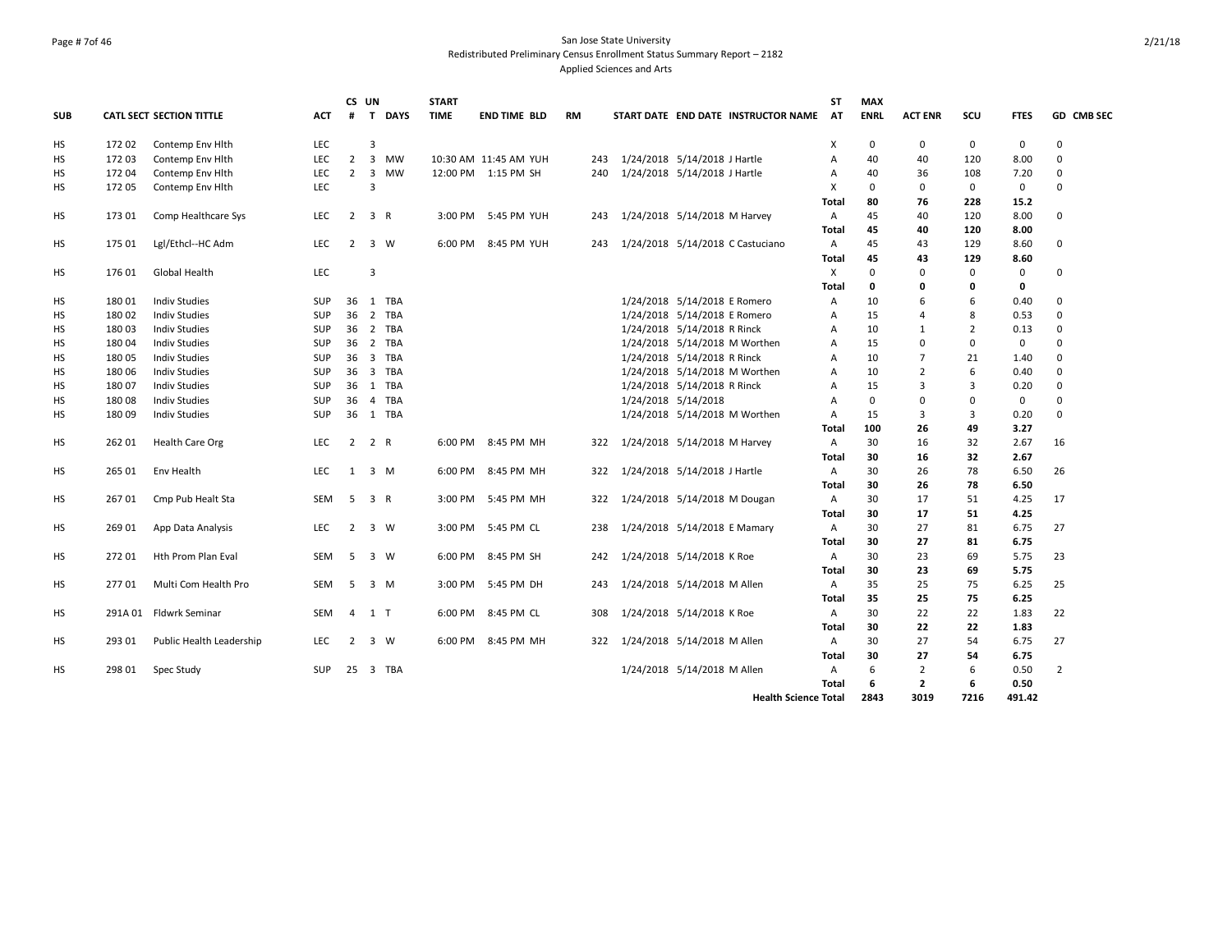## Page # 7of 46 San Jose State University Redistributed Preliminary Census Enrollment Status Summary Report – 2182 Applied Sciences and Arts

|            |        |                          |            |                | CS UN          |          | <b>START</b> |                       |           |     |                     |                                     | ST             | <b>MAX</b>  |                |                |             |            |
|------------|--------|--------------------------|------------|----------------|----------------|----------|--------------|-----------------------|-----------|-----|---------------------|-------------------------------------|----------------|-------------|----------------|----------------|-------------|------------|
| <b>SUB</b> |        | CATL SECT SECTION TITTLE | <b>ACT</b> | #              |                | T DAYS   | <b>TIME</b>  | <b>END TIME BLD</b>   | <b>RM</b> |     |                     | START DATE END DATE INSTRUCTOR NAME | AT             | <b>ENRL</b> | <b>ACT ENR</b> | SCU            | <b>FTES</b> | GD CMB SEC |
| HS         | 172 02 | Contemp Env Hith         | <b>LEC</b> |                | 3              |          |              |                       |           |     |                     |                                     | Χ              | $\mathbf 0$ | 0              | 0              | 0           | $\Omega$   |
| <b>HS</b>  | 17203  | Contemp Env Hith         | <b>LEC</b> | $2^{\circ}$    |                | 3 MW     |              | 10:30 AM 11:45 AM YUH |           |     |                     | 243 1/24/2018 5/14/2018 J Hartle    | $\overline{A}$ | 40          | 40             | 120            | 8.00        | $\Omega$   |
| HS         | 172 04 | Contemp Env Hith         | LEC        | $\overline{2}$ |                | 3 MW     |              | 12:00 PM 1:15 PM SH   |           | 240 |                     | 1/24/2018 5/14/2018 J Hartle        | A              | 40          | 36             | 108            | 7.20        | $\Omega$   |
| <b>HS</b>  | 17205  | Contemp Env Hith         | LEC        |                | $\overline{3}$ |          |              |                       |           |     |                     |                                     | $\mathsf{x}$   | $\Omega$    | 0              | $\mathbf 0$    | $\mathbf 0$ | $\Omega$   |
|            |        |                          |            |                |                |          |              |                       |           |     |                     |                                     | Total          | 80          | 76             | 228            | 15.2        |            |
| <b>HS</b>  | 173 01 | Comp Healthcare Sys      | <b>LEC</b> | 2              |                | 3 R      | 3:00 PM      | 5:45 PM YUH           |           | 243 |                     | 1/24/2018 5/14/2018 M Harvey        | $\overline{A}$ | 45          | 40             | 120            | 8.00        | $\Omega$   |
|            |        |                          |            |                |                |          |              |                       |           |     |                     |                                     | Total          | 45          | 40             | 120            | 8.00        |            |
| HS         | 175 01 | Lgl/Ethcl--HC Adm        | <b>LEC</b> | 2              |                | 3 W      | 6:00 PM      | 8:45 PM YUH           |           | 243 |                     | 1/24/2018 5/14/2018 C Castuciano    | $\overline{A}$ | 45          | 43             | 129            | 8.60        | $\Omega$   |
|            |        |                          |            |                |                |          |              |                       |           |     |                     |                                     | Total          | 45          | 43             | 129            | 8.60        |            |
| HS         | 176 01 | Global Health            | <b>LEC</b> |                | 3              |          |              |                       |           |     |                     |                                     | X              | $\Omega$    | $\Omega$       | 0              | 0           | $\Omega$   |
|            |        |                          |            |                |                |          |              |                       |           |     |                     |                                     | Total          | 0           | 0              | 0              | 0           |            |
| HS         | 18001  | <b>Indiv Studies</b>     | <b>SUP</b> |                |                | 36 1 TBA |              |                       |           |     |                     | 1/24/2018 5/14/2018 E Romero        | $\overline{A}$ | 10          | 6              | 6              | 0.40        | $\Omega$   |
| HS         | 180 02 | <b>Indiv Studies</b>     | <b>SUP</b> |                |                | 36 2 TBA |              |                       |           |     |                     | 1/24/2018 5/14/2018 E Romero        | Α              | 15          | 4              | 8              | 0.53        | 0          |
| HS         | 18003  | <b>Indiv Studies</b>     | <b>SUP</b> |                |                | 36 2 TBA |              |                       |           |     |                     | 1/24/2018 5/14/2018 R Rinck         | A              | 10          | $\mathbf{1}$   | $\overline{2}$ | 0.13        | $\Omega$   |
| HS         | 180 04 | <b>Indiv Studies</b>     | <b>SUP</b> |                |                | 36 2 TBA |              |                       |           |     |                     | 1/24/2018 5/14/2018 M Worthen       | Α              | 15          | $\Omega$       | 0              | 0           | $\Omega$   |
| HS         | 180 05 | <b>Indiv Studies</b>     | <b>SUP</b> |                |                | 36 3 TBA |              |                       |           |     |                     | 1/24/2018 5/14/2018 R Rinck         | A              | 10          | $\overline{7}$ | 21             | 1.40        | $\Omega$   |
| HS         | 180 06 | <b>Indiv Studies</b>     | <b>SUP</b> |                |                | 36 3 TBA |              |                       |           |     |                     | 1/24/2018 5/14/2018 M Worthen       | $\overline{A}$ | 10          | $\overline{2}$ | 6              | 0.40        | $\Omega$   |
| HS         | 180 07 | Indiv Studies            | <b>SUP</b> |                |                | 36 1 TBA |              |                       |           |     |                     | 1/24/2018 5/14/2018 R Rinck         | $\overline{A}$ | 15          | 3              | 3              | 0.20        | $\Omega$   |
| <b>HS</b>  | 18008  | <b>Indiv Studies</b>     | <b>SUP</b> | 36             |                | 4 TBA    |              |                       |           |     | 1/24/2018 5/14/2018 |                                     | A              | $\Omega$    | 0              | 0              | $\mathbf 0$ | $\Omega$   |
| HS         | 180 09 | <b>Indiv Studies</b>     | <b>SUP</b> |                |                | 36 1 TBA |              |                       |           |     |                     | 1/24/2018 5/14/2018 M Worthen       | $\mathsf{A}$   | 15          | 3              | 3              | 0.20        | $\Omega$   |
|            |        |                          |            |                |                |          |              |                       |           |     |                     |                                     | Total          | 100         | 26             | 49             | 3.27        |            |
| HS         | 262 01 | Health Care Org          | LEC        | $\overline{2}$ |                | 2 R      |              | 6:00 PM 8:45 PM MH    |           | 322 |                     | 1/24/2018 5/14/2018 M Harvey        | A              | 30          | 16             | 32             | 2.67        | 16         |
|            |        |                          |            |                |                |          |              |                       |           |     |                     |                                     | Total          | 30          | 16             | 32             | 2.67        |            |
| HS         | 265 01 | Env Health               | LEC        | 1              |                | 3 M      | 6:00 PM      | 8:45 PM MH            |           | 322 |                     | 1/24/2018 5/14/2018 J Hartle        | A              | 30          | 26             | 78             | 6.50        | 26         |
|            |        |                          |            |                |                |          |              |                       |           |     |                     |                                     | Total          | 30          | 26             | 78             | 6.50        |            |
| HS         | 26701  | Cmp Pub Healt Sta        | SEM        | 5              |                | 3 R      | 3:00 PM      | 5:45 PM MH            |           | 322 |                     | 1/24/2018 5/14/2018 M Dougan        | A              | 30          | 17             | 51             | 4.25        | 17         |
|            |        |                          |            |                |                |          |              |                       |           |     |                     |                                     | Total          | 30          | 17             | 51             | 4.25        |            |
| HS         | 269 01 | App Data Analysis        | LEC        | $\overline{2}$ |                | 3 W      |              | 3:00 PM 5:45 PM CL    |           | 238 |                     | 1/24/2018 5/14/2018 E Mamary        | A              | 30          | 27             | 81             | 6.75        | 27         |
|            |        |                          |            |                |                |          |              |                       |           |     |                     |                                     | Total          | 30          | 27             | 81             | 6.75        |            |
| HS         | 272 01 | Hth Prom Plan Eval       | SEM        | 5              |                | 3 W      | 6:00 PM      | 8:45 PM SH            |           | 242 |                     | 1/24/2018 5/14/2018 K Roe           | A              | 30          | 23             | 69             | 5.75        | 23         |
|            |        |                          |            |                |                |          |              |                       |           |     |                     |                                     | Total          | 30          | 23             | 69             | 5.75        |            |
| HS         | 27701  | Multi Com Health Pro     | SEM        | 5              |                | 3 M      | 3:00 PM      | 5:45 PM DH            |           | 243 |                     | 1/24/2018 5/14/2018 M Allen         | A              | 35          | 25             | 75             | 6.25        | 25         |
|            |        |                          |            |                |                |          |              |                       |           |     |                     |                                     | Total          | 35          | 25             | 75             | 6.25        |            |
| <b>HS</b>  |        | 291A 01 Fldwrk Seminar   | <b>SEM</b> | $\overline{4}$ | $1$ T          |          | 6:00 PM      | 8:45 PM CL            |           | 308 |                     | 1/24/2018 5/14/2018 K Roe           | $\overline{A}$ | 30          | 22             | 22             | 1.83        | 22         |
|            |        |                          |            |                |                |          |              |                       |           |     |                     |                                     | Total          | 30          | 22             | 22             | 1.83        |            |
| <b>HS</b>  | 293 01 | Public Health Leadership | <b>LEC</b> | 2              |                | 3 W      | 6:00 PM      | 8:45 PM MH            |           |     |                     | 322 1/24/2018 5/14/2018 M Allen     | $\overline{A}$ | 30          | 27             | 54             | 6.75        | 27         |
|            |        |                          |            |                |                |          |              |                       |           |     |                     |                                     | Total          | 30          | 27             | 54             | 6.75        |            |
| <b>HS</b>  | 298 01 | Spec Study               | <b>SUP</b> |                |                | 25 3 TBA |              |                       |           |     |                     | 1/24/2018 5/14/2018 M Allen         | $\overline{A}$ | 6           | 2              | 6              | 0.50        | 2          |
|            |        |                          |            |                |                |          |              |                       |           |     |                     |                                     | Total          | 6           | $\overline{2}$ | 6              | 0.50        |            |
|            |        |                          |            |                |                |          |              |                       |           |     |                     | <b>Health Science Total</b>         |                | 2843        | 3019           | 7216           | 491.42      |            |
|            |        |                          |            |                |                |          |              |                       |           |     |                     |                                     |                |             |                |                |             |            |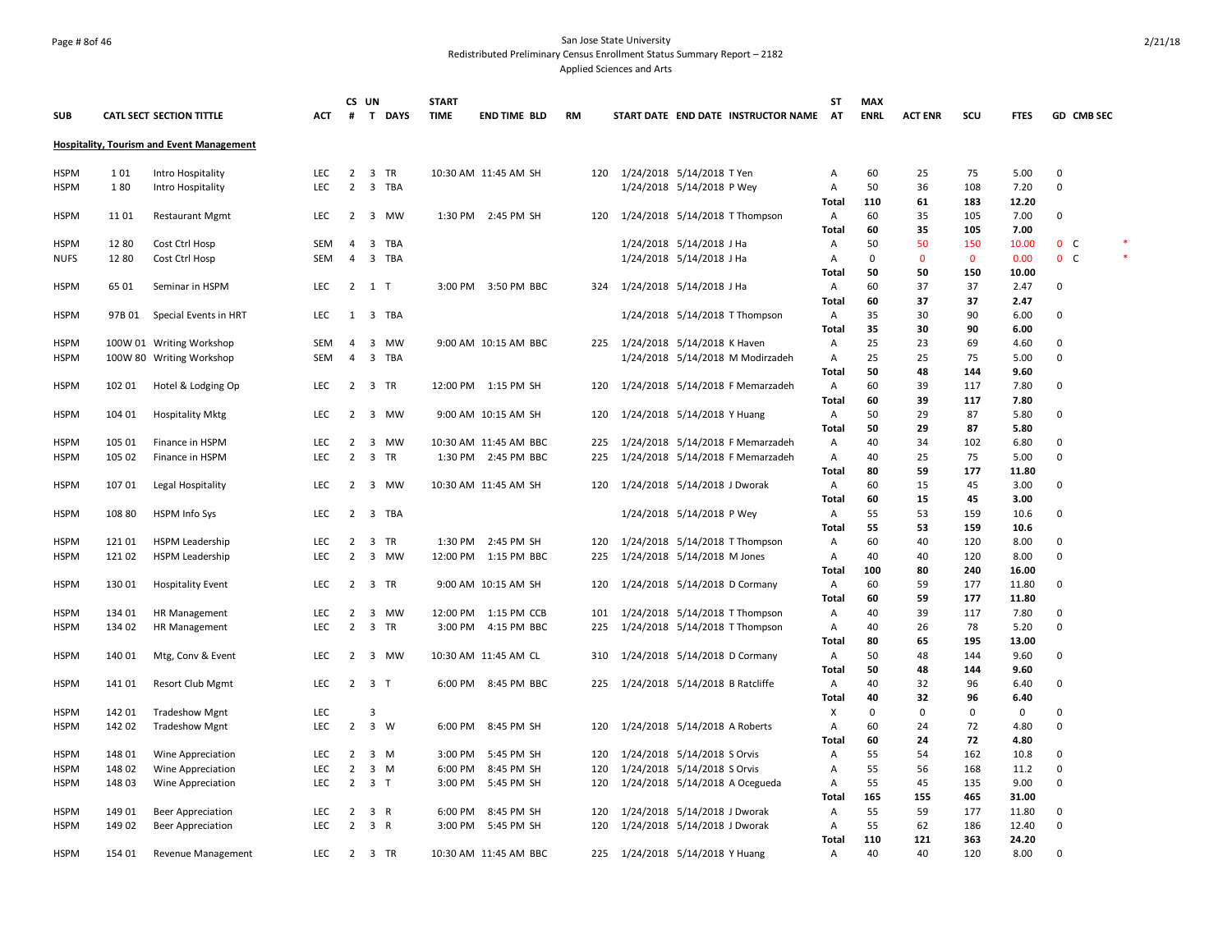## Page # 8of 46 San Jose State University Redistributed Preliminary Census Enrollment Status Summary Report – 2182 Applied Sciences and Arts

| <b>SUB</b>  |        | CATL SECT SECTION TITTLE                         | <b>ACT</b> |                | CS UN<br># T DAYS   | <b>START</b><br><b>TIME</b> | <b>END TIME BLD</b>   | RM |     |                                 |                           | START DATE END DATE INSTRUCTOR NAME | <b>ST</b><br>AT | <b>MAX</b><br><b>ENRL</b> | <b>ACT ENR</b> | scu          | <b>FTES</b> |                | GD CMB SEC |  |
|-------------|--------|--------------------------------------------------|------------|----------------|---------------------|-----------------------------|-----------------------|----|-----|---------------------------------|---------------------------|-------------------------------------|-----------------|---------------------------|----------------|--------------|-------------|----------------|------------|--|
|             |        | <b>Hospitality, Tourism and Event Management</b> |            |                |                     |                             |                       |    |     |                                 |                           |                                     |                 |                           |                |              |             |                |            |  |
| <b>HSPM</b> | 101    | Intro Hospitality                                | <b>LEC</b> | $\overline{2}$ | 3 TR                |                             | 10:30 AM 11:45 AM SH  |    | 120 | 1/24/2018 5/14/2018 T Yen       |                           |                                     | Α               | 60                        | 25             | 75           | 5.00        | 0              |            |  |
| <b>HSPM</b> | 180    | Intro Hospitality                                | LEC        | $\overline{2}$ | 3 TBA               |                             |                       |    |     |                                 | 1/24/2018 5/14/2018 P Wey |                                     | Α               | 50                        | 36             | 108          | 7.20        | 0              |            |  |
|             |        |                                                  |            |                |                     |                             |                       |    |     |                                 |                           |                                     | Total           | 110                       | 61             | 183          | 12.20       |                |            |  |
| <b>HSPM</b> | 11 01  | <b>Restaurant Mgmt</b>                           | <b>LEC</b> | $\overline{2}$ | 3 MW                |                             | 1:30 PM 2:45 PM SH    |    | 120 |                                 |                           | 1/24/2018 5/14/2018 T Thompson      | Α               | 60                        | 35             | 105          | 7.00        | $\Omega$       |            |  |
|             |        |                                                  |            |                |                     |                             |                       |    |     |                                 |                           |                                     | Total           | 60                        | 35             | 105          | 7.00        |                |            |  |
| <b>HSPM</b> | 1280   | Cost Ctrl Hosp                                   | <b>SEM</b> | $\overline{4}$ | 3 TBA               |                             |                       |    |     | 1/24/2018 5/14/2018 J Ha        |                           |                                     | Α               | 50                        | 50             | 150          | 10.00       | 0 <sup>o</sup> |            |  |
| <b>NUFS</b> | 1280   | Cost Ctrl Hosp                                   | SEM        | $\overline{4}$ | 3 TBA               |                             |                       |    |     |                                 | 1/24/2018 5/14/2018 J Ha  |                                     | Α               | $\Omega$                  | $\mathbf{0}$   | $\mathbf{0}$ | 0.00        | 0 <sup>o</sup> |            |  |
|             |        |                                                  |            |                |                     |                             |                       |    |     |                                 |                           |                                     | Total           | 50                        | 50             | 150          | 10.00       |                |            |  |
| <b>HSPM</b> | 65 01  | Seminar in HSPM                                  | <b>LEC</b> |                | 2 1 T               |                             | 3:00 PM 3:50 PM BBC   |    | 324 | 1/24/2018 5/14/2018 J Ha        |                           |                                     | Α               | 60                        | 37             | 37           | 2.47        | 0              |            |  |
|             |        |                                                  |            |                |                     |                             |                       |    |     |                                 |                           |                                     | Total           | 60                        | 37             | 37           | 2.47        |                |            |  |
| <b>HSPM</b> | 97B 01 | Special Events in HRT                            | <b>LEC</b> | 1              | 3 TBA               |                             |                       |    |     |                                 |                           | 1/24/2018 5/14/2018 T Thompson      | Α               | 35                        | 30             | 90           | 6.00        | 0              |            |  |
|             |        |                                                  |            |                |                     |                             |                       |    |     |                                 |                           |                                     | Total           | 35                        | 30             | 90           | 6.00        |                |            |  |
| <b>HSPM</b> |        | 100W 01 Writing Workshop                         | <b>SEM</b> | $\overline{4}$ | 3 MW                |                             | 9:00 AM 10:15 AM BBC  |    | 225 | 1/24/2018 5/14/2018 K Haven     |                           |                                     | Α               | 25                        | 23             | 69           | 4.60        | $\Omega$       |            |  |
| <b>HSPM</b> |        | 100W 80 Writing Workshop                         | SEM        | 4              | 3 TBA               |                             |                       |    |     |                                 |                           | 1/24/2018 5/14/2018 M Modirzadeh    | Α               | 25                        | 25             | 75           | 5.00        | $\Omega$       |            |  |
|             |        |                                                  |            |                |                     |                             |                       |    |     |                                 |                           |                                     | Total           | 50                        | 48             | 144          | 9.60        |                |            |  |
| <b>HSPM</b> | 102 01 | Hotel & Lodging Op                               | LEC        |                | 2 3 TR              |                             | 12:00 PM 1:15 PM SH   |    | 120 |                                 |                           | 1/24/2018 5/14/2018 F Memarzadeh    | Α               | 60                        | 39             | 117          | 7.80        | 0              |            |  |
|             |        |                                                  |            |                |                     |                             |                       |    |     |                                 |                           |                                     | Total           | 60                        | 39             | 117          | 7.80        |                |            |  |
| <b>HSPM</b> | 104 01 | <b>Hospitality Mktg</b>                          | LEC        |                | 2 3 MW              |                             | 9:00 AM 10:15 AM SH   |    | 120 | 1/24/2018 5/14/2018 Y Huang     |                           |                                     | Α               | 50                        | 29             | 87           | 5.80        | 0              |            |  |
|             |        |                                                  |            |                |                     |                             |                       |    |     |                                 |                           |                                     | Total           | 50                        | 29             | 87           | 5.80        |                |            |  |
| <b>HSPM</b> | 105 01 | Finance in HSPM                                  | LEC        | 2              | 3<br>MW             |                             | 10:30 AM 11:45 AM BBC |    | 225 |                                 |                           | 1/24/2018 5/14/2018 F Memarzadeh    | Α               | 40                        | 34             | 102          | 6.80        | $\Omega$       |            |  |
| <b>HSPM</b> | 105 02 | Finance in HSPM                                  | LEC        | $\overline{2}$ | 3 TR                |                             | 1:30 PM 2:45 PM BBC   |    | 225 |                                 |                           | 1/24/2018 5/14/2018 F Memarzadeh    | A               | 40                        | 25             | 75           | 5.00        | 0              |            |  |
|             |        |                                                  |            |                |                     |                             |                       |    |     |                                 |                           |                                     | Total           | 80                        | 59             | 177          | 11.80       |                |            |  |
| <b>HSPM</b> | 107 01 | Legal Hospitality                                | LEC        | $\overline{2}$ | 3 MW                |                             | 10:30 AM 11:45 AM SH  |    | 120 | 1/24/2018 5/14/2018 J Dworak    |                           |                                     | Α               | 60                        | 15             | 45           | 3.00        | 0              |            |  |
|             |        |                                                  |            |                |                     |                             |                       |    |     |                                 |                           |                                     | Total           | 60                        | 15             | 45           | 3.00        |                |            |  |
| <b>HSPM</b> | 108 80 | HSPM Info Sys                                    | <b>LEC</b> | $\overline{2}$ | 3 TBA               |                             |                       |    |     |                                 | 1/24/2018 5/14/2018 P Wey |                                     | Α               | 55                        | 53             | 159          | 10.6        | $\Omega$       |            |  |
|             |        |                                                  |            |                |                     |                             |                       |    |     |                                 |                           |                                     | <b>Total</b>    | 55                        | 53             | 159          | 10.6        |                |            |  |
| <b>HSPM</b> | 121 01 | <b>HSPM Leadership</b>                           | <b>LEC</b> | 2              | 3<br>TR             | 1:30 PM                     | 2:45 PM SH            |    | 120 |                                 |                           | 1/24/2018 5/14/2018 T Thompson      | Α               | 60                        | 40             | 120          | 8.00        | 0              |            |  |
| <b>HSPM</b> | 12102  | <b>HSPM Leadership</b>                           | <b>LEC</b> | $\overline{2}$ | 3 MW                |                             | 12:00 PM 1:15 PM BBC  |    | 225 | 1/24/2018 5/14/2018 M Jones     |                           |                                     | Α               | 40                        | 40             | 120          | 8.00        | 0              |            |  |
|             |        |                                                  |            |                |                     |                             |                       |    |     |                                 |                           |                                     | Total           | 100                       | 80             | 240          | 16.00       |                |            |  |
| <b>HSPM</b> | 130 01 | <b>Hospitality Event</b>                         | <b>LEC</b> | $\overline{2}$ | 3 TR                |                             | 9:00 AM 10:15 AM SH   |    | 120 |                                 |                           | 1/24/2018 5/14/2018 D Cormany       | Α               | 60                        | 59             | 177          | 11.80       | $\Omega$       |            |  |
|             |        |                                                  |            |                |                     |                             |                       |    |     |                                 |                           |                                     | Total           | 60                        | 59             | 177          | 11.80       |                |            |  |
| <b>HSPM</b> | 134 01 | HR Management                                    | <b>LEC</b> | $\overline{2}$ | 3 MW                |                             | 12:00 PM 1:15 PM CCB  |    | 101 |                                 |                           | 1/24/2018 5/14/2018 T Thompson      | Α               | 40                        | 39             | 117          | 7.80        | 0              |            |  |
| <b>HSPM</b> | 134 02 | HR Management                                    | <b>LEC</b> | $\overline{2}$ | 3 TR                |                             | 3:00 PM 4:15 PM BBC   |    | 225 |                                 |                           | 1/24/2018 5/14/2018 T Thompson      | Α               | 40                        | 26             | 78           | 5.20        | $\Omega$       |            |  |
|             |        |                                                  |            |                |                     |                             |                       |    |     |                                 |                           |                                     | Total           | 80                        | 65             | 195          | 13.00       |                |            |  |
| <b>HSPM</b> | 140 01 | Mtg, Conv & Event                                | <b>LEC</b> | 2              | 3 MW                |                             | 10:30 AM 11:45 AM CL  |    | 310 |                                 |                           | 1/24/2018 5/14/2018 D Cormany       | A               | 50                        | 48             | 144          | 9.60        | $\Omega$       |            |  |
|             |        |                                                  |            |                |                     |                             |                       |    |     |                                 |                           |                                     | Total           | 50                        | 48             | 144          | 9.60        |                |            |  |
| <b>HSPM</b> | 14101  | Resort Club Mgmt                                 | <b>LEC</b> |                | $2 \quad 3 \quad T$ |                             | 6:00 PM 8:45 PM BBC   |    | 225 | 1/24/2018 5/14/2018 B Ratcliffe |                           |                                     | A               | 40                        | 32             | 96           | 6.40        | 0              |            |  |
|             |        |                                                  |            |                |                     |                             |                       |    |     |                                 |                           |                                     | Total           | 40                        | 32             | 96           | 6.40        |                |            |  |
| <b>HSPM</b> | 142 01 | <b>Tradeshow Mgnt</b>                            | LEC        |                | 3                   |                             |                       |    |     |                                 |                           |                                     | х               | $\Omega$                  | 0              | 0            | 0           | $\Omega$       |            |  |
| <b>HSPM</b> | 142 02 | <b>Tradeshow Mgnt</b>                            | LEC        | $\overline{2}$ | 3 W                 | 6:00 PM                     | 8:45 PM SH            |    | 120 | 1/24/2018 5/14/2018 A Roberts   |                           |                                     | Α               | 60                        | 24             | 72           | 4.80        | 0              |            |  |
|             |        |                                                  |            |                |                     |                             |                       |    |     |                                 |                           |                                     | Total           | 60                        | 24             | 72           | 4.80        |                |            |  |
| <b>HSPM</b> | 148 01 | Wine Appreciation                                | <b>LEC</b> | 2              | 3 M                 | 3:00 PM                     | 5:45 PM SH            |    | 120 | 1/24/2018 5/14/2018 S Orvis     |                           |                                     | Α               | 55                        | 54             | 162          | 10.8        | 0              |            |  |
| <b>HSPM</b> | 148 02 | Wine Appreciation                                | <b>LEC</b> | $\overline{2}$ | $3 \, M$            | 6:00 PM                     | 8:45 PM SH            |    | 120 | 1/24/2018 5/14/2018 S Orvis     |                           |                                     | Α               | 55                        | 56             | 168          | 11.2        | 0              |            |  |
| <b>HSPM</b> | 148 03 | Wine Appreciation                                | <b>LEC</b> |                | $2 \quad 3 \quad T$ |                             | 3:00 PM 5:45 PM SH    |    | 120 |                                 |                           | 1/24/2018 5/14/2018 A Ocegueda      | $\overline{A}$  | 55                        | 45             | 135          | 9.00        | $\Omega$       |            |  |
|             |        |                                                  |            |                |                     |                             |                       |    |     |                                 |                           |                                     | Total           | 165                       | 155            | 465          | 31.00       |                |            |  |
| <b>HSPM</b> | 149 01 | Beer Appreciation                                | LEC        | $\overline{2}$ | 3<br>$\mathsf{R}$   | 6:00 PM                     | 8:45 PM SH            |    | 120 | 1/24/2018 5/14/2018 J Dworak    |                           |                                     | Α               | 55                        | 59             | 177          | 11.80       | 0              |            |  |
| <b>HSPM</b> | 149 02 | Beer Appreciation                                | <b>LEC</b> | $\overline{2}$ | 3 R                 | 3:00 PM                     | 5:45 PM SH            |    | 120 | 1/24/2018 5/14/2018 J Dworak    |                           |                                     | Α               | 55                        | 62             | 186          | 12.40       | 0              |            |  |
|             |        |                                                  |            |                |                     |                             |                       |    |     |                                 |                           |                                     | Total           | 110                       | 121            | 363          | 24.20       |                |            |  |
| <b>HSPM</b> | 154 01 | <b>Revenue Management</b>                        | <b>LEC</b> |                | 2 3 TR              |                             | 10:30 AM 11:45 AM BBC |    |     | 225 1/24/2018 5/14/2018 Y Huang |                           |                                     | Α               | 40                        | 40             | 120          | 8.00        | $\Omega$       |            |  |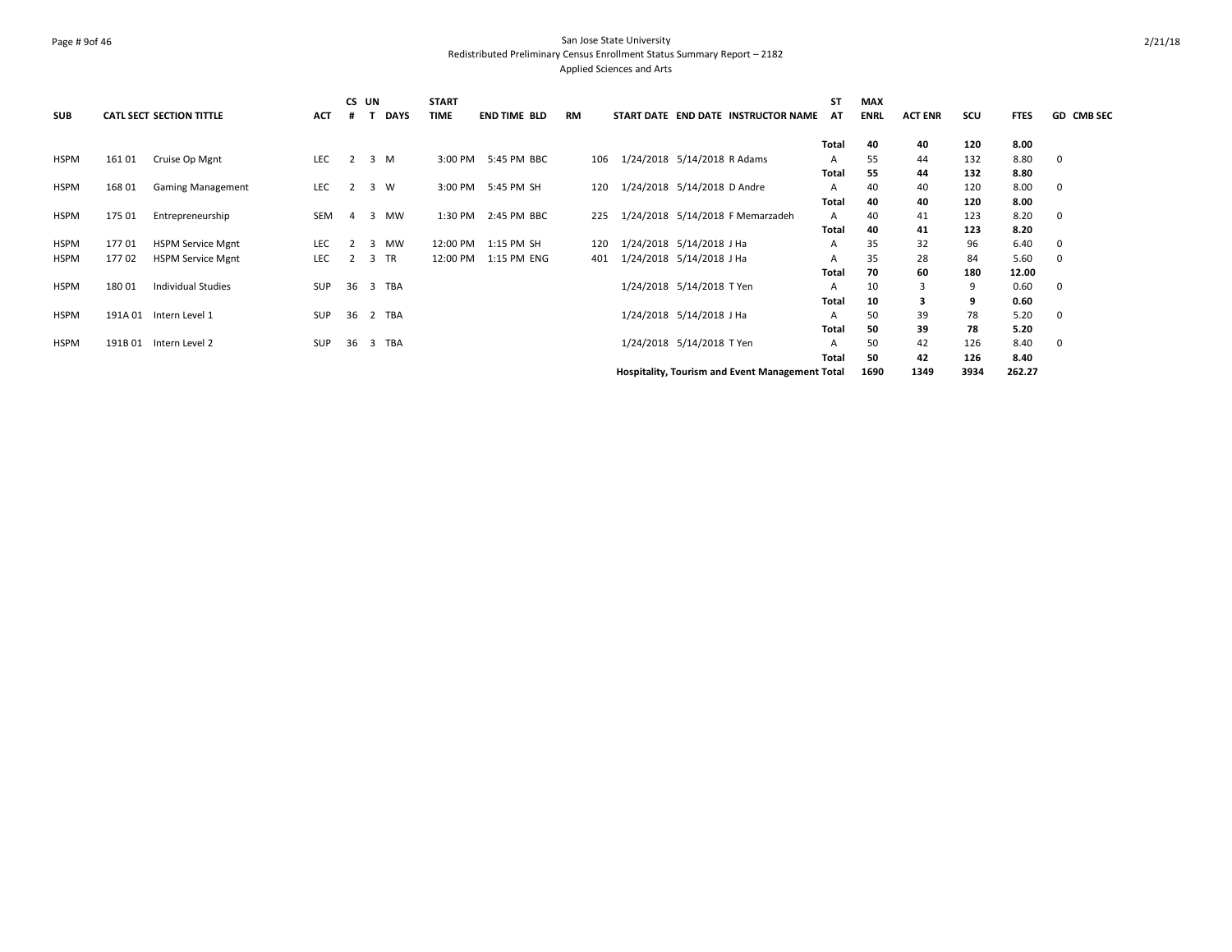## Page # 9of 46 San Jose State University Redistributed Preliminary Census Enrollment Status Summary Report – 2182 Applied Sciences and Arts

|             |        |                                 |            | CS UN          |             | <b>START</b> |                     |           |  |                                                 | <b>ST</b>    | <b>MAX</b>  |                |      |             |                   |
|-------------|--------|---------------------------------|------------|----------------|-------------|--------------|---------------------|-----------|--|-------------------------------------------------|--------------|-------------|----------------|------|-------------|-------------------|
| <b>SUB</b>  |        | <b>CATL SECT SECTION TITTLE</b> | <b>ACT</b> | #              | <b>DAYS</b> | <b>TIME</b>  | <b>END TIME BLD</b> | <b>RM</b> |  | START DATE END DATE INSTRUCTOR NAME             | AT           | <b>ENRL</b> | <b>ACT ENR</b> | scu  | <b>FTES</b> | <b>GD CMB SEC</b> |
|             |        |                                 |            |                |             |              |                     |           |  |                                                 | Total        | 40          | 40             | 120  | 8.00        |                   |
| <b>HSPM</b> | 161 01 | Cruise Op Mgnt                  | <b>LEC</b> | 2              | 3 M         | 3:00 PM      | 5:45 PM BBC         | 106       |  | 1/24/2018 5/14/2018 R Adams                     | A            | 55          | 44             | 132  | 8.80        | 0                 |
|             |        |                                 |            |                |             |              |                     |           |  |                                                 | Total        | 55          | 44             | 132  | 8.80        |                   |
| <b>HSPM</b> | 168 01 | <b>Gaming Management</b>        | <b>LEC</b> | $\mathbf{2}$   | 3 W         |              | 3:00 PM 5:45 PM SH  | 120       |  | 1/24/2018 5/14/2018 D Andre                     | Α            | 40          | 40             | 120  | 8.00        | $\mathbf 0$       |
|             |        |                                 |            |                |             |              |                     |           |  |                                                 | Total        | 40          | 40             | 120  | 8.00        |                   |
| <b>HSPM</b> | 175 01 | Entrepreneurship                | <b>SEM</b> | $\overline{4}$ | 3 MW        | 1:30 PM      | 2:45 PM BBC         | 225       |  | 1/24/2018 5/14/2018 F Memarzadeh                | Α            | 40          | 41             | 123  | 8.20        | 0                 |
|             |        |                                 |            |                |             |              |                     |           |  |                                                 | Total        | 40          | 41             | 123  | 8.20        |                   |
| <b>HSPM</b> | 17701  | <b>HSPM Service Mgnt</b>        | LEC.       | $\mathcal{L}$  | 3 MW        | 12:00 PM     | 1:15 PM SH          | 120       |  | 1/24/2018 5/14/2018 J Ha                        | A            | 35          | 32             | 96   | 6.40        | 0                 |
| HSPM        | 17702  | <b>HSPM Service Mgnt</b>        | <b>LEC</b> | 2              | 3 TR        | 12:00 PM     | 1:15 PM ENG         | 401       |  | 1/24/2018 5/14/2018 J Ha                        | Α            | 35          | 28             | 84   | 5.60        | 0                 |
|             |        |                                 |            |                |             |              |                     |           |  |                                                 | <b>Total</b> | 70          | 60             | 180  | 12.00       |                   |
| <b>HSPM</b> | 18001  | <b>Individual Studies</b>       | <b>SUP</b> | 36             | 3 TBA       |              |                     |           |  | 1/24/2018 5/14/2018 T Yen                       | Α            | 10          | 3              | 9    | 0.60        | $\mathbf 0$       |
|             |        |                                 |            |                |             |              |                     |           |  |                                                 | Total        | 10          | з              | 9    | 0.60        |                   |
| <b>HSPM</b> |        | 191A 01 Intern Level 1          | <b>SUP</b> | 36             | 2 TBA       |              |                     |           |  | 1/24/2018 5/14/2018 J Ha                        | Α            | 50          | 39             | 78   | 5.20        | 0                 |
|             |        |                                 |            |                |             |              |                     |           |  |                                                 | Total        | 50          | 39             | 78   | 5.20        |                   |
| <b>HSPM</b> | 191B01 | Intern Level 2                  | <b>SUP</b> | 36             | 3 TBA       |              |                     |           |  | 1/24/2018 5/14/2018 T Yen                       | A            | 50          | 42             | 126  | 8.40        | - 0               |
|             |        |                                 |            |                |             |              |                     |           |  |                                                 | Total        | 50          | 42             | 126  | 8.40        |                   |
|             |        |                                 |            |                |             |              |                     |           |  | Hospitality, Tourism and Event Management Total |              | 1690        | 1349           | 3934 | 262.27      |                   |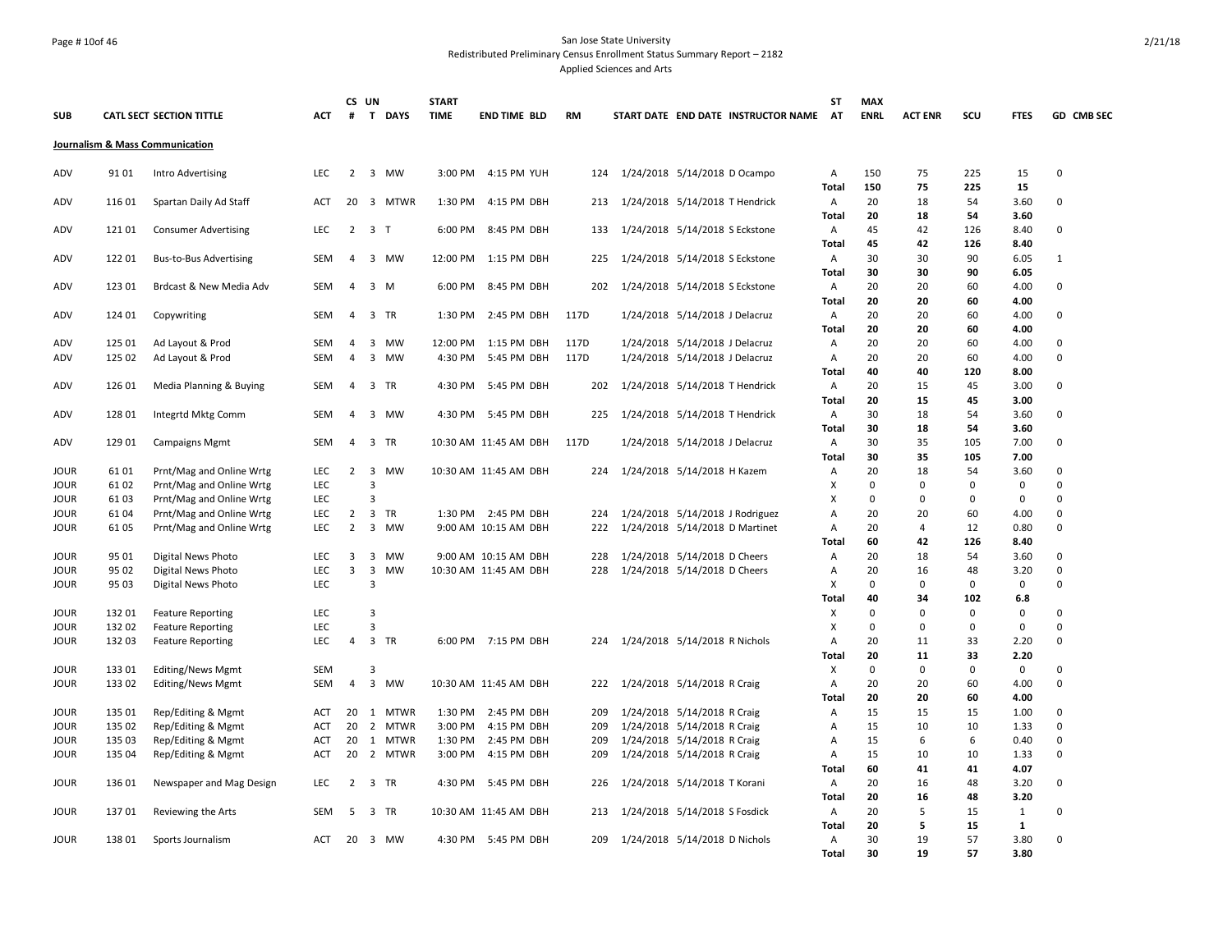## Page # 10of 46 San Jose State University Redistributed Preliminary Census Enrollment Status Summary Report – 2182 Applied Sciences and Arts

|             |        |                                 |            |                | CS UN          |                | <b>START</b> |                       |      |                               |                                |                                     | <b>ST</b>         | <b>MAX</b>  |                |           |              |              |
|-------------|--------|---------------------------------|------------|----------------|----------------|----------------|--------------|-----------------------|------|-------------------------------|--------------------------------|-------------------------------------|-------------------|-------------|----------------|-----------|--------------|--------------|
| <b>SUB</b>  |        | <b>CATL SECT SECTION TITTLE</b> | ACT        | #              |                | T DAYS         | <b>TIME</b>  | <b>END TIME BLD</b>   | RM   |                               |                                | START DATE END DATE INSTRUCTOR NAME | AT                | <b>ENRL</b> | <b>ACT ENR</b> | scu       | <b>FTES</b>  | GD CMB SEC   |
|             |        | Journalism & Mass Communication |            |                |                |                |              |                       |      |                               |                                |                                     |                   |             |                |           |              |              |
| ADV         | 91 01  | Intro Advertising               | <b>LEC</b> | $\overline{2}$ |                | 3 MW           |              | 3:00 PM 4:15 PM YUH   | 124  | 1/24/2018 5/14/2018 D Ocampo  |                                |                                     | Α                 | 150         | 75             | 225       | 15           | 0            |
|             |        |                                 |            |                |                |                |              |                       |      |                               |                                |                                     | <b>Total</b>      | 150         | 75             | 225       | 15           |              |
| ADV         | 116 01 | Spartan Daily Ad Staff          | ACT        |                |                | 20 3 MTWR      | 1:30 PM      | 4:15 PM DBH           | 213  |                               |                                | 1/24/2018 5/14/2018 T Hendrick      | Α<br>Total        | 20<br>20    | 18<br>18       | 54<br>54  | 3.60<br>3.60 | 0            |
| ADV         | 12101  | <b>Consumer Advertising</b>     | <b>LEC</b> | $\overline{2}$ |                | 3 <sub>T</sub> | 6:00 PM      | 8:45 PM DBH           | 133  |                               |                                | 1/24/2018 5/14/2018 S Eckstone      | Α                 | 45          | 42             | 126       | 8.40         | 0            |
|             |        |                                 |            |                |                |                |              |                       |      |                               |                                |                                     | <b>Total</b>      | 45          | 42             | 126       | 8.40         |              |
| ADV         | 122 01 | <b>Bus-to-Bus Advertising</b>   | <b>SEM</b> | $\overline{4}$ |                | 3 MW           | 12:00 PM     | 1:15 PM DBH           | 225  |                               |                                | 1/24/2018 5/14/2018 S Eckstone      | Α                 | 30          | 30             | 90        | 6.05         | $\mathbf{1}$ |
|             |        |                                 |            |                |                |                |              |                       |      |                               |                                |                                     | <b>Total</b>      | 30          | 30             | 90        | 6.05         |              |
| ADV         | 123 01 | Brdcast & New Media Adv         | SEM        | 4              |                | 3 M            | 6:00 PM      | 8:45 PM DBH           | 202  |                               |                                | 1/24/2018 5/14/2018 S Eckstone      | Α                 | 20          | 20             | 60        | 4.00         | 0            |
|             |        |                                 |            |                |                |                |              |                       |      |                               |                                |                                     | <b>Total</b>      | 20          | 20             | 60        | 4.00         |              |
| ADV         | 124 01 | Copywriting                     | <b>SEM</b> | $\overline{4}$ |                | 3 TR           | 1:30 PM      | 2:45 PM DBH           | 117D |                               | 1/24/2018 5/14/2018 J Delacruz |                                     | Α                 | 20          | 20             | 60        | 4.00         | 0            |
|             |        |                                 |            |                |                |                |              |                       |      |                               |                                |                                     | <b>Total</b>      | 20          | 20             | 60        | 4.00         |              |
| ADV         | 125 01 | Ad Layout & Prod                | SEM        | 4              | 3              | MW             | 12:00 PM     | 1:15 PM DBH           | 117D |                               | 1/24/2018 5/14/2018 J Delacruz |                                     | Α                 | 20          | 20             | 60        | 4.00         | 0            |
| ADV         | 125 02 | Ad Layout & Prod                | SEM        | 4              | 3              | MW             | 4:30 PM      | 5:45 PM DBH           | 117D |                               | 1/24/2018 5/14/2018 J Delacruz |                                     | Α                 | 20          | 20             | 60        | 4.00         | 0            |
|             |        |                                 |            |                |                |                |              |                       |      |                               |                                |                                     | Total             | 40          | 40             | 120       | 8.00         |              |
| ADV         | 126 01 | Media Planning & Buying         | <b>SEM</b> | $\overline{4}$ |                | 3 TR           | 4:30 PM      | 5:45 PM DBH           | 202  |                               |                                | 1/24/2018 5/14/2018 T Hendrick      | Α                 | 20          | 15             | 45        | 3.00         | 0            |
|             |        |                                 |            |                |                |                |              |                       |      |                               |                                |                                     | <b>Total</b>      | 20          | 15             | 45        | 3.00         |              |
| ADV         | 128 01 | Integrtd Mktg Comm              | SEM        | $\overline{4}$ |                | 3 MW           |              | 4:30 PM 5:45 PM DBH   | 225  |                               |                                | 1/24/2018 5/14/2018 T Hendrick      | Α                 | 30          | 18             | 54        | 3.60         | 0            |
|             |        |                                 |            |                |                |                |              |                       |      |                               |                                |                                     | <b>Total</b>      | 30          | 18             | 54        | 3.60         |              |
| ADV         | 129 01 | <b>Campaigns Mgmt</b>           | SEM        | 4              |                | 3 TR           |              | 10:30 AM 11:45 AM DBH | 117D |                               | 1/24/2018 5/14/2018 J Delacruz |                                     | Α                 | 30          | 35             | 105       | 7.00         | 0            |
|             |        |                                 |            |                |                |                |              |                       |      |                               |                                |                                     | <b>Total</b>      | 30          | 35             | 105       | 7.00         |              |
| JOUR        | 61 01  | Prnt/Mag and Online Wrtg        | <b>LEC</b> | $\overline{2}$ | 3              | MW             |              | 10:30 AM 11:45 AM DBH | 224  | 1/24/2018 5/14/2018 H Kazem   |                                |                                     | Α                 | 20          | 18             | 54        | 3.60         | 0            |
| <b>JOUR</b> | 6102   | Prnt/Mag and Online Wrtg        | <b>LEC</b> |                | 3              |                |              |                       |      |                               |                                |                                     | X                 | $\Omega$    | $\Omega$       | $\Omega$  | 0            | $\Omega$     |
| JOUR        | 6103   | Prnt/Mag and Online Wrtg        | <b>LEC</b> |                | 3              | <b>TR</b>      |              |                       |      |                               |                                |                                     | X                 | $\Omega$    | $\Omega$       | 0         | 0            | 0<br>0       |
| JOUR        | 61 04  | Prnt/Mag and Online Wrtg        | LEC        | $\overline{2}$ | $\overline{3}$ |                |              | 1:30 PM 2:45 PM DBH   | 224  |                               |                                | 1/24/2018 5/14/2018 J Rodriguez     | А                 | 20          | 20<br>4        | 60        | 4.00         | 0            |
| JOUR        | 61 05  | Prnt/Mag and Online Wrtg        | LEC        | $\overline{2}$ |                | 3 MW           |              | 9:00 AM 10:15 AM DBH  | 222  |                               |                                | 1/24/2018 5/14/2018 D Martinet      | Α<br><b>Total</b> | 20<br>60    | 42             | 12<br>126 | 0.80<br>8.40 |              |
| JOUR        | 95 01  | Digital News Photo              | <b>LEC</b> | 3              |                | 3 MW           |              | 9:00 AM 10:15 AM DBH  | 228  | 1/24/2018 5/14/2018 D Cheers  |                                |                                     | Α                 | 20          | 18             | 54        | 3.60         | 0            |
| JOUR        | 95 02  | Digital News Photo              | <b>LEC</b> | $\overline{3}$ | 3              | <b>MW</b>      |              | 10:30 AM 11:45 AM DBH | 228  | 1/24/2018 5/14/2018 D Cheers  |                                |                                     | Α                 | 20          | 16             | 48        | 3.20         | 0            |
| <b>JOUR</b> | 95 03  | Digital News Photo              | <b>LEC</b> |                | $\overline{3}$ |                |              |                       |      |                               |                                |                                     | X                 | $\Omega$    | $\Omega$       | 0         | 0            | 0            |
|             |        |                                 |            |                |                |                |              |                       |      |                               |                                |                                     | Total             | 40          | 34             | 102       | 6.8          |              |
| JOUR        | 132 01 | <b>Feature Reporting</b>        | <b>LEC</b> |                | $\overline{3}$ |                |              |                       |      |                               |                                |                                     | X                 | $\Omega$    | $\Omega$       | $\Omega$  | 0            | $\Omega$     |
| JOUR        | 132 02 | <b>Feature Reporting</b>        | <b>LEC</b> |                | $\overline{3}$ |                |              |                       |      |                               |                                |                                     | X                 | $\Omega$    | 0              | 0         | $\mathbf 0$  | 0            |
| <b>JOUR</b> | 13203  | <b>Feature Reporting</b>        | <b>LEC</b> | $\overline{4}$ |                | 3 TR           |              | 6:00 PM 7:15 PM DBH   | 224  | 1/24/2018 5/14/2018 R Nichols |                                |                                     | A                 | 20          | 11             | 33        | 2.20         | 0            |
|             |        |                                 |            |                |                |                |              |                       |      |                               |                                |                                     | Total             | 20          | 11             | 33        | 2.20         |              |
| JOUR        | 133 01 | Editing/News Mgmt               | SEM        |                | 3              |                |              |                       |      |                               |                                |                                     | X                 | 0           | $\mathbf 0$    | 0         | 0            | 0            |
| <b>JOUR</b> | 133 02 | Editing/News Mgmt               | SEM        | $\overline{4}$ |                | 3 MW           |              | 10:30 AM 11:45 AM DBH | 222  | 1/24/2018 5/14/2018 R Craig   |                                |                                     | Α                 | 20          | 20             | 60        | 4.00         | 0            |
|             |        |                                 |            |                |                |                |              |                       |      |                               |                                |                                     | <b>Total</b>      | 20          | 20             | 60        | 4.00         |              |
| JOUR        | 135 01 | Rep/Editing & Mgmt              | ACT        | 20             |                | 1 MTWR         | 1:30 PM      | 2:45 PM DBH           | 209  | 1/24/2018 5/14/2018 R Craig   |                                |                                     | Α                 | 15          | 15             | 15        | 1.00         | $\Omega$     |
| JOUR        | 135 02 | Rep/Editing & Mgmt              | <b>ACT</b> | 20             |                | 2 MTWR         | 3:00 PM      | 4:15 PM DBH           | 209  | 1/24/2018 5/14/2018 R Craig   |                                |                                     | Α                 | 15          | 10             | 10        | 1.33         | 0            |
| <b>JOUR</b> | 135 03 | Rep/Editing & Mgmt              | <b>ACT</b> | 20             |                | 1 MTWR         | 1:30 PM      | 2:45 PM DBH           | 209  | 1/24/2018 5/14/2018 R Craig   |                                |                                     | Α                 | 15          | 6              | 6         | 0.40         | 0            |
| JOUR        | 135 04 | Rep/Editing & Mgmt              | ACT        | 20             |                | 2 MTWR         | 3:00 PM      | 4:15 PM DBH           | 209  | 1/24/2018 5/14/2018 R Craig   |                                |                                     | Α                 | 15          | 10             | 10        | 1.33         | 0            |
|             |        |                                 |            |                |                |                |              |                       |      |                               |                                |                                     | Total             | 60          | 41             | 41        | 4.07         |              |
| JOUR        | 136 01 | Newspaper and Mag Design        | <b>LEC</b> | $\overline{2}$ |                | 3 TR           |              | 4:30 PM 5:45 PM DBH   | 226  | 1/24/2018 5/14/2018 T Korani  |                                |                                     | Α                 | 20          | 16             | 48        | 3.20         | 0            |
|             |        |                                 |            |                |                |                |              |                       |      |                               |                                |                                     | <b>Total</b>      | 20          | 16             | 48        | 3.20         |              |
| <b>JOUR</b> | 13701  | Reviewing the Arts              | <b>SEM</b> | 5              |                | 3 TR           |              | 10:30 AM 11:45 AM DBH | 213  | 1/24/2018 5/14/2018 S Fosdick |                                |                                     | Α                 | 20          | 5              | 15        | $\mathbf{1}$ | 0            |
|             |        |                                 |            |                |                |                |              |                       |      |                               |                                |                                     | Total             | 20          | 5              | 15        | $\mathbf{1}$ |              |
| JOUR        | 138 01 | Sports Journalism               | ACT        | 20             |                | 3 MW           |              | 4:30 PM 5:45 PM DBH   | 209  | 1/24/2018 5/14/2018 D Nichols |                                |                                     | Α                 | 30          | 19             | 57        | 3.80         | 0            |
|             |        |                                 |            |                |                |                |              |                       |      |                               |                                |                                     | <b>Total</b>      | 30          | 19             | 57        | 3.80         |              |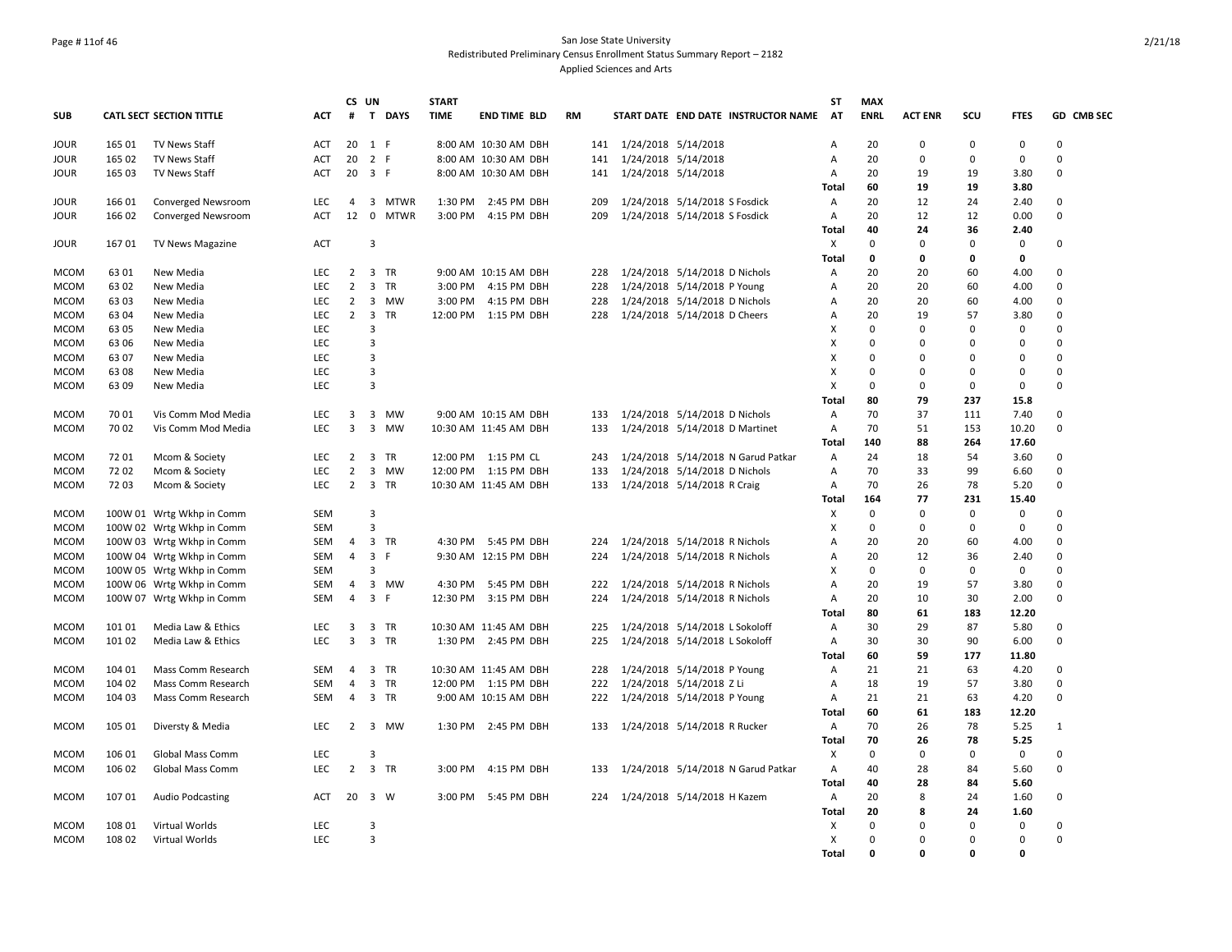## Page # 11of 46 San Jose State University Redistributed Preliminary Census Enrollment Status Summary Report – 2182 Applied Sciences and Arts

|             |                  |                                             |                   |                | CS UN                   |        | <b>START</b> |                       |           |     |                         |                                     | <b>ST</b>    | <b>MAX</b>     |                   |                |                     |              |
|-------------|------------------|---------------------------------------------|-------------------|----------------|-------------------------|--------|--------------|-----------------------|-----------|-----|-------------------------|-------------------------------------|--------------|----------------|-------------------|----------------|---------------------|--------------|
| <b>SUB</b>  |                  | <b>CATL SECT SECTION TITTLE</b>             | <b>ACT</b>        | #              |                         | T DAYS | <b>TIME</b>  | <b>END TIME BLD</b>   | <b>RM</b> |     |                         | START DATE END DATE INSTRUCTOR NAME | AT           | <b>ENRL</b>    | <b>ACT ENR</b>    | scu            | <b>FTES</b>         | GD CMB SEC   |
| <b>JOUR</b> | 165 01           | <b>TV News Staff</b>                        | ACT               | 20             |                         | 1 F    |              | 8:00 AM 10:30 AM DBH  |           |     | 141 1/24/2018 5/14/2018 |                                     | A            | 20             | $\Omega$          | 0              | 0                   | $\Omega$     |
| <b>JOUR</b> | 165 02           | <b>TV News Staff</b>                        | ACT               | 20             |                         | 2 F    |              | 8:00 AM 10:30 AM DBH  |           | 141 | 1/24/2018 5/14/2018     |                                     | Α            | 20             | $\Omega$          | 0              | 0                   | 0            |
| <b>JOUR</b> | 165 03           | <b>TV News Staff</b>                        | ACT               | 20 3 F         |                         |        |              | 8:00 AM 10:30 AM DBH  |           | 141 | 1/24/2018 5/14/2018     |                                     | Α            | 20             | 19                | 19             | 3.80                | $\Omega$     |
| <b>JOUR</b> | 166 01           | Converged Newsroom                          | <b>LEC</b>        | $\overline{4}$ |                         | 3 MTWR | 1:30 PM      | 2:45 PM DBH           |           | 209 |                         | 1/24/2018 5/14/2018 S Fosdick       | Total<br>Α   | 60<br>20       | 19<br>12          | 19<br>24       | 3.80<br>2.40        | $\Omega$     |
| <b>JOUR</b> | 166 02           | Converged Newsroom                          | <b>ACT</b>        | 12             |                         | 0 MTWR | 3:00 PM      | 4:15 PM DBH           |           | 209 |                         | 1/24/2018 5/14/2018 S Fosdick       | A            | 20             | 12                | 12             | 0.00                | 0            |
|             |                  |                                             |                   |                |                         |        |              |                       |           |     |                         |                                     | <b>Total</b> | 40             | 24                | 36             | 2.40                |              |
| JOUR        | 16701            | TV News Magazine                            | ACT               |                | 3                       |        |              |                       |           |     |                         |                                     | X            | $\mathbf 0$    | $\Omega$          | 0              | $\mathbf 0$         | 0            |
|             |                  |                                             |                   |                |                         |        |              |                       |           |     |                         |                                     | <b>Total</b> | 0              | 0                 | 0              | 0                   |              |
| <b>MCOM</b> | 63 01            | New Media                                   | <b>LEC</b>        | $\overline{2}$ |                         | 3 TR   |              | 9:00 AM 10:15 AM DBH  |           |     |                         | 228 1/24/2018 5/14/2018 D Nichols   | Α            | 20             | 20                | 60             | 4.00                | $\Omega$     |
| <b>MCOM</b> | 63 02            | New Media                                   | <b>LEC</b>        | $\overline{2}$ | $\overline{\mathbf{3}}$ | TR     | 3:00 PM      | 4:15 PM DBH           |           | 228 |                         | 1/24/2018 5/14/2018 P Young         | Α            | 20             | 20                | 60             | 4.00                | 0            |
| <b>MCOM</b> | 63 03            | New Media                                   | <b>LEC</b>        | $\overline{2}$ |                         | 3 MW   | 3:00 PM      | 4:15 PM DBH           |           | 228 |                         | 1/24/2018 5/14/2018 D Nichols       | А            | 20             | 20                | 60             | 4.00                | $\Omega$     |
| <b>MCOM</b> | 63 04            | New Media                                   | <b>LEC</b>        | $\overline{2}$ |                         | 3 TR   |              | 12:00 PM 1:15 PM DBH  |           | 228 |                         | 1/24/2018 5/14/2018 D Cheers        | А            | 20             | 19                | 57             | 3.80                | 0            |
| <b>MCOM</b> | 63 05            | New Media                                   | <b>LEC</b>        |                | 3                       |        |              |                       |           |     |                         |                                     | X            | $\Omega$       | $\Omega$          | $\Omega$       | 0                   | $\Omega$     |
| <b>MCOM</b> | 63 06            | New Media                                   | LEC               |                | 3                       |        |              |                       |           |     |                         |                                     | X            | $\Omega$       | $\Omega$          | $\Omega$       | $\mathbf 0$         | $\Omega$     |
| <b>MCOM</b> | 63 07            | New Media                                   | LEC               |                | $\overline{\mathbf{3}}$ |        |              |                       |           |     |                         |                                     | X            | $\Omega$       | $\Omega$          | $\Omega$       | 0                   | 0            |
| <b>MCOM</b> | 6308             | New Media                                   | <b>LEC</b>        |                | 3                       |        |              |                       |           |     |                         |                                     | X            | $\Omega$       | $\Omega$          | $\Omega$       | 0                   | $\Omega$     |
| <b>MCOM</b> | 63 09            | New Media                                   | <b>LEC</b>        |                | 3                       |        |              |                       |           |     |                         |                                     | Χ            | 0              | $\Omega$          | 0              | 0                   | $\Omega$     |
|             |                  |                                             |                   |                |                         |        |              |                       |           |     |                         |                                     | <b>Total</b> | 80             | 79                | 237            | 15.8                |              |
| <b>MCOM</b> | 70 01            | Vis Comm Mod Media                          | <b>LEC</b>        | 3              |                         | 3 MW   |              | 9:00 AM 10:15 AM DBH  |           | 133 |                         | 1/24/2018 5/14/2018 D Nichols       | Α            | 70             | 37                | 111            | 7.40                | 0            |
| <b>MCOM</b> | 70 02            | Vis Comm Mod Media                          | <b>LEC</b>        | $\overline{3}$ |                         | 3 MW   |              | 10:30 AM 11:45 AM DBH |           | 133 |                         | 1/24/2018 5/14/2018 D Martinet      | A            | 70             | 51                | 153            | 10.20               | 0            |
|             |                  |                                             |                   |                |                         |        |              |                       |           |     |                         |                                     | <b>Total</b> | 140            | 88                | 264            | 17.60               |              |
| <b>MCOM</b> | 72 01            | Mcom & Society                              | <b>LEC</b>        | $\overline{2}$ |                         | 3 TR   |              | 12:00 PM 1:15 PM CL   |           | 243 |                         | 1/24/2018 5/14/2018 N Garud Patkar  | Α            | 24             | 18                | 54             | 3.60                | $\Omega$     |
| <b>MCOM</b> | 7202             | Mcom & Society                              | LEC               | $\overline{2}$ |                         | 3 MW   |              | 12:00 PM 1:15 PM DBH  |           | 133 |                         | 1/24/2018 5/14/2018 D Nichols       | А            | 70             | 33                | 99             | 6.60                | 0            |
| <b>MCOM</b> | 72 03            | Mcom & Society                              | <b>LEC</b>        | $\overline{2}$ |                         | 3 TR   |              | 10:30 AM 11:45 AM DBH |           | 133 |                         | 1/24/2018 5/14/2018 R Craig         | Α            | 70             | 26                | 78             | 5.20                | $\Omega$     |
|             |                  |                                             |                   |                |                         |        |              |                       |           |     |                         |                                     | <b>Total</b> | 164            | 77                | 231            | 15.40               |              |
| <b>MCOM</b> |                  | 100W 01 Wrtg Wkhp in Comm                   | <b>SEM</b>        |                | 3                       |        |              |                       |           |     |                         |                                     | Χ            | 0              | $\Omega$          | $\Omega$       | 0                   | $\Omega$     |
| <b>MCOM</b> |                  | 100W 02 Wrtg Wkhp in Comm                   | <b>SEM</b>        |                | $\overline{3}$          |        |              |                       |           |     |                         |                                     | X            | $\Omega$       | $\Omega$          | $\mathbf 0$    | $\mathbf 0$         | $\Omega$     |
| <b>MCOM</b> |                  | 100W 03 Wrtg Wkhp in Comm                   | SEM               | 4              |                         | 3 TR   |              | 4:30 PM 5:45 PM DBH   |           | 224 |                         | 1/24/2018 5/14/2018 R Nichols       | А            | 20             | 20                | 60             | 4.00                | $\Omega$     |
| <b>MCOM</b> |                  | 100W 04 Wrtg Wkhp in Comm                   | <b>SEM</b>        | $\overline{4}$ |                         | 3 F    |              | 9:30 AM 12:15 PM DBH  |           | 224 |                         | 1/24/2018 5/14/2018 R Nichols       | Α            | 20             | 12                | 36             | 2.40                | 0            |
| <b>MCOM</b> |                  | 100W 05 Wrtg Wkhp in Comm                   | SEM               |                | 3                       |        |              |                       |           |     |                         |                                     | X            | 0              | $\mathbf 0$       | $\mathbf 0$    | 0                   | 0            |
| <b>MCOM</b> |                  | 100W 06 Wrtg Wkhp in Comm                   | <b>SEM</b>        | $\overline{4}$ |                         | 3 MW   | 4:30 PM      | 5:45 PM DBH           |           | 222 |                         | 1/24/2018 5/14/2018 R Nichols       | A            | 20             | 19                | 57             | 3.80                | $\Omega$     |
| <b>MCOM</b> |                  | 100W 07 Wrtg Wkhp in Comm                   | SEM               | 4              |                         | 3 F    |              | 12:30 PM 3:15 PM DBH  |           | 224 |                         | 1/24/2018 5/14/2018 R Nichols       | А            | 20             | 10                | 30             | 2.00                | 0            |
|             |                  |                                             |                   |                |                         |        |              |                       |           |     |                         |                                     | <b>Total</b> | 80             | 61                | 183            | 12.20               |              |
| <b>MCOM</b> | 101 01           | Media Law & Ethics                          | <b>LEC</b>        | 3              |                         | 3 TR   |              | 10:30 AM 11:45 AM DBH |           | 225 |                         | 1/24/2018 5/14/2018 L Sokoloff      | Α            | 30             | 29                | 87             | 5.80                | 0            |
| <b>MCOM</b> | 101 02           | Media Law & Ethics                          | <b>LEC</b>        | 3              |                         | 3 TR   |              | 1:30 PM 2:45 PM DBH   |           | 225 |                         | 1/24/2018 5/14/2018 L Sokoloff      | A            | 30             | 30                | 90             | 6.00                | 0            |
|             |                  |                                             |                   |                |                         |        |              |                       |           |     |                         |                                     | <b>Total</b> | 60             | 59                | 177            | 11.80               |              |
| <b>MCOM</b> | 104 01           | Mass Comm Research                          | SEM               | $\overline{4}$ |                         | 3 TR   |              | 10:30 AM 11:45 AM DBH |           | 228 |                         | 1/24/2018 5/14/2018 P Young         | А            | 21             | 21                | 63             | 4.20                | 0            |
| <b>MCOM</b> | 104 02           | Mass Comm Research                          | SEM               | $\overline{4}$ |                         | 3 TR   |              | 12:00 PM 1:15 PM DBH  |           | 222 |                         | 1/24/2018 5/14/2018 Z Li            | А            | 18             | 19                | 57             | 3.80                | 0            |
| <b>MCOM</b> | 104 03           | Mass Comm Research                          | SEM               | $\overline{4}$ |                         | 3 TR   |              | 9:00 AM 10:15 AM DBH  |           | 222 |                         | 1/24/2018 5/14/2018 P Young         | Α            | 21             | 21                | 63             | 4.20                | 0            |
|             |                  |                                             |                   |                |                         |        |              |                       |           |     |                         |                                     | <b>Total</b> | 60             | 61                | 183            | 12.20               |              |
| <b>MCOM</b> | 105 01           | Diversty & Media                            | <b>LEC</b>        | 2              |                         | 3 MW   | 1:30 PM      | 2:45 PM DBH           |           | 133 |                         | 1/24/2018 5/14/2018 R Rucker        | Α            | 70             | 26                | 78             | 5.25                | $\mathbf{1}$ |
|             |                  |                                             |                   |                | 3                       |        |              |                       |           |     |                         |                                     | <b>Total</b> | 70<br>0        | 26<br>$\mathbf 0$ | 78             | 5.25<br>$\mathbf 0$ |              |
| <b>MCOM</b> | 106 01<br>106 02 | Global Mass Comm<br><b>Global Mass Comm</b> | LEC<br><b>LEC</b> | $\overline{2}$ |                         | 3 TR   | 3:00 PM      | 4:15 PM DBH           |           | 133 |                         | 1/24/2018 5/14/2018 N Garud Patkar  | X<br>А       | 40             | 28                | 0<br>84        | 5.60                | 0<br>0       |
| <b>MCOM</b> |                  |                                             |                   |                |                         |        |              |                       |           |     |                         |                                     |              |                |                   |                |                     |              |
|             |                  |                                             |                   |                |                         |        |              |                       |           |     |                         |                                     | <b>Total</b> | 40             | 28<br>8           | 84             | 5.60                |              |
| <b>MCOM</b> | 107 01           | <b>Audio Podcasting</b>                     | ACT               | 20             |                         | 3 W    |              | 3:00 PM 5:45 PM DBH   |           |     |                         | 224 1/24/2018 5/14/2018 H Kazem     | Α            | 20             | 8                 | 24             | 1.60                | 0            |
|             |                  |                                             |                   |                |                         |        |              |                       |           |     |                         |                                     | Total        | 20<br>$\Omega$ | $\Omega$          | 24<br>$\Omega$ | 1.60                |              |
| <b>MCOM</b> | 108 01           | Virtual Worlds                              | <b>LEC</b>        |                | 3<br>3                  |        |              |                       |           |     |                         |                                     | x<br>X       | $\Omega$       | $\Omega$          | $\Omega$       | 0<br>$\Omega$       | 0<br>0       |
| <b>MCOM</b> | 108 02           | Virtual Worlds                              | <b>LEC</b>        |                |                         |        |              |                       |           |     |                         |                                     | <b>Total</b> | <sup>0</sup>   | $\Omega$          | $\Omega$       | $\mathbf{0}$        |              |
|             |                  |                                             |                   |                |                         |        |              |                       |           |     |                         |                                     |              |                |                   |                |                     |              |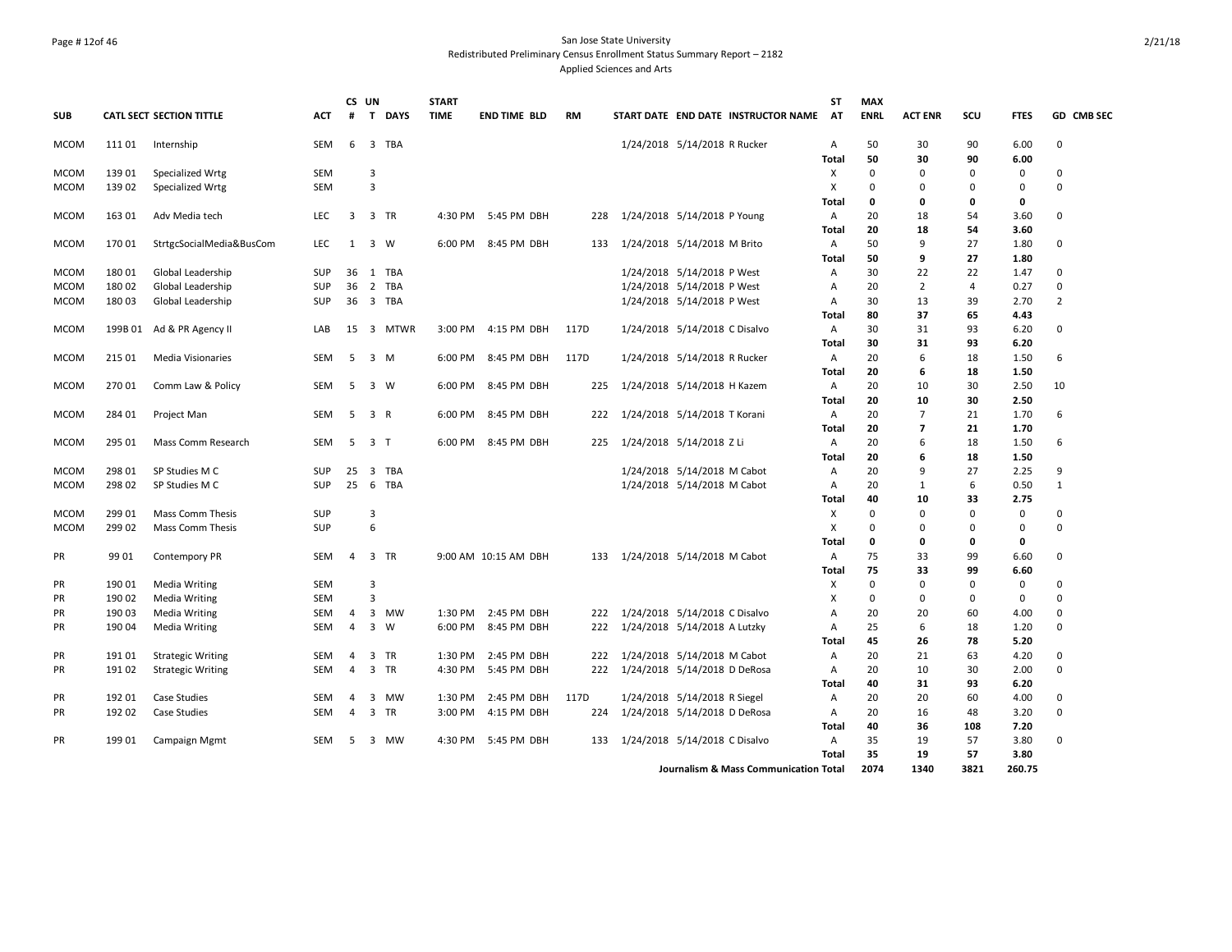## Page # 12of 46 San Jose State University Redistributed Preliminary Census Enrollment Status Summary Report – 2182 Applied Sciences and Arts

|             |         |                                 |            |                         | CS UN            |             | <b>START</b> |                      |           |                                       | ST             | <b>MAX</b>  |                |          |             |                |
|-------------|---------|---------------------------------|------------|-------------------------|------------------|-------------|--------------|----------------------|-----------|---------------------------------------|----------------|-------------|----------------|----------|-------------|----------------|
| <b>SUB</b>  |         | <b>CATL SECT SECTION TITTLE</b> | <b>ACT</b> | #                       |                  | T DAYS      | <b>TIME</b>  | <b>END TIME BLD</b>  | <b>RM</b> | START DATE END DATE INSTRUCTOR NAME   | AT             | <b>ENRL</b> | <b>ACT ENR</b> | SCU      | <b>FTES</b> | GD CMB SEC     |
| <b>MCOM</b> | 111 01  | Internship                      | SEM        | 6                       |                  | 3 TBA       |              |                      |           | 1/24/2018 5/14/2018 R Rucker          | A              | 50          | 30             | 90       | 6.00        | $\Omega$       |
|             |         |                                 |            |                         |                  |             |              |                      |           |                                       | <b>Total</b>   | 50          | 30             | 90       | 6.00        |                |
| <b>MCOM</b> | 139 01  | Specialized Wrtg                | SEM        |                         | 3                |             |              |                      |           |                                       | X              | $\mathbf 0$ | $\Omega$       | 0        | 0           | 0              |
| <b>MCOM</b> | 139 02  | Specialized Wrtg                | <b>SEM</b> |                         | 3                |             |              |                      |           |                                       | X              | $\Omega$    | $\Omega$       | 0        | 0           | $\Omega$       |
|             |         |                                 |            |                         |                  |             |              |                      |           |                                       | Total          | 0           | 0              | 0        | 0           |                |
| <b>MCOM</b> | 163 01  | Adv Media tech                  | LEC        | $\overline{\mathbf{3}}$ |                  | 3 TR        |              | 4:30 PM 5:45 PM DBH  |           | 228 1/24/2018 5/14/2018 P Young       | A              | 20          | 18             | 54       | 3.60        | $\Omega$       |
|             |         |                                 |            |                         |                  |             |              |                      |           |                                       | Total          | 20          | 18             | 54       | 3.60        |                |
| <b>MCOM</b> | 170 01  | StrtgcSocialMedia&BusCom        | <b>LEC</b> | 1                       | 3 W              |             | 6:00 PM      | 8:45 PM DBH          | 133       | 1/24/2018 5/14/2018 M Brito           | A              | 50          | 9              | 27       | 1.80        | $\Omega$       |
|             |         |                                 |            |                         |                  |             |              |                      |           |                                       | Total          | 50          | 9              | 27       | 1.80        |                |
| <b>MCOM</b> | 180 01  | Global Leadership               | <b>SUP</b> | 36                      |                  | 1 TBA       |              |                      |           | 1/24/2018 5/14/2018 P West            | Α              | 30          | 22             | 22       | 1.47        | 0              |
| <b>MCOM</b> | 180 02  | Global Leadership               | <b>SUP</b> | 36                      |                  | 2 TBA       |              |                      |           | 1/24/2018 5/14/2018 P West            | $\overline{A}$ | 20          | 2              | 4        | 0.27        | 0              |
| <b>MCOM</b> | 18003   | Global Leadership               | SUP        | 36                      |                  | 3 TBA       |              |                      |           | 1/24/2018 5/14/2018 P West            | Α              | 30          | 13             | 39       | 2.70        | $\overline{2}$ |
|             |         |                                 |            |                         |                  |             |              |                      |           |                                       | <b>Total</b>   | 80          | 37             | 65       | 4.43        |                |
| <b>MCOM</b> | 199B 01 | Ad & PR Agency II               | LAB        | 15                      |                  | 3 MTWR      |              | 3:00 PM 4:15 PM DBH  | 117D      | 1/24/2018 5/14/2018 C Disalvo         | A              | 30          | 31             | 93       | 6.20        | $\Omega$       |
|             |         |                                 |            |                         |                  |             |              |                      |           |                                       | Total          | 30          | 31             | 93       | 6.20        |                |
| <b>MCOM</b> | 215 01  | <b>Media Visionaries</b>        | <b>SEM</b> | 5                       | 3 M              |             | 6:00 PM      | 8:45 PM DBH          | 117D      | 1/24/2018 5/14/2018 R Rucker          | A              | 20          | 6              | 18       | 1.50        | 6              |
|             |         |                                 |            |                         |                  |             |              |                      |           |                                       | Total          | 20          | 6              | 18       | 1.50        |                |
| <b>MCOM</b> | 270 01  | Comm Law & Policy               | SEM        | 5                       | 3 W              |             | 6:00 PM      | 8:45 PM DBH          | 225       | 1/24/2018 5/14/2018 H Kazem           | A              | 20          | 10             | 30       | 2.50        | 10             |
|             |         |                                 |            |                         |                  |             |              |                      |           |                                       | Total          | 20          | 10             | 30       | 2.50        |                |
| <b>MCOM</b> | 284 01  | Project Man                     | SEM        | - 5                     | 3 R              |             |              | 6:00 PM 8:45 PM DBH  | 222       | 1/24/2018 5/14/2018 T Korani          | A              | 20          | $\overline{7}$ | 21       | 1.70        | 6              |
|             |         |                                 |            |                         |                  |             |              |                      |           |                                       | <b>Total</b>   | 20          | $\overline{7}$ | 21       | 1.70        |                |
| <b>MCOM</b> | 295 01  | Mass Comm Research              | SEM        | 5                       | 3 <sub>1</sub>   |             |              | 6:00 PM 8:45 PM DBH  | 225       | 1/24/2018 5/14/2018 Z Li              | A              | 20          | 6              | 18       | 1.50        | 6              |
|             |         |                                 |            |                         |                  |             |              |                      |           |                                       | Total          | 20          | 6              | 18       | 1.50        |                |
| <b>MCOM</b> | 298 01  | SP Studies M C                  | <b>SUP</b> | 25                      |                  | 3 TBA       |              |                      |           | 1/24/2018 5/14/2018 M Cabot           | Α              | 20          | 9              | 27       | 2.25        | 9              |
| <b>MCOM</b> | 298 02  | SP Studies M C                  | SUP        |                         |                  | 25 6 TBA    |              |                      |           | 1/24/2018 5/14/2018 M Cabot           | A              | 20          | $\mathbf{1}$   | 6        | 0.50        | $\mathbf{1}$   |
|             |         |                                 |            |                         |                  |             |              |                      |           |                                       | Total          | 40          | 10             | 33       | 2.75        |                |
| <b>MCOM</b> | 299 01  | <b>Mass Comm Thesis</b>         | <b>SUP</b> |                         | 3                |             |              |                      |           |                                       | X              | $\mathbf 0$ | 0              | 0        | 0           | 0              |
| <b>MCOM</b> | 299 02  | <b>Mass Comm Thesis</b>         | <b>SUP</b> |                         | $\boldsymbol{6}$ |             |              |                      |           |                                       | X              | $\mathbf 0$ | $\Omega$       | 0        | 0           | $\mathbf 0$    |
|             |         |                                 |            |                         |                  |             |              |                      |           |                                       | Total          | 0           | 0              | 0        | 0           |                |
| PR          | 99 01   | Contempory PR                   | SEM        | $\overline{4}$          |                  | 3 TR        |              | 9:00 AM 10:15 AM DBH |           | 133 1/24/2018 5/14/2018 M Cabot       | A              | 75          | 33             | 99       | 6.60        | 0              |
|             |         |                                 |            |                         |                  |             |              |                      |           |                                       | Total          | 75          | 33             | 99       | 6.60        |                |
| PR          | 190 01  | Media Writing                   | <b>SEM</b> |                         | 3                |             |              |                      |           |                                       | X              | $\Omega$    | O              | $\Omega$ | 0           | $\Omega$       |
| PR          | 190 02  | <b>Media Writing</b>            | <b>SEM</b> |                         | 3                |             |              |                      |           |                                       | X              | $\Omega$    | $\Omega$       | $\Omega$ | 0           | $\Omega$       |
| PR          | 190 03  | <b>Media Writing</b>            | SEM        | 4                       |                  | 3 MW        | 1:30 PM      | 2:45 PM DBH          | 222       | 1/24/2018 5/14/2018 C Disalvo         | Α              | 20          | 20             | 60       | 4.00        | $\Omega$       |
| PR          | 190 04  | Media Writing                   | <b>SEM</b> | $\overline{4}$          |                  | $3 \quad W$ | 6:00 PM      | 8:45 PM DBH          | 222       | 1/24/2018 5/14/2018 A Lutzky          | $\overline{A}$ | 25          | 6              | 18       | 1.20        | $\Omega$       |
|             |         |                                 |            |                         |                  |             |              |                      |           |                                       | Total          | 45          | 26             | 78       | 5.20        |                |
| PR          | 191 01  | <b>Strategic Writing</b>        | SEM        | $\overline{4}$          |                  | 3 TR        | 1:30 PM      | 2:45 PM DBH          | 222       | 1/24/2018 5/14/2018 M Cabot           | Α              | 20          | 21             | 63       | 4.20        | $\Omega$       |
| PR          | 191 02  | <b>Strategic Writing</b>        | <b>SEM</b> | $\overline{4}$          |                  | 3 TR        | 4:30 PM      | 5:45 PM DBH          |           | 222 1/24/2018 5/14/2018 D DeRosa      | A              | 20          | 10             | 30       | 2.00        | $\Omega$       |
|             |         |                                 |            |                         |                  |             |              |                      |           |                                       | Total          | 40          | 31             | 93       | 6.20        |                |
| PR          | 192 01  | <b>Case Studies</b>             | <b>SEM</b> | $\overline{4}$          |                  | 3 MW        | 1:30 PM      | 2:45 PM DBH          | 117D      | 1/24/2018 5/14/2018 R Siegel          | A              | 20          | 20             | 60       | 4.00        | 0              |
| PR          | 192 02  | Case Studies                    | <b>SEM</b> | $\overline{4}$          |                  | 3 TR        | 3:00 PM      | 4:15 PM DBH          | 224       | 1/24/2018 5/14/2018 D DeRosa          | $\mathsf{A}$   | 20          | 16             | 48       | 3.20        | $\Omega$       |
|             |         |                                 |            |                         |                  |             |              |                      |           |                                       | <b>Total</b>   | 40          | 36             | 108      | 7.20        |                |
| PR          | 199 01  | Campaign Mgmt                   | <b>SEM</b> | 5                       |                  | 3 MW        |              | 4:30 PM 5:45 PM DBH  | 133       | 1/24/2018 5/14/2018 C Disalvo         | $\overline{A}$ | 35          | 19             | 57       | 3.80        | $\Omega$       |
|             |         |                                 |            |                         |                  |             |              |                      |           |                                       | Total          | 35          | 19             | 57       | 3.80        |                |
|             |         |                                 |            |                         |                  |             |              |                      |           | Journalism & Mass Communication Total |                | 2074        | 1340           | 3821     | 260.75      |                |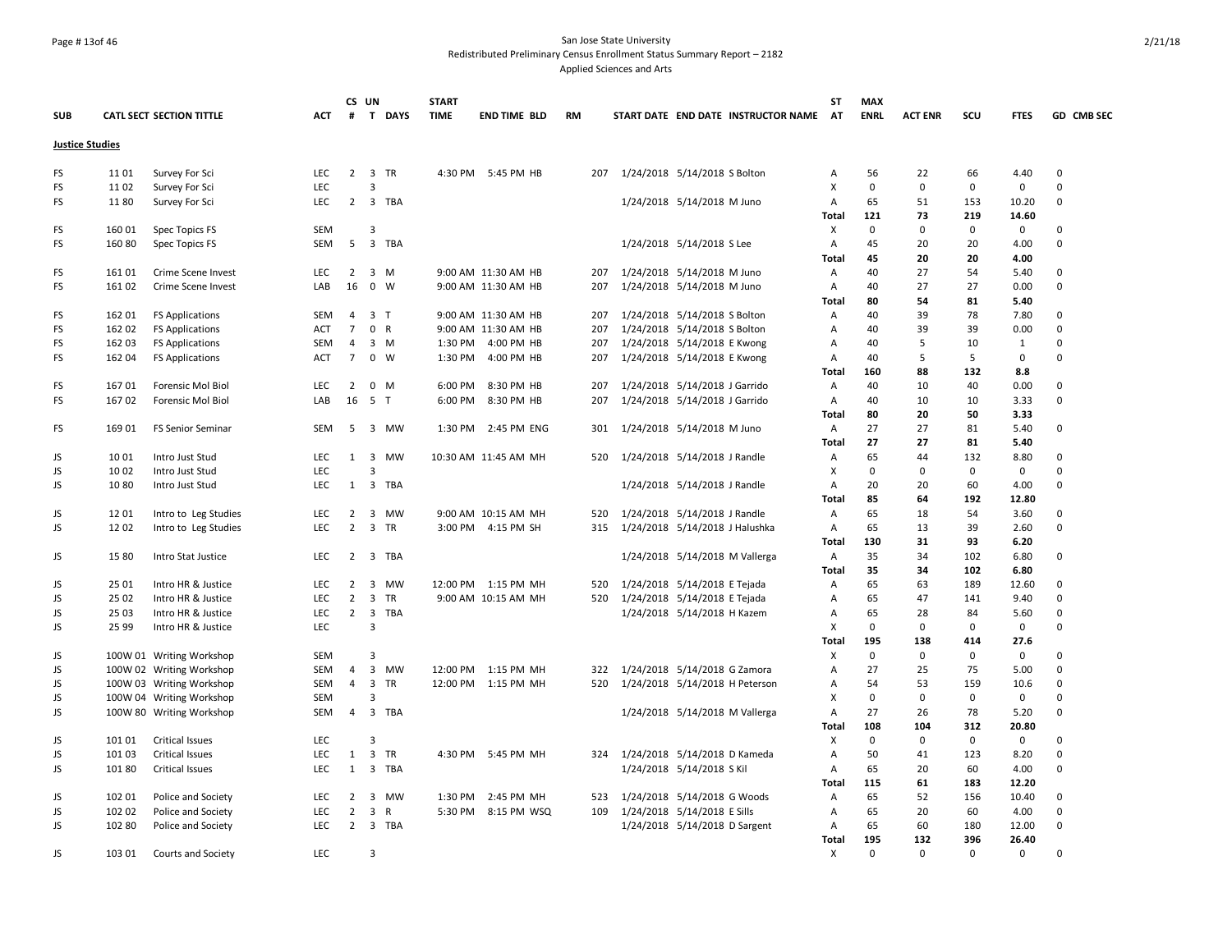## Page # 13of 46 San Jose State University Redistributed Preliminary Census Enrollment Status Summary Report – 2182 Applied Sciences and Arts

|                        |        |                                 |            | CS UN          |                         |             | <b>START</b> |                      |           |                                |                                     | <b>ST</b>      | <b>MAX</b>  |                |             |             |            |
|------------------------|--------|---------------------------------|------------|----------------|-------------------------|-------------|--------------|----------------------|-----------|--------------------------------|-------------------------------------|----------------|-------------|----------------|-------------|-------------|------------|
| <b>SUB</b>             |        | <b>CATL SECT SECTION TITTLE</b> | <b>ACT</b> | #              |                         | T DAYS      | <b>TIME</b>  | <b>END TIME BLD</b>  | <b>RM</b> |                                | START DATE END DATE INSTRUCTOR NAME | <b>AT</b>      | <b>ENRL</b> | <b>ACT ENR</b> | SCU         | <b>FTES</b> | GD CMB SEC |
| <b>Justice Studies</b> |        |                                 |            |                |                         |             |              |                      |           |                                |                                     |                |             |                |             |             |            |
| FS                     | 1101   | Survey For Sci                  | <b>LEC</b> | $\overline{2}$ |                         | 3 TR        |              | 4:30 PM 5:45 PM HB   | 207       | 1/24/2018 5/14/2018 S Bolton   |                                     | $\mathsf{A}$   | 56          | 22             | 66          | 4.40        | 0          |
| FS                     | 1102   | Survey For Sci                  | LEC        |                | 3                       |             |              |                      |           |                                |                                     | x              | $\pmb{0}$   | $\pmb{0}$      | $\mathbf 0$ | $\mathbf 0$ | $\Omega$   |
| FS                     | 1180   | Survey For Sci                  | LEC        | $\overline{2}$ |                         | 3 TBA       |              |                      |           | 1/24/2018 5/14/2018 M Juno     |                                     | А              | 65          | 51             | 153         | 10.20       | 0          |
|                        |        |                                 |            |                |                         |             |              |                      |           |                                |                                     | Total          | 121         | 73             | 219         | 14.60       |            |
| FS                     | 160 01 | Spec Topics FS                  | <b>SEM</b> |                | 3                       |             |              |                      |           |                                |                                     | Χ              | $\Omega$    | 0              | $\mathbf 0$ | $\mathbf 0$ | 0          |
| FS                     | 160 80 | Spec Topics FS                  | SEM        | 5              | $\overline{\mathbf{3}}$ | TBA         |              |                      |           | 1/24/2018 5/14/2018 S Lee      |                                     | Α              | 45          | 20             | 20          | 4.00        | $\Omega$   |
|                        |        |                                 |            |                |                         |             |              |                      |           |                                |                                     | Total          | 45          | 20             | 20          | 4.00        |            |
| FS                     | 16101  | Crime Scene Invest              | <b>LEC</b> | $\overline{2}$ |                         | $3 \, M$    |              | 9:00 AM 11:30 AM HB  | 207       | 1/24/2018 5/14/2018 M Juno     |                                     | Α              | 40          | 27             | 54          | 5.40        | $\Omega$   |
| FS                     | 16102  | Crime Scene Invest              | LAB        | 16             | $0 \quad W$             |             |              | 9:00 AM 11:30 AM HB  | 207       | 1/24/2018 5/14/2018 M Juno     |                                     | Α              | 40          | 27             | 27          | 0.00        | 0          |
|                        |        |                                 |            |                |                         |             |              |                      |           |                                |                                     | <b>Total</b>   | 80          | 54             | 81          | 5.40        |            |
| FS                     | 162 01 | <b>FS Applications</b>          | SEM        | 4              | 3 <sub>T</sub>          |             |              | 9:00 AM 11:30 AM HB  | 207       | 1/24/2018 5/14/2018 S Bolton   |                                     | A              | 40          | 39             | 78          | 7.80        | 0          |
| FS                     | 162 02 | <b>FS Applications</b>          | <b>ACT</b> | $\overline{7}$ | 0 R                     |             |              | 9:00 AM 11:30 AM HB  | 207       | 1/24/2018 5/14/2018 S Bolton   |                                     | Α              | 40          | 39             | 39          | 0.00        | $\Omega$   |
| FS                     | 162 03 | <b>FS Applications</b>          | SEM        | $\overline{4}$ |                         | $3 \, M$    | 1:30 PM      | 4:00 PM HB           | 207       | 1/24/2018 5/14/2018 E Kwong    |                                     | Α              | 40          | 5              | 10          | 1           | 0          |
| FS                     | 162 04 | <b>FS Applications</b>          | <b>ACT</b> | $\overline{7}$ |                         | $0 \quad W$ | 1:30 PM      | 4:00 PM HB           | 207       | 1/24/2018 5/14/2018 E Kwong    |                                     | Α              | 40          | 5              | 5           | $\Omega$    | $\Omega$   |
|                        |        |                                 |            |                |                         |             |              |                      |           |                                |                                     | Total          | 160         | 88             | 132         | 8.8         |            |
| FS                     | 16701  | Forensic Mol Biol               | <b>LEC</b> | $\overline{2}$ |                         | $0 \quad M$ | 6:00 PM      | 8:30 PM HB           | 207       | 1/24/2018 5/14/2018 J Garrido  |                                     | Α              | 40          | 10             | 40          | 0.00        | $\Omega$   |
| FS                     | 16702  | Forensic Mol Biol               | LAB        | 16             | 5 <sub>T</sub>          |             | 6:00 PM      | 8:30 PM HB           | 207       | 1/24/2018 5/14/2018 J Garrido  |                                     | $\overline{A}$ | 40          | 10             | 10          | 3.33        | 0          |
|                        |        |                                 |            |                |                         |             |              |                      |           |                                |                                     | <b>Total</b>   | 80          | 20             | 50          | 3.33        |            |
| FS                     | 169 01 | FS Senior Seminar               | SEM        | 5              |                         | 3 MW        | 1:30 PM      | 2:45 PM ENG          | 301       | 1/24/2018 5/14/2018 M Juno     |                                     | A              | 27          | 27             | 81          | 5.40        | 0          |
|                        |        |                                 |            |                |                         |             |              |                      |           |                                |                                     | <b>Total</b>   | 27          | 27             | 81          | 5.40        |            |
| JS                     | 10 01  | Intro Just Stud                 | <b>LEC</b> | 1              |                         | 3 MW        |              | 10:30 AM 11:45 AM MH | 520       | 1/24/2018 5/14/2018 J Randle   |                                     | A              | 65          | 44             | 132         | 8.80        | 0          |
| JS                     | 10 02  | Intro Just Stud                 | <b>LEC</b> |                | 3                       |             |              |                      |           |                                |                                     | Х              | $\mathbf 0$ | 0              | $\mathbf 0$ | $\mathbf 0$ | $\Omega$   |
| JS                     | 1080   | Intro Just Stud                 | LEC        | 1              |                         | 3 TBA       |              |                      |           | 1/24/2018 5/14/2018 J Randle   |                                     | A              | 20          | 20             | 60          | 4.00        | $\Omega$   |
|                        |        |                                 |            |                |                         |             |              |                      |           |                                |                                     | <b>Total</b>   | 85          | 64             | 192         | 12.80       |            |
| JS.                    | 1201   | Intro to Leg Studies            | LEC        | $\overline{2}$ |                         | 3 MW        |              | 9:00 AM 10:15 AM MH  | 520       | 1/24/2018 5/14/2018 J Randle   |                                     | Α              | 65          | 18             | 54          | 3.60        | 0          |
| JS                     | 1202   | Intro to Leg Studies            | <b>LEC</b> | $\overline{2}$ |                         | 3 TR        |              | 3:00 PM 4:15 PM SH   | 315       | 1/24/2018 5/14/2018 J Halushka |                                     | Α              | 65          | 13             | 39          | 2.60        | 0          |
|                        |        |                                 |            |                |                         |             |              |                      |           |                                |                                     | <b>Total</b>   | 130         | 31             | 93          | 6.20        |            |
| JS                     | 15 80  | Intro Stat Justice              | LEC        | $\overline{2}$ |                         | 3 TBA       |              |                      |           | 1/24/2018 5/14/2018 M Vallerga |                                     | Α              | 35          | 34             | 102         | 6.80        | $\Omega$   |
|                        |        |                                 |            |                |                         |             |              |                      |           |                                |                                     | <b>Total</b>   | 35          | 34             | 102         | 6.80        |            |
| JS.                    | 25 01  | Intro HR & Justice              | <b>LEC</b> | $\overline{2}$ | 3                       | MW          |              | 12:00 PM 1:15 PM MH  | 520       | 1/24/2018 5/14/2018 E Tejada   |                                     | Α              | 65          | 63             | 189         | 12.60       | $\Omega$   |
| JS                     | 25 02  | Intro HR & Justice              | LEC        | $\overline{2}$ | 3                       | TR          |              | 9:00 AM 10:15 AM MH  | 520       | 1/24/2018 5/14/2018 E Tejada   |                                     | Α              | 65          | 47             | 141         | 9.40        | 0          |
| JS                     | 25 03  | Intro HR & Justice              | LEC        | $\overline{2}$ | 3                       | TBA         |              |                      |           | 1/24/2018 5/14/2018 H Kazem    |                                     | Α              | 65          | 28             | 84          | 5.60        | 0          |
| JS                     | 25 99  | Intro HR & Justice              | <b>LEC</b> |                | 3                       |             |              |                      |           |                                |                                     | X              | $\mathbf 0$ | 0              | $\mathbf 0$ | $\mathbf 0$ | $\Omega$   |
|                        |        |                                 |            |                |                         |             |              |                      |           |                                |                                     | <b>Total</b>   | 195         | 138            | 414         | 27.6        |            |
| JS                     |        | 100W 01 Writing Workshop        | SEM        |                | 3                       |             |              |                      |           |                                |                                     | X              | $\mathbf 0$ | $\mathbf 0$    | $\mathbf 0$ | $\mathbf 0$ | $\Omega$   |
| JS                     |        | 100W 02 Writing Workshop        | SEM        | 4              |                         | 3 MW        |              | 12:00 PM 1:15 PM MH  | 322       | 1/24/2018 5/14/2018 G Zamora   |                                     | Α              | 27          | 25             | 75          | 5.00        | $\Omega$   |
| JS                     |        | 100W 03 Writing Workshop        | <b>SEM</b> | $\overline{4}$ | $\overline{3}$          | <b>TR</b>   |              | 12:00 PM 1:15 PM MH  | 520       | 1/24/2018 5/14/2018 H Peterson |                                     | Α              | 54          | 53             | 159         | 10.6        | $\Omega$   |
| JS                     |        | 100W 04 Writing Workshop        | <b>SEM</b> |                | 3                       |             |              |                      |           |                                |                                     | X              | $\Omega$    | $\mathbf 0$    | $\mathbf 0$ | $\mathbf 0$ | 0          |
| JS                     |        | 100W 80 Writing Workshop        | SEM        | $\overline{4}$ |                         | 3 TBA       |              |                      |           | 1/24/2018 5/14/2018 M Vallerga |                                     | Α              | 27          | 26             | 78          | 5.20        | 0          |
|                        |        |                                 |            |                |                         |             |              |                      |           |                                |                                     | Total          | 108         | 104            | 312         | 20.80       |            |
| JS                     | 101 01 | <b>Critical Issues</b>          | <b>LEC</b> |                | 3                       |             |              |                      |           |                                |                                     | х              | 0           | 0              | 0           | 0           | $\Omega$   |
| JS                     | 101 03 | Critical Issues                 | LEC        | $\mathbf{1}$   |                         | 3 TR        |              | 4:30 PM 5:45 PM MH   | 324       | 1/24/2018 5/14/2018 D Kameda   |                                     | Α              | 50          | 41             | 123         | 8.20        | $\Omega$   |
| JS                     | 101 80 | Critical Issues                 | LEC        | $\mathbf{1}$   | 3                       | <b>TBA</b>  |              |                      |           | 1/24/2018 5/14/2018 S Kil      |                                     | Α              | 65          | 20             | 60          | 4.00        | $\Omega$   |
|                        |        |                                 |            |                |                         |             |              |                      |           |                                |                                     | Total          | 115         | 61             | 183         | 12.20       |            |
| JS                     | 102 01 | Police and Society              | LEC        | $\overline{2}$ |                         | 3 MW        | 1:30 PM      | 2:45 PM MH           | 523       | 1/24/2018 5/14/2018 G Woods    |                                     | Α              | 65          | 52             | 156         | 10.40       | 0          |
| JS                     | 102 02 | Police and Society              | <b>LEC</b> | $\overline{2}$ | 3                       | R           | 5:30 PM      | 8:15 PM WSQ          | 109       | 1/24/2018 5/14/2018 E Sills    |                                     | $\overline{A}$ | 65          | 20             | 60          | 4.00        | $\Omega$   |
| JS                     | 102 80 | Police and Society              | LEC        | $2^{\circ}$    |                         | 3 TBA       |              |                      |           | 1/24/2018 5/14/2018 D Sargent  |                                     | Α              | 65          | 60             | 180         | 12.00       | 0          |
|                        |        |                                 |            |                |                         |             |              |                      |           |                                |                                     | Total          | 195         | 132            | 396         | 26.40       |            |
| JS                     | 103 01 | Courts and Society              | <b>LEC</b> |                | 3                       |             |              |                      |           |                                |                                     | X              | $\Omega$    | $\Omega$       | $\Omega$    | $\Omega$    | $\Omega$   |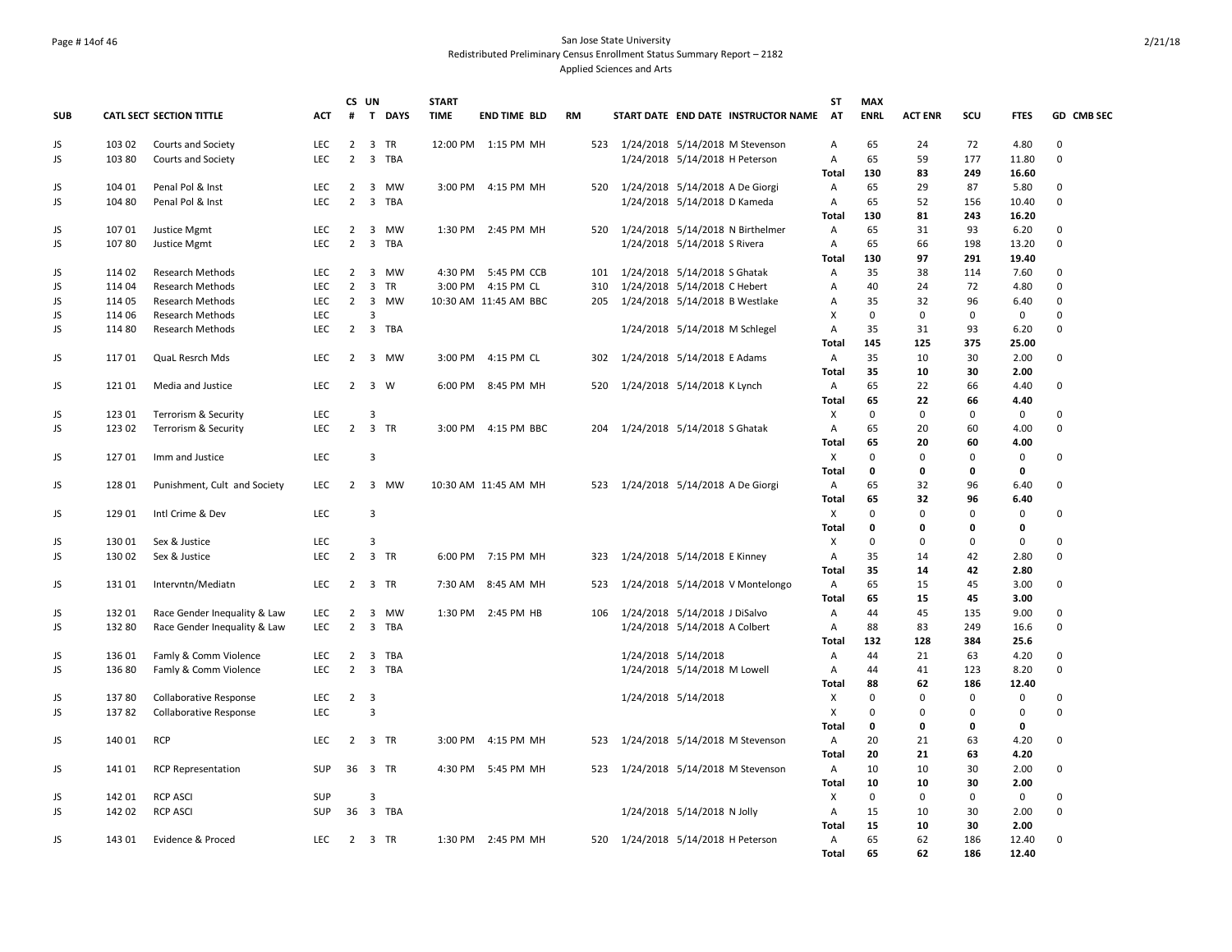## Page # 14of 46 San Jose State University Redistributed Preliminary Census Enrollment Status Summary Report – 2182 Applied Sciences and Arts

|            |        |                                 |            |                | CS UN                   |        | <b>START</b> |                       |           |     |                     |                                      | ST           | <b>MAX</b>  |                |             |             |             |
|------------|--------|---------------------------------|------------|----------------|-------------------------|--------|--------------|-----------------------|-----------|-----|---------------------|--------------------------------------|--------------|-------------|----------------|-------------|-------------|-------------|
| <b>SUB</b> |        | <b>CATL SECT SECTION TITTLE</b> | <b>ACT</b> | #              |                         | T DAYS | <b>TIME</b>  | <b>END TIME BLD</b>   | <b>RM</b> |     |                     | START DATE END DATE INSTRUCTOR NAME  | AT           | <b>ENRL</b> | <b>ACT ENR</b> | scu         | <b>FTES</b> | GD CMB SEC  |
| JS         | 103 02 | Courts and Society              | <b>LEC</b> | $\overline{2}$ | 3 TR                    |        |              | 12:00 PM 1:15 PM MH   |           |     |                     | 523 1/24/2018 5/14/2018 M Stevenson  | Α            | 65          | 24             | 72          | 4.80        | $\mathbf 0$ |
| JS         | 103 80 | Courts and Society              | <b>LEC</b> | 2              |                         | 3 TBA  |              |                       |           |     |                     | 1/24/2018 5/14/2018 H Peterson       | Α            | 65          | 59             | 177         | 11.80       | $\mathbf 0$ |
|            |        |                                 |            |                |                         |        |              |                       |           |     |                     |                                      | <b>Total</b> | 130         | 83             | 249         | 16.60       |             |
| JS         | 104 01 | Penal Pol & Inst                | <b>LEC</b> | $\overline{2}$ |                         | 3 MW   |              | 3:00 PM 4:15 PM MH    |           |     |                     | 520 1/24/2018 5/14/2018 A De Giorgi  | Α            | 65          | 29             | 87          | 5.80        | 0           |
| JS         | 104 80 | Penal Pol & Inst                | <b>LEC</b> | $\overline{2}$ |                         | 3 TBA  |              |                       |           |     |                     | 1/24/2018 5/14/2018 D Kameda         | Α            | 65          | 52             | 156         | 10.40       | 0           |
|            |        |                                 |            |                |                         |        |              |                       |           |     |                     |                                      | <b>Total</b> | 130         | 81             | 243         | 16.20       |             |
| JS         | 107 01 | Justice Mgmt                    | <b>LEC</b> | $\overline{2}$ |                         | 3 MW   |              | 1:30 PM 2:45 PM MH    |           |     |                     | 520 1/24/2018 5/14/2018 N Birthelmer | Α            | 65          | 31             | 93          | 6.20        | 0           |
| JS         | 10780  | Justice Mgmt                    | <b>LEC</b> | $\overline{2}$ | $\overline{3}$          | TBA    |              |                       |           |     |                     | 1/24/2018 5/14/2018 S Rivera         | Α            | 65          | 66             | 198         | 13.20       | 0           |
|            |        |                                 |            |                |                         |        |              |                       |           |     |                     |                                      | <b>Total</b> | 130         | 97             | 291         | 19.40       |             |
| JS         | 114 02 | Research Methods                | <b>LEC</b> | $\overline{2}$ |                         | 3 MW   |              | 4:30 PM 5:45 PM CCB   |           |     |                     | 101 1/24/2018 5/14/2018 S Ghatak     | Α            | 35          | 38             | 114         | 7.60        | $\mathbf 0$ |
| JS         | 114 04 | <b>Research Methods</b>         | LEC        | $\overline{2}$ | 3 TR                    |        |              | 3:00 PM 4:15 PM CL    |           | 310 |                     | 1/24/2018 5/14/2018 C Hebert         | Α            | 40          | 24             | 72          | 4.80        | $\mathbf 0$ |
| JS         | 114 05 | <b>Research Methods</b>         | <b>LEC</b> | $\overline{2}$ |                         | 3 MW   |              | 10:30 AM 11:45 AM BBC |           | 205 |                     | 1/24/2018 5/14/2018 B Westlake       | Α            | 35          | 32             | 96          | 6.40        | 0           |
| JS         | 114 06 | <b>Research Methods</b>         | <b>LEC</b> |                | $\overline{3}$          |        |              |                       |           |     |                     |                                      | X            | $\mathbf 0$ | 0              | 0           | 0           | 0           |
| JS         | 114 80 | <b>Research Methods</b>         | <b>LEC</b> | $\overline{2}$ |                         | 3 TBA  |              |                       |           |     |                     | 1/24/2018 5/14/2018 M Schlegel       | Α            | 35          | 31             | 93          | 6.20        | $\mathbf 0$ |
|            |        |                                 |            |                |                         |        |              |                       |           |     |                     |                                      | <b>Total</b> | 145         | 125            | 375         | 25.00       |             |
| JS         | 11701  | QuaL Resrch Mds                 | <b>LEC</b> | $\overline{2}$ |                         | 3 MW   |              | 3:00 PM 4:15 PM CL    |           | 302 |                     | 1/24/2018 5/14/2018 E Adams          | Α            | 35          | 10             | 30          | 2.00        | 0           |
|            |        |                                 |            |                |                         |        |              |                       |           |     |                     |                                      | <b>Total</b> | 35          | 10             | 30          | 2.00        |             |
| JS         | 121 01 | Media and Justice               | <b>LEC</b> | $\overline{2}$ | 3 W                     |        |              | 6:00 PM 8:45 PM MH    |           | 520 |                     | 1/24/2018 5/14/2018 K Lynch          | Α            | 65          | 22             | 66          | 4.40        | 0           |
|            |        |                                 |            |                |                         |        |              |                       |           |     |                     |                                      | Total        | 65          | 22             | 66          | 4.40        |             |
| JS         | 123 01 | Terrorism & Security            | <b>LEC</b> |                | 3                       |        |              |                       |           |     |                     |                                      | X            | $\mathbf 0$ | $\mathbf 0$    | $\mathbf 0$ | 0           | 0           |
| JS         | 123 02 | Terrorism & Security            | <b>LEC</b> | $\overline{2}$ | 3 TR                    |        |              | 3:00 PM 4:15 PM BBC   |           | 204 |                     | 1/24/2018 5/14/2018 S Ghatak         | Α            | 65          | 20             | 60          | 4.00        | 0           |
|            |        |                                 |            |                |                         |        |              |                       |           |     |                     |                                      | Total        | 65          | 20             | 60          | 4.00        |             |
| JS         | 127 01 | Imm and Justice                 | LEC        |                | 3                       |        |              |                       |           |     |                     |                                      | X            | 0           | $\mathbf 0$    | $\mathbf 0$ | 0           | $\mathbf 0$ |
|            |        |                                 |            |                |                         |        |              |                       |           |     |                     |                                      | Total        | 0           | 0              | 0           | 0           |             |
| JS         | 128 01 | Punishment, Cult and Society    | <b>LEC</b> | $\overline{2}$ |                         | 3 MW   |              | 10:30 AM 11:45 AM MH  |           |     |                     | 523 1/24/2018 5/14/2018 A De Giorgi  | Α            | 65          | 32             | 96          | 6.40        | $\mathbf 0$ |
|            |        |                                 |            |                |                         |        |              |                       |           |     |                     |                                      | <b>Total</b> | 65          | 32             | 96          | 6.40        |             |
| JS         | 129 01 | Intl Crime & Dev                | <b>LEC</b> |                | 3                       |        |              |                       |           |     |                     |                                      | X            | $\mathbf 0$ | $\Omega$       | $\Omega$    | 0           | $\mathbf 0$ |
|            |        |                                 |            |                |                         |        |              |                       |           |     |                     |                                      | <b>Total</b> | 0           | 0              | 0           | 0           |             |
| JS         | 130 01 | Sex & Justice                   | LEC        |                | 3                       |        |              |                       |           |     |                     |                                      | X            | 0           | 0              | 0           | 0           | $\mathbf 0$ |
| JS         | 130 02 | Sex & Justice                   | <b>LEC</b> | $\overline{2}$ | 3 TR                    |        |              | 6:00 PM 7:15 PM MH    |           | 323 |                     | 1/24/2018 5/14/2018 E Kinney         | Α            | 35          | 14             | 42          | 2.80        | $\Omega$    |
|            |        |                                 |            |                |                         |        |              |                       |           |     |                     |                                      | Total        | 35          | 14             | 42          | 2.80        |             |
| JS         | 131 01 | Intervntn/Mediatn               | <b>LEC</b> | $\overline{2}$ | 3 TR                    |        | 7:30 AM      | 8:45 AM MH            |           | 523 |                     | 1/24/2018 5/14/2018 V Montelongo     | Α            | 65          | 15             | 45          | 3.00        | $\mathbf 0$ |
|            |        |                                 |            |                |                         |        |              |                       |           |     |                     |                                      | Total        | 65          | 15             | 45          | 3.00        |             |
| JS         | 132 01 | Race Gender Inequality & Law    | LEC        | $\overline{2}$ |                         | 3 MW   |              | 1:30 PM 2:45 PM HB    | 106       |     |                     | 1/24/2018 5/14/2018 J DiSalvo        | Α            | 44          | 45             | 135         | 9.00        | $\mathbf 0$ |
| JS         | 132 80 | Race Gender Inequality & Law    | <b>LEC</b> | $\overline{2}$ |                         | 3 TBA  |              |                       |           |     |                     | 1/24/2018 5/14/2018 A Colbert        | Α            | 88          | 83             | 249         | 16.6        | 0           |
|            |        |                                 |            |                |                         |        |              |                       |           |     |                     |                                      | Total        | 132         | 128            | 384         | 25.6        |             |
| JS         | 136 01 | Famly & Comm Violence           | <b>LEC</b> | 2              | $\overline{\mathbf{3}}$ | TBA    |              |                       |           |     | 1/24/2018 5/14/2018 |                                      | Α            | 44          | 21             | 63          | 4.20        | 0           |
| JS         | 136 80 | Famly & Comm Violence           | <b>LEC</b> | $\overline{2}$ |                         | 3 TBA  |              |                       |           |     |                     | 1/24/2018 5/14/2018 M Lowell         | Α            | 44          | 41             | 123         | 8.20        | $\mathbf 0$ |
|            |        |                                 |            |                |                         |        |              |                       |           |     |                     |                                      | <b>Total</b> | 88          | 62             | 186         | 12.40       |             |
| JS         | 13780  | Collaborative Response          | <b>LEC</b> |                | $2 \quad 3$             |        |              |                       |           |     | 1/24/2018 5/14/2018 |                                      | X            | $\mathbf 0$ | 0              | 0           | 0           | 0           |
| JS         | 13782  | Collaborative Response          | LEC.       |                | $\overline{3}$          |        |              |                       |           |     |                     |                                      | X            | 0           | $\Omega$       | 0           | $\Omega$    | $\Omega$    |
|            |        |                                 |            |                |                         |        |              |                       |           |     |                     |                                      | <b>Total</b> | 0           | 0              | 0           | 0           |             |
| JS         | 140 01 | <b>RCP</b>                      | <b>LEC</b> | $\overline{2}$ | 3 TR                    |        |              | 3:00 PM 4:15 PM MH    |           | 523 |                     | 1/24/2018 5/14/2018 M Stevenson      | Α            | 20          | 21             | 63          | 4.20        | 0           |
|            |        |                                 |            |                |                         |        |              |                       |           |     |                     |                                      | Total        | 20          | 21             | 63          | 4.20        |             |
| JS         | 141 01 | <b>RCP Representation</b>       | <b>SUP</b> |                | 36 3 TR                 |        | 4:30 PM      | 5:45 PM MH            |           | 523 |                     | 1/24/2018 5/14/2018 M Stevenson      | Α            | 10          | 10             | 30          | 2.00        | $\mathbf 0$ |
|            |        |                                 |            |                |                         |        |              |                       |           |     |                     |                                      | <b>Total</b> | 10          | 10             | 30          | 2.00        |             |
| JS         | 142 01 | <b>RCP ASCI</b>                 | <b>SUP</b> |                | 3                       |        |              |                       |           |     |                     |                                      | X            | 0           | 0              | 0           | 0           | $\mathbf 0$ |
| JS         | 142 02 | <b>RCP ASCI</b>                 | SUP        | 36             |                         | 3 TBA  |              |                       |           |     |                     |                                      | Α            | 15          | 10             | 30          | 2.00        | 0           |
|            |        |                                 |            |                |                         |        |              |                       |           |     |                     | 1/24/2018 5/14/2018 N Jolly          |              | 15          | 10             | 30          | 2.00        |             |
|            | 143 01 | Evidence & Proced               | <b>LEC</b> | 2              | 3 TR                    |        |              | 1:30 PM 2:45 PM MH    |           |     |                     |                                      | Total<br>A   | 65          | 62             | 186         | 12.40       | 0           |
| JS         |        |                                 |            |                |                         |        |              |                       |           |     |                     | 520 1/24/2018 5/14/2018 H Peterson   |              | 65          | 62             | 186         | 12.40       |             |
|            |        |                                 |            |                |                         |        |              |                       |           |     |                     |                                      | Total        |             |                |             |             |             |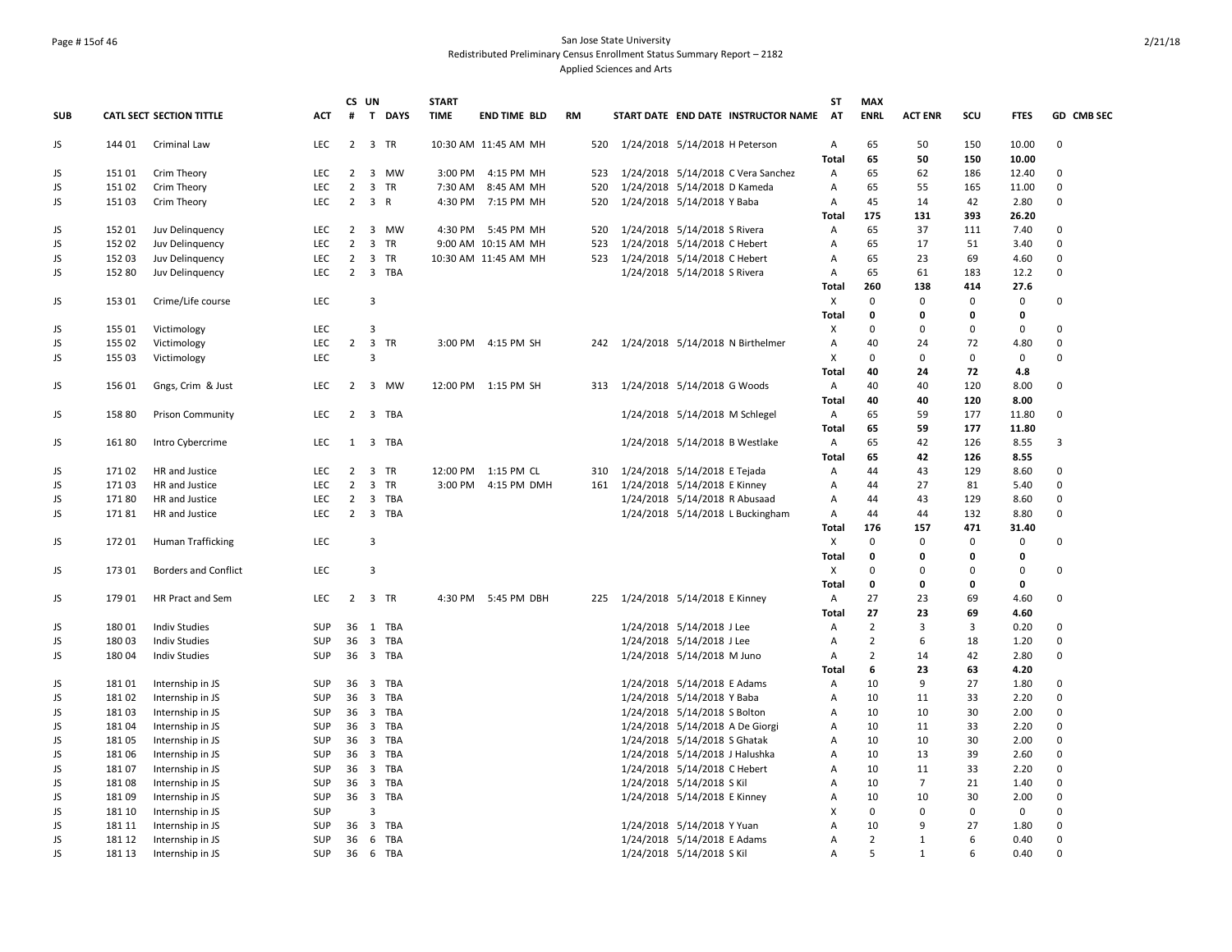## Page # 15of 46 San Jose State University Redistributed Preliminary Census Enrollment Status Summary Report – 2182 Applied Sciences and Arts

|            |        |                             |            |                | CS UN               |          | <b>START</b> |                      |           |     |                                      | ST             | <b>MAX</b>     |                |             |             |                |
|------------|--------|-----------------------------|------------|----------------|---------------------|----------|--------------|----------------------|-----------|-----|--------------------------------------|----------------|----------------|----------------|-------------|-------------|----------------|
| <b>SUB</b> |        | CATL SECT SECTION TITTLE    | <b>ACT</b> | #              |                     | T DAYS   | <b>TIME</b>  | <b>END TIME BLD</b>  | <b>RM</b> |     | START DATE END DATE INSTRUCTOR NAME  | AT             | <b>ENRL</b>    | <b>ACT ENR</b> | scu         | <b>FTES</b> | GD CMB SEC     |
| JS         | 144 01 | Criminal Law                | <b>LEC</b> | $\overline{2}$ | 3 TR                |          |              | 10:30 AM 11:45 AM MH |           |     | 520 1/24/2018 5/14/2018 H Peterson   | A              | 65             | 50             | 150         | 10.00       | 0              |
|            |        |                             |            |                |                     |          |              |                      |           |     |                                      | <b>Total</b>   | 65             | 50             | 150         | 10.00       |                |
| JS         | 15101  | Crim Theory                 | <b>LEC</b> | $\overline{2}$ |                     | 3 MW     |              | 3:00 PM 4:15 PM MH   |           | 523 | 1/24/2018 5/14/2018 C Vera Sanchez   | Α              | 65             | 62             | 186         | 12.40       | $\Omega$       |
| JS         | 15102  | Crim Theory                 | <b>LEC</b> | 2              |                     | 3 TR     |              | 7:30 AM 8:45 AM MH   |           | 520 | 1/24/2018 5/14/2018 D Kameda         | Α              | 65             | 55             | 165         | 11.00       | 0              |
| JS         | 15103  | Crim Theory                 | <b>LEC</b> |                | $2 \quad 3 \quad R$ |          |              | 4:30 PM 7:15 PM MH   |           | 520 | 1/24/2018 5/14/2018 Y Baba           | Α              | 45             | 14             | 42          | 2.80        | 0              |
|            |        |                             |            |                |                     |          |              |                      |           |     |                                      | <b>Total</b>   | 175            | 131            | 393         | 26.20       |                |
| JS         | 152 01 | Juv Delinquency             | <b>LEC</b> | $\overline{2}$ |                     | 3 MW     |              | 4:30 PM 5:45 PM MH   |           | 520 | 1/24/2018 5/14/2018 S Rivera         | $\overline{A}$ | 65             | 37             | 111         | 7.40        | $\Omega$       |
| JS.        | 152 02 | Juv Delinquency             | LEC        | $\overline{2}$ |                     | 3 TR     |              | 9:00 AM 10:15 AM MH  |           | 523 | 1/24/2018 5/14/2018 C Hebert         | A              | 65             | 17             | 51          | 3.40        | 0              |
| JS         | 152 03 | Juv Delinquency             | <b>LEC</b> | $\overline{2}$ |                     | 3 TR     |              | 10:30 AM 11:45 AM MH |           |     | 523 1/24/2018 5/14/2018 C Hebert     | Α              | 65             | 23             | 69          | 4.60        | $\Omega$       |
| JS         | 152 80 | Juv Delinquency             | <b>LEC</b> |                |                     | 2 3 TBA  |              |                      |           |     | 1/24/2018 5/14/2018 S Rivera         | Α              | 65             | 61             | 183         | 12.2        | $\Omega$       |
|            |        |                             |            |                |                     |          |              |                      |           |     |                                      | <b>Total</b>   | 260            | 138            | 414         | 27.6        |                |
| JS         | 153 01 | Crime/Life course           | <b>LEC</b> |                | $\overline{3}$      |          |              |                      |           |     |                                      | X              | 0              | 0              | 0           | 0           | 0              |
|            |        |                             |            |                |                     |          |              |                      |           |     |                                      | <b>Total</b>   | 0              | 0              | 0           | $\mathbf 0$ |                |
| JS         | 155 01 | Victimology                 | <b>LEC</b> |                | 3                   |          |              |                      |           |     |                                      | Х              | $\Omega$       | $\Omega$       | $\Omega$    | 0           | 0              |
| JS         | 155 02 | Victimology                 | <b>LEC</b> | $\overline{2}$ |                     | 3 TR     |              | 3:00 PM 4:15 PM SH   |           |     | 242 1/24/2018 5/14/2018 N Birthelmer | Α              | 40             | 24             | 72          | 4.80        | $\mathbf 0$    |
| JS         | 155 03 | Victimology                 | <b>LEC</b> |                | 3                   |          |              |                      |           |     |                                      | X              | $\Omega$       | $\Omega$       | $\mathbf 0$ | 0           | 0              |
|            |        |                             |            |                |                     |          |              |                      |           |     |                                      | <b>Total</b>   | 40             | 24             | 72          | 4.8         |                |
| JS         | 156 01 | Gngs, Crim & Just           | <b>LEC</b> | $\overline{2}$ |                     | 3 MW     |              | 12:00 PM 1:15 PM SH  |           | 313 | 1/24/2018 5/14/2018 G Woods          | Α              | 40             | 40             | 120         | 8.00        | 0              |
|            |        |                             |            |                |                     |          |              |                      |           |     |                                      | Total          | 40             | 40             | 120         | 8.00        |                |
| JS         | 158 80 | <b>Prison Community</b>     | <b>LEC</b> | $\overline{2}$ |                     | 3 TBA    |              |                      |           |     | 1/24/2018 5/14/2018 M Schlegel       | Α              | 65             | 59             | 177         | 11.80       | 0              |
|            |        |                             |            |                |                     |          |              |                      |           |     |                                      | <b>Total</b>   | 65             | 59             | 177         | 11.80       |                |
| JS         | 16180  | Intro Cybercrime            | <b>LEC</b> | $\mathbf{1}$   |                     | 3 TBA    |              |                      |           |     | 1/24/2018 5/14/2018 B Westlake       | Α              | 65             | 42             | 126         | 8.55        | $\overline{3}$ |
|            |        |                             |            |                |                     |          |              |                      |           |     |                                      | <b>Total</b>   | 65             | 42             | 126         | 8.55        |                |
| JS         | 17102  | HR and Justice              | <b>LEC</b> | $\overline{2}$ |                     | 3 TR     |              | 12:00 PM 1:15 PM CL  |           |     | 310 1/24/2018 5/14/2018 E Tejada     | Α              | 44             | 43             | 129         | 8.60        | $\Omega$       |
| JS.        | 17103  | HR and Justice              | <b>LEC</b> | $\overline{2}$ |                     | 3 TR     |              | 3:00 PM 4:15 PM DMH  |           | 161 | 1/24/2018 5/14/2018 E Kinney         | Α              | 44             | 27             | 81          | 5.40        | $\mathbf 0$    |
| JS         | 17180  | HR and Justice              | <b>LEC</b> | $\overline{2}$ |                     | 3 TBA    |              |                      |           |     | 1/24/2018 5/14/2018 R Abusaad        | Α              | 44             | 43             | 129         | 8.60        | $\mathsf 0$    |
| JS         | 17181  | HR and Justice              | <b>LEC</b> | $\overline{2}$ |                     | 3 TBA    |              |                      |           |     | 1/24/2018 5/14/2018 L Buckingham     | Α              | 44             | 44             | 132         | 8.80        | 0              |
|            |        |                             |            |                |                     |          |              |                      |           |     |                                      | <b>Total</b>   | 176            | 157            | 471         | 31.40       |                |
| JS         | 172 01 | Human Trafficking           | <b>LEC</b> |                | 3                   |          |              |                      |           |     |                                      | X              | 0              | $\Omega$       | 0           | 0           | 0              |
|            |        |                             |            |                |                     |          |              |                      |           |     |                                      | <b>Total</b>   | 0              | O              | 0           | 0           |                |
| JS         | 173 01 | <b>Borders and Conflict</b> | <b>LEC</b> |                | 3                   |          |              |                      |           |     |                                      | X              | $\Omega$       | $\Omega$       | $\Omega$    | 0           | 0              |
|            |        |                             |            |                |                     |          |              |                      |           |     |                                      | Total          | 0              | 0              | 0           | $\mathbf 0$ |                |
| JS         | 179 01 | HR Pract and Sem            | <b>LEC</b> | $\overline{2}$ |                     | 3 TR     |              | 4:30 PM 5:45 PM DBH  |           |     | 225 1/24/2018 5/14/2018 E Kinney     | Α              | 27             | 23             | 69          | 4.60        | 0              |
|            |        |                             |            |                |                     |          |              |                      |           |     |                                      | Total          | 27             | 23             | 69          | 4.60        |                |
| JS         | 18001  | <b>Indiv Studies</b>        | <b>SUP</b> | 36             | 1                   | TBA      |              |                      |           |     | 1/24/2018 5/14/2018 J Lee            | $\overline{A}$ | $\overline{2}$ | 3              | 3           | 0.20        | $\Omega$       |
| JS         | 18003  | <b>Indiv Studies</b>        | <b>SUP</b> | 36             |                     | 3 TBA    |              |                      |           |     | 1/24/2018 5/14/2018 J Lee            | A              | $\overline{2}$ | 6              | 18          | 1.20        | $\Omega$       |
| JS         | 180 04 | <b>Indiv Studies</b>        | <b>SUP</b> |                |                     | 36 3 TBA |              |                      |           |     | 1/24/2018 5/14/2018 M Juno           | Α              | 2              | 14             | 42          | 2.80        | $\mathbf 0$    |
|            |        |                             |            |                |                     |          |              |                      |           |     |                                      | Total          | 6              | 23             | 63          | 4.20        |                |
| JS         | 18101  | Internship in JS            | <b>SUP</b> |                |                     | 36 3 TBA |              |                      |           |     | 1/24/2018 5/14/2018 E Adams          | Α              | 10             | 9              | 27          | 1.80        | 0              |
| JS         | 18102  | Internship in JS            | <b>SUP</b> | 36             |                     | 3 TBA    |              |                      |           |     | 1/24/2018 5/14/2018 Y Baba           | Α              | 10             | 11             | 33          | 2.20        | $\Omega$       |
| JS         | 18103  | Internship in JS            | <b>SUP</b> |                |                     | 36 3 TBA |              |                      |           |     | 1/24/2018 5/14/2018 S Bolton         | A              | 10             | 10             | 30          | 2.00        | $\mathbf 0$    |
| JS         | 18104  | Internship in JS            | <b>SUP</b> |                |                     | 36 3 TBA |              |                      |           |     | 1/24/2018 5/14/2018 A De Giorgi      | Α              | 10             | 11             | 33          | 2.20        | $\Omega$       |
| JS         | 18105  | Internship in JS            | <b>SUP</b> |                |                     | 36 3 TBA |              |                      |           |     | 1/24/2018 5/14/2018 S Ghatak         | Α              | 10             | 10             | 30          | 2.00        | $\Omega$       |
| JS.        | 18106  | Internship in JS            | <b>SUP</b> | 36             |                     | 3 TBA    |              |                      |           |     | 1/24/2018 5/14/2018 J Halushka       | Α              | 10             | 13             | 39          | 2.60        | $\Omega$       |
| JS         | 18107  | Internship in JS            | <b>SUP</b> |                |                     | 36 3 TBA |              |                      |           |     | 1/24/2018 5/14/2018 C Hebert         | Α              | 10             | 11             | 33          | 2.20        | $\Omega$       |
| JS.        | 18108  | Internship in JS            | SUP        |                |                     | 36 3 TBA |              |                      |           |     | 1/24/2018 5/14/2018 S Kil            | A              | 10             | $\overline{7}$ | 21          | 1.40        | 0              |
| JS         | 18109  | Internship in JS            | <b>SUP</b> |                |                     | 36 3 TBA |              |                      |           |     | 1/24/2018 5/14/2018 E Kinney         | Α              | 10             | 10             | 30          | 2.00        | $\Omega$       |
| JS.        | 181 10 | Internship in JS            | <b>SUP</b> |                | 3                   |          |              |                      |           |     |                                      | X              | $\Omega$       | $\Omega$       | 0           | 0           | $\Omega$       |
| JS.        | 181 11 | Internship in JS            | <b>SUP</b> |                |                     | 36 3 TBA |              |                      |           |     | 1/24/2018 5/14/2018 Y Yuan           | A              | 10             | 9              | 27          | 1.80        | $\Omega$       |
| JS.        | 181 12 | Internship in JS            | <b>SUP</b> | 36             |                     | 6 TBA    |              |                      |           |     | 1/24/2018 5/14/2018 E Adams          | Α              | $\overline{2}$ | $\mathbf{1}$   | 6           | 0.40        | $\Omega$       |
| JS         | 181 13 | Internship in JS            | <b>SUP</b> |                |                     | 36 6 TBA |              |                      |           |     | 1/24/2018 5/14/2018 S Kil            | A              | 5              | $\mathbf{1}$   | 6           | 0.40        | $\Omega$       |
|            |        |                             |            |                |                     |          |              |                      |           |     |                                      |                |                |                |             |             |                |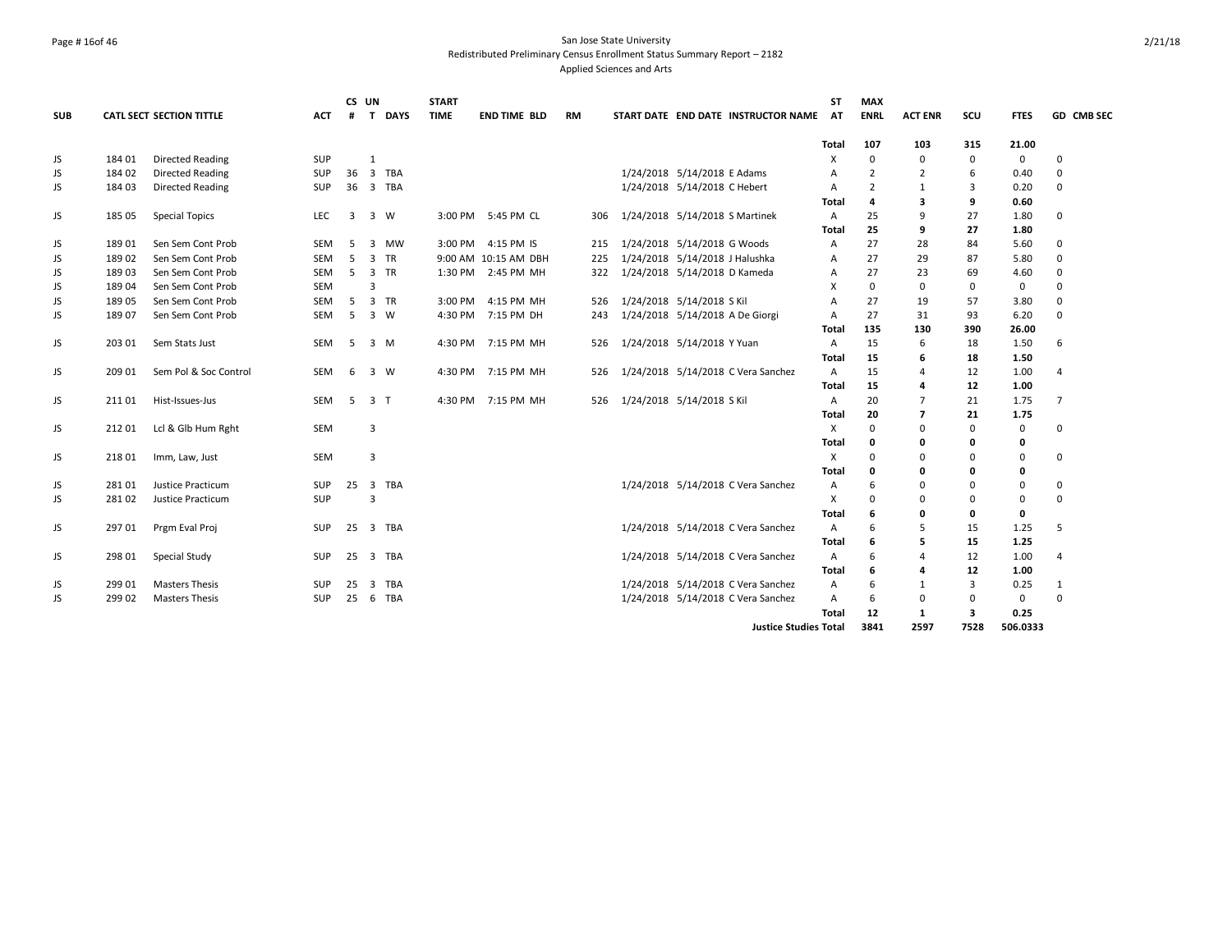## Page # 16of 46 San Jose State University Redistributed Preliminary Census Enrollment Status Summary Report – 2182 Applied Sciences and Arts

|            |        |                                 |            |    | CS UN          |          | <b>START</b> |                      |     |                                     | <b>ST</b>      | <b>MAX</b>     |                |          |             |                |
|------------|--------|---------------------------------|------------|----|----------------|----------|--------------|----------------------|-----|-------------------------------------|----------------|----------------|----------------|----------|-------------|----------------|
| <b>SUB</b> |        | <b>CATL SECT SECTION TITTLE</b> | <b>ACT</b> | #  |                | T DAYS   | <b>TIME</b>  | <b>END TIME BLD</b>  | RM  | START DATE END DATE INSTRUCTOR NAME | AT             | <b>ENRL</b>    | <b>ACT ENR</b> | scu      | <b>FTES</b> | GD CMB SEC     |
|            |        |                                 |            |    |                |          |              |                      |     |                                     | Total          | 107            | 103            | 315      | 21.00       |                |
| JS         | 184 01 | <b>Directed Reading</b>         | <b>SUP</b> |    | $\mathbf{1}$   |          |              |                      |     |                                     | Χ              | $\mathbf 0$    | 0              | 0        | $\mathbf 0$ | $\Omega$       |
| JS         | 184 02 | <b>Directed Reading</b>         | <b>SUP</b> | 36 |                | 3 TBA    |              |                      |     | 1/24/2018 5/14/2018 E Adams         | A              | $\overline{2}$ | $\overline{2}$ | 6        | 0.40        | $\Omega$       |
| JS         | 184 03 | <b>Directed Reading</b>         | <b>SUP</b> |    | 36 3 TBA       |          |              |                      |     | 1/24/2018 5/14/2018 C Hebert        | Α              | $\overline{2}$ | 1              | 3        | 0.20        | $\Omega$       |
|            |        |                                 |            |    |                |          |              |                      |     |                                     | Total          | 4              | 3              | 9        | 0.60        |                |
| JS         | 185 05 | <b>Special Topics</b>           | <b>LEC</b> | 3  | 3 W            |          |              | 3:00 PM 5:45 PM CL   | 306 | 1/24/2018 5/14/2018 S Martinek      | $\mathsf{A}$   | 25             | 9              | 27       | 1.80        | $\mathbf 0$    |
|            |        |                                 |            |    |                |          |              |                      |     |                                     | Total          | 25             | 9              | 27       | 1.80        |                |
| JS         | 18901  | Sen Sem Cont Prob               | SEM        | -5 | $\overline{3}$ | MW       |              | 3:00 PM 4:15 PM IS   | 215 | 1/24/2018 5/14/2018 G Woods         | $\mathsf{A}$   | 27             | 28             | 84       | 5.60        | $\mathbf 0$    |
| JS         | 18902  | Sen Sem Cont Prob               | <b>SEM</b> | 5  |                | 3 TR     |              | 9:00 AM 10:15 AM DBH | 225 | 1/24/2018 5/14/2018 J Halushka      | A              | 27             | 29             | 87       | 5.80        | $\mathbf 0$    |
| JS         | 18903  | Sen Sem Cont Prob               | SEM        | 5  | 3 TR           |          |              | 1:30 PM 2:45 PM MH   | 322 | 1/24/2018 5/14/2018 D Kameda        | A              | 27             | 23             | 69       | 4.60        | $\Omega$       |
| JS         | 189 04 | Sen Sem Cont Prob               | <b>SEM</b> |    | 3              |          |              |                      |     |                                     | X              | 0              | 0              | 0        | 0           | $\Omega$       |
| JS         | 189 05 | Sen Sem Cont Prob               | SEM        | 5  |                | 3 TR     | 3:00 PM      | 4:15 PM MH           | 526 | 1/24/2018 5/14/2018 S Kil           | A              | 27             | 19             | 57       | 3.80        | $\Omega$       |
| JS         | 18907  | Sen Sem Cont Prob               | <b>SEM</b> | 5  | 3 W            |          |              | 4:30 PM 7:15 PM DH   | 243 | 1/24/2018 5/14/2018 A De Giorgi     | A              | 27             | 31             | 93       | 6.20        | $\Omega$       |
|            |        |                                 |            |    |                |          |              |                      |     |                                     | Total          | 135            | 130            | 390      | 26.00       |                |
| JS         | 203 01 | Sem Stats Just                  | <b>SEM</b> | 5  | 3 M            |          |              | 4:30 PM 7:15 PM MH   | 526 | 1/24/2018 5/14/2018 Y Yuan          | $\overline{A}$ | 15             | 6              | 18       | 1.50        | 6              |
|            |        |                                 |            |    |                |          |              |                      |     |                                     | Total          | 15             | 6              | 18       | 1.50        |                |
| JS         | 209 01 | Sem Pol & Soc Control           | <b>SEM</b> | 6  | 3 W            |          |              | 4:30 PM 7:15 PM MH   | 526 | 1/24/2018 5/14/2018 C Vera Sanchez  | $\mathsf{A}$   | 15             | 4              | 12       | 1.00        | 4              |
|            |        |                                 |            |    |                |          |              |                      |     |                                     | Total          | 15             |                | 12       | 1.00        |                |
| JS         | 211 01 | Hist-Issues-Jus                 | SEM        | 5  | 3 <sub>1</sub> |          |              | 4:30 PM 7:15 PM MH   | 526 | 1/24/2018 5/14/2018 S Kil           | Α              | 20             |                | 21       | 1.75        | $\overline{7}$ |
|            |        |                                 |            |    |                |          |              |                      |     |                                     | <b>Total</b>   | 20             | 7              | 21       | 1.75        |                |
| JS         | 212 01 | Lcl & Glb Hum Rght              | SEM        |    | 3              |          |              |                      |     |                                     | Χ              | $\mathbf 0$    | $\Omega$       | 0        | 0           | $\mathbf 0$    |
|            |        |                                 |            |    |                |          |              |                      |     |                                     | Total          | 0              | 0              | 0        | 0           |                |
| JS         | 21801  | Imm, Law, Just                  | <b>SEM</b> |    | 3              |          |              |                      |     |                                     | X              | $\Omega$       | $\Omega$       | 0        | 0           | $\mathbf 0$    |
|            |        |                                 |            |    |                |          |              |                      |     |                                     | Total          | 0              | 0              | 0        | 0           |                |
| JS         | 28101  | Justice Practicum               | <b>SUP</b> |    |                | 25 3 TBA |              |                      |     | 1/24/2018 5/14/2018 C Vera Sanchez  | A              | 6              | 0              | 0        | 0           | $\mathbf 0$    |
| JS         | 28102  | Justice Practicum               | <b>SUP</b> |    | 3              |          |              |                      |     |                                     | $\times$       | $\Omega$       | ŋ              | $\Omega$ | 0           | $\Omega$       |
|            |        |                                 |            |    |                |          |              |                      |     |                                     | Total          | 6              | 0              | 0        | 0           |                |
| JS         | 297 01 | Prgm Eval Proj                  | <b>SUP</b> | 25 |                | 3 TBA    |              |                      |     | 1/24/2018 5/14/2018 C Vera Sanchez  | $\overline{A}$ | 6              | 5              | 15       | 1.25        | 5              |
|            |        |                                 |            |    |                |          |              |                      |     |                                     | Total          | 6              | 5              | 15       | 1.25        |                |
| JS         | 298 01 | Special Study                   | <b>SUP</b> |    | 25 3 TBA       |          |              |                      |     | 1/24/2018 5/14/2018 C Vera Sanchez  | $\overline{A}$ | 6              | 4              | 12       | 1.00        | $\overline{4}$ |
|            |        |                                 |            |    |                |          |              |                      |     |                                     | <b>Total</b>   | 6              |                | 12       | 1.00        |                |
| JS         | 299 01 | <b>Masters Thesis</b>           | <b>SUP</b> | 25 |                | 3 TBA    |              |                      |     | 1/24/2018 5/14/2018 C Vera Sanchez  | A              | 6              | 1              | 3        | 0.25        | 1              |
| JS         | 299 02 | <b>Masters Thesis</b>           | <b>SUP</b> |    | 25 6 TBA       |          |              |                      |     | 1/24/2018 5/14/2018 C Vera Sanchez  | $\overline{A}$ | 6              | $\Omega$       | 0        | 0           | $\Omega$       |
|            |        |                                 |            |    |                |          |              |                      |     |                                     | Total          | 12             | $\mathbf{1}$   | 3        | 0.25        |                |
|            |        |                                 |            |    |                |          |              |                      |     | <b>Justice Studies Total</b>        |                | 3841           | 2597           | 7528     | 506.0333    |                |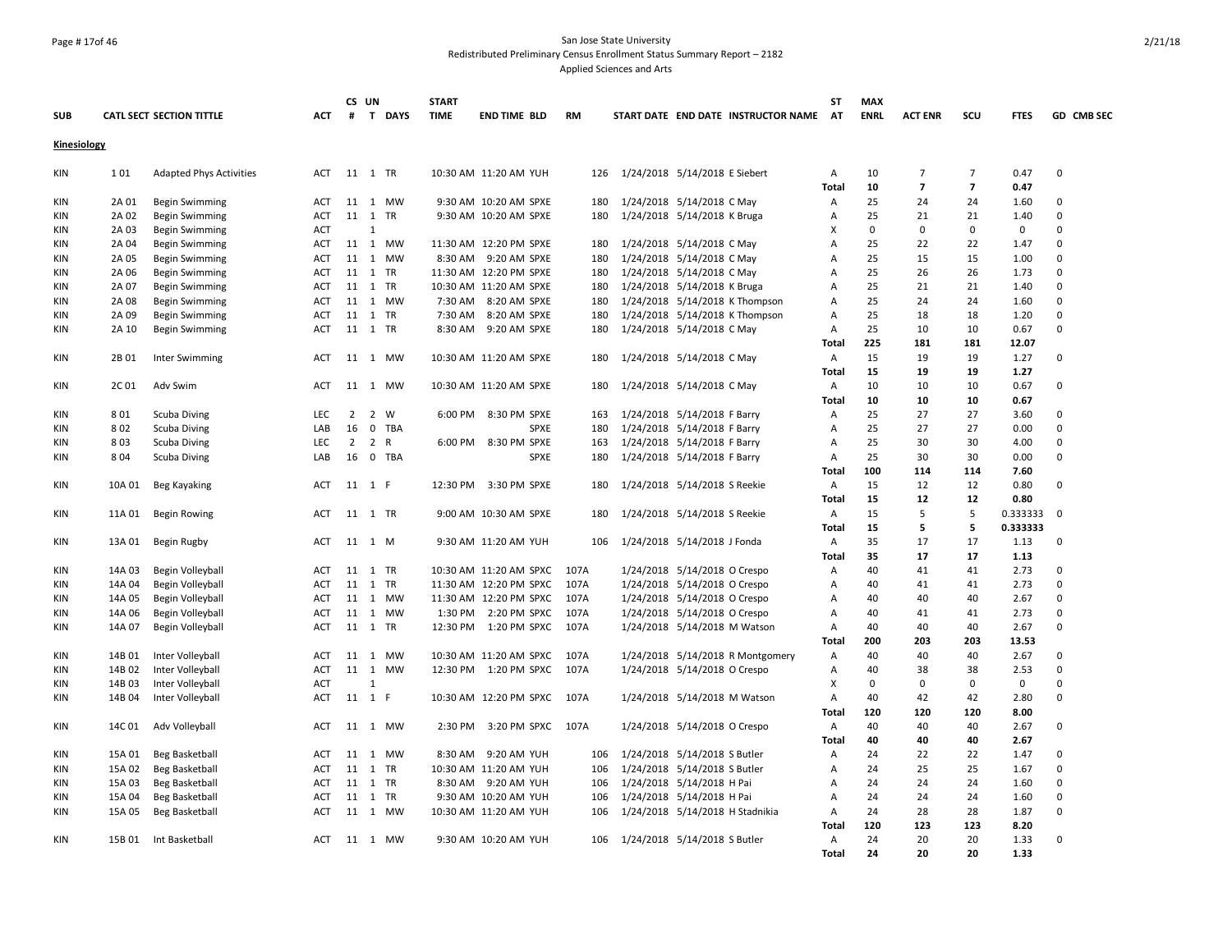## Page # 17of 46 San Jose State University Redistributed Preliminary Census Enrollment Status Summary Report – 2182 Applied Sciences and Arts

|                    |                |                                         |                   |                | CS UN        |         | <b>START</b> |                                                |            |                                                          | <b>ST</b>           | <b>MAX</b>  |                      |                      |              |             |
|--------------------|----------------|-----------------------------------------|-------------------|----------------|--------------|---------|--------------|------------------------------------------------|------------|----------------------------------------------------------|---------------------|-------------|----------------------|----------------------|--------------|-------------|
| SUB                |                | <b>CATL SECT SECTION TITTLE</b>         | ACT               | #              |              | T DAYS  | <b>TIME</b>  | <b>END TIME BLD</b>                            | RM         | START DATE END DATE INSTRUCTOR NAME                      | <b>AT</b>           | <b>ENRL</b> | <b>ACT ENR</b>       | scu                  | <b>FTES</b>  | GD CMB SEC  |
| <b>Kinesiology</b> |                |                                         |                   |                |              |         |              |                                                |            |                                                          |                     |             |                      |                      |              |             |
| KIN                | 101            | <b>Adapted Phys Activities</b>          | ACT               |                | 11 1 TR      |         |              | 10:30 AM 11:20 AM YUH                          | 126        | 1/24/2018 5/14/2018 E Siebert                            | Α                   | 10          | $\overline{7}$       | $\overline{7}$       | 0.47         | 0           |
|                    |                |                                         |                   |                |              | 11 1 MW |              |                                                |            |                                                          | <b>Total</b>        | 10<br>25    | $\overline{7}$<br>24 | $\overline{7}$<br>24 | 0.47         | $\Omega$    |
| KIN<br><b>KIN</b>  | 2A 01<br>2A 02 | Begin Swimming<br><b>Begin Swimming</b> | ACT<br><b>ACT</b> |                | 11 1 TR      |         |              | 9:30 AM 10:20 AM SPXE<br>9:30 AM 10:20 AM SPXE | 180<br>180 | 1/24/2018 5/14/2018 C May<br>1/24/2018 5/14/2018 K Bruga | Α<br>$\overline{A}$ | 25          | 21                   | 21                   | 1.60<br>1.40 | $\Omega$    |
| KIN                | 2A 03          | <b>Begin Swimming</b>                   | <b>ACT</b>        |                | $\mathbf{1}$ |         |              |                                                |            |                                                          | X                   | $\mathbf 0$ | $\mathbf 0$          | $\mathbf 0$          | 0            | $\Omega$    |
| KIN                | 2A 04          | <b>Begin Swimming</b>                   | ACT               |                |              | 11 1 MW |              | 11:30 AM 12:20 PM SPXE                         | 180        | 1/24/2018 5/14/2018 C May                                | A                   | 25          | 22                   | 22                   | 1.47         | $\Omega$    |
| KIN                | 2A 05          | Begin Swimming                          | ACT               |                |              | 11 1 MW |              | 8:30 AM 9:20 AM SPXE                           | 180        | 1/24/2018 5/14/2018 C May                                | A                   | 25          | 15                   | 15                   | 1.00         | $\Omega$    |
| KIN                | 2A 06          |                                         | ACT               |                | 11 1 TR      |         |              | 11:30 AM 12:20 PM SPXE                         | 180        | 1/24/2018 5/14/2018 C May                                | Α                   | 25          | 26                   | 26                   | 1.73         | $\Omega$    |
| <b>KIN</b>         | 2A 07          | Begin Swimming<br>Begin Swimming        | ACT               |                | 11 1 TR      |         |              | 10:30 AM 11:20 AM SPXE                         | 180        | 1/24/2018 5/14/2018 K Bruga                              | Α                   | 25          | 21                   | 21                   | 1.40         | $\Omega$    |
| <b>KIN</b>         | 2A 08          | <b>Begin Swimming</b>                   | <b>ACT</b>        |                |              | 11 1 MW |              | 7:30 AM 8:20 AM SPXE                           | 180        | 1/24/2018 5/14/2018 K Thompson                           | $\overline{A}$      | 25          | 24                   | 24                   | 1.60         | $\Omega$    |
| KIN                | 2A 09          | <b>Begin Swimming</b>                   | <b>ACT</b>        |                | 11 1 TR      |         |              | 7:30 AM 8:20 AM SPXE                           | 180        | 1/24/2018 5/14/2018 K Thompson                           | A                   | 25          | 18                   | 18                   | 1.20         | $\mathbf 0$ |
| KIN                | 2A 10          | Begin Swimming                          | ACT               |                | 11 1 TR      |         |              | 8:30 AM 9:20 AM SPXE                           | 180        | 1/24/2018 5/14/2018 C May                                | Α                   | 25          | 10                   | 10                   | 0.67         | $\Omega$    |
|                    |                |                                         |                   |                |              |         |              |                                                |            |                                                          | Total               | 225         | 181                  | 181                  | 12.07        |             |
| KIN                | 2B 01          | Inter Swimming                          | ACT               |                |              | 11 1 MW |              | 10:30 AM 11:20 AM SPXE                         | 180        | 1/24/2018 5/14/2018 C May                                | Α                   | 15          | 19                   | 19                   | 1.27         | $\Omega$    |
|                    |                |                                         |                   |                |              |         |              |                                                |            |                                                          | <b>Total</b>        | 15          | 19                   | 19                   | 1.27         |             |
| KIN                | 2C 01          | Adv Swim                                | ACT               |                |              | 11 1 MW |              | 10:30 AM 11:20 AM SPXE                         | 180        | 1/24/2018 5/14/2018 C May                                | Α                   | 10          | 10                   | 10                   | 0.67         | $\Omega$    |
|                    |                |                                         |                   |                |              |         |              |                                                |            |                                                          | <b>Total</b>        | 10          | 10                   | 10                   | 0.67         |             |
| KIN                | 801            | Scuba Diving                            | <b>LEC</b>        | $\overline{2}$ |              | 2 W     |              | 6:00 PM 8:30 PM SPXE                           | 163        | 1/24/2018 5/14/2018 F Barry                              | Α                   | 25          | 27                   | 27                   | 3.60         | 0           |
| <b>KIN</b>         | 802            | Scuba Diving                            | LAB               | 16             |              | 0 TBA   |              | <b>SPXE</b>                                    | 180        | 1/24/2018 5/14/2018 F Barry                              | Α                   | 25          | 27                   | 27                   | 0.00         | 0           |
| <b>KIN</b>         | 803            | Scuba Diving                            | LEC               | $\overline{2}$ | 2 R          |         | 6:00 PM      | 8:30 PM SPXE                                   | 163        | 1/24/2018 5/14/2018 F Barry                              | A                   | 25          | 30                   | 30                   | 4.00         | $\Omega$    |
| KIN                | 804            |                                         | LAB               | 16             |              | 0 TBA   |              | SPXE                                           | 180        |                                                          | A                   | 25          | 30                   | 30                   | 0.00         | $\Omega$    |
|                    |                | Scuba Diving                            |                   |                |              |         |              |                                                |            | 1/24/2018 5/14/2018 F Barry                              | Total               | 100         | 114                  | 114                  | 7.60         |             |
| KIN                | 10A 01         | Beg Kayaking                            | ACT               |                | 11 1 F       |         |              | 12:30 PM 3:30 PM SPXE                          | 180        | 1/24/2018 5/14/2018 S Reekie                             | Α                   | 15          | 12                   | 12                   | 0.80         | $\Omega$    |
|                    |                |                                         |                   |                |              |         |              |                                                |            |                                                          | Total               | 15          | 12                   | 12                   | 0.80         |             |
| KIN                | 11A 01         | <b>Begin Rowing</b>                     | <b>ACT</b>        |                | 11 1 TR      |         |              | 9:00 AM 10:30 AM SPXE                          | 180        | 1/24/2018 5/14/2018 S Reekie                             | $\overline{A}$      | 15          | 5                    | 5                    | 0.333333     | $\Omega$    |
|                    |                |                                         |                   |                |              |         |              |                                                |            |                                                          | Total               | 15          | 5                    | 5                    | 0.333333     |             |
| KIN                | 13A 01         | Begin Rugby                             | ACT               |                | 11 1 M       |         |              | 9:30 AM 11:20 AM YUH                           | 106        | 1/24/2018 5/14/2018 J Fonda                              | Α                   | 35          | 17                   | 17                   | 1.13         | 0           |
|                    |                |                                         |                   |                |              |         |              |                                                |            |                                                          | Total               | 35          | 17                   | 17                   | 1.13         |             |
| KIN                | 14A 03         | Begin Volleyball                        | <b>ACT</b>        |                | 11 1 TR      |         |              | 10:30 AM 11:20 AM SPXC                         | 107A       | 1/24/2018 5/14/2018 O Crespo                             | Α                   | 40          | 41                   | 41                   | 2.73         | $\Omega$    |
| <b>KIN</b>         | 14A 04         | Begin Volleyball                        | <b>ACT</b>        |                | 11 1 TR      |         |              | 11:30 AM 12:20 PM SPXC                         | 107A       | 1/24/2018 5/14/2018 O Crespo                             | $\overline{A}$      | 40          | 41                   | 41                   | 2.73         | $\Omega$    |
| KIN                | 14A 05         | Begin Volleyball                        | <b>ACT</b>        |                |              | 11 1 MW |              | 11:30 AM 12:20 PM SPXC                         | 107A       | 1/24/2018 5/14/2018 O Crespo                             | A                   | 40          | 40                   | 40                   | 2.67         | $\Omega$    |
| KIN                | 14A 06         | Begin Volleyball                        | ACT               |                |              | 11 1 MW |              | 1:30 PM 2:20 PM SPXC                           | 107A       | 1/24/2018 5/14/2018 O Crespo                             | A                   | 40          | 41                   | 41                   | 2.73         | $\mathbf 0$ |
| KIN                | 14A 07         | Begin Volleyball                        | ACT               |                | 11 1 TR      |         |              | 12:30 PM 1:20 PM SPXC                          | 107A       | 1/24/2018 5/14/2018 M Watson                             | Α                   | 40          | 40                   | 40                   | 2.67         | $\Omega$    |
|                    |                |                                         |                   |                |              |         |              |                                                |            |                                                          | <b>Total</b>        | 200         | 203                  | 203                  | 13.53        |             |
| KIN                | 14B 01         | Inter Volleyball                        | ACT               |                |              | 11 1 MW |              | 10:30 AM 11:20 AM SPXC                         | 107A       | 1/24/2018 5/14/2018 R Montgomery                         | Α                   | 40          | 40                   | 40                   | 2.67         | $\Omega$    |
| <b>KIN</b>         | 14B 02         | Inter Volleyball                        | <b>ACT</b>        |                |              | 11 1 MW |              | 12:30 PM 1:20 PM SPXC                          | 107A       | 1/24/2018 5/14/2018 O Crespo                             | A                   | 40          | 38                   | 38                   | 2.53         | $\Omega$    |
| KIN                | 14B03          | Inter Volleyball                        | <b>ACT</b>        |                | $\mathbf{1}$ |         |              |                                                |            |                                                          | X                   | $\mathbf 0$ | 0                    | $\mathbf 0$          | $\mathbf 0$  | $\mathbf 0$ |
| KIN                | 14B 04         | Inter Volleyball                        | ACT               |                | 11 1 F       |         |              | 10:30 AM 12:20 PM SPXC                         | 107A       | 1/24/2018 5/14/2018 M Watson                             | Α                   | 40          | 42                   | 42                   | 2.80         | $\Omega$    |
|                    |                |                                         |                   |                |              |         |              |                                                |            |                                                          | Total               | 120         | 120                  | 120                  | 8.00         |             |
| KIN                | 14C 01         | Adv Volleyball                          | ACT               |                |              | 11 1 MW |              | 2:30 PM 3:20 PM SPXC 107A                      |            | 1/24/2018 5/14/2018 O Crespo                             | Α                   | 40          | 40                   | 40                   | 2.67         | 0           |
|                    |                |                                         |                   |                |              |         |              |                                                |            |                                                          | <b>Total</b>        | 40          | 40                   | 40                   | 2.67         |             |
| KIN                | 15A 01         | Beg Basketball                          | ACT               |                |              | 11 1 MW |              | 8:30 AM 9:20 AM YUH                            | 106        | 1/24/2018 5/14/2018 S Butler                             | Α                   | 24          | 22                   | 22                   | 1.47         | 0           |
| KIN                | 15A 02         | Beg Basketball                          | ACT               |                | 11 1 TR      |         |              | 10:30 AM 11:20 AM YUH                          | 106        | 1/24/2018 5/14/2018 S Butler                             | Α                   | 24          | 25                   | 25                   | 1.67         | $\mathbf 0$ |
| KIN                | 15A 03         | Beg Basketball                          | ACT               |                | 11 1 TR      |         |              | 8:30 AM 9:20 AM YUH                            | 106        | 1/24/2018 5/14/2018 H Pai                                | Α                   | 24          | 24                   | 24                   | 1.60         | 0           |
| <b>KIN</b>         | 15A 04         | <b>Beg Basketball</b>                   | ACT               |                | 11 1 TR      |         |              | 9:30 AM 10:20 AM YUH                           | 106        | 1/24/2018 5/14/2018 H Pai                                | Α                   | 24          | 24                   | 24                   | 1.60         | $\Omega$    |
| KIN                | 15A 05         | <b>Beg Basketball</b>                   | ACT               |                |              | 11 1 MW |              | 10:30 AM 11:20 AM YUH                          | 106        | 1/24/2018 5/14/2018 H Stadnikia                          | $\overline{A}$      | 24          | 28                   | 28                   | 1.87         | $\Omega$    |
|                    |                |                                         |                   |                |              |         |              |                                                |            |                                                          | Total               | 120         | 123                  | 123                  | 8.20         |             |
| KIN                |                | 15B 01 Int Basketball                   | ACT               |                |              | 11 1 MW |              | 9:30 AM 10:20 AM YUH                           | 106        | 1/24/2018 5/14/2018 S Butler                             | Α                   | 24          | 20                   | 20                   | 1.33         | $\mathbf 0$ |
|                    |                |                                         |                   |                |              |         |              |                                                |            |                                                          | <b>Total</b>        | 24          | 20                   | 20                   | 1.33         |             |
|                    |                |                                         |                   |                |              |         |              |                                                |            |                                                          |                     |             |                      |                      |              |             |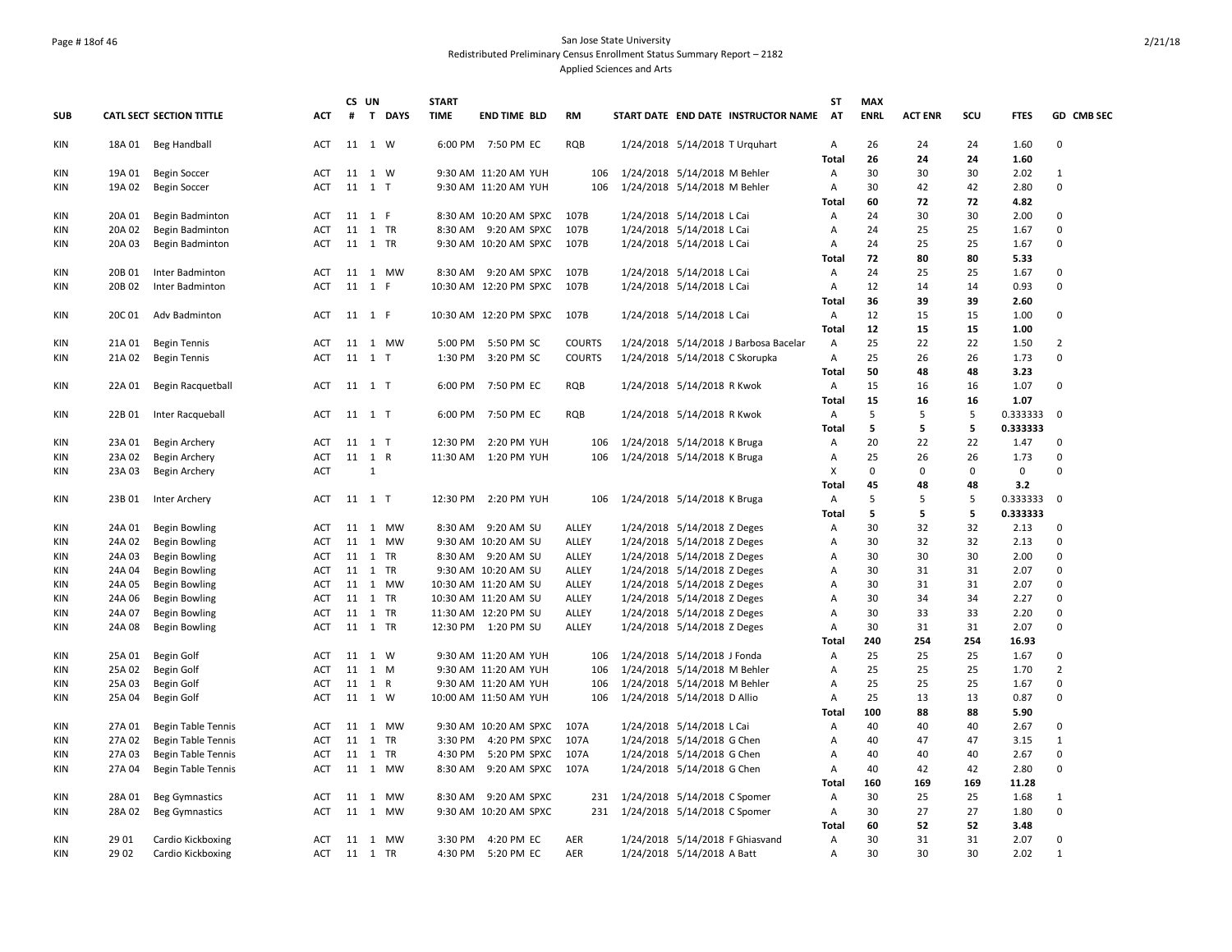## Page # 18of 46 San Jose State University Redistributed Preliminary Census Enrollment Status Summary Report – 2182 Applied Sciences and Arts

|            |                  |                                 |                          |         | CS UN   |         | <b>START</b> |                                              |               |                                                             | ST                  | <b>MAX</b>  |                |             |              |                            |
|------------|------------------|---------------------------------|--------------------------|---------|---------|---------|--------------|----------------------------------------------|---------------|-------------------------------------------------------------|---------------------|-------------|----------------|-------------|--------------|----------------------------|
| <b>SUB</b> |                  | <b>CATL SECT SECTION TITTLE</b> | <b>ACT</b>               | #       |         | T DAYS  | <b>TIME</b>  | <b>END TIME BLD</b>                          | <b>RM</b>     | START DATE END DATE INSTRUCTOR NAME                         | <b>AT</b>           | <b>ENRL</b> | <b>ACT ENR</b> | SCU         | <b>FTES</b>  | GD CMB SEC                 |
| KIN        | 18A 01           | Beg Handball                    | ACT                      |         | 11 1 W  |         |              | 6:00 PM 7:50 PM EC                           | RQB           | 1/24/2018 5/14/2018 T Urquhart                              | Α                   | 26          | 24             | 24          | 1.60         | $\mathbf 0$                |
|            |                  |                                 |                          |         |         |         |              |                                              |               |                                                             | <b>Total</b>        | 26          | 24             | 24          | 1.60         |                            |
| <b>KIN</b> | 19A 01           | <b>Begin Soccer</b>             | <b>ACT</b>               |         | 11 1 W  |         |              | 9:30 AM 11:20 AM YUH                         | 106           | 1/24/2018 5/14/2018 M Behler                                | Α                   | 30          | 30             | 30          | 2.02         | $\mathbf{1}$               |
| KIN        | 19A 02           | <b>Begin Soccer</b>             | ACT                      |         | 11 1 T  |         |              | 9:30 AM 11:20 AM YUH                         | 106           | 1/24/2018 5/14/2018 M Behler                                | Α                   | 30          | 42             | 42          | 2.80         | 0                          |
|            |                  |                                 |                          |         |         |         |              |                                              |               |                                                             | Total               | 60          | 72             | 72          | 4.82         |                            |
| <b>KIN</b> | 20A 01           | Begin Badminton                 | ACT                      |         | 11 1 F  |         |              | 8:30 AM 10:20 AM SPXC                        | 107B          | 1/24/2018 5/14/2018 L Cai                                   | Α                   | 24          | 30             | 30          | 2.00         | 0                          |
| KIN        | 20A 02           | Begin Badminton                 | <b>ACT</b>               | 11 1 TR | 11 1 TR |         |              | 8:30 AM 9:20 AM SPXC                         | 107B          | 1/24/2018 5/14/2018 L Cai                                   | $\overline{A}$      | 24<br>24    | 25<br>25       | 25<br>25    | 1.67         | $\mathbf 0$<br>$\mathbf 0$ |
| KIN        | 20A 03           | Begin Badminton                 | <b>ACT</b>               |         |         |         |              | 9:30 AM 10:20 AM SPXC                        | 107B          | 1/24/2018 5/14/2018 L Cai                                   | Α<br><b>Total</b>   | 72          | 80             | 80          | 1.67<br>5.33 |                            |
| KIN        | 20B 01           | Inter Badminton                 | ACT                      |         |         | 11 1 MW |              | 8:30 AM 9:20 AM SPXC 107B                    |               | 1/24/2018 5/14/2018 L Cai                                   | Α                   | 24          | 25             | 25          | 1.67         | 0                          |
| KIN        | 20B 02           | Inter Badminton                 | ACT                      |         | 11 1 F  |         |              | 10:30 AM 12:20 PM SPXC                       | 107B          | 1/24/2018 5/14/2018 L Cai                                   | Α                   | 12          | 14             | 14          | 0.93         | 0                          |
|            |                  |                                 |                          |         |         |         |              |                                              |               |                                                             | Total               | 36          | 39             | 39          | 2.60         |                            |
| KIN        | 20C 01           | Adv Badminton                   | ACT                      | 11 1 F  |         |         |              | 10:30 AM 12:20 PM SPXC 107B                  |               | 1/24/2018 5/14/2018 L Cai                                   | $\overline{A}$      | 12          | 15             | 15          | 1.00         | $\mathbf 0$                |
|            |                  |                                 |                          |         |         |         |              |                                              |               |                                                             | <b>Total</b>        | 12          | 15             | 15          | 1.00         |                            |
| KIN        | 21A 01           | <b>Begin Tennis</b>             | ACT                      |         |         | 11 1 MW |              | 5:00 PM 5:50 PM SC                           | <b>COURTS</b> | 1/24/2018 5/14/2018 J Barbosa Bacelar                       | Α                   | 25          | 22             | 22          | 1.50         | $\overline{2}$             |
| KIN        | 21A 02           | <b>Begin Tennis</b>             | ACT                      |         | 11 1 T  |         | 1:30 PM      | 3:20 PM SC                                   | <b>COURTS</b> | 1/24/2018 5/14/2018 C Skorupka                              | Α                   | 25          | 26             | 26          | 1.73         | 0                          |
|            |                  |                                 |                          |         |         |         |              |                                              |               |                                                             | <b>Total</b>        | 50          | 48             | 48          | 3.23         |                            |
| KIN        | 22A 01           | Begin Racquetball               | <b>ACT</b>               | 11 1 T  |         |         | 6:00 PM      | 7:50 PM EC                                   | RQB           | 1/24/2018 5/14/2018 R Kwok                                  | Α                   | 15          | 16             | 16          | 1.07         | $\mathbf 0$                |
|            |                  |                                 |                          |         |         |         |              |                                              |               |                                                             | <b>Total</b>        | 15          | 16             | 16          | 1.07         |                            |
| KIN        | 22B01            | Inter Racqueball                | <b>ACT</b>               |         | 11 1 T  |         | 6:00 PM      | 7:50 PM EC                                   | RQB           | 1/24/2018 5/14/2018 R Kwok                                  | Α                   | 5           | 5              | 5           | 0.333333     | 0                          |
|            |                  |                                 |                          |         |         |         |              |                                              |               |                                                             | <b>Total</b>        | 5           | 5              | 5           | 0.333333     |                            |
| KIN        | 23A 01           | Begin Archery                   | ACT                      |         | 11 1 T  |         | 12:30 PM     | 2:20 PM YUH                                  | 106           | 1/24/2018 5/14/2018 K Bruga                                 | A                   | 20          | 22             | 22          | 1.47         | 0                          |
| KIN        | 23A 02           | Begin Archery                   | ACT                      |         | 11 1 R  |         |              | 11:30 AM  1:20 PM YUH                        | 106           | 1/24/2018 5/14/2018 K Bruga                                 | Α                   | 25          | 26             | 26          | 1.73         | 0                          |
| KIN        | 23A 03           | Begin Archery                   | <b>ACT</b>               |         | 1       |         |              |                                              |               |                                                             | X                   | $\mathbf 0$ | $\Omega$       | $\mathbf 0$ | $\mathbf 0$  | $\Omega$                   |
|            |                  |                                 |                          |         |         |         |              |                                              |               |                                                             | Total               | 45          | 48             | 48          | 3.2          |                            |
| KIN        | 23B 01           | Inter Archery                   | ACT                      | 11 1 T  |         |         |              | 12:30 PM 2:20 PM YUH                         |               | 106 1/24/2018 5/14/2018 K Bruga                             | Α                   | 5           | 5              | 5           | 0.333333     | $\mathbf 0$                |
|            |                  |                                 |                          |         |         |         |              |                                              |               |                                                             | <b>Total</b>        | 5           | 5              | 5           | 0.333333     |                            |
| <b>KIN</b> | 24A 01           | <b>Begin Bowling</b>            | <b>ACT</b>               |         |         | 11 1 MW |              | 8:30 AM 9:20 AM SU                           | ALLEY         | 1/24/2018 5/14/2018 Z Deges                                 | Α                   | 30          | 32             | 32          | 2.13         | 0                          |
| <b>KIN</b> | 24A 02           | <b>Begin Bowling</b>            | <b>ACT</b>               |         |         | 11 1 MW |              | 9:30 AM 10:20 AM SU                          | ALLEY         | 1/24/2018 5/14/2018 Z Deges                                 | A                   | 30          | 32             | 32          | 2.13         | $\mathbf 0$                |
| KIN        | 24A 03           | <b>Begin Bowling</b>            | <b>ACT</b>               |         |         | 11 1 TR |              | 8:30 AM 9:20 AM SU                           | ALLEY         | 1/24/2018 5/14/2018 Z Deges                                 | Α                   | 30          | 30             | 30          | 2.00         | 0                          |
| KIN        | 24A 04           | <b>Begin Bowling</b>            | ACT                      |         |         | 11 1 TR |              | 9:30 AM 10:20 AM SU                          | ALLEY         | 1/24/2018 5/14/2018 Z Deges                                 | A                   | 30          | 31             | 31          | 2.07         | 0                          |
| KIN        | 24A 05           | <b>Begin Bowling</b>            | ACT                      |         |         | 11 1 MW |              | 10:30 AM 11:20 AM SU                         | ALLEY         | 1/24/2018 5/14/2018 Z Deges                                 | Α                   | 30          | 31             | 31          | 2.07         | 0                          |
| KIN        | 24A 06           | <b>Begin Bowling</b>            | <b>ACT</b>               |         |         | 11 1 TR |              | 10:30 AM 11:20 AM SU                         | ALLEY         | 1/24/2018 5/14/2018 Z Deges                                 | A                   | 30          | 34             | 34          | 2.27         | $\mathbf 0$                |
| KIN        | 24A 07           | <b>Begin Bowling</b>            | <b>ACT</b>               |         |         | 11 1 TR |              | 11:30 AM 12:20 PM SU                         | ALLEY         | 1/24/2018 5/14/2018 Z Deges                                 | $\overline{A}$      | 30          | 33             | 33          | 2.20         | $\mathbf 0$                |
| KIN        | 24A 08           | <b>Begin Bowling</b>            | <b>ACT</b>               |         |         | 11 1 TR |              | 12:30 PM 1:20 PM SU                          | ALLEY         | 1/24/2018 5/14/2018 Z Deges                                 | Α                   | 30          | 31             | 31          | 2.07         | 0                          |
|            |                  |                                 |                          |         |         |         |              |                                              |               |                                                             | <b>Total</b>        | 240         | 254            | 254         | 16.93        |                            |
| <b>KIN</b> | 25A 01           | Begin Golf                      | <b>ACT</b><br><b>ACT</b> | 11 1 M  | 11 1 W  |         |              | 9:30 AM 11:20 AM YUH                         | 106<br>106    | 1/24/2018 5/14/2018 J Fonda                                 | A<br>$\overline{A}$ | 25<br>25    | 25<br>25       | 25<br>25    | 1.67<br>1.70 | 0<br>$\overline{2}$        |
| KIN<br>KIN | 25A 02<br>25A 03 | Begin Golf                      | <b>ACT</b>               | 11 1 R  |         |         |              | 9:30 AM 11:20 AM YUH<br>9:30 AM 11:20 AM YUH | 106           | 1/24/2018 5/14/2018 M Behler                                | $\overline{A}$      | 25          | 25             | 25          | 1.67         | $\Omega$                   |
| KIN        |                  | <b>Begin Golf</b>               | <b>ACT</b>               | 11 1 W  |         |         |              |                                              | 106           | 1/24/2018 5/14/2018 M Behler<br>1/24/2018 5/14/2018 D Allio | Α                   | 25          | 13             | 13          | 0.87         | 0                          |
|            | 25A 04           | Begin Golf                      |                          |         |         |         |              | 10:00 AM 11:50 AM YUH                        |               |                                                             | <b>Total</b>        | 100         | 88             | 88          | 5.90         |                            |
| KIN        | 27A 01           | <b>Begin Table Tennis</b>       | ACT                      |         |         | 11 1 MW |              | 9:30 AM 10:20 AM SPXC                        | 107A          | 1/24/2018 5/14/2018 L Cai                                   | Α                   | 40          | 40             | 40          | 2.67         | 0                          |
| KIN        | 27A 02           | <b>Begin Table Tennis</b>       | <b>ACT</b>               |         |         | 11 1 TR | 3:30 PM      | 4:20 PM SPXC                                 | 107A          | 1/24/2018 5/14/2018 G Chen                                  | A                   | 40          | 47             | 47          | 3.15         | $\mathbf{1}$               |
| KIN        | 27A 03           | <b>Begin Table Tennis</b>       | <b>ACT</b>               |         |         | 11 1 TR | 4:30 PM      | 5:20 PM SPXC                                 | 107A          | 1/24/2018 5/14/2018 G Chen                                  | A                   | 40          | 40             | 40          | 2.67         | $\mathbf 0$                |
| KIN        | 27A 04           | <b>Begin Table Tennis</b>       | <b>ACT</b>               |         |         | 11 1 MW | 8:30 AM      | 9:20 AM SPXC                                 | 107A          | 1/24/2018 5/14/2018 G Chen                                  | Α                   | 40          | 42             | 42          | 2.80         | 0                          |
|            |                  |                                 |                          |         |         |         |              |                                              |               |                                                             | Total               | 160         | 169            | 169         | 11.28        |                            |
| KIN        | 28A 01           | <b>Beg Gymnastics</b>           | ACT                      |         |         | 11 1 MW |              | 8:30 AM 9:20 AM SPXC                         | 231           | 1/24/2018 5/14/2018 C Spomer                                | Α                   | 30          | 25             | 25          | 1.68         | $\mathbf{1}$               |
| KIN        | 28A 02           | <b>Beg Gymnastics</b>           | ACT                      |         |         | 11 1 MW |              | 9:30 AM 10:20 AM SPXC                        | 231           | 1/24/2018 5/14/2018 C Spomer                                | Α                   | 30          | 27             | 27          | 1.80         | 0                          |
|            |                  |                                 |                          |         |         |         |              |                                              |               |                                                             | <b>Total</b>        | 60          | 52             | 52          | 3.48         |                            |
| KIN        | 29 01            | Cardio Kickboxing               | ACT                      |         |         | 11 1 MW |              | 3:30 PM 4:20 PM EC                           | AER           | 1/24/2018 5/14/2018 F Ghiasvand                             | Α                   | 30          | 31             | 31          | 2.07         | 0                          |
| KIN        | 29 02            | Cardio Kickboxing               | <b>ACT</b>               | 11 1 TR |         |         |              | 4:30 PM 5:20 PM EC                           | <b>AER</b>    | 1/24/2018 5/14/2018 A Batt                                  | $\overline{A}$      | 30          | 30             | 30          | 2.02         | $\mathbf{1}$               |
|            |                  |                                 |                          |         |         |         |              |                                              |               |                                                             |                     |             |                |             |              |                            |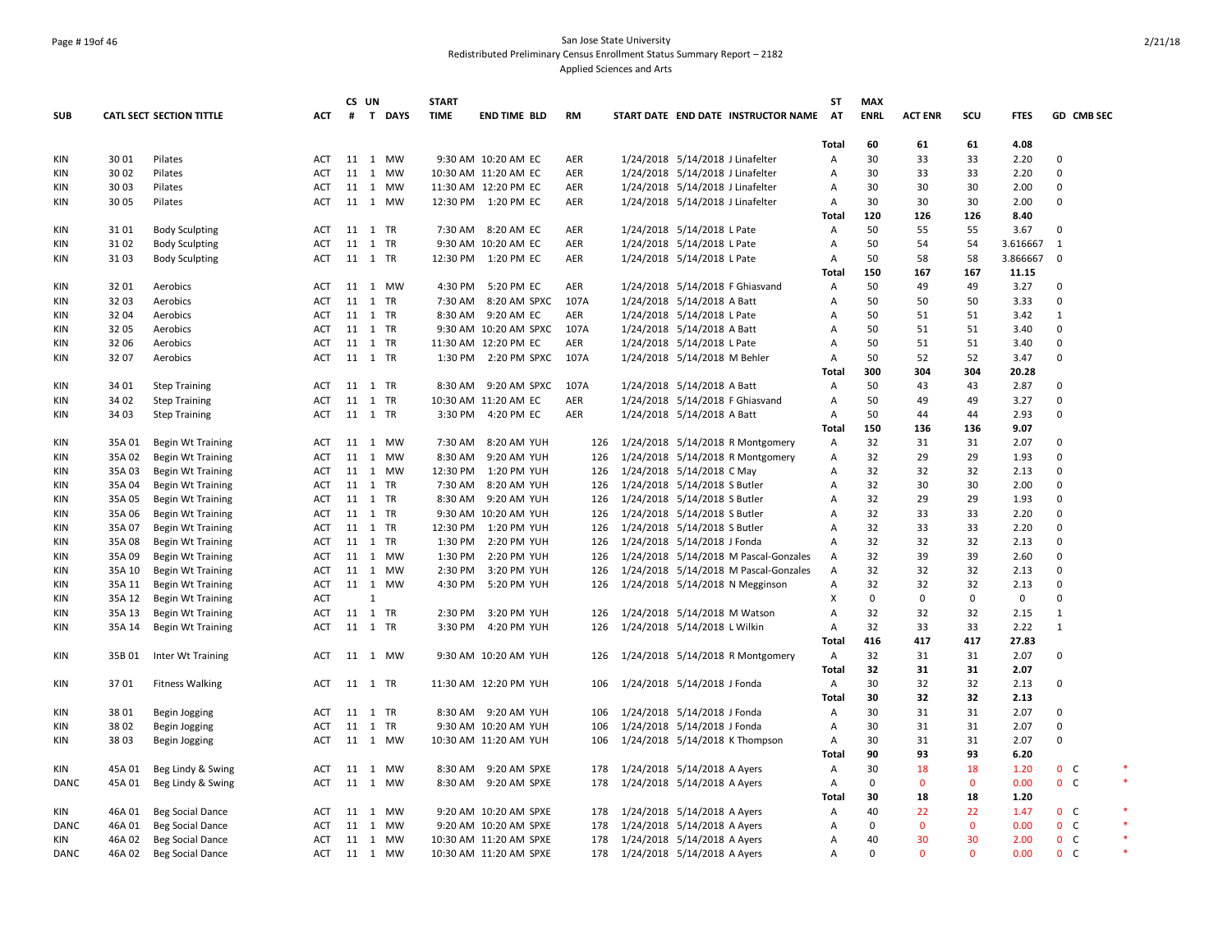## Page # 19of 46 San Jose State University Redistributed Preliminary Census Enrollment Status Summary Report – 2182 Applied Sciences and Arts

|            |        |                                 |            |         | CS UN        |          | <b>START</b> |                        |           |                                       | <b>ST</b>      | <b>MAX</b>     |                |                   |              |                |            |
|------------|--------|---------------------------------|------------|---------|--------------|----------|--------------|------------------------|-----------|---------------------------------------|----------------|----------------|----------------|-------------------|--------------|----------------|------------|
| <b>SUB</b> |        | <b>CATL SECT SECTION TITTLE</b> | <b>ACT</b> |         |              | # T DAYS | <b>TIME</b>  | <b>END TIME BLD</b>    | <b>RM</b> | START DATE END DATE INSTRUCTOR NAME   | <b>AT</b>      | <b>ENRL</b>    | <b>ACT ENR</b> | scu               | <b>FTES</b>  |                | GD CMB SEC |
|            |        |                                 |            |         |              |          |              |                        |           |                                       | Total          | 60             | 61             | 61                | 4.08         |                |            |
| KIN        | 30 01  | Pilates                         | ACT        |         |              | 11 1 MW  |              | 9:30 AM 10:20 AM EC    | AER       | 1/24/2018 5/14/2018 J Linafelter      | Α              | 30             | 33             | 33                | 2.20         | $\mathbf 0$    |            |
| <b>KIN</b> | 30 02  | Pilates                         | <b>ACT</b> |         |              | 11 1 MW  |              | 10:30 AM 11:20 AM EC   | AER       | 1/24/2018 5/14/2018 J Linafelter      | Α              | 30             | 33             | 33                | 2.20         | $\Omega$       |            |
| KIN        | 30 03  | Pilates                         | <b>ACT</b> |         |              | 11 1 MW  |              | 11:30 AM 12:20 PM EC   | AER       | 1/24/2018 5/14/2018 J Linafelter      | A              | 30             | 30             | 30                | 2.00         | $\Omega$       |            |
| KIN        | 30 05  | Pilates                         | <b>ACT</b> |         |              | 11 1 MW  |              | 12:30 PM 1:20 PM EC    | AER       | 1/24/2018 5/14/2018 J Linafelter      | Α              | 30             | 30             | 30                | 2.00         | $\Omega$       |            |
|            |        |                                 |            |         |              |          |              |                        |           |                                       | <b>Total</b>   | 120            | 126            | 126               | 8.40         |                |            |
| KIN        | 3101   | <b>Body Sculpting</b>           | <b>ACT</b> |         |              | 11 1 TR  |              | 7:30 AM 8:20 AM EC     | AER       | 1/24/2018 5/14/2018 L Pate            | Α              | 50             | 55             | 55                | 3.67         | $\Omega$       |            |
| KIN        | 3102   | <b>Body Sculpting</b>           | ACT        |         |              | 11 1 TR  |              | 9:30 AM 10:20 AM EC    | AER       | 1/24/2018 5/14/2018 L Pate            | Α              | 50             | 54             | 54                | 3.616667     | $\mathbf{1}$   |            |
| KIN        | 3103   | <b>Body Sculpting</b>           | ACT        |         |              | 11 1 TR  |              | 12:30 PM 1:20 PM EC    | AER       | 1/24/2018 5/14/2018 L Pate            | A              | 50             | 58             | 58                | 3.866667     | 0              |            |
|            |        |                                 |            |         |              |          |              |                        |           |                                       | Total          | 150            | 167            | 167               | 11.15        |                |            |
| KIN        | 32 01  | Aerobics                        | <b>ACT</b> |         |              | 11 1 MW  |              | 4:30 PM 5:20 PM EC     | AER       | 1/24/2018 5/14/2018 F Ghiasvand       | Α              | 50             | 49             | 49                | 3.27         | $\Omega$       |            |
| KIN        | 32 03  | Aerobics                        | <b>ACT</b> |         |              | 11 1 TR  |              | 7:30 AM 8:20 AM SPXC   | 107A      | 1/24/2018 5/14/2018 A Batt            | Α              | 50             | 50             | 50                | 3.33         | $\Omega$       |            |
| KIN        | 32 04  | Aerobics                        | <b>ACT</b> |         |              | 11 1 TR  |              | 8:30 AM 9:20 AM EC     | AER       | 1/24/2018 5/14/2018 L Pate            | A              | 50             | 51             | 51                | 3.42         | $\mathbf{1}$   |            |
| KIN        | 32 05  | Aerobics                        | <b>ACT</b> |         |              | 11 1 TR  |              | 9:30 AM 10:20 AM SPXC  | 107A      | 1/24/2018 5/14/2018 A Batt            | Α              | 50             | 51             | 51                | 3.40         | $\Omega$       |            |
| KIN        | 32 06  | Aerobics                        | ACT        |         |              | 11 1 TR  |              | 11:30 AM 12:20 PM EC   | AER       | 1/24/2018 5/14/2018 L Pate            | Α              | 50             | 51             | 51                | 3.40         | $\mathbf 0$    |            |
| KIN        | 3207   | Aerobics                        | ACT        |         |              | 11 1 TR  |              | 1:30 PM 2:20 PM SPXC   | 107A      | 1/24/2018 5/14/2018 M Behler          | Α              | 50             | 52             | 52                | 3.47         | $\mathbf 0$    |            |
|            |        |                                 |            |         |              |          |              |                        |           |                                       | Total          | 300            | 304            | 304               | 20.28        |                |            |
| KIN        | 34 01  | <b>Step Training</b>            | ACT        |         |              | 11 1 TR  | 8:30 AM      | 9:20 AM SPXC           | 107A      | 1/24/2018 5/14/2018 A Batt            | Α              | 50             | 43             | 43                | 2.87         | $\Omega$       |            |
| <b>KIN</b> | 34 02  | <b>Step Training</b>            | ACT        |         |              | 11 1 TR  |              | 10:30 AM 11:20 AM EC   | AER       | 1/24/2018 5/14/2018 F Ghiasvand       | Α              | 50             | 49             | 49                | 3.27         | $\mathbf 0$    |            |
| KIN        | 34 03  | <b>Step Training</b>            | <b>ACT</b> |         |              | 11 1 TR  |              | 3:30 PM 4:20 PM EC     | AER       | 1/24/2018 5/14/2018 A Batt            | Α              | 50             | 44             | 44                | 2.93         | $\Omega$       |            |
|            |        |                                 |            |         |              |          |              |                        |           |                                       | <b>Total</b>   | 150            | 136            | 136               | 9.07         |                |            |
| KIN        | 35A 01 | <b>Begin Wt Training</b>        | ACT        |         |              | 11 1 MW  | 7:30 AM      | 8:20 AM YUH            | 126       | 1/24/2018 5/14/2018 R Montgomery      | A              | 32             | 31             | 31                | 2.07         | $\mathbf 0$    |            |
| KIN        | 35A 02 | <b>Begin Wt Training</b>        | <b>ACT</b> |         |              | 11 1 MW  | 8:30 AM      | 9:20 AM YUH            | 126       | 1/24/2018 5/14/2018 R Montgomery      | Α              | 32             | 29             | 29                | 1.93         | $\mathbf 0$    |            |
| KIN        | 35A 03 | <b>Begin Wt Training</b>        | ACT        |         |              | 11 1 MW  |              | 12:30 PM 1:20 PM YUH   | 126       | 1/24/2018 5/14/2018 C May             | Α              | 32             | 32             | 32                | 2.13         | $\mathbf 0$    |            |
| KIN        | 35A 04 | <b>Begin Wt Training</b>        | <b>ACT</b> |         |              | 11 1 TR  | 7:30 AM      | 8:20 AM YUH            | 126       | 1/24/2018 5/14/2018 S Butler          | A              | 32             | 30             | 30                | 2.00         | $\Omega$       |            |
| KIN        | 35A 05 | <b>Begin Wt Training</b>        | <b>ACT</b> |         |              | 11 1 TR  |              | 8:30 AM 9:20 AM YUH    | 126       | 1/24/2018 5/14/2018 S Butler          | A              | 32             | 29             | 29                | 1.93         | $\Omega$       |            |
| KIN        | 35A 06 | <b>Begin Wt Training</b>        | <b>ACT</b> |         |              | 11 1 TR  |              | 9:30 AM 10:20 AM YUH   | 126       | 1/24/2018 5/14/2018 S Butler          | Α              | 32             | 33             | 33                | 2.20         | $\Omega$       |            |
| KIN        | 35A 07 | <b>Begin Wt Training</b>        | <b>ACT</b> |         |              | 11 1 TR  |              | 12:30 PM 1:20 PM YUH   | 126       | 1/24/2018 5/14/2018 S Butler          | Α              | 32             | 33             | 33                | 2.20         | $\mathbf 0$    |            |
| <b>KIN</b> | 35A 08 | Begin Wt Training               | ACT        |         |              | 11 1 TR  | 1:30 PM      | 2:20 PM YUH            | 126       | 1/24/2018 5/14/2018 J Fonda           | A              | 32             | 32             | 32                | 2.13         | $\mathbf 0$    |            |
| KIN        | 35A 09 | <b>Begin Wt Training</b>        | <b>ACT</b> |         |              | 11 1 MW  | 1:30 PM      | 2:20 PM YUH            | 126       | 1/24/2018 5/14/2018 M Pascal-Gonzales | Α              | 32             | 39             | 39                | 2.60         | $\Omega$       |            |
| <b>KIN</b> | 35A 10 | <b>Begin Wt Training</b>        | <b>ACT</b> |         |              | 11 1 MW  | 2:30 PM      | 3:20 PM YUH            | 126       | 1/24/2018 5/14/2018 M Pascal-Gonzales | $\overline{A}$ | 32             | 32             | 32                | 2.13         | $\Omega$       |            |
| <b>KIN</b> | 35A 11 | <b>Begin Wt Training</b>        | <b>ACT</b> |         |              | 11 1 MW  | 4:30 PM      | 5:20 PM YUH            | 126       | 1/24/2018 5/14/2018 N Megginson       | Α              | 32             | 32             | 32                | 2.13         | $\mathbf 0$    |            |
| KIN        | 35A 12 | <b>Begin Wt Training</b>        | <b>ACT</b> |         | $\mathbf{1}$ |          |              |                        |           |                                       | X              | 0              | $\Omega$       | $\mathbf 0$       | $\mathbf 0$  | $\Omega$       |            |
| <b>KIN</b> | 35A 13 | <b>Begin Wt Training</b>        | ACT        |         |              | 11 1 TR  | 2:30 PM      | 3:20 PM YUH            | 126       | 1/24/2018 5/14/2018 M Watson          | Α              | 32             | 32             | 32                | 2.15         | $\mathbf{1}$   |            |
| KIN        | 35A 14 | <b>Begin Wt Training</b>        | <b>ACT</b> |         |              | 11 1 TR  | 3:30 PM      | 4:20 PM YUH            | 126       | 1/24/2018 5/14/2018 L Wilkin          | Α              | 32             | 33             | 33                | 2.22         | $\mathbf{1}$   |            |
|            |        |                                 |            |         |              |          |              |                        |           |                                       | Total          | 416            | 417            | 417               | 27.83        |                |            |
| KIN        | 35B 01 | Inter Wt Training               | ACT        |         |              | 11 1 MW  |              | 9:30 AM 10:20 AM YUH   | 126       | 1/24/2018 5/14/2018 R Montgomery      | Α              | 32             | 31             | 31                | 2.07         | 0              |            |
|            |        |                                 |            |         |              |          |              |                        |           |                                       | Total          | 32             | 31             | 31                | 2.07         |                |            |
| KIN        | 3701   | <b>Fitness Walking</b>          | ACT        | 11 1 TR |              |          |              | 11:30 AM 12:20 PM YUH  | 106       | 1/24/2018 5/14/2018 J Fonda           | A              | 30             | 32             | 32                | 2.13         | $\Omega$       |            |
|            |        |                                 |            |         |              |          |              |                        |           |                                       | <b>Total</b>   | 30             | 32             | 32                | 2.13         |                |            |
| KIN        | 38 01  |                                 | ACT        |         |              | 11 1 TR  |              | 8:30 AM 9:20 AM YUH    | 106       | 1/24/2018 5/14/2018 J Fonda           | Α              | 30             | 31             | 31                | 2.07         | $\mathbf 0$    |            |
| KIN        | 38 02  | Begin Jogging                   | ACT        |         |              | 11 1 TR  |              | 9:30 AM 10:20 AM YUH   | 106       | 1/24/2018 5/14/2018 J Fonda           | Α              | 30             | 31             | 31                | 2.07         | $\Omega$       |            |
|            |        | Begin Jogging                   |            |         |              |          |              |                        |           |                                       |                |                | 31             |                   | 2.07         | $\mathbf 0$    |            |
| KIN        | 3803   | Begin Jogging                   | ACT        |         |              | 11 1 MW  |              | 10:30 AM 11:20 AM YUH  | 106       | 1/24/2018 5/14/2018 K Thompson        | A              | 30             | 93             | 31<br>93          |              |                |            |
| KIN        | 45A 01 |                                 |            |         |              | 11 1 MW  |              | 9:20 AM SPXE           |           |                                       | Total<br>Α     | 90<br>30       | 18             | 18                | 6.20<br>1.20 | 0 <sub>c</sub> |            |
|            |        | Beg Lindy & Swing               | ACT        |         |              |          | 8:30 AM      |                        | 178       | 1/24/2018 5/14/2018 A Ayers           |                |                |                |                   |              |                | $\ast$     |
| DANC       | 45A 01 | Beg Lindy & Swing               | <b>ACT</b> |         |              | 11 1 MW  |              | 8:30 AM 9:20 AM SPXE   | 178       | 1/24/2018 5/14/2018 A Ayers           | Α              | 0              | $\mathbf{0}$   | $\mathbf 0$<br>18 | 0.00         | 0 <sub>c</sub> |            |
|            |        |                                 |            |         |              |          |              |                        |           |                                       | Total          | 30<br>40       | 18             | 22                | 1.20         | $0-$           |            |
| KIN        | 46A 01 | <b>Beg Social Dance</b>         | <b>ACT</b> |         |              | 11 1 MW  |              | 9:20 AM 10:20 AM SPXE  | 178       | 1/24/2018 5/14/2018 A Ayers           | Α              | $\Omega$       | 22             |                   | 1.47         |                |            |
| DANC       | 46A 01 | Beg Social Dance                | ACT        |         |              | 11 1 MW  |              | 9:20 AM 10:20 AM SPXE  | 178       | 1/24/2018 5/14/2018 A Ayers           | Α              |                | $\mathbf 0$    | $\mathbf 0$       | 0.00         | 0 <sup>o</sup> |            |
| KIN        | 46A 02 | <b>Beg Social Dance</b>         | ACT        |         |              | 11 1 MW  |              | 10:30 AM 11:20 AM SPXE | 178       | 1/24/2018 5/14/2018 A Ayers           | Α              | 40<br>$\Omega$ | 30             | 30                | 2.00         | $0\quad C$     |            |
| DANC       | 46A 02 | <b>Beg Social Dance</b>         | <b>ACT</b> |         |              | 11 1 MW  |              | 10:30 AM 11:20 AM SPXE |           | 178 1/24/2018 5/14/2018 A Ayers       | A              |                | $\mathbf{0}$   | $\mathbf{0}$      | 0.00         | 0 <sup>o</sup> |            |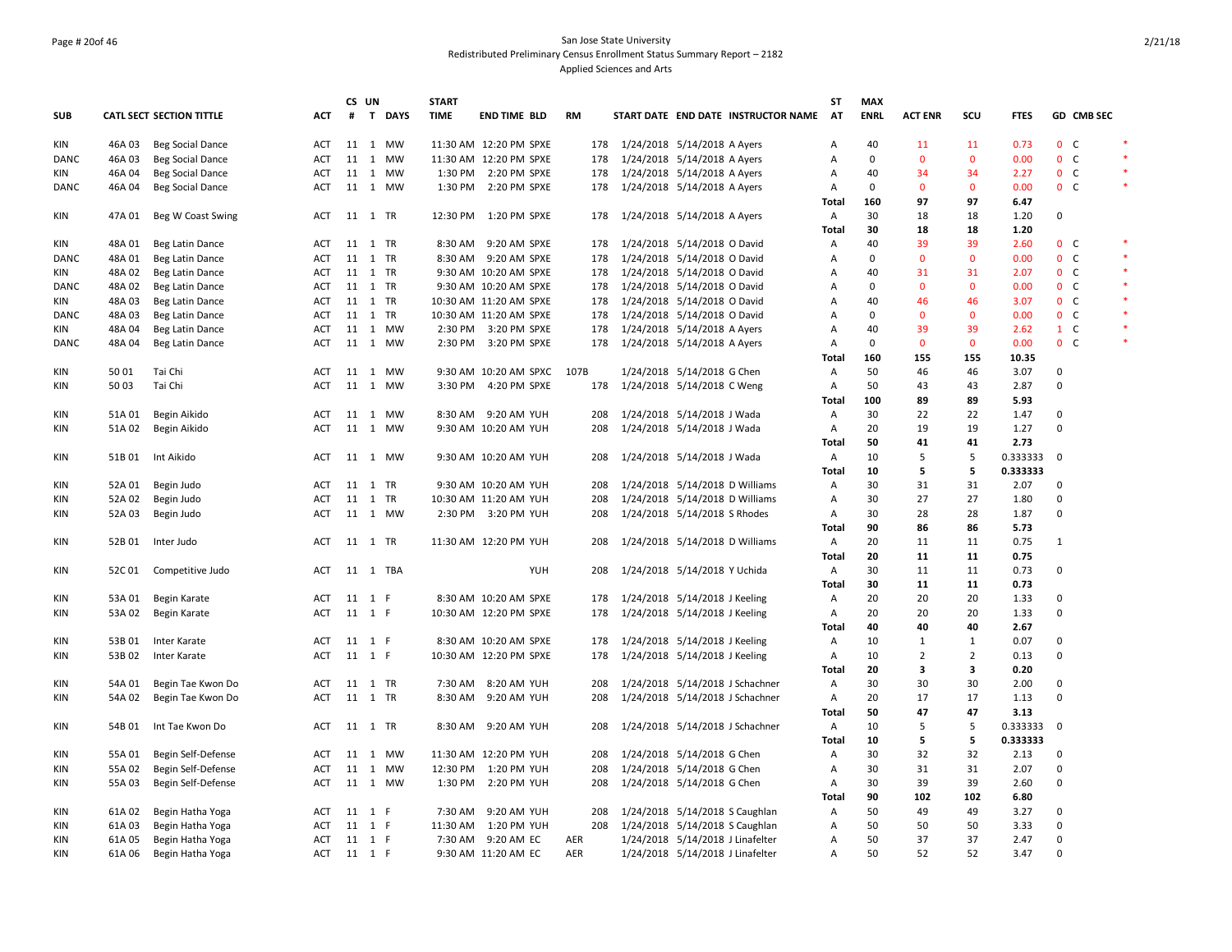## Page # 20of 46 San Jose State University Redistributed Preliminary Census Enrollment Status Summary Report – 2182 Applied Sciences and Arts

|             |        |                                 |            | CS UN |          | <b>START</b> |                            |           |                             |                                  |                                     | ST           | <b>MAX</b>  |                |                |             |                |                   |        |
|-------------|--------|---------------------------------|------------|-------|----------|--------------|----------------------------|-----------|-----------------------------|----------------------------------|-------------------------------------|--------------|-------------|----------------|----------------|-------------|----------------|-------------------|--------|
| <b>SUB</b>  |        | <b>CATL SECT SECTION TITTLE</b> | <b>ACT</b> | #     | T DAYS   | <b>TIME</b>  | <b>END TIME BLD</b>        | <b>RM</b> |                             |                                  | START DATE END DATE INSTRUCTOR NAME | <b>AT</b>    | <b>ENRL</b> | <b>ACT ENR</b> | SCU            | <b>FTES</b> |                | <b>GD CMB SEC</b> |        |
| KIN         | 46A03  | Beg Social Dance                | ACT        |       | 11 1 MW  |              | 11:30 AM 12:20 PM SPXE     | 178       | 1/24/2018 5/14/2018 A Ayers |                                  |                                     | Α            | 40          | 11             | 11             | 0.73        | 0 <sup>o</sup> |                   | $\ast$ |
| DANC        | 46A03  | Beg Social Dance                | ACT        |       | 11 1 MW  |              | 11:30 AM 12:20 PM SPXE     | 178       |                             | 1/24/2018 5/14/2018 A Ayers      |                                     | Α            | 0           | $\mathbf 0$    | $\mathbf 0$    | 0.00        | 0 <sub>c</sub> |                   |        |
| KIN         | 46A 04 | Beg Social Dance                | ACT        |       | 11 1 MW  |              | 1:30 PM 2:20 PM SPXE       | 178       |                             | 1/24/2018 5/14/2018 A Ayers      |                                     | Α            | 40          | 34             | 34             | 2.27        | 0 <sub>c</sub> |                   | $\ast$ |
| <b>DANC</b> | 46A 04 | Beg Social Dance                | <b>ACT</b> |       | 11 1 MW  |              | 1:30 PM 2:20 PM SPXE       | 178       |                             | 1/24/2018 5/14/2018 A Ayers      |                                     | A            | $\mathbf 0$ | $\mathbf{0}$   | $\mathbf{0}$   | 0.00        | 0 <sup>o</sup> |                   | $\ast$ |
|             |        |                                 |            |       |          |              |                            |           |                             |                                  |                                     | <b>Total</b> | 160         | 97             | 97             | 6.47        |                |                   |        |
| KIN         | 47A 01 | Beg W Coast Swing               | ACT        |       | 11 1 TR  |              | 12:30 PM 1:20 PM SPXE      | 178       |                             | 1/24/2018 5/14/2018 A Ayers      |                                     | Α            | 30          | 18             | 18             | 1.20        | 0              |                   |        |
|             |        |                                 |            |       |          |              |                            |           |                             |                                  |                                     | Total        | 30          | 18             | 18             | 1.20        |                |                   |        |
| KIN         | 48A 01 | Beg Latin Dance                 | ACT        |       | 11 1 TR  |              | 8:30 AM 9:20 AM SPXE       | 178       |                             | 1/24/2018 5/14/2018 O David      |                                     | Α            | 40          | 39             | 39             | 2.60        | 0 <sup>o</sup> |                   | $\ast$ |
| <b>DANC</b> | 48A 01 | Beg Latin Dance                 | ACT        |       | 11 1 TR  |              | 8:30 AM 9:20 AM SPXE       | 178       |                             | 1/24/2018 5/14/2018 O David      |                                     | Α            | 0           | $\mathbf 0$    | $\mathbf{0}$   | 0.00        | 0 <sub>c</sub> |                   | $\ast$ |
| KIN         | 48A 02 | Beg Latin Dance                 | ACT        |       | 11 1 TR  |              | 9:30 AM 10:20 AM SPXE      | 178       |                             | 1/24/2018 5/14/2018 O David      |                                     | Α            | 40          | 31             | 31             | 2.07        | 0 <sub>c</sub> |                   | $\ast$ |
| DANC        | 48A 02 | Beg Latin Dance                 | <b>ACT</b> |       | 11 1 TR  |              | 9:30 AM 10:20 AM SPXE      | 178       |                             | 1/24/2018 5/14/2018 O David      |                                     | A            | 0           | $\mathbf{0}$   | $\mathbf{0}$   | 0.00        | 0 <sub>c</sub> |                   |        |
| KIN         | 48A03  | Beg Latin Dance                 | ACT        |       | 11 1 TR  |              | 10:30 AM 11:20 AM SPXE     | 178       |                             | 1/24/2018 5/14/2018 O David      |                                     | A            | 40          | 46             | 46             | 3.07        | 0 <sub>c</sub> |                   | $\ast$ |
| DANC        | 48A 03 | Beg Latin Dance                 | ACT        |       | 11 1 TR  |              | 10:30 AM 11:20 AM SPXE     | 178       |                             | 1/24/2018 5/14/2018 O David      |                                     | Α            | 0           | $\mathbf 0$    | $\mathbf 0$    | 0.00        | 0 <sub>c</sub> |                   |        |
| KIN         | 48A 04 | Beg Latin Dance                 | ACT        |       | 11 1 MW  |              | 2:30 PM 3:20 PM SPXE       | 178       |                             | 1/24/2018 5/14/2018 A Ayers      |                                     | Α            | 40          | 39             | 39             | 2.62        | $1 \quad C$    |                   | $\ast$ |
| DANC        | 48A 04 | Beg Latin Dance                 | <b>ACT</b> |       | 11 1 MW  |              | 2:30 PM 3:20 PM SPXE       | 178       |                             | 1/24/2018 5/14/2018 A Ayers      |                                     | Α            | 0           | $\mathbf{0}$   | $\mathbf{0}$   | 0.00        | 0 <sub>c</sub> |                   |        |
|             |        |                                 |            |       |          |              |                            |           |                             |                                  |                                     | <b>Total</b> | 160         | 155            | 155            | 10.35       |                |                   |        |
| KIN         | 50 01  | Tai Chi                         | ACT        |       | 11 1 MW  |              | 9:30 AM 10:20 AM SPXC 107B |           |                             | 1/24/2018 5/14/2018 G Chen       |                                     | Α            | 50          | 46             | 46             | 3.07        | 0              |                   |        |
| KIN         | 50 03  | Tai Chi                         | ACT        |       | 11 1 MW  |              | 3:30 PM 4:20 PM SPXE       | 178       |                             | 1/24/2018 5/14/2018 C Weng       |                                     | Α            | 50          | 43             | 43             | 2.87        | 0              |                   |        |
|             |        |                                 |            |       |          |              |                            |           |                             |                                  |                                     | <b>Total</b> | 100         | 89             | 89             | 5.93        |                |                   |        |
| <b>KIN</b>  | 51A 01 | Begin Aikido                    | ACT        |       | 11 1 MW  |              | 8:30 AM 9:20 AM YUH        | 208       |                             | 1/24/2018 5/14/2018 J Wada       |                                     | Α            | 30          | 22             | 22             | 1.47        | 0              |                   |        |
| KIN         | 51A 02 | Begin Aikido                    | <b>ACT</b> |       | 11 1 MW  |              | 9:30 AM 10:20 AM YUH       | 208       |                             | 1/24/2018 5/14/2018 J Wada       |                                     | Α            | 20          | 19             | 19             | 1.27        | $\mathbf 0$    |                   |        |
|             |        |                                 |            |       |          |              |                            |           |                             |                                  |                                     | <b>Total</b> | 50          | 41             | 41             | 2.73        |                |                   |        |
| KIN         |        | 51B 01 Int Aikido               | ACT        |       | 11 1 MW  |              | 9:30 AM 10:20 AM YUH       | 208       |                             | 1/24/2018 5/14/2018 J Wada       |                                     | Α            | 10          | 5              | 5              | 0.333333 0  |                |                   |        |
|             |        |                                 |            |       |          |              |                            |           |                             |                                  |                                     | Total        | 10          | 5              | 5              | 0.333333    |                |                   |        |
| KIN         | 52A 01 | Begin Judo                      | ACT        |       | 11 1 TR  |              | 9:30 AM 10:20 AM YUH       | 208       |                             | 1/24/2018 5/14/2018 D Williams   |                                     | Α            | 30          | 31             | 31             | 2.07        | 0              |                   |        |
| <b>KIN</b>  | 52A 02 | Begin Judo                      | <b>ACT</b> |       | 11 1 TR  |              | 10:30 AM 11:20 AM YUH      | 208       |                             | 1/24/2018 5/14/2018 D Williams   |                                     | Α            | 30          | 27             | 27             | 1.80        | $\mathbf 0$    |                   |        |
| KIN         | 52A 03 | Begin Judo                      | ACT        |       | 11 1 MW  |              | 2:30 PM 3:20 PM YUH        | 208       |                             | 1/24/2018 5/14/2018 S Rhodes     |                                     | Α            | 30          | 28             | 28             | 1.87        | 0              |                   |        |
|             |        |                                 |            |       |          |              |                            |           |                             |                                  |                                     | Total        | 90          | 86             | 86             | 5.73        |                |                   |        |
| KIN         | 52B01  | Inter Judo                      | ACT        |       | 11 1 TR  |              | 11:30 AM 12:20 PM YUH      | 208       |                             | 1/24/2018 5/14/2018 D Williams   |                                     | А            | 20          | 11             | 11             | 0.75        | $\mathbf{1}$   |                   |        |
|             |        |                                 |            |       |          |              |                            |           |                             |                                  |                                     | Total        | 20          | 11             | 11             | 0.75        |                |                   |        |
| KIN         | 52C01  | Competitive Judo                | <b>ACT</b> |       | 11 1 TBA |              | YUH                        | 208       |                             | 1/24/2018 5/14/2018 Y Uchida     |                                     | Α            | 30          | 11             | 11             | 0.73        | 0              |                   |        |
|             |        |                                 |            |       |          |              |                            |           |                             |                                  |                                     | Total        | 30          | 11             | 11             | 0.73        |                |                   |        |
| KIN         | 53A 01 | Begin Karate                    | ACT        |       | 11 1 F   |              | 8:30 AM 10:20 AM SPXE      | 178       |                             | 1/24/2018 5/14/2018 J Keeling    |                                     | Α            | 20          | 20             | 20             | 1.33        | $\mathbf 0$    |                   |        |
| KIN         | 53A 02 | Begin Karate                    | <b>ACT</b> |       | 11 1 F   |              | 10:30 AM 12:20 PM SPXE     | 178       |                             | 1/24/2018 5/14/2018 J Keeling    |                                     | Α            | 20          | 20             | 20             | 1.33        | 0              |                   |        |
|             |        |                                 |            |       |          |              |                            |           |                             |                                  |                                     | Total        | 40          | 40             | 40             | 2.67        |                |                   |        |
| KIN         | 53B 01 | Inter Karate                    | ACT        |       | 11 1 F   |              | 8:30 AM 10:20 AM SPXE      | 178       |                             | 1/24/2018 5/14/2018 J Keeling    |                                     | Α            | 10          | $\mathbf{1}$   | $\mathbf{1}$   | 0.07        | 0              |                   |        |
| KIN         | 53B 02 | Inter Karate                    | <b>ACT</b> |       | 11 1 F   |              | 10:30 AM 12:20 PM SPXE     | 178       |                             | 1/24/2018 5/14/2018 J Keeling    |                                     | Α            | 10          | $\overline{2}$ | $\overline{2}$ | 0.13        | 0              |                   |        |
|             |        |                                 |            |       |          |              |                            |           |                             |                                  |                                     | Total        | 20          | 3              | 3              | 0.20        |                |                   |        |
| KIN         | 54A 01 | Begin Tae Kwon Do               | ACT        |       | 11 1 TR  |              | 7:30 AM 8:20 AM YUH        | 208       |                             | 1/24/2018 5/14/2018 J Schachner  |                                     | Α            | 30          | 30             | 30             | 2.00        | 0              |                   |        |
| KIN         | 54A 02 | Begin Tae Kwon Do               | <b>ACT</b> |       | 11 1 TR  |              | 8:30 AM 9:20 AM YUH        | 208       |                             | 1/24/2018 5/14/2018 J Schachner  |                                     | Α            | 20          | 17             | 17             | 1.13        | 0              |                   |        |
|             |        |                                 |            |       |          |              |                            |           |                             |                                  |                                     | Total        | 50          | 47             | 47             | 3.13        |                |                   |        |
| KIN         |        | 54B 01 Int Tae Kwon Do          | ACT        |       | 11 1 TR  |              | 8:30 AM 9:20 AM YUH        | 208       |                             | 1/24/2018 5/14/2018 J Schachner  |                                     | Α            | 10          | 5              | 5              | 0.333333    | $\overline{0}$ |                   |        |
|             |        |                                 |            |       |          |              |                            |           |                             |                                  |                                     | Total        | 10          | 5              | 5              | 0.333333    |                |                   |        |
| KIN         | 55A 01 | Begin Self-Defense              | ACT        |       | 11 1 MW  |              | 11:30 AM 12:20 PM YUH      | 208       |                             | 1/24/2018 5/14/2018 G Chen       |                                     | Α            | 30          | 32             | 32             | 2.13        | $\mathbf 0$    |                   |        |
| <b>KIN</b>  | 55A 02 | Begin Self-Defense              | <b>ACT</b> |       | 11 1 MW  |              | 12:30 PM 1:20 PM YUH       | 208       |                             | 1/24/2018 5/14/2018 G Chen       |                                     | Α            | 30          | 31             | 31             | 2.07        | 0              |                   |        |
| KIN         | 55A 03 | Begin Self-Defense              | ACT        |       | 11 1 MW  |              | 1:30 PM 2:20 PM YUH        | 208       |                             | 1/24/2018 5/14/2018 G Chen       |                                     | Α            | 30          | 39             | 39             | 2.60        | 0              |                   |        |
|             |        |                                 |            |       |          |              |                            |           |                             |                                  |                                     | Total        | 90          | 102            | 102            | 6.80        |                |                   |        |
| KIN         | 61A 02 | Begin Hatha Yoga                | ACT        |       | 11 1 F   | 7:30 AM      | 9:20 AM YUH                | 208       |                             | 1/24/2018 5/14/2018 S Caughlan   |                                     | Α            | 50          | 49             | 49             | 3.27        | 0              |                   |        |
| <b>KIN</b>  | 61A03  | Begin Hatha Yoga                | ACT        |       | 11 1 F   |              | 11:30 AM   1:20 PM YUH     | 208       |                             | 1/24/2018 5/14/2018 S Caughlan   |                                     | Α            | 50          | 50             | 50             | 3.33        | $\mathbf 0$    |                   |        |
| KIN         | 61A05  | Begin Hatha Yoga                | <b>ACT</b> |       | 11 1 F   |              | 7:30 AM 9:20 AM EC         | AER       |                             | 1/24/2018 5/14/2018 J Linafelter |                                     | Α            | 50          | 37             | 37             | 2.47        | $\mathbf 0$    |                   |        |
| KIN         | 61A06  | Begin Hatha Yoga                | ACT 11 1 F |       |          |              | 9:30 AM 11:20 AM EC        | AER       |                             | 1/24/2018 5/14/2018 J Linafelter |                                     | Α            | 50          | 52             | 52             | 3.47        | $\mathbf 0$    |                   |        |
|             |        |                                 |            |       |          |              |                            |           |                             |                                  |                                     |              |             |                |                |             |                |                   |        |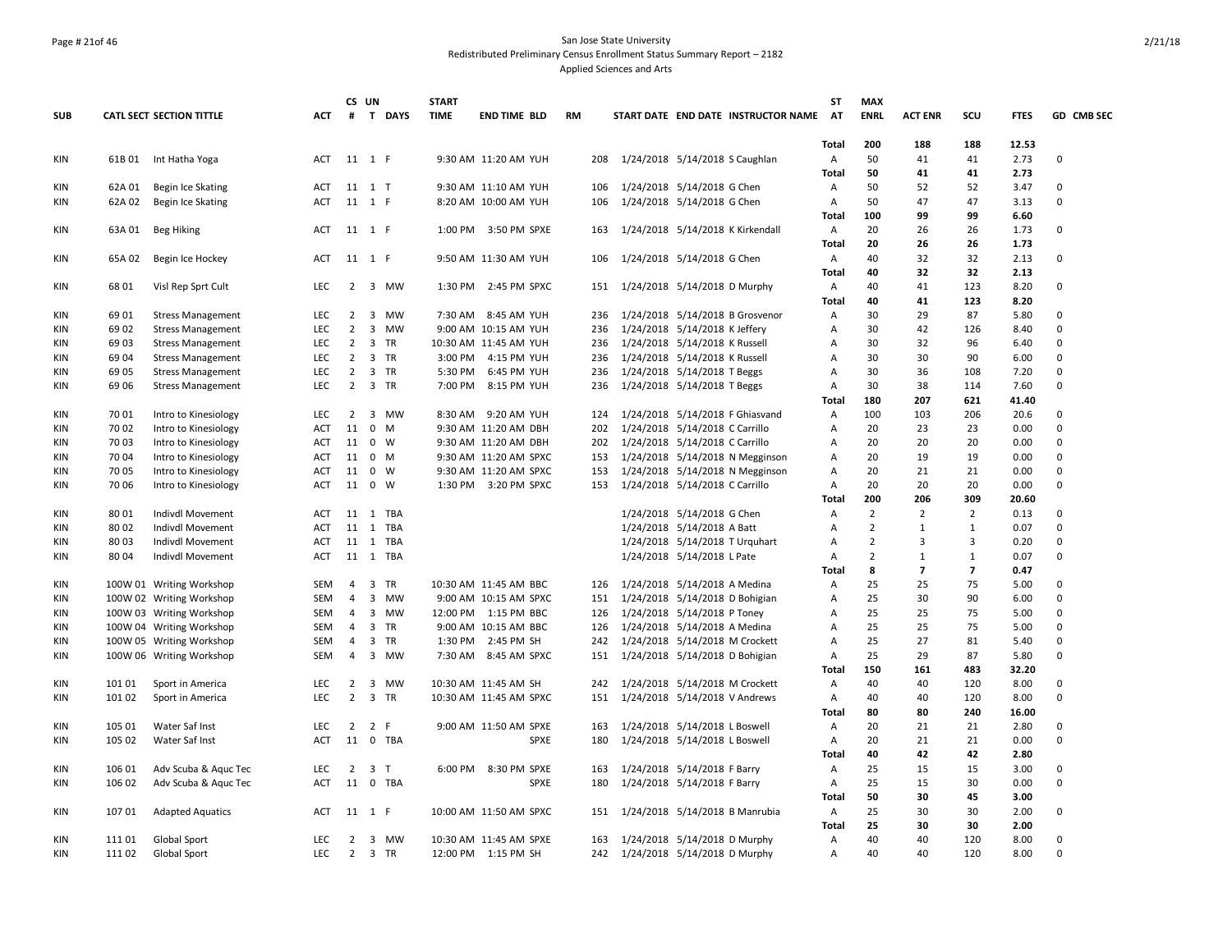## Page # 21of 46 San Jose State University Redistributed Preliminary Census Enrollment Status Summary Report – 2182 Applied Sciences and Arts

|            |        |                                 |            |                | CS UN  |                | <b>START</b> |                        |           |                                     | <b>ST</b>         | <b>MAX</b>     |                |                |              |                   |
|------------|--------|---------------------------------|------------|----------------|--------|----------------|--------------|------------------------|-----------|-------------------------------------|-------------------|----------------|----------------|----------------|--------------|-------------------|
| <b>SUB</b> |        | <b>CATL SECT SECTION TITTLE</b> | ACT        | #              |        | T DAYS         | <b>TIME</b>  | <b>END TIME BLD</b>    | <b>RM</b> | START DATE END DATE INSTRUCTOR NAME | AT                | <b>ENRL</b>    | <b>ACT ENR</b> | SCU            | <b>FTES</b>  | <b>GD CMB SEC</b> |
|            |        |                                 |            |                |        |                |              |                        |           |                                     | Total             | 200            | 188            | 188            | 12.53        |                   |
| KIN        | 61B 01 | Int Hatha Yoga                  | ACT        | 11 1 F         |        |                |              | 9:30 AM 11:20 AM YUH   | 208       | 1/24/2018 5/14/2018 S Caughlan      | Α                 | 50             | 41             | 41             | 2.73         | 0                 |
|            |        |                                 |            |                |        |                |              |                        |           |                                     | <b>Total</b>      | 50             | 41             | 41             | 2.73         |                   |
| <b>KIN</b> | 62A 01 | Begin Ice Skating               | <b>ACT</b> |                | 11 1 T |                |              | 9:30 AM 11:10 AM YUH   | 106       | 1/24/2018 5/14/2018 G Chen          | Α                 | 50             | 52             | 52             | 3.47         | 0                 |
| <b>KIN</b> | 62A 02 | Begin Ice Skating               | ACT        | 11 1 F         |        |                |              | 8:20 AM 10:00 AM YUH   | 106       | 1/24/2018 5/14/2018 G Chen          | A                 | 50             | 47             | 47             | 3.13         | 0                 |
|            |        |                                 |            |                |        |                |              |                        |           |                                     | Total             | 100            | 99             | 99             | 6.60         |                   |
| <b>KIN</b> | 63A 01 | Beg Hiking                      | ACT        | 11 1 F         |        |                |              | 1:00 PM 3:50 PM SPXE   | 163       | 1/24/2018 5/14/2018 K Kirkendall    | Α                 | 20             | 26             | 26             | 1.73         | $\Omega$          |
|            |        |                                 |            |                |        |                |              |                        |           |                                     | <b>Total</b>      | 20<br>40       | 26<br>32       | 26<br>32       | 1.73<br>2.13 | $\Omega$          |
| <b>KIN</b> | 65A 02 | Begin Ice Hockey                | ACT        |                | 11 1 F |                |              | 9:50 AM 11:30 AM YUH   | 106       | 1/24/2018 5/14/2018 G Chen          | Α                 | 40             | 32             | 32             |              |                   |
| <b>KIN</b> | 68 01  |                                 | <b>LEC</b> | $\overline{2}$ |        | 3 MW           |              | 2:45 PM SPXC           |           |                                     | <b>Total</b><br>Α | 40             | 41             | 123            | 2.13<br>8.20 | 0                 |
|            |        | Visl Rep Sprt Cult              |            |                |        |                | 1:30 PM      |                        |           | 151 1/24/2018 5/14/2018 D Murphy    | <b>Total</b>      | 40             | 41             | 123            | 8.20         |                   |
| <b>KIN</b> | 69 01  | <b>Stress Management</b>        | <b>LEC</b> | $\overline{2}$ |        | 3 MW           |              | 7:30 AM 8:45 AM YUH    | 236       | 1/24/2018 5/14/2018 B Grosvenor     | Α                 | 30             | 29             | 87             | 5.80         | $\mathbf 0$       |
| <b>KIN</b> | 69 02  | <b>Stress Management</b>        | <b>LEC</b> | 2              |        | 3 MW           |              | 9:00 AM 10:15 AM YUH   | 236       | 1/24/2018 5/14/2018 K Jeffery       | A                 | 30             | 42             | 126            | 8.40         | $\Omega$          |
| KIN        | 69 03  | <b>Stress Management</b>        | <b>LEC</b> | $\overline{2}$ |        | 3 TR           |              | 10:30 AM 11:45 AM YUH  | 236       | 1/24/2018 5/14/2018 K Russell       | Α                 | 30             | 32             | 96             | 6.40         | $\Omega$          |
| <b>KIN</b> | 69 04  | <b>Stress Management</b>        | LEC.       | $\overline{2}$ |        | 3 TR           | 3:00 PM      | 4:15 PM YUH            | 236       | 1/24/2018 5/14/2018 K Russell       | $\overline{A}$    | 30             | 30             | 90             | 6.00         | $\Omega$          |
| KIN        | 69 05  | <b>Stress Management</b>        | LEC        | $\overline{2}$ |        | 3 TR           | 5:30 PM      | 6:45 PM YUH            | 236       | 1/24/2018 5/14/2018 T Beggs         | A                 | 30             | 36             | 108            | 7.20         | 0                 |
| KIN        | 69 06  | <b>Stress Management</b>        | <b>LEC</b> | $\overline{2}$ |        | 3 TR           | 7:00 PM      | 8:15 PM YUH            | 236       | 1/24/2018 5/14/2018 T Beggs         | Α                 | 30             | 38             | 114            | 7.60         | 0                 |
|            |        |                                 |            |                |        |                |              |                        |           |                                     | Total             | 180            | 207            | 621            | 41.40        |                   |
| <b>KIN</b> | 70 01  | Intro to Kinesiology            | <b>LEC</b> | $\overline{2}$ |        | 3 MW           |              | 8:30 AM 9:20 AM YUH    | 124       | 1/24/2018 5/14/2018 F Ghiasvand     | Α                 | 100            | 103            | 206            | 20.6         | $\Omega$          |
| <b>KIN</b> | 70 02  | Intro to Kinesiology            | ACT        | 11             |        | 0 M            |              | 9:30 AM 11:20 AM DBH   | 202       | 1/24/2018 5/14/2018 C Carrillo      | A                 | 20             | 23             | 23             | 0.00         | 0                 |
| KIN        | 70 03  | Intro to Kinesiology            | <b>ACT</b> | 11             |        | $0 \quad W$    |              | 9:30 AM 11:20 AM DBH   | 202       | 1/24/2018 5/14/2018 C Carrillo      | Α                 | 20             | 20             | 20             | 0.00         | $\Omega$          |
| KIN        | 70 04  | Intro to Kinesiology            | ACT        | 11             |        | 0 M            |              | 9:30 AM 11:20 AM SPXC  | 153       | 1/24/2018 5/14/2018 N Megginson     | Α                 | 20             | 19             | 19             | 0.00         | $\Omega$          |
| <b>KIN</b> | 70 05  | Intro to Kinesiology            | <b>ACT</b> | 11             |        | $0 \quad W$    |              | 9:30 AM 11:20 AM SPXC  | 153       | 1/24/2018 5/14/2018 N Megginson     | A                 | 20             | 21             | 21             | 0.00         | $\Omega$          |
| KIN        | 70 06  | Intro to Kinesiology            | ACT        |                | 11 0 W |                |              | 1:30 PM 3:20 PM SPXC   | 153       | 1/24/2018 5/14/2018 C Carrillo      | Α                 | 20             | 20             | 20             | 0.00         | 0                 |
|            |        |                                 |            |                |        |                |              |                        |           |                                     | <b>Total</b>      | 200            | 206            | 309            | 20.60        |                   |
| KIN        | 80 01  | Indivdl Movement                | ACT        |                |        | 11 1 TBA       |              |                        |           | 1/24/2018 5/14/2018 G Chen          | A                 | $\overline{2}$ | $\overline{2}$ | $\overline{2}$ | 0.13         | $\Omega$          |
| KIN        | 80 02  | Indivdl Movement                | ACT        |                |        | 11 1 TBA       |              |                        |           | 1/24/2018 5/14/2018 A Batt          | A                 | $\overline{2}$ | $\mathbf{1}$   | $\mathbf{1}$   | 0.07         | 0                 |
| <b>KIN</b> | 8003   | Indivdl Movement                | ACT        |                |        | 11 1 TBA       |              |                        |           | 1/24/2018 5/14/2018 T Urquhart      | A                 | $\overline{2}$ | 3              | 3              | 0.20         | 0                 |
| KIN        | 80 04  | Indivdl Movement                | <b>ACT</b> |                |        | 11 1 TBA       |              |                        |           | 1/24/2018 5/14/2018 L Pate          | Α                 | $\overline{2}$ | $\mathbf{1}$   | $\mathbf{1}$   | 0.07         | 0                 |
|            |        |                                 |            |                |        |                |              |                        |           |                                     | <b>Total</b>      | 8              | $\overline{7}$ | $\overline{7}$ | 0.47         |                   |
| KIN        |        | 100W 01 Writing Workshop        | SEM        | 4              |        | 3 TR           |              | 10:30 AM 11:45 AM BBC  | 126       | 1/24/2018 5/14/2018 A Medina        | A                 | 25             | 25             | 75             | 5.00         | $\mathbf 0$       |
| KIN        |        | 100W 02 Writing Workshop        | SEM        | 4              |        | 3 MW           |              | 9:00 AM 10:15 AM SPXC  | 151       | 1/24/2018 5/14/2018 D Bohigian      | Α                 | 25             | 30             | 90             | 6.00         | 0                 |
| KIN        |        | 100W 03 Writing Workshop        | <b>SEM</b> | $\overline{4}$ |        | 3 MW           |              | 12:00 PM 1:15 PM BBC   |           | 126 1/24/2018 5/14/2018 P Toney     | Α                 | 25             | 25             | 75             | 5.00         | $\Omega$          |
| KIN        |        | 100W 04 Writing Workshop        | <b>SEM</b> | 4              |        | 3 TR           |              | 9:00 AM 10:15 AM BBC   | 126       | 1/24/2018 5/14/2018 A Medina        | A                 | 25             | 25             | 75             | 5.00         | $\mathbf 0$       |
| KIN        |        | 100W 05 Writing Workshop        | SEM        | 4              |        | 3 TR           |              | 1:30 PM 2:45 PM SH     | 242       | 1/24/2018 5/14/2018 M Crockett      | A                 | 25             | 27             | 81             | 5.40         | $\mathbf 0$       |
| KIN        |        | 100W 06 Writing Workshop        | <b>SEM</b> | 4              |        | 3 MW           |              | 7:30 AM 8:45 AM SPXC   | 151       | 1/24/2018 5/14/2018 D Bohigian      | Α                 | 25             | 29             | 87             | 5.80         | 0                 |
|            |        |                                 |            |                |        |                |              |                        |           |                                     | <b>Total</b>      | 150            | 161            | 483            | 32.20        |                   |
| KIN        | 101 01 | Sport in America                | <b>LEC</b> | $\overline{2}$ |        | 3 MW           |              | 10:30 AM 11:45 AM SH   | 242       | 1/24/2018 5/14/2018 M Crockett      | Α                 | 40             | 40             | 120            | 8.00         | $\Omega$          |
| KIN        | 101 02 | Sport in America                | LEC        | $\overline{2}$ |        | 3 TR           |              | 10:30 AM 11:45 AM SPXC | 151       | 1/24/2018 5/14/2018 V Andrews       | А                 | 40             | 40             | 120            | 8.00         | 0                 |
|            |        |                                 |            |                |        |                |              |                        |           |                                     | <b>Total</b>      | 80             | 80             | 240            | 16.00        |                   |
| KIN        | 105 01 | Water Saf Inst                  | <b>LEC</b> | $2^{\circ}$    |        | 2 F            |              | 9:00 AM 11:50 AM SPXE  | 163       | 1/24/2018 5/14/2018 L Boswell       | Α                 | 20             | 21             | 21             | 2.80         | $\Omega$          |
| KIN        | 105 02 | Water Saf Inst                  | <b>ACT</b> |                |        | 11 0 TBA       |              | SPXE                   | 180       | 1/24/2018 5/14/2018 L Boswell       | Α                 | 20             | 21             | 21             | 0.00         | $\Omega$          |
|            |        |                                 |            |                |        |                |              |                        |           |                                     | Total             | 40             | 42             | 42             | 2.80         |                   |
| <b>KIN</b> | 106 01 | Adv Scuba & Aquc Tec            | LEC.       | $\overline{2}$ |        | 3 <sub>T</sub> | 6:00 PM      | 8:30 PM SPXE           | 163       | 1/24/2018 5/14/2018 F Barry         | Α                 | 25             | 15             | 15             | 3.00         | $\mathbf 0$       |
| KIN        | 106 02 | Adv Scuba & Aquc Tec            | ACT        |                |        | 11 0 TBA       |              | <b>SPXE</b>            | 180       | 1/24/2018 5/14/2018 F Barry         | Α                 | 25             | 15             | 30             | 0.00         | 0                 |
|            |        |                                 |            |                |        |                |              |                        |           |                                     | <b>Total</b>      | 50             | 30             | 45             | 3.00         |                   |
| KIN        | 107 01 | <b>Adapted Aquatics</b>         | ACT        |                | 11 1 F |                |              | 10:00 AM 11:50 AM SPXC |           | 151 1/24/2018 5/14/2018 B Manrubia  | Α                 | 25             | 30             | 30             | 2.00         | 0                 |
|            |        |                                 |            |                |        |                |              |                        |           |                                     | <b>Total</b>      | 25             | 30             | 30             | 2.00         |                   |
| <b>KIN</b> | 11101  | Global Sport                    | <b>LEC</b> | $\mathbf{2}$   |        | 3 MW           |              | 10:30 AM 11:45 AM SPXE | 163       | 1/24/2018 5/14/2018 D Murphy        | A                 | 40             | 40             | 120            | 8.00         | $\Omega$          |
| KIN        | 111 02 | Global Sport                    | LEC        |                |        | 2 3 TR         |              | 12:00 PM 1:15 PM SH    |           | 242 1/24/2018 5/14/2018 D Murphy    | Α                 | 40             | 40             | 120            | 8.00         | $\Omega$          |
|            |        |                                 |            |                |        |                |              |                        |           |                                     |                   |                |                |                |              |                   |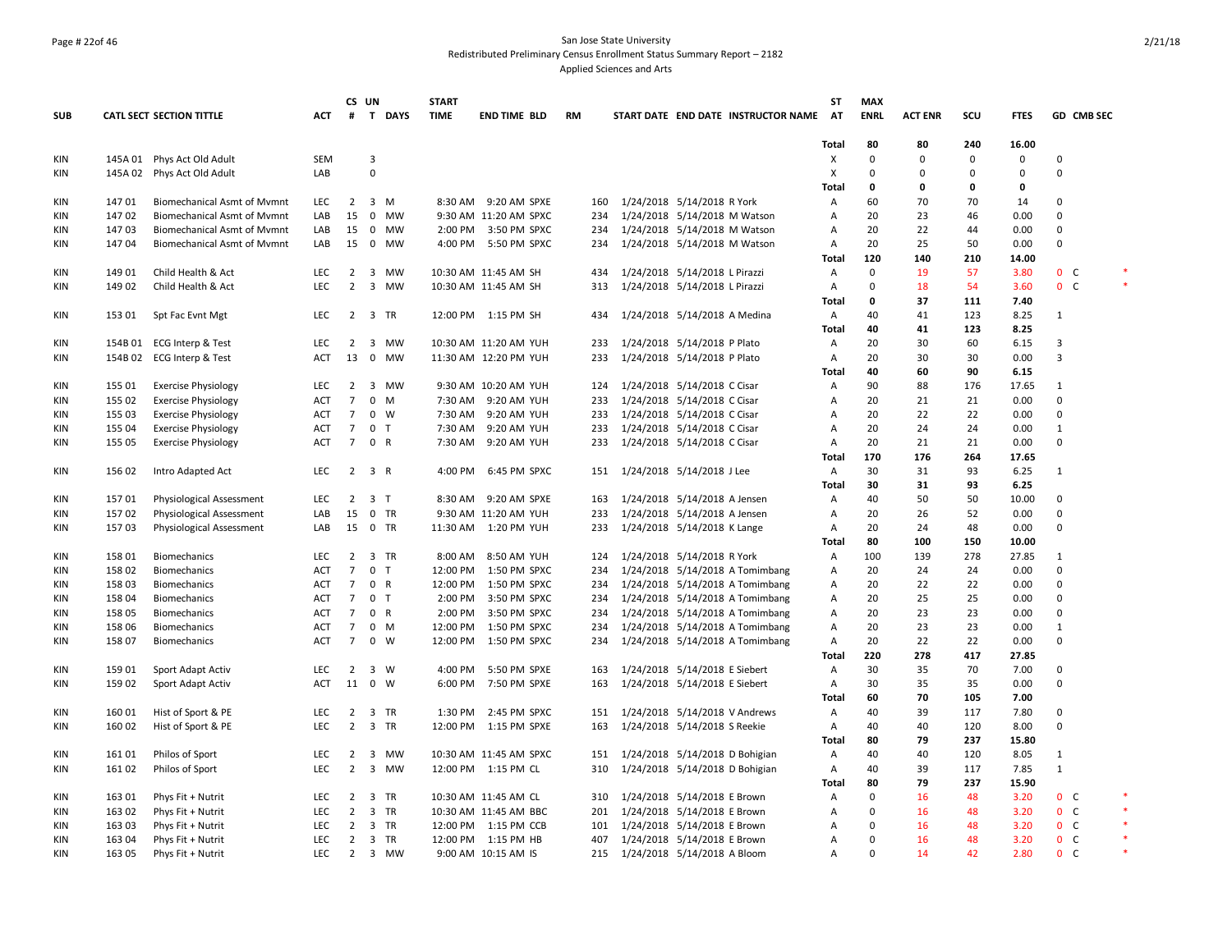## Page # 22of 46 San Jose State University Redistributed Preliminary Census Enrollment Status Summary Report – 2182 Applied Sciences and Arts

|                   |        |                                    |                          |                                  | CS UN                   |              | <b>START</b> |                        |           |            |                                                                |                                                                    | <b>ST</b>      | <b>MAX</b>  |                   |            |              |                              |        |
|-------------------|--------|------------------------------------|--------------------------|----------------------------------|-------------------------|--------------|--------------|------------------------|-----------|------------|----------------------------------------------------------------|--------------------------------------------------------------------|----------------|-------------|-------------------|------------|--------------|------------------------------|--------|
| <b>SUB</b>        |        | <b>CATL SECT SECTION TITTLE</b>    | <b>ACT</b>               | #                                |                         | T DAYS       | <b>TIME</b>  | <b>END TIME BLD</b>    | <b>RM</b> |            |                                                                | START DATE END DATE INSTRUCTOR NAME                                | AT             | <b>ENRL</b> | <b>ACT ENR</b>    | SCU        | <b>FTES</b>  | <b>GD CMB SEC</b>            |        |
|                   |        |                                    |                          |                                  |                         |              |              |                        |           |            |                                                                |                                                                    |                | 80          |                   | 240        |              |                              |        |
| <b>KIN</b>        |        | 145A 01 Phys Act Old Adult         | <b>SEM</b>               |                                  | 3                       |              |              |                        |           |            |                                                                |                                                                    | Total<br>х     | $\Omega$    | 80<br>$\mathbf 0$ | $\Omega$   | 16.00<br>0   | $\Omega$                     |        |
| <b>KIN</b>        |        | 145A 02 Phys Act Old Adult         | LAB                      |                                  | $\mathbf 0$             |              |              |                        |           |            |                                                                |                                                                    | X              | $\Omega$    | $\mathbf 0$       | 0          | 0            | $\mathbf 0$                  |        |
|                   |        |                                    |                          |                                  |                         |              |              |                        |           |            |                                                                |                                                                    | Total          | 0           | 0                 | 0          | 0            |                              |        |
| <b>KIN</b>        | 14701  | <b>Biomechanical Asmt of Mymnt</b> | <b>LEC</b>               | $\overline{2}$                   | 3 M                     |              |              | 8:30 AM 9:20 AM SPXE   | 160       |            | 1/24/2018 5/14/2018 R York                                     |                                                                    | Α              | 60          | 70                | 70         | 14           | $\mathbf 0$                  |        |
| <b>KIN</b>        | 14702  | Biomechanical Asmt of Mvmnt        | LAB                      | 15                               | $\mathbf 0$             | MW           |              | 9:30 AM 11:20 AM SPXC  | 234       |            | 1/24/2018 5/14/2018 M Watson                                   |                                                                    | A              | 20          | 23                | 46         | 0.00         | $\mathbf 0$                  |        |
| KIN               | 14703  | Biomechanical Asmt of Mymnt        | LAB                      | 15                               | $\mathbf 0$             | МW           |              | 2:00 PM 3:50 PM SPXC   | 234       |            | 1/24/2018 5/14/2018 M Watson                                   |                                                                    | Α              | 20          | 22                | 44         | 0.00         | 0                            |        |
| KIN               | 14704  | <b>Biomechanical Asmt of Mymnt</b> | LAB                      | 15                               |                         | 0 MW         |              | 4:00 PM 5:50 PM SPXC   | 234       |            | 1/24/2018 5/14/2018 M Watson                                   |                                                                    | Α              | 20          | 25                | 50         | 0.00         | $\Omega$                     |        |
|                   |        |                                    |                          |                                  |                         |              |              |                        |           |            |                                                                |                                                                    | Total          | 120         | 140               | 210        | 14.00        |                              |        |
| KIN               | 149 01 | Child Health & Act                 | LEC                      | $2^{\circ}$                      | $\overline{\mathbf{3}}$ | MW           |              | 10:30 AM 11:45 AM SH   |           | 434        | 1/24/2018 5/14/2018 L Pirazzi                                  |                                                                    | Α              | $\Omega$    | 19                | 57         | 3.80         | 0 <sup>o</sup>               |        |
| KIN               | 149 02 | Child Health & Act                 | <b>LEC</b>               | 2                                | $\overline{\mathbf{3}}$ | MW           |              | 10:30 AM 11:45 AM SH   | 313       |            | 1/24/2018 5/14/2018 L Pirazzi                                  |                                                                    | Α              | 0           | 18                | 54         | 3.60         | 0 <sup>o</sup>               |        |
|                   |        |                                    |                          |                                  |                         |              |              |                        |           |            |                                                                |                                                                    | <b>Total</b>   | 0           | 37                | 111        | 7.40         |                              |        |
| KIN               | 153 01 | Spt Fac Evnt Mgt                   | LEC                      |                                  | 2 3 TR                  |              |              | 12:00 PM 1:15 PM SH    |           | 434        | 1/24/2018 5/14/2018 A Medina                                   |                                                                    | Α              | 40          | 41                | 123        | 8.25         | $\mathbf{1}$                 |        |
|                   |        |                                    |                          |                                  |                         |              |              |                        |           |            |                                                                |                                                                    | Total          | 40          | 41                | 123        | 8.25         |                              |        |
| <b>KIN</b>        |        | 154B 01 ECG Interp & Test          | LEC                      | $\overline{2}$                   |                         | 3 MW         |              | 10:30 AM 11:20 AM YUH  | 233       |            | 1/24/2018 5/14/2018 P Plato                                    |                                                                    | Α              | 20          | 30                | 60         | 6.15         | 3                            |        |
| KIN               |        | 154B 02 ECG Interp & Test          | <b>ACT</b>               | 13                               | $\mathbf 0$             | MW           |              | 11:30 AM 12:20 PM YUH  |           | 233        | 1/24/2018 5/14/2018 P Plato                                    |                                                                    | Α              | 20          | 30                | 30         | 0.00         | 3                            |        |
|                   |        |                                    |                          |                                  |                         |              |              |                        |           |            |                                                                |                                                                    | Total          | 40          | 60                | 90         | 6.15         |                              |        |
| <b>KIN</b>        | 155 01 | <b>Exercise Physiology</b>         | <b>LEC</b>               | $\overline{2}$                   |                         | 3 MW         |              | 9:30 AM 10:20 AM YUH   | 124       |            | 1/24/2018 5/14/2018 C Cisar                                    |                                                                    | $\overline{A}$ | 90          | 88                | 176        | 17.65        | $\mathbf{1}$                 |        |
| KIN               | 155 02 | <b>Exercise Physiology</b>         | ACT                      | $7\overline{ }$                  | $\mathbf 0$             | M            | 7:30 AM      | 9:20 AM YUH            | 233       |            | 1/24/2018 5/14/2018 C Cisar                                    |                                                                    | Α              | 20          | 21                | 21         | 0.00         | 0                            |        |
| KIN               | 155 03 | <b>Exercise Physiology</b>         | <b>ACT</b>               | $\overline{7}$                   | $0 \quad W$             |              |              | 7:30 AM 9:20 AM YUH    | 233       |            | 1/24/2018 5/14/2018 C Cisar                                    |                                                                    | A              | 20          | 22                | 22         | 0.00         | 0                            |        |
| KIN               | 155 04 | <b>Exercise Physiology</b>         | <b>ACT</b>               | $\overline{7}$                   | 0 <sub>T</sub>          |              | 7:30 AM      | 9:20 AM YUH            |           | 233        | 1/24/2018 5/14/2018 C Cisar                                    |                                                                    | Α              | 20          | 24                | 24         | 0.00         | $\mathbf{1}$                 |        |
| KIN               | 155 05 | <b>Exercise Physiology</b>         | ACT                      | $\overline{7}$                   | 0 R                     |              | 7:30 AM      | 9:20 AM YUH            |           | 233        | 1/24/2018 5/14/2018 C Cisar                                    |                                                                    | Α              | 20          | 21                | 21         | 0.00         | $\mathbf 0$                  |        |
|                   |        |                                    |                          |                                  |                         |              |              |                        |           |            |                                                                |                                                                    | Total          | 170         | 176               | 264        | 17.65        |                              |        |
| <b>KIN</b>        | 156 02 | Intro Adapted Act                  | <b>LEC</b>               |                                  | $2 \quad 3 \quad R$     |              | 4:00 PM      | 6:45 PM SPXC           |           | 151        | 1/24/2018 5/14/2018 J Lee                                      |                                                                    | Α              | 30          | 31                | 93         | 6.25         | $\mathbf{1}$                 |        |
|                   |        |                                    |                          |                                  |                         |              |              |                        |           |            |                                                                |                                                                    |                | 30          | 31                | 93         | 6.25         |                              |        |
|                   | 15701  |                                    | <b>LEC</b>               | $2^{\circ}$                      | 3 <sub>1</sub>          |              |              | 8:30 AM 9:20 AM SPXE   | 163       |            |                                                                |                                                                    | Total          | 40          | 50                | 50         | 10.00        | 0                            |        |
| KIN<br>KIN        | 15702  | <b>Physiological Assessment</b>    | LAB                      | 15                               | 0 TR                    |              |              | 9:30 AM 11:20 AM YUH   | 233       |            | 1/24/2018 5/14/2018 A Jensen                                   |                                                                    | Α<br>Α         | 20          | 26                | 52         | 0.00         | 0                            |        |
|                   |        | Physiological Assessment           |                          |                                  | 15 0 TR                 |              |              | 11:30 AM  1:20 PM YUH  |           |            | 1/24/2018 5/14/2018 A Jensen                                   |                                                                    |                | 20          | 24                | 48         | 0.00         | $\Omega$                     |        |
| KIN               | 15703  | Physiological Assessment           | LAB                      |                                  |                         |              |              |                        |           | 233        | 1/24/2018 5/14/2018 K Lange                                    |                                                                    | Α              | 80          | 100               | 150        | 10.00        |                              |        |
| <b>KIN</b>        | 158 01 | <b>Biomechanics</b>                | <b>LEC</b>               | 2                                | 3 TR                    |              | 8:00 AM      | 8:50 AM YUH            | 124       |            | 1/24/2018 5/14/2018 R York                                     |                                                                    | Total<br>A     | 100         | 139               | 278        | 27.85        | $\mathbf{1}$                 |        |
|                   | 158 02 |                                    | ACT                      | $7\overline{ }$                  | 0 <sub>T</sub>          |              | 12:00 PM     | 1:50 PM SPXC           | 234       |            |                                                                | 1/24/2018 5/14/2018 A Tomimbang                                    | Α              | 20          | 24                | 24         | 0.00         | 0                            |        |
| <b>KIN</b>        | 158 03 | Biomechanics                       | <b>ACT</b>               | $\overline{7}$                   | 0 R                     |              | 12:00 PM     | 1:50 PM SPXC           | 234       |            |                                                                |                                                                    |                | 20          | 22                | 22         | 0.00         | 0                            |        |
| KIN               | 158 04 | Biomechanics                       | <b>ACT</b>               | $\overline{7}$                   | 0 <sub>T</sub>          |              | 2:00 PM      | 3:50 PM SPXC           | 234       |            |                                                                | 1/24/2018 5/14/2018 A Tomimbang                                    | Α              | 20          | 25                | 25         | 0.00         | $\mathbf 0$                  |        |
| KIN<br>KIN        | 158 05 | Biomechanics                       | ACT                      | $\overline{7}$                   | 0 R                     |              | 2:00 PM      | 3:50 PM SPXC           |           | 234        |                                                                | 1/24/2018 5/14/2018 A Tomimbang                                    | Α<br>Α         | 20          | 23                | 23         | 0.00         | $\mathbf 0$                  |        |
| KIN               | 158 06 | Biomechanics                       | <b>ACT</b>               | $\overline{7}$                   | $0$ M                   |              | 12:00 PM     | 1:50 PM SPXC           | 234       |            |                                                                | 1/24/2018 5/14/2018 A Tomimbang<br>1/24/2018 5/14/2018 A Tomimbang | Α              | 20          | 23                | 23         | 0.00         | $\mathbf{1}$                 |        |
| KIN               | 158 07 | Biomechanics<br>Biomechanics       | <b>ACT</b>               | $\overline{7}$                   | $0 \quad W$             |              |              | 12:00 PM  1:50 PM SPXC |           | 234        |                                                                |                                                                    | Α              | 20          | 22                | 22         | 0.00         | $\mathbf 0$                  |        |
|                   |        |                                    |                          |                                  |                         |              |              |                        |           |            |                                                                | 1/24/2018 5/14/2018 A Tomimbang                                    |                | 220         | 278               | 417        | 27.85        |                              |        |
|                   | 159 01 |                                    | <b>LEC</b>               |                                  | 3 W                     |              | 4:00 PM      | 5:50 PM SPXE           | 163       |            |                                                                |                                                                    | Total<br>A     | 30          | 35                | 70         | 7.00         | 0                            |        |
| KIN<br><b>KIN</b> | 159 02 | Sport Adapt Activ                  | <b>ACT</b>               | $\overline{2}$                   | 11 0 W                  |              |              | 6:00 PM 7:50 PM SPXE   | 163       |            | 1/24/2018 5/14/2018 E Siebert<br>1/24/2018 5/14/2018 E Siebert |                                                                    | Α              | 30          | 35                | 35         | 0.00         | $\mathbf 0$                  |        |
|                   |        | Sport Adapt Activ                  |                          |                                  |                         |              |              |                        |           |            |                                                                |                                                                    |                | 60          | 70                | 105        | 7.00         |                              |        |
|                   | 160 01 |                                    | LEC                      | $\overline{2}$                   | 3 TR                    |              | 1:30 PM      | 2:45 PM SPXC           |           |            |                                                                |                                                                    | Total          | 40          | 39                | 117        | 7.80         | 0                            |        |
| KIN<br><b>KIN</b> | 160 02 | Hist of Sport & PE                 | <b>LEC</b>               | $2^{\circ}$                      | 3 TR                    |              |              | 12:00 PM  1:15 PM SPXE | 163       | 151        | 1/24/2018 5/14/2018 V Andrews                                  |                                                                    | Α<br>Α         | 40          | 40                | 120        | 8.00         | $\mathbf 0$                  |        |
|                   |        | Hist of Sport & PE                 |                          |                                  |                         |              |              |                        |           |            | 1/24/2018 5/14/2018 S Reekie                                   |                                                                    |                |             |                   |            |              |                              |        |
|                   |        |                                    |                          |                                  |                         |              |              |                        |           |            |                                                                |                                                                    | Total          | 80          | 79                | 237        | 15.80        |                              |        |
| KIN               | 161 01 | Philos of Sport                    | <b>LEC</b><br><b>LEC</b> | $\overline{2}$<br>$2^{\circ}$    |                         | 3 MW<br>3 MW |              | 10:30 AM 11:45 AM SPXC |           | 151<br>310 | 1/24/2018 5/14/2018 D Bohigian                                 |                                                                    | Α              | 40<br>40    | 40<br>39          | 120<br>117 | 8.05<br>7.85 | $\mathbf{1}$<br>$\mathbf{1}$ |        |
| <b>KIN</b>        | 161 02 | Philos of Sport                    |                          |                                  |                         |              |              | 12:00 PM 1:15 PM CL    |           |            | 1/24/2018 5/14/2018 D Bohigian                                 |                                                                    | Α              |             |                   |            |              |                              |        |
|                   |        |                                    |                          |                                  |                         |              |              |                        |           |            |                                                                |                                                                    | <b>Total</b>   | 80<br>0     | 79                | 237        | 15.90        |                              |        |
| <b>KIN</b>        | 163 01 | Phys Fit + Nutrit                  | <b>LEC</b><br><b>LEC</b> | $\overline{2}$<br>$\overline{2}$ | 3 TR                    |              |              | 10:30 AM 11:45 AM CL   | 310       | 201        | 1/24/2018 5/14/2018 E Brown                                    |                                                                    | Α              | $\Omega$    | 16<br>16          | 48<br>48   | 3.20<br>3.20 | 0 <sup>o</sup>               | $\ast$ |
| KIN               | 163 02 | Phys Fit + Nutrit                  |                          |                                  | 3 TR                    |              |              | 10:30 AM 11:45 AM BBC  |           |            | 1/24/2018 5/14/2018 E Brown                                    |                                                                    | A              | $\Omega$    |                   |            |              | $0\quad C$                   |        |
| KIN               | 163 03 | Phys Fit + Nutrit                  | LEC<br><b>LEC</b>        | $\overline{2}$                   | 3 TR                    |              |              | 12:00 PM 1:15 PM CCB   |           | 101        | 1/24/2018 5/14/2018 E Brown                                    |                                                                    | Α              | $\Omega$    | 16                | 48<br>48   | 3.20         | $0-$                         |        |
| KIN               | 163 04 | Phys Fit + Nutrit                  | LEC                      | $\overline{2}$                   | 3 TR                    | 2 3 MW       |              | 12:00 PM 1:15 PM HB    | 407       |            | 1/24/2018 5/14/2018 E Brown                                    |                                                                    | A<br>A         | $\Omega$    | 16<br>14          | 42         | 3.20<br>2.80 | $0\quad C$<br>$0-$           |        |
| KIN               | 163 05 | Phys Fit + Nutrit                  |                          |                                  |                         |              |              | 9:00 AM 10:15 AM IS    |           |            | 215 1/24/2018 5/14/2018 A Bloom                                |                                                                    |                |             |                   |            |              |                              |        |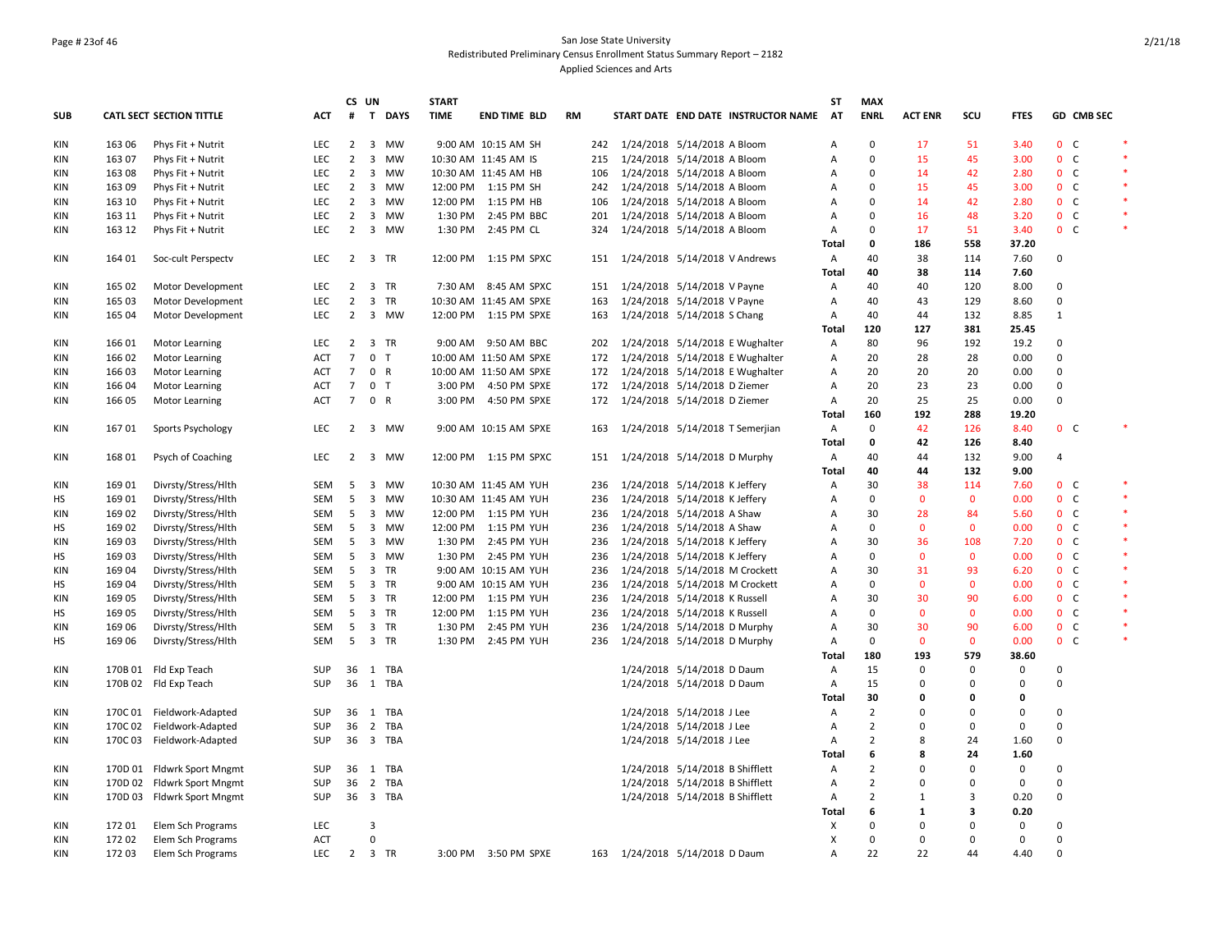## Page # 23of 46 San Jose State University Redistributed Preliminary Census Enrollment Status Summary Report – 2182 Applied Sciences and Arts

|            |         |                            |            |                 | CS UN                         | <b>START</b> |                        |    |     |                                |                                 |                                     | ST             | <b>MAX</b>     |                |                         |             |                |            |              |
|------------|---------|----------------------------|------------|-----------------|-------------------------------|--------------|------------------------|----|-----|--------------------------------|---------------------------------|-------------------------------------|----------------|----------------|----------------|-------------------------|-------------|----------------|------------|--------------|
| <b>SUB</b> |         | CATL SECT SECTION TITTLE   | <b>ACT</b> | $\#$            | T DAYS                        | <b>TIME</b>  | <b>END TIME BLD</b>    | RM |     |                                |                                 | START DATE END DATE INSTRUCTOR NAME | AT             | <b>ENRL</b>    | <b>ACT ENR</b> | SCU                     | <b>FTES</b> |                | GD CMB SEC |              |
| KIN        | 163 06  | Phys Fit + Nutrit          | <b>LEC</b> | $\overline{2}$  | 3 MW                          |              | 9:00 AM 10:15 AM SH    |    | 242 | 1/24/2018 5/14/2018 A Bloom    |                                 |                                     | $\overline{A}$ | 0              | 17             | 51                      | 3.40        | 0 <sup>o</sup> |            | $\mathbf{R}$ |
| KIN        | 163 07  | Phys Fit + Nutrit          | LEC        | $\overline{2}$  | $\overline{\mathbf{3}}$<br>MW |              | 10:30 AM 11:45 AM IS   |    | 215 | 1/24/2018 5/14/2018 A Bloom    |                                 |                                     | Α              | $\mathbf 0$    | 15             | 45                      | 3.00        | 0 <sub>c</sub> |            |              |
| KIN        | 163 08  | Phys Fit + Nutrit          | <b>LEC</b> | $\overline{2}$  | $\overline{3}$<br>MW          |              | 10:30 AM 11:45 AM HB   |    | 106 | 1/24/2018 5/14/2018 A Bloom    |                                 |                                     | $\overline{A}$ | 0              | 14             | 42                      | 2.80        | 0 <sup>o</sup> |            | $\ast$       |
| KIN        | 163 09  | Phys Fit + Nutrit          | LEC        | $\overline{2}$  | $\overline{3}$<br>MW          |              | 12:00 PM 1:15 PM SH    |    | 242 | 1/24/2018 5/14/2018 A Bloom    |                                 |                                     | Α              | 0              | 15             | 45                      | 3.00        | 0 <sub>c</sub> |            |              |
| KIN        | 163 10  | Phys Fit + Nutrit          | LEC        | $\overline{2}$  | 3 MW                          |              | 12:00 PM 1:15 PM HB    |    | 106 | 1/24/2018 5/14/2018 A Bloom    |                                 |                                     | Α              | $\mathbf 0$    | 14             | 42                      | 2.80        | 0 <sub>c</sub> |            | $\ast$       |
| <b>KIN</b> | 163 11  | Phys Fit + Nutrit          | <b>LEC</b> | $\overline{2}$  | $\overline{\mathbf{3}}$<br>MW |              | 1:30 PM 2:45 PM BBC    |    | 201 | 1/24/2018 5/14/2018 A Bloom    |                                 |                                     | Α              | 0              | 16             | 48                      | 3.20        | 0 <sup>o</sup> |            | $\ast$       |
| KIN        | 163 12  | Phys Fit + Nutrit          | <b>LEC</b> | $\overline{2}$  | 3 MW                          |              | 1:30 PM 2:45 PM CL     |    | 324 | 1/24/2018 5/14/2018 A Bloom    |                                 |                                     | Α              | 0              | 17             | 51                      | 3.40        | 0 <sup>o</sup> |            | $\ast$       |
|            |         |                            |            |                 |                               |              |                        |    |     |                                |                                 |                                     | Total          | 0              | 186            | 558                     | 37.20       |                |            |              |
| KIN        | 164 01  | Soc-cult Perspectv         | <b>LEC</b> | $\overline{2}$  | 3 TR                          |              | 12:00 PM  1:15 PM SPXC |    | 151 | 1/24/2018 5/14/2018 V Andrews  |                                 |                                     | Α              | 40             | 38             | 114                     | 7.60        | $\Omega$       |            |              |
|            |         |                            |            |                 |                               |              |                        |    |     |                                |                                 |                                     | <b>Total</b>   | 40             | 38             | 114                     | 7.60        |                |            |              |
| KIN        | 165 02  | Motor Development          | <b>LEC</b> | $\overline{2}$  | 3 TR                          |              | 7:30 AM 8:45 AM SPXC   |    | 151 | 1/24/2018 5/14/2018 V Payne    |                                 |                                     | Α              | 40             | 40             | 120                     | 8.00        | 0              |            |              |
| KIN        | 165 03  | Motor Development          | LEC        | $\overline{2}$  | 3 TR                          |              | 10:30 AM 11:45 AM SPXE |    | 163 |                                | 1/24/2018 5/14/2018 V Payne     |                                     | Α              | 40             | 43             | 129                     | 8.60        | 0              |            |              |
| KIN        | 165 04  | Motor Development          | <b>LEC</b> | $\overline{2}$  | 3 MW                          |              | 12:00 PM 1:15 PM SPXE  |    | 163 | 1/24/2018 5/14/2018 S Chang    |                                 |                                     | Α              | 40             | 44             | 132                     | 8.85        | 1              |            |              |
|            |         |                            |            |                 |                               |              |                        |    |     |                                |                                 |                                     | <b>Total</b>   | 120            | 127            | 381                     | 25.45       |                |            |              |
| KIN        | 166 01  | Motor Learning             | LEC        | $\overline{2}$  | 3 TR                          |              | 9:00 AM 9:50 AM BBC    |    | 202 |                                |                                 | 1/24/2018 5/14/2018 E Wughalter     | Α              | 80             | 96             | 192                     | 19.2        | 0              |            |              |
| KIN        | 166 02  | <b>Motor Learning</b>      | ACT        | $\overline{7}$  | 0 <sub>T</sub>                |              | 10:00 AM 11:50 AM SPXE |    | 172 |                                |                                 | 1/24/2018 5/14/2018 E Wughalter     | A              | 20             | 28             | 28                      | 0.00        | $\mathbf 0$    |            |              |
| KIN        | 166 03  | <b>Motor Learning</b>      | <b>ACT</b> | $\overline{7}$  | $\mathbf 0$<br>$\overline{R}$ |              | 10:00 AM 11:50 AM SPXE |    | 172 |                                |                                 | 1/24/2018 5/14/2018 E Wughalter     | Α              | 20             | 20             | 20                      | 0.00        | 0              |            |              |
| KIN        | 166 04  | <b>Motor Learning</b>      | <b>ACT</b> | 7 <sup>7</sup>  | 0 <sub>T</sub>                |              | 3:00 PM 4:50 PM SPXE   |    | 172 | 1/24/2018 5/14/2018 D Ziemer   |                                 |                                     | Α              | 20             | 23             | 23                      | 0.00        | 0              |            |              |
| KIN        | 166 05  | <b>Motor Learning</b>      | <b>ACT</b> | $7\overline{ }$ | 0 R                           |              | 3:00 PM 4:50 PM SPXE   |    | 172 | 1/24/2018 5/14/2018 D Ziemer   |                                 |                                     | Α              | 20             | 25             | 25                      | 0.00        | $\mathbf 0$    |            |              |
|            |         |                            |            |                 |                               |              |                        |    |     |                                |                                 |                                     | <b>Total</b>   | 160            | 192            | 288                     | 19.20       |                |            |              |
| KIN        | 16701   | Sports Psychology          | <b>LEC</b> |                 | 2 3 MW                        |              | 9:00 AM 10:15 AM SPXE  |    | 163 |                                |                                 | 1/24/2018 5/14/2018 T Semerjian     | Α              | 0              | 42             | 126                     | 8.40        | 0 <sub>c</sub> |            |              |
|            |         |                            |            |                 |                               |              |                        |    |     |                                |                                 |                                     | Total          | 0              | 42             | 126                     | 8.40        |                |            |              |
| KIN        | 168 01  | Psych of Coaching          | <b>LEC</b> | $2^{\circ}$     | 3 MW                          |              | 12:00 PM  1:15 PM SPXC |    | 151 | 1/24/2018 5/14/2018 D Murphy   |                                 |                                     | Α              | 40             | 44             | 132                     | 9.00        | $\overline{4}$ |            |              |
|            |         |                            |            |                 |                               |              |                        |    |     |                                |                                 |                                     | Total          | 40             | 44             | 132                     | 9.00        |                |            |              |
| <b>KIN</b> | 169 01  | Divrsty/Stress/Hlth        | <b>SEM</b> | 5               | 3<br><b>MW</b>                |              | 10:30 AM 11:45 AM YUH  |    | 236 | 1/24/2018 5/14/2018 K Jeffery  |                                 |                                     | Α              | 30             | 38             | 114                     | 7.60        | 0 <sup>o</sup> |            | $\ast$       |
| HS         | 169 01  | Divrsty/Stress/Hlth        | SEM        | 5               | 3 MW                          |              | 10:30 AM 11:45 AM YUH  |    | 236 | 1/24/2018 5/14/2018 K Jeffery  |                                 |                                     | $\overline{A}$ | $\mathbf 0$    | $\mathbf{0}$   | $\mathbf{0}$            | 0.00        | 0 <sup>o</sup> |            | $\ast$       |
| KIN        | 169 02  | Divrsty/Stress/Hlth        | SEM        | - 5             | 3 MW                          |              | 12:00 PM 1:15 PM YUH   |    | 236 | 1/24/2018 5/14/2018 A Shaw     |                                 |                                     | Α              | 30             | 28             | 84                      | 5.60        | 0 <sup>o</sup> |            | $\ast$       |
| HS         | 169 02  | Divrsty/Stress/Hlth        | SEM        | - 5             | 3 MW                          |              | 12:00 PM 1:15 PM YUH   |    | 236 | 1/24/2018 5/14/2018 A Shaw     |                                 |                                     | Α              | $\mathsf 0$    | $\mathbf 0$    | $\mathbf 0$             | 0.00        | 0 <sup>o</sup> |            |              |
| KIN        | 169 03  | Divrsty/Stress/Hlth        | SEM        | 5               | 3 MW                          |              | 1:30 PM 2:45 PM YUH    |    | 236 | 1/24/2018 5/14/2018 K Jeffery  |                                 |                                     | Α              | 30             | 36             | 108                     | 7.20        | 0 <sup>o</sup> |            | $\ast$       |
| HS         | 169 03  | Divrsty/Stress/Hlth        | SEM        | 5               | 3 MW                          |              | 1:30 PM 2:45 PM YUH    |    | 236 | 1/24/2018 5/14/2018 K Jeffery  |                                 |                                     | Α              | $\mathbf 0$    | $\mathbf{0}$   | $\mathbf 0$             | 0.00        | 0 <sub>c</sub> |            |              |
| <b>KIN</b> | 169 04  | Divrsty/Stress/Hlth        | <b>SEM</b> | 5               | 3 TR                          |              | 9:00 AM 10:15 AM YUH   |    | 236 | 1/24/2018 5/14/2018 M Crockett |                                 |                                     | $\overline{A}$ | 30             | 31             | 93                      | 6.20        | 0 <sup>o</sup> |            | $\ast$       |
| НS         | 169 04  | Divrsty/Stress/Hlth        | SEM        | - 5             | 3 TR                          |              | 9:00 AM 10:15 AM YUH   |    | 236 | 1/24/2018 5/14/2018 M Crockett |                                 |                                     | Α              | $\mathbf 0$    | $\mathbf 0$    | $\mathbf 0$             | 0.00        | 0 <sub>c</sub> |            | $\ast$       |
| <b>KIN</b> | 169 05  | Divrsty/Stress/Hlth        | SEM        | 5               | 3 TR                          |              | 12:00 PM 1:15 PM YUH   |    | 236 | 1/24/2018 5/14/2018 K Russell  |                                 |                                     | A              | 30             | 30             | 90                      | 6.00        | 0 <sub>c</sub> |            | $\ast$       |
| HS         | 169 05  | Divrsty/Stress/Hlth        | SEM        | 5               | 3 TR                          |              | 12:00 PM 1:15 PM YUH   |    | 236 |                                | 1/24/2018 5/14/2018 K Russell   |                                     | Α              | $\mathbf 0$    | $\mathbf{0}$   | $\mathbf 0$             | 0.00        | 0 <sup>o</sup> |            | $\ast$       |
| <b>KIN</b> | 169 06  | Divrsty/Stress/Hlth        | SEM        | 5               | 3 TR                          |              | 1:30 PM 2:45 PM YUH    |    | 236 | 1/24/2018 5/14/2018 D Murphy   |                                 |                                     | Α              | 30             | 30             | 90                      | 6.00        | 0 <sup>o</sup> |            | $\star$      |
| HS         | 169 06  | Divrsty/Stress/Hlth        | SEM        | 5               | 3 TR                          |              | 1:30 PM 2:45 PM YUH    |    | 236 | 1/24/2018 5/14/2018 D Murphy   |                                 |                                     | Α              | $\mathbf 0$    | $\mathbf{0}$   | $\mathbf 0$             | 0.00        | 0 <sub>c</sub> |            |              |
|            |         |                            |            |                 |                               |              |                        |    |     |                                |                                 |                                     | <b>Total</b>   | 180            | 193            | 579                     | 38.60       |                |            |              |
| <b>KIN</b> |         | 170B 01 Fld Exp Teach      | <b>SUP</b> | 36              | 1 TBA                         |              |                        |    |     |                                | 1/24/2018 5/14/2018 D Daum      |                                     | Α              | 15             | 0              | $\mathbf 0$             | $\mathsf 0$ | $\Omega$       |            |              |
| KIN        |         | 170B 02 Fld Exp Teach      | <b>SUP</b> |                 | 36 1 TBA                      |              |                        |    |     |                                | 1/24/2018 5/14/2018 D Daum      |                                     | A              | 15             | 0              | $\mathbf 0$             | $\mathbf 0$ | $\mathbf 0$    |            |              |
|            |         |                            |            |                 |                               |              |                        |    |     |                                |                                 |                                     | <b>Total</b>   | 30             | 0              | $\mathbf 0$             | 0           |                |            |              |
| KIN        |         | 170C 01 Fieldwork-Adapted  | <b>SUP</b> |                 | 36 1 TBA                      |              |                        |    |     |                                | 1/24/2018 5/14/2018 J Lee       |                                     | Α              | $\overline{2}$ | 0              | $\mathbf 0$             | $\mathbf 0$ | $\mathbf 0$    |            |              |
| KIN        | 170C 02 | Fieldwork-Adapted          | <b>SUP</b> | 36              | 2 TBA                         |              |                        |    |     |                                | 1/24/2018 5/14/2018 J Lee       |                                     | Α              | $\overline{2}$ | $\Omega$       | $\Omega$                | $\mathbf 0$ | $\Omega$       |            |              |
| KIN        |         | 170C 03 Fieldwork-Adapted  | <b>SUP</b> |                 | 36 3 TBA                      |              |                        |    |     |                                | 1/24/2018 5/14/2018 J Lee       |                                     | Α              | $\overline{2}$ | 8              | 24                      | 1.60        | 0              |            |              |
|            |         |                            |            |                 |                               |              |                        |    |     |                                |                                 |                                     | <b>Total</b>   | 6              | я              | 24                      | 1.60        |                |            |              |
| KIN        | 170D 01 | <b>Fldwrk Sport Mngmt</b>  | <b>SUP</b> | 36              | TBA<br>1                      |              |                        |    |     |                                | 1/24/2018 5/14/2018 B Shifflett |                                     | Α              | $\overline{2}$ | 0              | $\mathbf 0$             | $\mathbf 0$ | $\mathbf 0$    |            |              |
| <b>KIN</b> |         | 170D 02 Fldwrk Sport Mngmt | <b>SUP</b> | 36              | 2 TBA                         |              |                        |    |     |                                | 1/24/2018 5/14/2018 B Shifflett |                                     | Α              | 2              | $\Omega$       | $\mathbf 0$             | $\mathbf 0$ | $\mathbf 0$    |            |              |
| KIN        |         | 170D 03 Fldwrk Sport Mngmt | <b>SUP</b> |                 | 36 3 TBA                      |              |                        |    |     |                                | 1/24/2018 5/14/2018 B Shifflett |                                     | Α              | $\overline{2}$ | $\mathbf{1}$   | $\overline{3}$          | 0.20        | $\Omega$       |            |              |
|            |         |                            |            |                 |                               |              |                        |    |     |                                |                                 |                                     | <b>Total</b>   | 6              | $\mathbf{1}$   | $\overline{\mathbf{3}}$ | 0.20        |                |            |              |
| KIN        | 172 01  | Elem Sch Programs          | <b>LEC</b> |                 | $\overline{3}$                |              |                        |    |     |                                |                                 |                                     | Х              | 0              | $\Omega$       | $\mathbf 0$             | $\mathbf 0$ | $\Omega$       |            |              |
| KIN        | 172 02  | Elem Sch Programs          | <b>ACT</b> |                 | $\mathbf 0$                   |              |                        |    |     |                                |                                 |                                     | X              | $\mathbf 0$    | $\Omega$       | $\Omega$                | $\mathbf 0$ | $\mathbf 0$    |            |              |
| KIN        | 172 03  | Elem Sch Programs          | <b>LEC</b> | 2               | 3 TR                          |              | 3:00 PM 3:50 PM SPXE   |    | 163 | 1/24/2018 5/14/2018 D Daum     |                                 |                                     | Α              | 22             | 22             | 44                      | 4.40        | $\mathbf 0$    |            |              |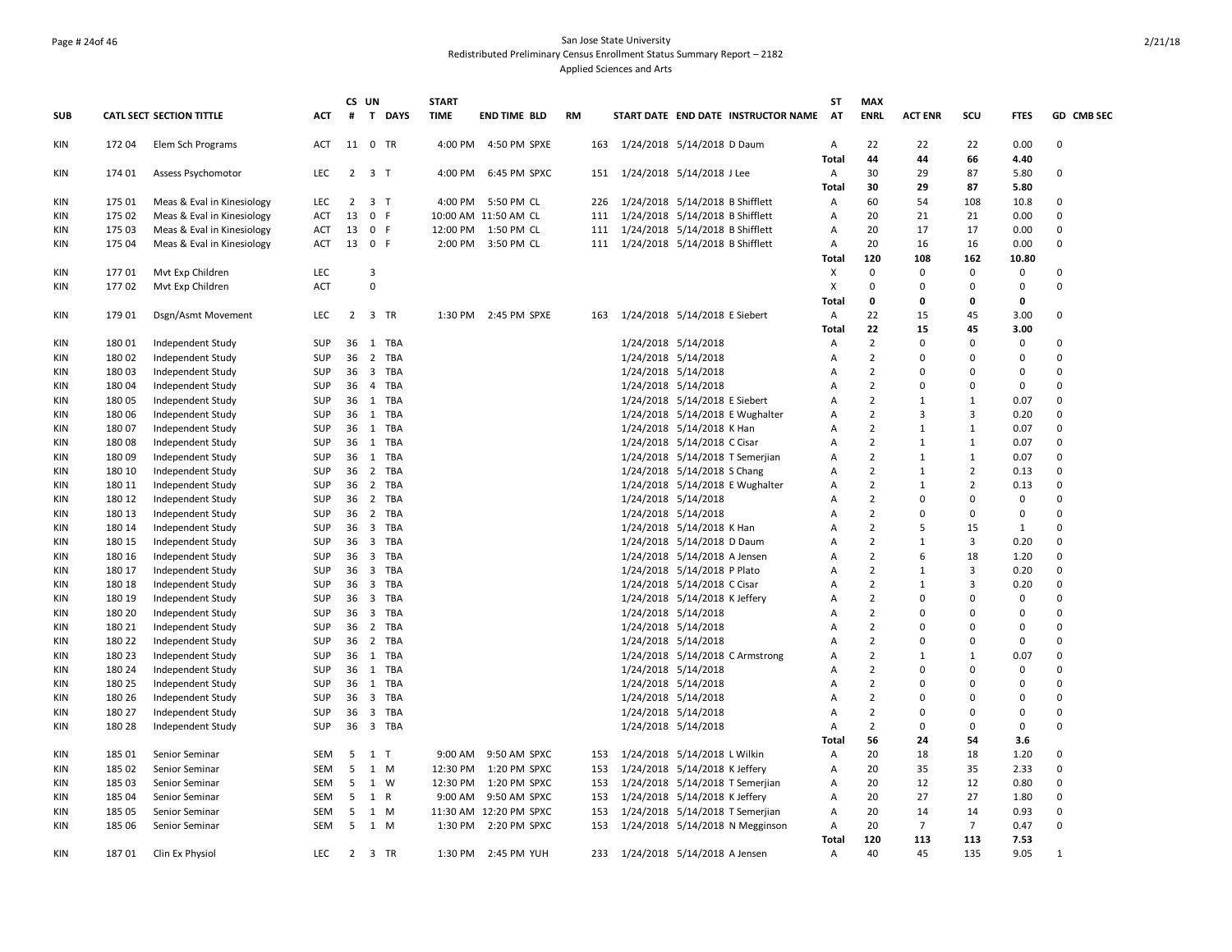## Page # 24of 46 San Jose State University Redistributed Preliminary Census Enrollment Status Summary Report – 2182 Applied Sciences and Arts

|            |                |                                 |            |                | CS UN               |          | <b>START</b> |                        |           |     |                                     | ST             | <b>MAX</b>     |                |                |             |                      |
|------------|----------------|---------------------------------|------------|----------------|---------------------|----------|--------------|------------------------|-----------|-----|-------------------------------------|----------------|----------------|----------------|----------------|-------------|----------------------|
| <b>SUB</b> |                | <b>CATL SECT SECTION TITTLE</b> | ACT        | $\#$           |                     | T DAYS   | <b>TIME</b>  | END TIME BLD           | <b>RM</b> |     | START DATE END DATE INSTRUCTOR NAME | <b>AT</b>      | <b>ENRL</b>    | <b>ACT ENR</b> | SCU            | <b>FTES</b> | GD CMB SEC           |
| KIN        | 172 04         | Elem Sch Programs               | ACT        |                | 11 0 TR             |          | 4:00 PM      | 4:50 PM SPXE           |           | 163 | 1/24/2018 5/14/2018 D Daum          | A              | 22             | 22             | 22             | 0.00        | $\Omega$             |
|            |                |                                 |            |                |                     |          |              |                        |           |     |                                     | <b>Total</b>   | 44             | 44             | 66             | 4.40        |                      |
| KIN        | 174 01         | Assess Psychomotor              | LEC        |                | $2 \quad 3 \quad T$ |          | 4:00 PM      | 6:45 PM SPXC           |           | 151 | 1/24/2018 5/14/2018 J Lee           | Α              | 30             | 29             | 87             | 5.80        | $\Omega$             |
|            |                |                                 |            |                |                     |          |              |                        |           |     |                                     | Total          | 30             | 29             | 87             | 5.80        |                      |
| KIN        | 175 01         | Meas & Eval in Kinesiology      | <b>LEC</b> | $\overline{2}$ | 3 <sub>1</sub>      |          | 4:00 PM      | 5:50 PM CL             |           | 226 | 1/24/2018 5/14/2018 B Shifflett     | A              | 60             | 54             | 108            | 10.8        | $\Omega$<br>$\Omega$ |
| KIN        | 175 02         | Meas & Eval in Kinesiology      | ACT        | 13             | 0 F                 |          |              | 10:00 AM 11:50 AM CL   |           | 111 | 1/24/2018 5/14/2018 B Shifflett     | Α              | 20             | 21             | 21             | 0.00        |                      |
| <b>KIN</b> | 175 03         | Meas & Eval in Kinesiology      | <b>ACT</b> |                | 13 0 F              |          | 12:00 PM     | 1:50 PM CL             |           | 111 | 1/24/2018 5/14/2018 B Shifflett     | $\overline{A}$ | 20             | 17             | 17             | 0.00        | $\Omega$             |
| KIN        | 175 04         | Meas & Eval in Kinesiology      | ACT        |                | 13 0 F              |          |              | 2:00 PM 3:50 PM CL     |           | 111 | 1/24/2018 5/14/2018 B Shifflett     | Α              | 20             | 16             | 16             | 0.00        | 0                    |
|            |                | Mvt Exp Children                | <b>LEC</b> |                | 3                   |          |              |                        |           |     |                                     | Total<br>X     | 120<br>0       | 108            | 162<br>0       | 10.80       | $\Omega$             |
| <b>KIN</b> | 17701<br>17702 | Myt Exp Children                | <b>ACT</b> |                | $\mathbf 0$         |          |              |                        |           |     |                                     | X              | $\Omega$       | 0<br>0         | $\Omega$       | 0<br>0      | $\Omega$             |
| KIN        |                |                                 |            |                |                     |          |              |                        |           |     |                                     | Total          | 0              | 0              | O              | 0           |                      |
| KIN        | 179 01         | Dsgn/Asmt Movement              | <b>LEC</b> |                | 2 3 TR              |          |              | 1:30 PM 2:45 PM SPXE   |           |     | 163 1/24/2018 5/14/2018 E Siebert   | $\overline{A}$ | 22             | 15             | 45             | 3.00        | $\Omega$             |
|            |                |                                 |            |                |                     |          |              |                        |           |     |                                     | Total          | 22             | 15             | 45             | 3.00        |                      |
| KIN        | 180 01         | Independent Study               | <b>SUP</b> |                |                     | 36 1 TBA |              |                        |           |     | 1/24/2018 5/14/2018                 | $\mathsf{A}$   | $\overline{2}$ | 0              | $\Omega$       | 0           | $\Omega$             |
| <b>KIN</b> | 180 02         | Independent Study               | <b>SUP</b> |                |                     | 36 2 TBA |              |                        |           |     | 1/24/2018 5/14/2018                 | Α              | $\overline{2}$ | $\Omega$       | $\Omega$       | 0           | $\Omega$             |
| KIN        | 180 03         | Independent Study               | <b>SUP</b> |                |                     | 36 3 TBA |              |                        |           |     | 1/24/2018 5/14/2018                 | $\mathsf{A}$   | $\overline{2}$ | 0              | 0              | 0           | $\Omega$             |
| KIN        | 180 04         | Independent Study               | <b>SUP</b> |                |                     | 36 4 TBA |              |                        |           |     | 1/24/2018 5/14/2018                 | Α              | $\overline{2}$ | 0              | 0              | 0           | $\Omega$             |
| KIN        | 180 05         | Independent Study               | <b>SUP</b> |                |                     | 36 1 TBA |              |                        |           |     | 1/24/2018 5/14/2018 E Siebert       | $\overline{A}$ | $\overline{2}$ | $\mathbf{1}$   | 1              | 0.07        | $\Omega$             |
| <b>KIN</b> | 180 06         | Independent Study               | <b>SUP</b> |                |                     | 36 1 TBA |              |                        |           |     | 1/24/2018 5/14/2018 E Wughalter     | $\mathsf{A}$   | $\overline{2}$ | 3              | 3              | 0.20        | $\Omega$             |
| KIN        | 180 07         | Independent Study               | <b>SUP</b> |                |                     | 36 1 TBA |              |                        |           |     | 1/24/2018 5/14/2018 K Han           | $\overline{A}$ | $\overline{2}$ | $\mathbf{1}$   | $\mathbf{1}$   | 0.07        | $\Omega$             |
| KIN        | 18008          | Independent Study               | <b>SUP</b> | 36             |                     | 1 TBA    |              |                        |           |     | 1/24/2018 5/14/2018 C Cisar         | $\mathsf{A}$   | $\overline{2}$ | $\mathbf{1}$   | $\mathbf{1}$   | 0.07        | $\Omega$             |
| KIN        | 18009          | Independent Study               | <b>SUP</b> |                |                     | 36 1 TBA |              |                        |           |     | 1/24/2018 5/14/2018 T Semerjian     | A              | $\overline{2}$ | 1              | $\mathbf{1}$   | 0.07        | $\Omega$             |
| <b>KIN</b> | 180 10         | Independent Study               | <b>SUP</b> |                |                     | 36 2 TBA |              |                        |           |     | 1/24/2018 5/14/2018 S Chang         | A              | $\overline{2}$ | 1              | $\overline{2}$ | 0.13        | $\Omega$             |
| KIN        | 180 11         | Independent Study               | <b>SUP</b> |                |                     | 36 2 TBA |              |                        |           |     | 1/24/2018 5/14/2018 E Wughalter     | A              | $\overline{2}$ | $\mathbf{1}$   | $\overline{2}$ | 0.13        | $\Omega$             |
| KIN        | 180 12         | Independent Study               | SUP        | 36             |                     | 2 TBA    |              |                        |           |     | 1/24/2018 5/14/2018                 | Α              | $\overline{2}$ | 0              | 0              | 0           | $\Omega$             |
| KIN        | 180 13         | Independent Study               | <b>SUP</b> |                |                     | 36 2 TBA |              |                        |           |     | 1/24/2018 5/14/2018                 | $\mathsf{A}$   | 2              | 0              | 0              | 0           | $\Omega$             |
| <b>KIN</b> | 180 14         | Independent Study               | <b>SUP</b> |                |                     | 36 3 TBA |              |                        |           |     | 1/24/2018 5/14/2018 K Han           | $\overline{A}$ | $\overline{2}$ | 5              | 15             | 1           | $\Omega$             |
| KIN        | 180 15         | Independent Study               | <b>SUP</b> |                |                     | 36 3 TBA |              |                        |           |     | 1/24/2018 5/14/2018 D Daum          | A              | $\overline{2}$ | $\mathbf{1}$   | 3              | 0.20        | $\Omega$             |
| KIN        | 180 16         | Independent Study               | <b>SUP</b> | 36             |                     | 3 TBA    |              |                        |           |     | 1/24/2018 5/14/2018 A Jensen        | A              | $\overline{2}$ | 6              | 18             | 1.20        | $\Omega$             |
| KIN        | 180 17         | Independent Study               | <b>SUP</b> |                |                     | 36 3 TBA |              |                        |           |     | 1/24/2018 5/14/2018 P Plato         | A              | $\overline{2}$ | 1              | 3              | 0.20        | $\Omega$             |
| <b>KIN</b> | 180 18         | Independent Study               | <b>SUP</b> |                |                     | 36 3 TBA |              |                        |           |     | 1/24/2018 5/14/2018 C Cisar         | $\mathsf{A}$   | $\overline{2}$ | $\mathbf{1}$   | 3              | 0.20        | $\Omega$             |
| KIN        | 180 19         | Independent Study               | <b>SUP</b> |                |                     | 36 3 TBA |              |                        |           |     | 1/24/2018 5/14/2018 K Jeffery       | A              | $\overline{2}$ | <sup>0</sup>   | $\Omega$       | 0           | $\Omega$             |
| KIN        | 180 20         | Independent Study               | <b>SUP</b> |                |                     | 36 3 TBA |              |                        |           |     | 1/24/2018 5/14/2018                 | $\overline{A}$ | $\overline{2}$ | $\Omega$       | $\Omega$       | 0           | $\Omega$             |
| <b>KIN</b> | 180 21         | Independent Study               | <b>SUP</b> | 36             |                     | 2 TBA    |              |                        |           |     | 1/24/2018 5/14/2018                 | Α              | $\overline{2}$ | 0              | 0              | 0           | $\Omega$             |
| KIN        | 180 22         | Independent Study               | <b>SUP</b> |                |                     | 36 2 TBA |              |                        |           |     | 1/24/2018 5/14/2018                 | $\mathsf{A}$   | $\overline{2}$ | 0              | $\Omega$       | 0           | $\Omega$             |
| <b>KIN</b> | 180 23         | Independent Study               | <b>SUP</b> |                |                     | 36 1 TBA |              |                        |           |     | 1/24/2018 5/14/2018 C Armstrong     | A              | $\overline{2}$ | $\mathbf{1}$   | $\mathbf{1}$   | 0.07        | $\Omega$             |
| KIN        | 180 24         | Independent Study               | <b>SUP</b> |                |                     | 36 1 TBA |              |                        |           |     | 1/24/2018 5/14/2018                 | $\overline{A}$ | $\overline{2}$ | $\Omega$       | $\Omega$       | 0           | $\Omega$             |
| KIN        | 180 25         | Independent Study               | <b>SUP</b> |                |                     | 36 1 TBA |              |                        |           |     | 1/24/2018 5/14/2018                 | Α              | $\overline{2}$ | 0              | 0              | 0           | $\Omega$             |
| <b>KIN</b> | 180 26         | Independent Study               | <b>SUP</b> |                |                     | 36 3 TBA |              |                        |           |     | 1/24/2018 5/14/2018                 | $\overline{A}$ | $\overline{2}$ | 0              | 0              | 0           | $\Omega$             |
| <b>KIN</b> | 180 27         | Independent Study               | <b>SUP</b> | 36             |                     | 3 TBA    |              |                        |           |     | 1/24/2018 5/14/2018                 | A              | $\overline{2}$ | 0              | 0              | 0           | $\Omega$             |
| KIN        | 180 28         | Independent Study               | <b>SUP</b> |                |                     | 36 3 TBA |              |                        |           |     | 1/24/2018 5/14/2018                 | $\overline{A}$ | $\overline{2}$ | $\Omega$       | $\Omega$       | 0           | $\Omega$             |
|            |                |                                 |            |                |                     |          |              |                        |           |     |                                     | Total          | 56             | 24             | 54             | 3.6         |                      |
| KIN        | 185 01         | Senior Seminar                  | SEM        | 5              | 1 T                 |          | 9:00 AM      | 9:50 AM SPXC           |           | 153 | 1/24/2018 5/14/2018 L Wilkin        | A              | 20             | 18             | 18             | 1.20        | $\Omega$             |
| <b>KIN</b> | 185 02         | Senior Seminar                  | <b>SEM</b> | 5              |                     | 1 M      | 12:30 PM     | 1:20 PM SPXC           |           | 153 | 1/24/2018 5/14/2018 K Jeffery       | A              | 20             | 35             | 35             | 2.33        | $\Omega$             |
| KIN        | 185 03         | Senior Seminar                  | <b>SEM</b> | 5              |                     | 1 W      | 12:30 PM     | 1:20 PM SPXC           |           | 153 | 1/24/2018 5/14/2018 T Semerjian     | Α              | 20             | 12             | 12             | 0.80        | $\Omega$             |
| KIN        | 185 04         | Senior Seminar                  | SEM        | 5              | 1 R                 |          | 9:00 AM      | 9:50 AM SPXC           |           | 153 | 1/24/2018 5/14/2018 K Jeffery       | Α              | 20             | 27             | 27             | 1.80        | $\mathbf 0$          |
| <b>KIN</b> | 185 05         | Senior Seminar                  | SEM        | 5              |                     | 1 M      |              | 11:30 AM 12:20 PM SPXC |           | 153 | 1/24/2018 5/14/2018 T Semerjian     | A              | 20             | 14             | 14             | 0.93        | $\Omega$             |
| <b>KIN</b> | 185 06         | Senior Seminar                  | SEM        | - 5            | 1 M                 |          | 1:30 PM      | 2:20 PM SPXC           |           | 153 | 1/24/2018 5/14/2018 N Megginson     | $\overline{A}$ | 20             | 7              | $\overline{7}$ | 0.47        | $\Omega$             |
|            |                |                                 |            |                |                     |          |              |                        |           |     |                                     | Total          | 120            | 113            | 113            | 7.53        |                      |
| <b>KIN</b> | 18701          | Clin Ex Physiol                 | <b>LEC</b> |                | 2 3 TR              |          |              | 1:30 PM 2:45 PM YUH    |           |     | 233 1/24/2018 5/14/2018 A Jensen    | $\overline{A}$ | 40             | 45             | 135            | 9.05        | $\mathbf{1}$         |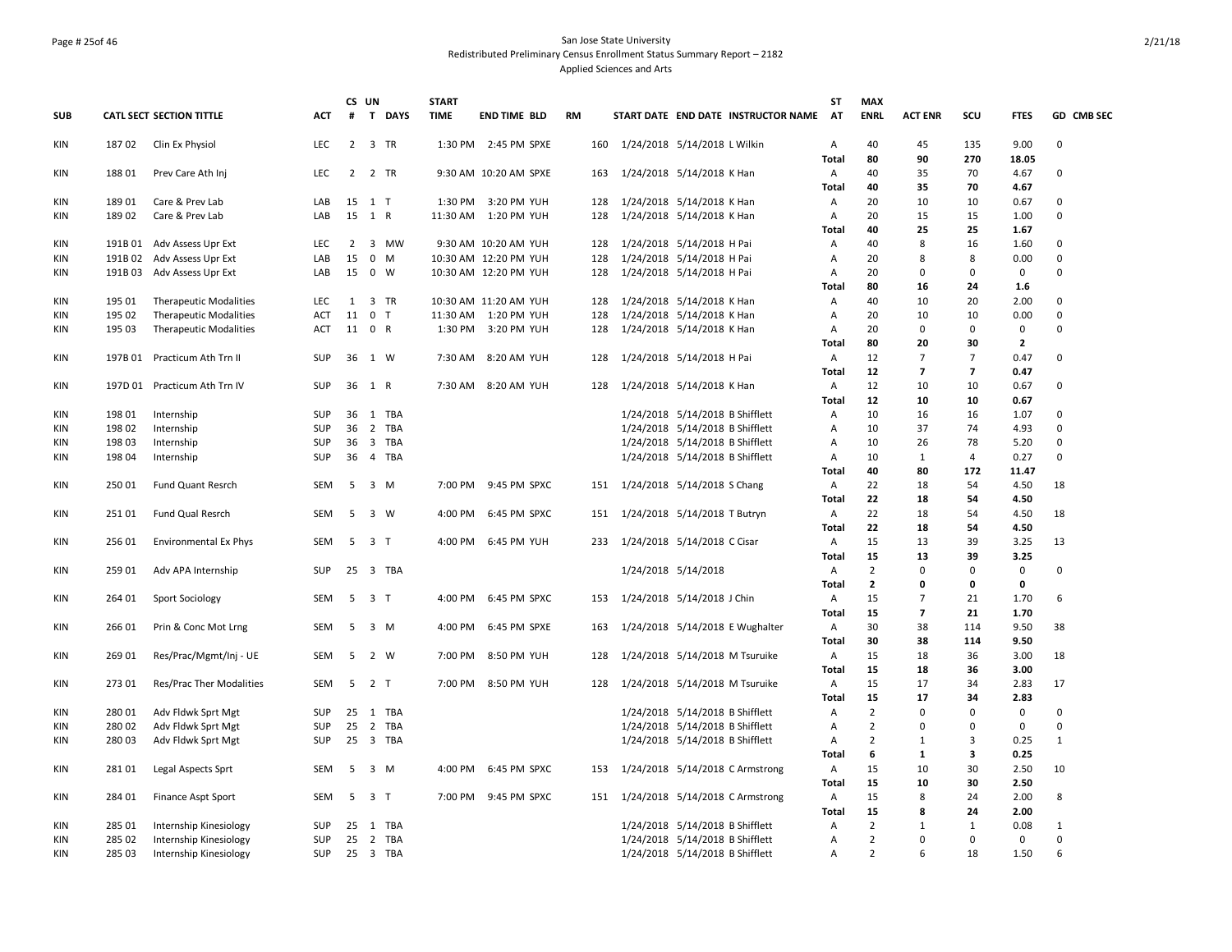## Page # 25of 46 San Jose State University Redistributed Preliminary Census Enrollment Status Summary Report – 2182 Applied Sciences and Arts

|            |                  |                                                  |                          |                | CS UN          |                | <b>START</b> |                       |           |     |                                                                    | ST                | <b>MAX</b>           |                   |                |                     |                            |
|------------|------------------|--------------------------------------------------|--------------------------|----------------|----------------|----------------|--------------|-----------------------|-----------|-----|--------------------------------------------------------------------|-------------------|----------------------|-------------------|----------------|---------------------|----------------------------|
| <b>SUB</b> |                  | CATL SECT SECTION TITTLE                         | <b>ACT</b>               | #              |                | T DAYS         | <b>TIME</b>  | <b>END TIME BLD</b>   | <b>RM</b> |     | START DATE END DATE INSTRUCTOR NAME                                | AT                | <b>ENRL</b>          | <b>ACT ENR</b>    | SCU            | <b>FTES</b>         | GD CMB SEC                 |
| KIN        | 18702            | Clin Ex Physiol                                  | <b>LEC</b>               | $\overline{2}$ |                | 3 TR           | 1:30 PM      | 2:45 PM SPXE          |           | 160 | 1/24/2018 5/14/2018 L Wilkin                                       | $\overline{A}$    | 40                   | 45                | 135            | 9.00                | $\Omega$                   |
|            |                  |                                                  |                          |                |                |                |              |                       |           |     |                                                                    | Total             | 80                   | 90                | 270            | 18.05               |                            |
| <b>KIN</b> | 18801            | Prev Care Ath Inj                                | <b>LEC</b>               | 2              |                | 2 TR           |              | 9:30 AM 10:20 AM SPXE | 163       |     | 1/24/2018 5/14/2018 K Han                                          | A                 | 40                   | 35                | 70             | 4.67                | $\mathbf 0$                |
|            |                  |                                                  |                          |                |                |                |              |                       |           |     |                                                                    | Total             | 40                   | 35                | 70             | 4.67                |                            |
| KIN        | 18901            | Care & Prev Lab                                  | LAB                      | 15             | 15 1 T         |                | 1:30 PM      | 3:20 PM YUH           |           | 128 | 1/24/2018 5/14/2018 K Han                                          | A                 | 20                   | 10                | 10             | 0.67                | $\mathbf 0$<br>$\mathbf 0$ |
| KIN        | 18902            | Care & Prev Lab                                  | LAB                      |                | 1 R            |                | 11:30 AM     | 1:20 PM YUH           | 128       |     | 1/24/2018 5/14/2018 K Han                                          | A<br><b>Total</b> | 20<br>40             | 15<br>25          | 15<br>25       | 1.00                |                            |
| <b>KIN</b> | 191B 01          | Adv Assess Upr Ext                               | <b>LEC</b>               | 2              |                | 3 MW           |              | 9:30 AM 10:20 AM YUH  | 128       |     | 1/24/2018 5/14/2018 H Pai                                          | A                 | 40                   | 8                 | 16             | 1.67<br>1.60        | $\Omega$                   |
| KIN        | 191B 02          | Adv Assess Upr Ext                               | LAB                      | 15             |                | $0 \quad M$    |              | 10:30 AM 12:20 PM YUH |           | 128 | 1/24/2018 5/14/2018 H Pai                                          | A                 | 20                   | 8                 | 8              | 0.00                | $\Omega$                   |
| <b>KIN</b> | 191B03           | Adv Assess Upr Ext                               | LAB                      | 15             | 0 W            |                |              | 10:30 AM 12:20 PM YUH |           | 128 | 1/24/2018 5/14/2018 H Pai                                          | Α                 | 20                   | 0                 | 0              | $\mathbf 0$         | $\mathbf 0$                |
|            |                  |                                                  |                          |                |                |                |              |                       |           |     |                                                                    | Total             | 80                   | 16                | 24             | 1.6                 |                            |
| KIN        | 195 01           | <b>Therapeutic Modalities</b>                    | <b>LEC</b>               | 1              |                | 3 TR           |              | 10:30 AM 11:20 AM YUH | 128       |     | 1/24/2018 5/14/2018 K Han                                          | Α                 | 40                   | 10                | 20             | 2.00                | $\mathbf 0$                |
| <b>KIN</b> | 195 02           | <b>Therapeutic Modalities</b>                    | ACT                      | 11             | 0 <sub>T</sub> |                | 11:30 AM     | 1:20 PM YUH           |           | 128 | 1/24/2018 5/14/2018 K Han                                          | Α                 | 20                   | 10                | 10             | 0.00                | $\Omega$                   |
| KIN        | 195 03           | <b>Therapeutic Modalities</b>                    | <b>ACT</b>               | 11 0 R         |                |                | 1:30 PM      | 3:20 PM YUH           | 128       |     | 1/24/2018 5/14/2018 K Han                                          | $\overline{A}$    | 20                   | 0                 | 0              | $\mathbf 0$         | $\Omega$                   |
|            |                  |                                                  |                          |                |                |                |              |                       |           |     |                                                                    | <b>Total</b>      | 80                   | 20                | 30             | $\overline{2}$      |                            |
| KIN        | 197B 01          | Practicum Ath Trn II                             | <b>SUP</b>               | 36             | 1 W            |                | 7:30 AM      | 8:20 AM YUH           | 128       |     | 1/24/2018 5/14/2018 H Pai                                          | A                 | 12                   | $\overline{7}$    | $\overline{7}$ | 0.47                | $\mathbf 0$                |
|            |                  |                                                  |                          |                |                |                |              |                       |           |     |                                                                    | Total             | 12                   | 7                 | $\overline{7}$ | 0.47                |                            |
| KIN        |                  | 197D 01 Practicum Ath Trn IV                     | <b>SUP</b>               | 36 1 R         |                |                | 7:30 AM      | 8:20 AM YUH           |           | 128 | 1/24/2018 5/14/2018 K Han                                          | A                 | 12                   | 10                | 10             | 0.67                | $\mathbf 0$                |
|            |                  |                                                  |                          |                |                |                |              |                       |           |     |                                                                    | Total             | 12                   | 10                | 10             | 0.67                |                            |
| <b>KIN</b> | 198 01           | Internship                                       | <b>SUP</b>               |                |                | 36 1 TBA       |              |                       |           |     | 1/24/2018 5/14/2018 B Shifflett                                    | A                 | 10                   | 16                | 16             | 1.07                | $\Omega$                   |
| <b>KIN</b> | 198 02           | Internship                                       | <b>SUP</b>               |                |                | 36 2 TBA       |              |                       |           |     | 1/24/2018 5/14/2018 B Shifflett                                    | Α                 | 10                   | 37                | 74             | 4.93                | $\Omega$                   |
| KIN        | 198 03           | Internship                                       | <b>SUP</b>               | 36             |                | 3 TBA          |              |                       |           |     | 1/24/2018 5/14/2018 B Shifflett                                    | Α                 | 10                   | 26                | 78             | 5.20                | $\mathbf 0$                |
| KIN        | 198 04           | Internship                                       | SUP                      | 36             |                | 4 TBA          |              |                       |           |     | 1/24/2018 5/14/2018 B Shifflett                                    | A                 | 10                   | 1                 | 4              | 0.27                | $\mathbf 0$                |
|            |                  |                                                  |                          |                |                |                |              |                       |           |     |                                                                    | <b>Total</b>      | 40                   | 80                | 172            | 11.47               |                            |
| <b>KIN</b> | 25001            | Fund Quant Resrch                                | <b>SEM</b>               | 5              |                | 3 M            | 7:00 PM      | 9:45 PM SPXC          |           | 151 | 1/24/2018 5/14/2018 S Chang                                        | $\overline{A}$    | 22                   | 18                | 54             | 4.50                | 18                         |
|            |                  |                                                  |                          |                |                |                |              |                       |           |     |                                                                    | <b>Total</b>      | 22                   | 18                | 54             | 4.50                |                            |
| <b>KIN</b> | 251 01           | Fund Qual Resrch                                 | SEM                      | 5              |                | 3 W            | 4:00 PM      | 6:45 PM SPXC          |           | 151 | 1/24/2018 5/14/2018 T Butryn                                       | A                 | 22<br>22             | 18                | 54             | 4.50                | 18                         |
| KIN        | 256 01           | <b>Environmental Ex Phys</b>                     | SEM                      | - 5            | 3 T            |                | 4:00 PM      | 6:45 PM YUH           | 233       |     | 1/24/2018 5/14/2018 C Cisar                                        | Total<br>A        | 15                   | 18<br>13          | 54<br>39       | 4.50<br>3.25        | 13                         |
|            |                  |                                                  |                          |                |                |                |              |                       |           |     |                                                                    | Total             | 15                   | 13                | 39             | 3.25                |                            |
| KIN        | 259 01           | Adv APA Internship                               | <b>SUP</b>               |                |                | 25 3 TBA       |              |                       |           |     | 1/24/2018 5/14/2018                                                | A                 | $\overline{2}$       | $\Omega$          | $\Omega$       | $\mathbf 0$         | $\Omega$                   |
|            |                  |                                                  |                          |                |                |                |              |                       |           |     |                                                                    | Total             | $\overline{2}$       | 0                 | 0              | 0                   |                            |
| <b>KIN</b> | 264 01           | Sport Sociology                                  | SEM                      | 5              | 3 <sub>T</sub> |                | 4:00 PM      | 6:45 PM SPXC          |           | 153 | 1/24/2018 5/14/2018 J Chin                                         | A                 | 15                   | $\overline{7}$    | 21             | 1.70                | 6                          |
|            |                  |                                                  |                          |                |                |                |              |                       |           |     |                                                                    | Total             | 15                   | $\overline{7}$    | 21             | 1.70                |                            |
| KIN        | 266 01           | Prin & Conc Mot Lrng                             | SEM                      | 5              |                | 3 M            | 4:00 PM      | 6:45 PM SPXE          | 163       |     | 1/24/2018 5/14/2018 E Wughalter                                    | A                 | 30                   | 38                | 114            | 9.50                | 38                         |
|            |                  |                                                  |                          |                |                |                |              |                       |           |     |                                                                    | <b>Total</b>      | 30                   | 38                | 114            | 9.50                |                            |
| KIN        | 269 01           | Res/Prac/Mgmt/Inj - UE                           | <b>SEM</b>               | -5             |                | 2 W            | 7:00 PM      | 8:50 PM YUH           | 128       |     | 1/24/2018 5/14/2018 M Tsuruike                                     | Α                 | 15                   | 18                | 36             | 3.00                | 18                         |
|            |                  |                                                  |                          |                |                |                |              |                       |           |     |                                                                    | Total             | 15                   | 18                | 36             | 3.00                |                            |
| KIN        | 273 01           | Res/Prac Ther Modalities                         | SEM                      |                | 5 2 T          |                | 7:00 PM      | 8:50 PM YUH           |           | 128 | 1/24/2018 5/14/2018 M Tsuruike                                     | Α                 | 15                   | 17                | 34             | 2.83                | 17                         |
|            |                  |                                                  |                          |                |                |                |              |                       |           |     |                                                                    | <b>Total</b>      | 15                   | 17                | 34             | 2.83                |                            |
| <b>KIN</b> | 280 01           | Adv Fldwk Sprt Mgt                               | <b>SUP</b>               | 25             |                | 1 TBA          |              |                       |           |     | 1/24/2018 5/14/2018 B Shifflett                                    | Α                 | $\overline{2}$       | $\mathbf 0$       | $\mathbf 0$    | $\mathbf 0$         | $\mathbf 0$                |
| <b>KIN</b> | 28002            | Adv Fldwk Sprt Mgt                               | <b>SUP</b>               | 25             |                | 2 TBA          |              |                       |           |     | 1/24/2018 5/14/2018 B Shifflett                                    | $\overline{A}$    | $\overline{2}$       | $\Omega$          | $\Omega$       | $\mathbf 0$         | $\Omega$                   |
| KIN        | 280 03           | Adv Fldwk Sprt Mgt                               | <b>SUP</b>               |                |                | 25 3 TBA       |              |                       |           |     | 1/24/2018 5/14/2018 B Shifflett                                    | A                 | $\overline{2}$       | $\mathbf{1}$      | 3              | 0.25                | $\mathbf{1}$               |
|            |                  |                                                  |                          |                |                |                |              |                       |           |     |                                                                    | <b>Total</b>      | 6                    | 1                 | 3              | 0.25                |                            |
| KIN        | 28101            | Legal Aspects Sprt                               | SEM                      | 5              |                | 3 M            | 4:00 PM      | 6:45 PM SPXC          | 153       |     | 1/24/2018 5/14/2018 C Armstrong                                    | A                 | 15                   | 10                | 30             | 2.50                | 10                         |
|            |                  |                                                  |                          |                |                |                |              |                       |           |     |                                                                    | <b>Total</b>      | 15                   | 10                | 30             | 2.50                |                            |
| KIN        | 284 01           | Finance Aspt Sport                               | <b>SEM</b>               | 5              | 3 T            |                | 7:00 PM      | 9:45 PM SPXC          |           | 151 | 1/24/2018 5/14/2018 C Armstrong                                    | A                 | 15                   | 8                 | 24             | 2.00                | 8                          |
|            |                  |                                                  |                          |                |                |                |              |                       |           |     |                                                                    | <b>Total</b>      | 15<br>$\overline{2}$ | 8<br>$\mathbf{1}$ | 24             | 2.00                | $\mathbf{1}$               |
| KIN<br>KIN | 285 01<br>285 02 | Internship Kinesiology<br>Internship Kinesiology | <b>SUP</b><br><b>SUP</b> | 25<br>25       |                | 1 TBA<br>2 TBA |              |                       |           |     | 1/24/2018 5/14/2018 B Shifflett<br>1/24/2018 5/14/2018 B Shifflett | Α<br>A            | $\overline{2}$       | $\Omega$          | $1\,$<br>0     | 0.08<br>$\mathbf 0$ | $\mathbf 0$                |
| <b>KIN</b> | 285 03           | Internship Kinesiology                           | <b>SUP</b>               |                |                | 25 3 TBA       |              |                       |           |     | 1/24/2018 5/14/2018 B Shifflett                                    | A                 | $\overline{2}$       | 6                 | 18             | 1.50                | 6                          |
|            |                  |                                                  |                          |                |                |                |              |                       |           |     |                                                                    |                   |                      |                   |                |                     |                            |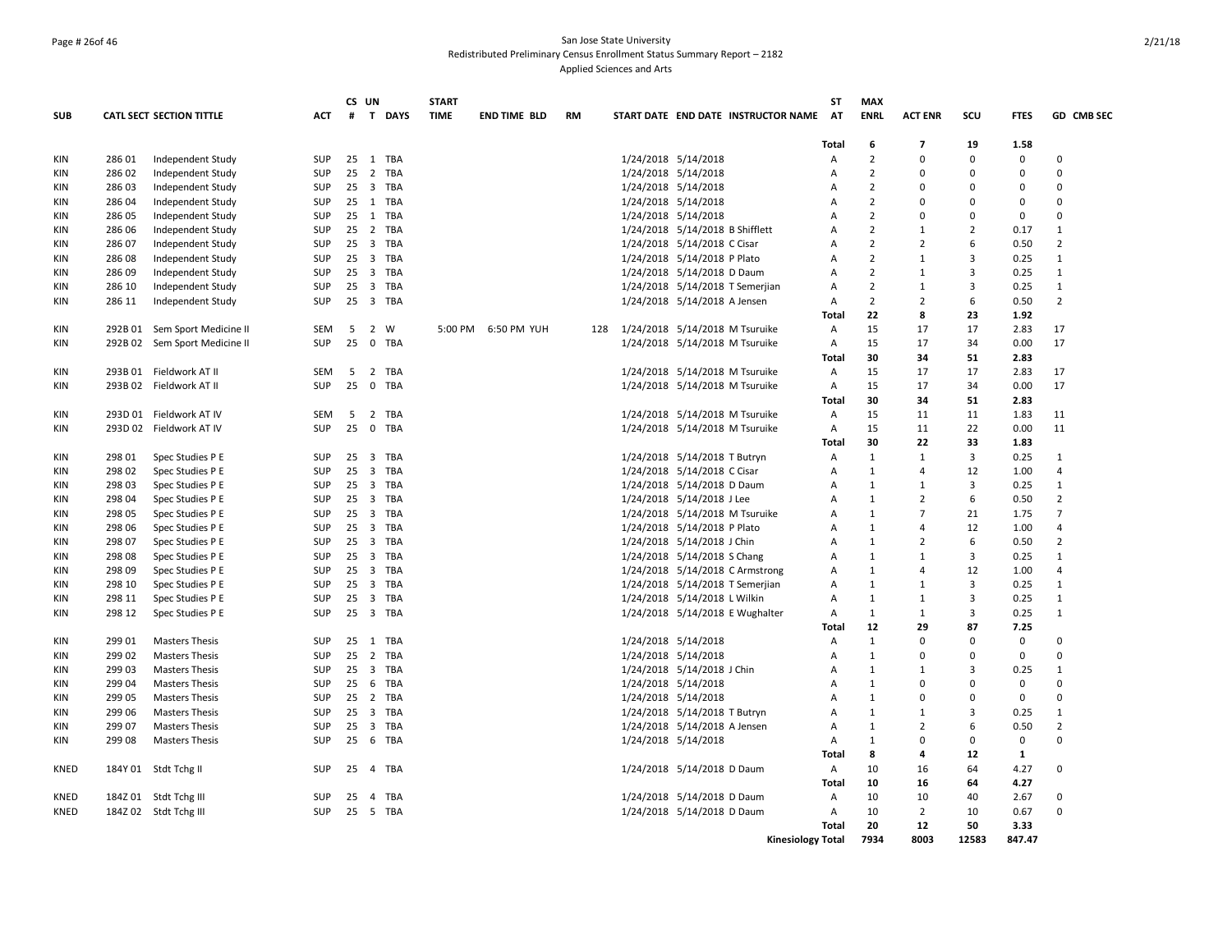## Page # 26of 46 San Jose State University Redistributed Preliminary Census Enrollment Status Summary Report – 2182 Applied Sciences and Arts

|            |         |                                 |            |    | CS UN                   |              | <b>START</b> |                     |           |                                |                                 |                                     | <b>ST</b>    | <b>MAX</b>        |                |                |                   |                      |
|------------|---------|---------------------------------|------------|----|-------------------------|--------------|--------------|---------------------|-----------|--------------------------------|---------------------------------|-------------------------------------|--------------|-------------------|----------------|----------------|-------------------|----------------------|
| <b>SUB</b> |         | <b>CATL SECT SECTION TITTLE</b> | <b>ACT</b> | #  |                         | T DAYS       | <b>TIME</b>  | <b>END TIME BLD</b> | <b>RM</b> |                                |                                 | START DATE END DATE INSTRUCTOR NAME | <b>AT</b>    | <b>ENRL</b>       | <b>ACT ENR</b> | scu            | <b>FTES</b>       | <b>GD CMB SEC</b>    |
|            |         |                                 |            |    |                         |              |              |                     |           |                                |                                 |                                     | Total        | 6                 | $\overline{7}$ | 19             | 1.58              |                      |
| KIN        | 286 01  | Independent Study               | SUP        |    |                         | 25 1 TBA     |              |                     |           |                                | 1/24/2018 5/14/2018             |                                     | Α            | $\overline{2}$    | $\Omega$       | $\mathbf 0$    | $\mathbf 0$       | $\Omega$             |
| <b>KIN</b> | 286 02  | Independent Study               | <b>SUP</b> | 25 |                         | 2 TBA        |              |                     |           |                                | 1/24/2018 5/14/2018             |                                     | A            | $\overline{2}$    | ŋ              | $\Omega$       | $\Omega$          | $\Omega$             |
| KIN        | 28603   | Independent Study               | SUP        | 25 |                         | 3 TBA        |              |                     |           |                                | 1/24/2018 5/14/2018             |                                     | Α            | $\overline{2}$    | 0              | $\Omega$       | $\Omega$          | $\Omega$             |
| ΚIΝ        | 286 04  | Independent Study               | SUP        |    |                         | 25 1 TBA     |              |                     |           |                                | 1/24/2018 5/14/2018             |                                     | Α            | $\overline{2}$    | $\Omega$       | $\Omega$       | 0                 | $\Omega$             |
| KIN        | 286 05  | Independent Study               | <b>SUP</b> |    |                         | 25 1 TBA     |              |                     |           |                                | 1/24/2018 5/14/2018             |                                     | A            | $\overline{2}$    | $\Omega$       | $\Omega$       | $\mathbf 0$       | $\Omega$             |
| KIN        | 286 06  | Independent Study               | <b>SUP</b> |    |                         | 25 2 TBA     |              |                     |           |                                | 1/24/2018 5/14/2018 B Shifflett |                                     | A            | $\overline{2}$    | $\mathbf{1}$   | $\overline{2}$ | 0.17              | $\mathbf{1}$         |
| ΚIΝ        | 286 07  | Independent Study               | <b>SUP</b> | 25 |                         | 3 TBA        |              |                     |           |                                | 1/24/2018 5/14/2018 C Cisar     |                                     | A            | $\overline{2}$    | $\overline{2}$ | 6              | 0.50              | $\overline{2}$       |
| KIN        | 286 08  | Independent Study               | SUP        | 25 |                         | 3 TBA        |              |                     |           |                                | 1/24/2018 5/14/2018 P Plato     |                                     | Α            | $\overline{2}$    | $\mathbf{1}$   | 3              | 0.25              | $\mathbf{1}$         |
| ΚIΝ        | 286 09  | Independent Study               | SUP        | 25 |                         | 3 TBA        |              |                     |           |                                | 1/24/2018 5/14/2018 D Daum      |                                     | Α            | $\overline{2}$    | $\mathbf{1}$   | 3              | 0.25              | $\mathbf{1}$         |
| KIN        | 286 10  | Independent Study               | <b>SUP</b> | 25 |                         | 3 TBA        |              |                     |           |                                |                                 | 1/24/2018 5/14/2018 T Semerjian     | A            | $\overline{2}$    | $\mathbf{1}$   | 3              | 0.25              | $\mathbf{1}$         |
| KIN        | 286 11  | Independent Study               | <b>SUP</b> | 25 |                         | 3 TBA        |              |                     |           |                                | 1/24/2018 5/14/2018 A Jensen    |                                     | Α            | $\overline{2}$    | $\overline{2}$ | 6              | 0.50              | $\overline{2}$       |
|            |         |                                 |            |    |                         |              |              |                     |           |                                |                                 |                                     | <b>Total</b> | 22                | 8              | 23             | 1.92              |                      |
| KIN        |         | 292B 01 Sem Sport Medicine II   | <b>SEM</b> | 5  |                         | 2 W          |              | 5:00 PM 6:50 PM YUH | 128       | 1/24/2018 5/14/2018 M Tsuruike |                                 |                                     | Α            | 15                | 17             | 17             | 2.83              | 17                   |
| KIN        | 292B 02 | Sem Sport Medicine II           | <b>SUP</b> | 25 | $\mathbf 0$             | TBA          |              |                     |           |                                |                                 | 1/24/2018 5/14/2018 M Tsuruike      | Α            | 15                | 17             | 34             | 0.00              | 17                   |
|            |         |                                 |            |    |                         |              |              |                     |           |                                |                                 |                                     | <b>Total</b> | 30                | 34             | 51             | 2.83              |                      |
| <b>KIN</b> |         | 293B 01 Fieldwork AT II         | <b>SEM</b> | 5  |                         | 2 TBA        |              |                     |           |                                |                                 | 1/24/2018 5/14/2018 M Tsuruike      | A            | 15                | 17             | 17             | 2.83              | 17                   |
| KIN        |         | 293B 02 Fieldwork AT II         | SUP        | 25 | $\mathbf 0$             | TBA          |              |                     |           |                                |                                 | 1/24/2018 5/14/2018 M Tsuruike      | Α            | 15                | 17             | 34             | 0.00              | 17                   |
|            |         |                                 |            |    |                         |              |              |                     |           |                                |                                 |                                     | <b>Total</b> | 30                | 34             | 51             | 2.83              |                      |
| ΚIΝ        |         | 293D 01 Fieldwork AT IV         | SEM        | 5  | 2                       | TBA          |              |                     |           |                                |                                 | 1/24/2018 5/14/2018 M Tsuruike      | Α            | 15                | 11             | 11             | 1.83              | 11                   |
| KIN        |         | 293D 02 Fieldwork AT IV         | SUP        | 25 |                         | 0 TBA        |              |                     |           |                                |                                 | 1/24/2018 5/14/2018 M Tsuruike      | А            | 15                | 11             | 22             | 0.00              | 11                   |
|            |         |                                 |            |    |                         |              |              |                     |           |                                |                                 |                                     | <b>Total</b> | 30                | 22             | 33             | 1.83              |                      |
| KIN        | 298 01  | Spec Studies P E                | SUP        | 25 | 3                       | TBA          |              |                     |           |                                | 1/24/2018 5/14/2018 T Butryn    |                                     | Α            | $\mathbf{1}$      | $\mathbf{1}$   | 3              | 0.25              | $\mathbf{1}$         |
| KIN        | 298 02  | Spec Studies P E                | SUP        | 25 |                         | 3 TBA        |              |                     |           |                                | 1/24/2018 5/14/2018 C Cisar     |                                     | Α            | 1                 | $\Delta$       | 12             | 1.00              | $\overline{4}$       |
| KIN        | 298 03  | Spec Studies P E                | <b>SUP</b> | 25 |                         | 3 TBA        |              |                     |           |                                | 1/24/2018 5/14/2018 D Daum      |                                     | A            | $\mathbf{1}$      | $\mathbf{1}$   | 3              | 0.25              | $\mathbf{1}$         |
| KIN        | 298 04  | Spec Studies P E                | <b>SUP</b> | 25 |                         | 3 TBA        |              |                     |           |                                | 1/24/2018 5/14/2018 J Lee       |                                     | Α            | $\mathbf{1}$      | $\overline{2}$ | 6              | 0.50              | $\overline{2}$       |
| KIN        | 298 05  | Spec Studies P E                | <b>SUP</b> | 25 | $\overline{\mathbf{3}}$ | TBA          |              |                     |           |                                |                                 | 1/24/2018 5/14/2018 M Tsuruike      | Α            | 1                 | $\overline{7}$ | 21             | 1.75              | $\overline{7}$       |
| KIN        | 298 06  | Spec Studies P E                | SUP        |    |                         | 25 3 TBA     |              |                     |           |                                | 1/24/2018 5/14/2018 P Plato     |                                     | Α            | $\mathbf{1}$      | 4              | 12             | 1.00              | $\overline{4}$       |
| KIN        | 298 07  | Spec Studies P E                | SUP        | 25 |                         | 3 TBA        |              |                     |           |                                | 1/24/2018 5/14/2018 J Chin      |                                     | Α            | 1                 | $\overline{2}$ | 6              | 0.50              | $\overline{2}$       |
| KIN        | 298 08  | Spec Studies P E                | <b>SUP</b> | 25 |                         | 3 TBA        |              |                     |           |                                | 1/24/2018 5/14/2018 S Chang     |                                     | A            | $\mathbf{1}$      | $\mathbf{1}$   | 3              | 0.25              | $\mathbf{1}$         |
| <b>KIN</b> | 298 09  | Spec Studies P E                | <b>SUP</b> |    |                         | 25 3 TBA     |              |                     |           |                                |                                 | 1/24/2018 5/14/2018 C Armstrong     | A            | $\mathbf{1}$      | $\Delta$       | 12             | 1.00              | 4                    |
| KIN        | 298 10  | Spec Studies P E                | SUP        | 25 |                         | 3 TBA        |              |                     |           |                                |                                 | 1/24/2018 5/14/2018 T Semerjian     | Α            | 1                 | $\mathbf{1}$   | 3              | 0.25              | $\mathbf{1}$         |
| KIN        | 298 11  | Spec Studies P E                | SUP        | 25 |                         | 3 TBA        |              |                     |           |                                | 1/24/2018 5/14/2018 L Wilkin    |                                     | Α            | 1                 | 1              | 3              | 0.25              | $\mathbf{1}$         |
| KIN        | 298 12  | Spec Studies P E                | SUP        |    |                         | 25 3 TBA     |              |                     |           |                                |                                 | 1/24/2018 5/14/2018 E Wughalter     | Α            | $\mathbf{1}$      | $\mathbf{1}$   | $\overline{3}$ | 0.25              | $\mathbf{1}$         |
|            |         |                                 |            |    |                         |              |              |                     |           |                                |                                 |                                     | <b>Total</b> | 12                | 29             | 87             | 7.25              |                      |
| <b>KIN</b> | 299 01  | <b>Masters Thesis</b>           | <b>SUP</b> |    |                         | 25 1 TBA     |              |                     |           |                                | 1/24/2018 5/14/2018             |                                     | A            | $\mathbf{1}$      | $\Omega$       | $\Omega$       | 0                 | $\Omega$             |
| KIN        | 299 02  | <b>Masters Thesis</b>           | <b>SUP</b> | 25 | $\overline{2}$          | TBA          |              |                     |           |                                | 1/24/2018 5/14/2018             |                                     | Α            | $\mathbf{1}$      | $\Omega$       | $\Omega$       | 0                 | $\Omega$             |
| KIN        | 299 03  | <b>Masters Thesis</b>           | SUP        |    |                         | 25 3 TBA     |              |                     |           |                                | 1/24/2018 5/14/2018 J Chin      |                                     | Α            | 1                 | 1              | 3              | 0.25              | $\mathbf{1}$         |
| <b>KIN</b> | 299 04  | <b>Masters Thesis</b>           | <b>SUP</b> |    |                         | 25 6 TBA     |              |                     |           |                                | 1/24/2018 5/14/2018             |                                     | A            | $\mathbf{1}$      | $\Omega$       | $\Omega$       | $\mathbf 0$       | $\Omega$             |
| KIN        | 299 05  | <b>Masters Thesis</b>           | <b>SUP</b> | 25 |                         | 2 TBA        |              |                     |           |                                | 1/24/2018 5/14/2018             |                                     | A            | $\mathbf{1}$      | <sup>0</sup>   | 0              | $\mathbf 0$       | $\Omega$             |
| KIN        | 299 06  | <b>Masters Thesis</b>           | <b>SUP</b> |    |                         | 25 3 TBA     |              |                     |           |                                | 1/24/2018 5/14/2018 T Butryn    |                                     | Α            | 1                 | $\mathbf{1}$   | 3              | 0.25              | $\mathbf{1}$         |
| ΚIΝ        | 299 07  | <b>Masters Thesis</b>           | SUP        | 25 | $\overline{3}$          | TBA          |              |                     |           |                                | 1/24/2018 5/14/2018 A Jensen    |                                     | Α            | $\mathbf{1}$      | $\overline{2}$ | 6              | 0.50              | $\overline{2}$       |
|            |         |                                 |            | 25 |                         |              |              |                     |           |                                |                                 |                                     |              |                   | <sup>0</sup>   |                |                   | 0                    |
| KIN        | 299 08  | <b>Masters Thesis</b>           | <b>SUP</b> |    |                         | 6 TBA        |              |                     |           |                                | 1/24/2018 5/14/2018             |                                     | Α<br>Total   | $\mathbf{1}$<br>8 | 4              | 0<br>12        | 0<br>$\mathbf{1}$ |                      |
|            |         |                                 |            |    |                         |              |              |                     |           |                                |                                 |                                     |              | 10                |                |                |                   | $\Omega$             |
| KNED       |         | 184Y 01 Stdt Tchg II            | SUP        | 25 |                         | 4 TBA        |              |                     |           |                                | 1/24/2018 5/14/2018 D Daum      |                                     | Α            |                   | 16             | 64             | 4.27              |                      |
|            |         |                                 |            |    |                         |              |              |                     |           |                                |                                 |                                     | Total        | 10                | 16             | 64             | 4.27              |                      |
| KNED       |         | 184Z 01 Stdt Tchg III           | SUP        | 25 | $\overline{4}$          | TBA<br>5 TBA |              |                     |           |                                | 1/24/2018 5/14/2018 D Daum      |                                     | Α            | 10                | 10             | 40             | 2.67              | $\Omega$<br>$\Omega$ |
| KNED       |         | 184Z 02 Stdt Tchg III           | <b>SUP</b> | 25 |                         |              |              |                     |           |                                | 1/24/2018 5/14/2018 D Daum      |                                     | A            | 10                | $\overline{2}$ | 10             | 0.67              |                      |
|            |         |                                 |            |    |                         |              |              |                     |           |                                |                                 |                                     | <b>Total</b> | 20                | 12             | 50             | 3.33              |                      |
|            |         |                                 |            |    |                         |              |              |                     |           |                                |                                 | <b>Kinesiology Total</b>            |              | 7934              | 8003           | 12583          | 847.47            |                      |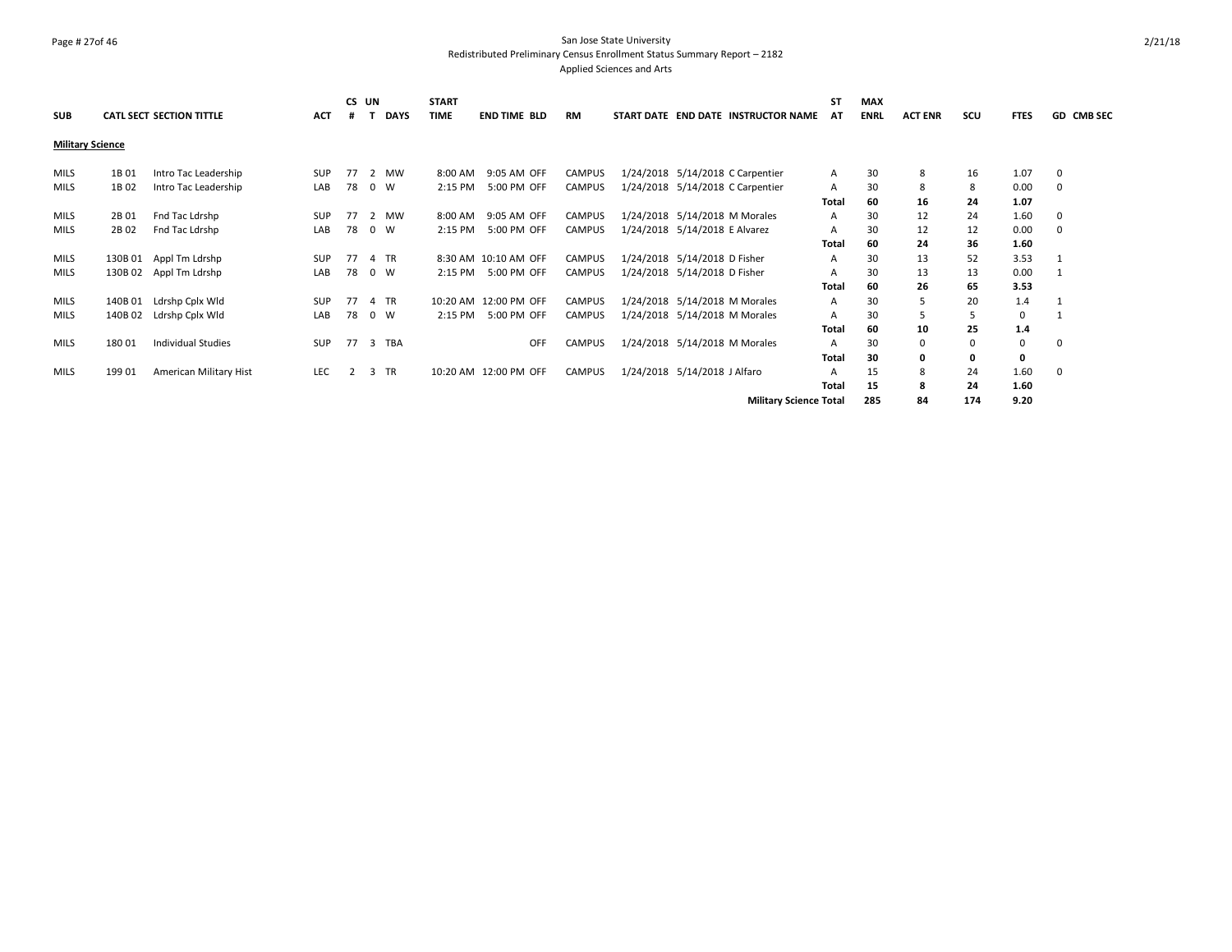## Page # 27of 46 San Jose State University Redistributed Preliminary Census Enrollment Status Summary Report – 2182 Applied Sciences and Arts

|                         |         |                           |            | CS UN          |             | <b>START</b> |                       |               |                                     |                               | <b>ST</b> | <b>MAX</b>  |                |     |             |            |
|-------------------------|---------|---------------------------|------------|----------------|-------------|--------------|-----------------------|---------------|-------------------------------------|-------------------------------|-----------|-------------|----------------|-----|-------------|------------|
| <b>SUB</b>              |         | CATL SECT SECTION TITTLE  | <b>ACT</b> |                | <b>DAYS</b> | <b>TIME</b>  | <b>END TIME BLD</b>   | <b>RM</b>     | START DATE END DATE INSTRUCTOR NAME |                               | AT        | <b>ENRL</b> | <b>ACT ENR</b> | scu | <b>FTES</b> | GD CMB SEC |
| <b>Military Science</b> |         |                           |            |                |             |              |                       |               |                                     |                               |           |             |                |     |             |            |
| <b>MILS</b>             | 1B 01   | Intro Tac Leadership      | <b>SUP</b> | 77             | 2 MW        | 8:00 AM      | 9:05 AM OFF           | <b>CAMPUS</b> | 1/24/2018 5/14/2018 C Carpentier    |                               | Α         | 30          | 8              | 16  | 1.07        | 0          |
| <b>MILS</b>             | 1B 02   | Intro Tac Leadership      | LAB        | 78             | $0 \quad W$ | 2:15 PM      | 5:00 PM OFF           | <b>CAMPUS</b> | 1/24/2018 5/14/2018 C Carpentier    |                               | A         | 30          | 8              | 8   | 0.00        | 0          |
|                         |         |                           |            |                |             |              |                       |               |                                     |                               | Total     | 60          | 16             | 24  | 1.07        |            |
| <b>MILS</b>             | 2B 01   | Fnd Tac Ldrshp            | <b>SUP</b> | 77             | 2 MW        | 8:00 AM      | 9:05 AM OFF           | <b>CAMPUS</b> | 1/24/2018 5/14/2018 M Morales       |                               | A         | 30          | 12             | 24  | 1.60        | 0          |
| <b>MILS</b>             | 2B 02   | Fnd Tac Ldrshp            | LAB        | 78             | $0 \quad W$ | 2:15 PM      | 5:00 PM OFF           | <b>CAMPUS</b> | 1/24/2018 5/14/2018 E Alvarez       |                               | A         | 30          | 12             | 12  | 0.00        | 0          |
|                         |         |                           |            |                |             |              |                       |               |                                     |                               | Total     | 60          | 24             | 36  | 1.60        |            |
| <b>MILS</b>             |         | 130B 01 Appl Tm Ldrshp    | <b>SUP</b> | 77             | 4 TR        |              | 8:30 AM 10:10 AM OFF  | <b>CAMPUS</b> | 1/24/2018 5/14/2018 D Fisher        |                               | A         | 30          | 13             | 52  | 3.53        |            |
| <b>MILS</b>             |         | 130B 02 Appl Tm Ldrshp    | LAB        | 78             | 0 W         | 2:15 PM      | 5:00 PM OFF           | <b>CAMPUS</b> | 1/24/2018 5/14/2018 D Fisher        |                               | A         | 30          | 13             | 13  | 0.00        |            |
|                         |         |                           |            |                |             |              |                       |               |                                     |                               | Total     | 60          | 26             | 65  | 3.53        |            |
| <b>MILS</b>             | 140B 01 | Ldrshp Cplx Wld           | <b>SUP</b> | 77             | 4 TR        |              | 10:20 AM 12:00 PM OFF | <b>CAMPUS</b> | 1/24/2018 5/14/2018 M Morales       |                               | Α         | 30          |                | 20  | 1.4         |            |
| <b>MILS</b>             | 140B 02 | Ldrshp Cplx Wld           | LAB        | 78             | 0 W         | 2:15 PM      | 5:00 PM OFF           | <b>CAMPUS</b> | 1/24/2018 5/14/2018 M Morales       |                               | Α         | 30          |                |     | $\mathbf 0$ |            |
|                         |         |                           |            |                |             |              |                       |               |                                     |                               | Total     | 60          | 10             | 25  | 1.4         |            |
| <b>MILS</b>             | 180 01  | <b>Individual Studies</b> | <b>SUP</b> | 77             | 3 TBA       |              | OFF                   | <b>CAMPUS</b> | 1/24/2018 5/14/2018 M Morales       |                               | A         | 30          | 0              | 0   | 0           | 0          |
|                         |         |                           |            |                |             |              |                       |               |                                     |                               | Total     | 30          | 0              | 0   | 0           |            |
| <b>MILS</b>             | 199 01  | American Military Hist    | <b>LEC</b> | $\overline{2}$ | 3 TR        |              | 10:20 AM 12:00 PM OFF | <b>CAMPUS</b> | 1/24/2018 5/14/2018 J Alfaro        |                               | A         | 15          | 8              | 24  | 1.60        | 0          |
|                         |         |                           |            |                |             |              |                       |               |                                     |                               | Total     | 15          | я              | 24  | 1.60        |            |
|                         |         |                           |            |                |             |              |                       |               |                                     | <b>Military Science Total</b> |           | 285         | 84             | 174 | 9.20        |            |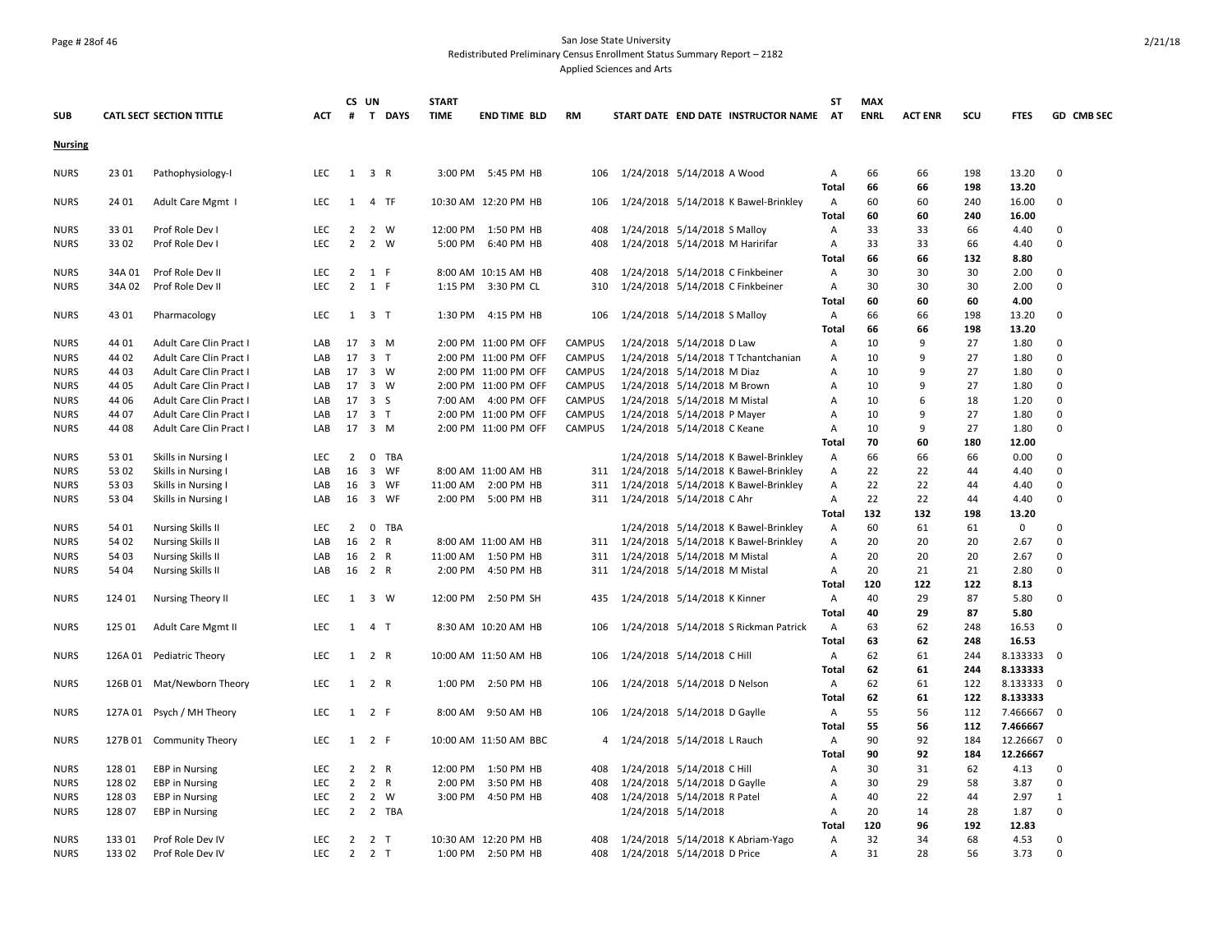# Page # 28of 46 San Jose State University Redistributed Preliminary Census Enrollment Status Summary Report – 2182

Applied Sciences and Arts

|                |         |                            |            |                | CS UN               |         | <b>START</b> |                       |               |                                          | ST                      | <b>MAX</b>  |                |            |                |                          |
|----------------|---------|----------------------------|------------|----------------|---------------------|---------|--------------|-----------------------|---------------|------------------------------------------|-------------------------|-------------|----------------|------------|----------------|--------------------------|
| <b>SUB</b>     |         | CATL SECT SECTION TITTLE   | ACT        | #              |                     | T DAYS  | <b>TIME</b>  | <b>END TIME BLD</b>   | <b>RM</b>     | START DATE END DATE INSTRUCTOR NAME      | AT                      | <b>ENRL</b> | <b>ACT ENR</b> | SCU        | <b>FTES</b>    | GD CMB SEC               |
| <b>Nursing</b> |         |                            |            |                |                     |         |              |                       |               |                                          |                         |             |                |            |                |                          |
| <b>NURS</b>    | 23 01   | Pathophysiology-I          | <b>LEC</b> |                | 1 3 R               |         |              | 3:00 PM 5:45 PM HB    | 106           | 1/24/2018 5/14/2018 A Wood               | $\mathsf{A}$            | 66          | 66             | 198        | 13.20          | $\Omega$                 |
|                |         |                            |            |                |                     |         |              |                       |               |                                          | Total                   | 66          | 66             | 198        | 13.20          |                          |
| <b>NURS</b>    | 24 01   | Adult Care Mgmt I          | <b>LEC</b> |                | 1 4 TF              |         |              | 10:30 AM 12:20 PM HB  | 106           | 1/24/2018 5/14/2018 K Bawel-Brinkley     | A<br>Total              | 60<br>60    | 60<br>60       | 240<br>240 | 16.00<br>16.00 | $\mathbf 0$              |
| <b>NURS</b>    | 33 01   | Prof Role Dev I            | <b>LEC</b> | $\overline{2}$ |                     | 2 W     |              | 12:00 PM 1:50 PM HB   | 408           | 1/24/2018 5/14/2018 S Malloy             | $\mathsf{A}$            | 33          | 33             | 66         | 4.40           | $\Omega$                 |
| <b>NURS</b>    | 33 02   | Prof Role Dev I            | <b>LEC</b> | $\overline{2}$ |                     | 2 W     |              | 5:00 PM 6:40 PM HB    | 408           | 1/24/2018 5/14/2018 M Haririfar          | Α                       | 33          | 33             | 66         | 4.40           | $\Omega$                 |
|                |         |                            |            |                |                     |         |              |                       |               |                                          | <b>Total</b>            | 66          | 66             | 132        | 8.80           |                          |
| <b>NURS</b>    | 34A 01  | Prof Role Dev II           | LEC        | $\overline{2}$ | 1 F                 |         |              | 8:00 AM 10:15 AM HB   | 408           | 1/24/2018 5/14/2018 C Finkbeiner         | $\mathsf{A}$            | 30          | 30             | 30         | 2.00           | $\mathbf 0$              |
| <b>NURS</b>    | 34A 02  | Prof Role Dev II           | <b>LEC</b> | $\overline{2}$ | 1 F                 |         |              | 1:15 PM 3:30 PM CL    | 310           | 1/24/2018 5/14/2018 C Finkbeiner         | A                       | 30          | 30             | 30         | 2.00           | $\Omega$                 |
|                |         |                            |            |                |                     |         |              |                       |               |                                          | Total                   | 60          | 60             | 60         | 4.00           |                          |
| <b>NURS</b>    | 43 01   | Pharmacology               | <b>LEC</b> |                | $1 \quad 3 \quad T$ |         |              | 1:30 PM 4:15 PM HB    | 106           | 1/24/2018 5/14/2018 S Malloy             | $\mathsf{A}$            | 66          | 66             | 198        | 13.20          | 0                        |
|                |         |                            |            |                |                     |         |              |                       |               |                                          | <b>Total</b>            | 66          | 66             | 198        | 13.20          |                          |
| <b>NURS</b>    | 44 01   | Adult Care Clin Pract I    | LAB        |                | 17 3 M              |         |              | 2:00 PM 11:00 PM OFF  | CAMPUS        | 1/24/2018 5/14/2018 D Law                | A                       | 10          | 9              | 27         | 1.80           | $\Omega$                 |
| <b>NURS</b>    | 44 02   | Adult Care Clin Pract I    | LAB        |                | 17 3 T              |         |              | 2:00 PM 11:00 PM OFF  | <b>CAMPUS</b> | 1/24/2018 5/14/2018 T Tchantchanian      | A                       | 10          | 9              | 27         | 1.80           | $\Omega$                 |
| <b>NURS</b>    | 44 03   | Adult Care Clin Pract I    | LAB        | 17             | 3 W                 |         |              | 2:00 PM 11:00 PM OFF  | <b>CAMPUS</b> | 1/24/2018 5/14/2018 M Diaz               | Α                       | 10          | 9              | 27         | 1.80           | $\Omega$                 |
| <b>NURS</b>    | 44 05   | Adult Care Clin Pract I    | LAB        |                | 17 3 W              |         |              | 2:00 PM 11:00 PM OFF  | <b>CAMPUS</b> | 1/24/2018 5/14/2018 M Brown              | $\overline{A}$          | 10          | 9              | 27         | 1.80           | $\Omega$                 |
| <b>NURS</b>    | 44 06   | Adult Care Clin Pract I    | LAB        | 17             | 3 <sub>5</sub>      |         |              | 7:00 AM 4:00 PM OFF   | <b>CAMPUS</b> | 1/24/2018 5/14/2018 M Mistal             | A                       | 10          | 6              | 18         | 1.20           | $\Omega$                 |
| <b>NURS</b>    | 44 07   | Adult Care Clin Pract I    | LAB        |                | 17 3 T              |         |              | 2:00 PM 11:00 PM OFF  | <b>CAMPUS</b> | 1/24/2018 5/14/2018 P Mayer              | $\overline{A}$          | 10          | 9              | 27         | 1.80           | $\Omega$                 |
| <b>NURS</b>    | 44 08   | Adult Care Clin Pract I    | LAB        |                | 17 3 M              |         |              | 2:00 PM 11:00 PM OFF  | <b>CAMPUS</b> | 1/24/2018 5/14/2018 C Keane              | Α                       | 10          | 9              | 27         | 1.80           | $\Omega$                 |
|                |         |                            |            |                |                     |         |              |                       |               |                                          | <b>Total</b>            | 70          | 60             | 180        | 12.00          |                          |
| <b>NURS</b>    | 53 01   | Skills in Nursing I        | <b>LEC</b> | $\overline{2}$ |                     | 0 TBA   |              |                       |               | 1/24/2018 5/14/2018 K Bawel-Brinkley     | A                       | 66          | 66             | 66         | 0.00           | $\Omega$                 |
| <b>NURS</b>    | 53 02   | Skills in Nursing I        | LAB        | 16             |                     | 3 WF    |              | 8:00 AM 11:00 AM HB   | 311           | 1/24/2018 5/14/2018 K Bawel-Brinkley     | $\mathsf{A}$            | 22          | 22             | 44         | 4.40           | $\Omega$                 |
| <b>NURS</b>    | 53 03   | Skills in Nursing I        | LAB        | 16             |                     | 3 WF    |              | 11:00 AM 2:00 PM HB   | 311           | 1/24/2018 5/14/2018 K Bawel-Brinkley     | $\overline{A}$          | 22          | 22             | 44         | 4.40           | $\Omega$                 |
| <b>NURS</b>    | 53 04   | Skills in Nursing I        | LAB        |                |                     | 16 3 WF |              | 2:00 PM 5:00 PM HB    |               | 311 1/24/2018 5/14/2018 C Ahr            | $\overline{A}$          | 22          | 22             | 44         | 4.40           | $\Omega$                 |
|                |         |                            |            |                |                     |         |              |                       |               |                                          | Total                   | 132         | 132            | 198        | 13.20          |                          |
| <b>NURS</b>    | 54 01   | <b>Nursing Skills II</b>   | LEC        | 2              |                     | 0 TBA   |              |                       |               | 1/24/2018 5/14/2018 K Bawel-Brinkley     | $\mathsf{A}$            | 60          | 61             | 61         | $\mathsf 0$    | $\Omega$                 |
| <b>NURS</b>    | 54 02   | <b>Nursing Skills II</b>   | LAB        | 16             | 2 R                 |         |              | 8:00 AM 11:00 AM HB   |               | 311 1/24/2018 5/14/2018 K Bawel-Brinkley | $\mathsf{A}$            | 20          | 20             | 20         | 2.67           | $\Omega$<br>$\Omega$     |
| <b>NURS</b>    | 54 03   | Nursing Skills II          | LAB        | 16             | 2 R<br>16 2 R       |         |              | 11:00 AM  1:50 PM HB  |               | 311 1/24/2018 5/14/2018 M Mistal         | Α                       | 20<br>20    | 20             | 20         | 2.67           | $\Omega$                 |
| <b>NURS</b>    | 54 04   | <b>Nursing Skills II</b>   | LAB        |                |                     |         |              | 2:00 PM 4:50 PM HB    |               | 311 1/24/2018 5/14/2018 M Mistal         | $\overline{A}$<br>Total | 120         | 21<br>122      | 21<br>122  | 2.80<br>8.13   |                          |
| <b>NURS</b>    | 124 01  | Nursing Theory II          | <b>LEC</b> | 1              |                     | 3 W     |              | 12:00 PM 2:50 PM SH   | 435           | 1/24/2018 5/14/2018 K Kinner             | $\mathsf{A}$            | 40          | 29             | 87         | 5.80           | $\Omega$                 |
|                |         |                            |            |                |                     |         |              |                       |               |                                          | Total                   | 40          | 29             | 87         | 5.80           |                          |
| <b>NURS</b>    | 125 01  | Adult Care Mgmt II         | <b>LEC</b> | 1              | 4 T                 |         |              | 8:30 AM 10:20 AM HB   | 106           | 1/24/2018 5/14/2018 S Rickman Patrick    | $\overline{A}$          | 63          | 62             | 248        | 16.53          | $\Omega$                 |
|                |         |                            |            |                |                     |         |              |                       |               |                                          | <b>Total</b>            | 63          | 62             | 248        | 16.53          |                          |
| <b>NURS</b>    | 126A 01 | Pediatric Theory           | <b>LEC</b> | 1              | 2 R                 |         |              | 10:00 AM 11:50 AM HB  | 106           | 1/24/2018 5/14/2018 C Hill               | A                       | 62          | 61             | 244        | 8.133333       | $\Omega$                 |
|                |         |                            |            |                |                     |         |              |                       |               |                                          | Total                   | 62          | 61             | 244        | 8.133333       |                          |
| <b>NURS</b>    |         | 126B 01 Mat/Newborn Theory | <b>LEC</b> |                | 1 2 R               |         |              | 1:00 PM 2:50 PM HB    | 106           | 1/24/2018 5/14/2018 D Nelson             | $\overline{\mathsf{A}}$ | 62          | 61             | 122        | 8.133333       | $\overline{\phantom{0}}$ |
|                |         |                            |            |                |                     |         |              |                       |               |                                          | <b>Total</b>            | 62          | 61             | 122        | 8.133333       |                          |
| <b>NURS</b>    |         | 127A 01 Psych / MH Theory  | <b>LEC</b> |                | $1 \quad 2 \quad F$ |         |              | 8:00 AM 9:50 AM HB    | 106           | 1/24/2018 5/14/2018 D Gaylle             | $\mathsf{A}$            | 55          | 56             | 112        | 7.466667       | $\Omega$                 |
|                |         |                            |            |                |                     |         |              |                       |               |                                          | <b>Total</b>            | 55          | 56             | 112        | 7.466667       |                          |
| <b>NURS</b>    |         | 127B 01 Community Theory   | <b>LEC</b> |                | $1 \quad 2 \quad F$ |         |              | 10:00 AM 11:50 AM BBC | 4             | 1/24/2018 5/14/2018 L Rauch              | $\mathsf{A}$            | 90          | 92             | 184        | 12.26667       | $\Omega$                 |
|                |         |                            |            |                |                     |         |              |                       |               |                                          | <b>Total</b>            | 90          | 92             | 184        | 12.26667       |                          |
| <b>NURS</b>    | 128 01  | <b>EBP</b> in Nursing      | <b>LEC</b> | 2              | 2 R                 |         | 12:00 PM     | 1:50 PM HB            | 408           | 1/24/2018 5/14/2018 C Hill               | A                       | 30          | 31             | 62         | 4.13           | 0                        |
| <b>NURS</b>    | 128 02  | <b>EBP</b> in Nursing      | <b>LEC</b> | 2              | 2 R                 |         | 2:00 PM      | 3:50 PM HB            | 408           | 1/24/2018 5/14/2018 D Gaylle             | Α                       | 30          | 29             | 58         | 3.87           | $\Omega$                 |
| <b>NURS</b>    | 128 03  | <b>EBP</b> in Nursing      | <b>LEC</b> | $\overline{2}$ |                     | 2 W     |              | 3:00 PM 4:50 PM HB    | 408           | 1/24/2018 5/14/2018 R Patel              | Α                       | 40          | 22             | 44         | 2.97           | $\mathbf{1}$             |
| <b>NURS</b>    | 128 07  | <b>EBP</b> in Nursing      | <b>LEC</b> | 2              |                     | 2 TBA   |              |                       |               | 1/24/2018 5/14/2018                      | $\overline{A}$          | 20          | 14             | 28         | 1.87           | $\Omega$                 |
|                |         |                            |            |                |                     |         |              |                       |               |                                          | Total                   | 120         | 96             | 192        | 12.83          |                          |
| <b>NURS</b>    | 133 01  | Prof Role Dev IV           | <b>LEC</b> | $2^{\circ}$    | 2 <sub>T</sub>      |         |              | 10:30 AM 12:20 PM HB  | 408           | 1/24/2018 5/14/2018 K Abriam-Yago        | $\overline{\mathsf{A}}$ | 32          | 34             | 68         | 4.53           | $\Omega$                 |
| <b>NURS</b>    | 133 02  | Prof Role Dev IV           | <b>LEC</b> | $2^{\circ}$    | 2 <sub>T</sub>      |         |              | 1:00 PM 2:50 PM HB    | 408           | 1/24/2018 5/14/2018 D Price              | A                       | 31          | 28             | 56         | 3.73           | $\Omega$                 |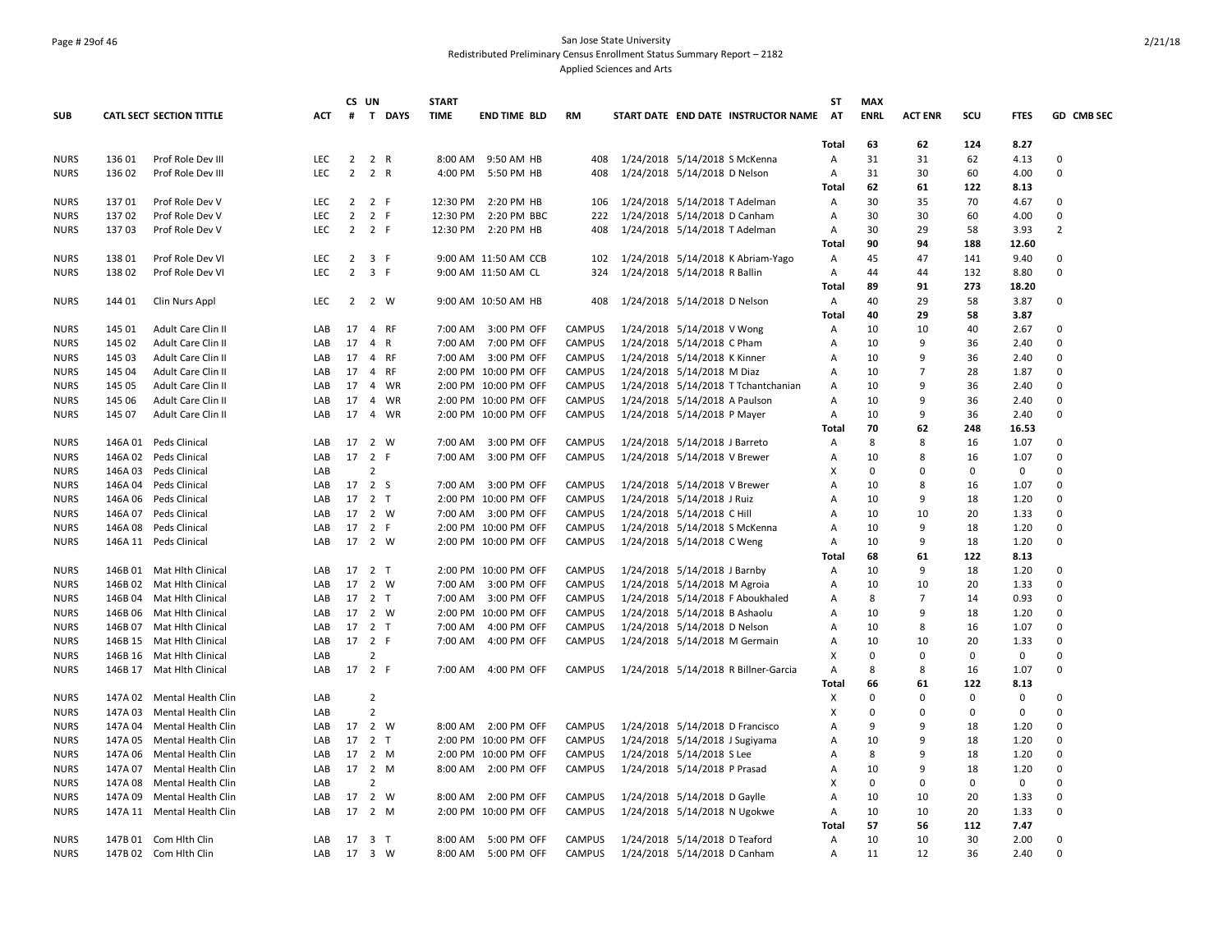## Page # 29of 46 San Jose State University Redistributed Preliminary Census Enrollment Status Summary Report – 2182 Applied Sciences and Arts

|                            |                    |                            |            |                | CS UN               |           | <b>START</b> |                      |               |                               |                              |                                      | ST           | <b>MAX</b>  |                |             |             |                |
|----------------------------|--------------------|----------------------------|------------|----------------|---------------------|-----------|--------------|----------------------|---------------|-------------------------------|------------------------------|--------------------------------------|--------------|-------------|----------------|-------------|-------------|----------------|
| <b>SUB</b>                 |                    | CATL SECT SECTION TITTLE   | <b>ACT</b> |                |                     | # T DAYS  | <b>TIME</b>  | <b>END TIME BLD</b>  | <b>RM</b>     |                               |                              | START DATE END DATE INSTRUCTOR NAME  | <b>AT</b>    | <b>ENRL</b> | <b>ACT ENR</b> | scu         | <b>FTES</b> | GD CMB SEC     |
|                            |                    |                            |            |                |                     |           |              |                      |               |                               |                              |                                      | Total        | 63          | 62             | 124         | 8.27        |                |
| <b>NURS</b>                | 136 01             | Prof Role Dev III          | <b>LEC</b> |                | 2 2 R               |           |              | 8:00 AM 9:50 AM HB   | 408           | 1/24/2018 5/14/2018 S McKenna |                              |                                      | Α            | 31          | 31             | 62          | 4.13        | 0              |
| <b>NURS</b>                | 136 02             | Prof Role Dev III          | <b>LEC</b> | $\overline{2}$ | 2 R                 |           | 4:00 PM      | 5:50 PM HB           | 408           | 1/24/2018 5/14/2018 D Nelson  |                              |                                      | Α            | 31          | 30             | 60          | 4.00        | $\mathbf 0$    |
|                            |                    |                            |            |                |                     |           |              |                      |               |                               |                              |                                      | <b>Total</b> | 62          | 61             | 122         | 8.13        |                |
| <b>NURS</b>                | 13701              | Prof Role Dev V            | <b>LEC</b> | $2^{\circ}$    | 2 F                 |           | 12:30 PM     | 2:20 PM HB           | 106           |                               |                              | 1/24/2018 5/14/2018 T Adelman        | Α            | 30          | 35             | 70          | 4.67        | $\Omega$       |
| <b>NURS</b>                | 13702              | Prof Role Dev V            | <b>LEC</b> | $\overline{2}$ | 2 F                 |           | 12:30 PM     | 2:20 PM BBC          | 222           | 1/24/2018 5/14/2018 D Canham  |                              |                                      | Α            | 30          | 30             | 60          | 4.00        | $\mathbf 0$    |
| <b>NURS</b>                | 13703              | Prof Role Dev V            | LEC.       |                | $2 \quad 2 \quad F$ |           |              | 12:30 PM 2:20 PM HB  | 408           | 1/24/2018 5/14/2018 T Adelman |                              |                                      | Α            | 30          | 29             | 58          | 3.93        | $\overline{2}$ |
|                            |                    |                            |            |                |                     |           |              |                      |               |                               |                              |                                      | Total        | 90          | 94             | 188         | 12.60       |                |
| <b>NURS</b>                | 13801              | Prof Role Dev VI           | <b>LEC</b> | $\overline{2}$ | 3 F                 |           |              | 9:00 AM 11:50 AM CCB | 102           |                               |                              | 1/24/2018 5/14/2018 K Abriam-Yago    | A            | 45          | 47             | 141         | 9.40        | $\Omega$       |
| <b>NURS</b>                | 138 02             | Prof Role Dev VI           | <b>LEC</b> | $\overline{2}$ | 3 F                 |           |              | 9:00 AM 11:50 AM CL  | 324           | 1/24/2018 5/14/2018 R Ballin  |                              |                                      | Α            | 44          | 44             | 132         | 8.80        | $\mathbf 0$    |
|                            |                    |                            |            |                |                     |           |              |                      |               |                               |                              |                                      | Total        | 89          | 91             | 273         | 18.20       |                |
| <b>NURS</b>                | 144 01             | Clin Nurs Appl             | <b>LEC</b> |                | 2 2 W               |           |              | 9:00 AM 10:50 AM HB  | 408           | 1/24/2018 5/14/2018 D Nelson  |                              |                                      | Α            | 40          | 29             | 58          | 3.87        | 0              |
|                            |                    |                            |            |                |                     |           |              |                      |               |                               |                              |                                      | <b>Total</b> | 40          | 29             | 58          | 3.87        |                |
| <b>NURS</b>                | 145 01             | Adult Care Clin II         | LAB        | 17             |                     | 4 RF      |              | 7:00 AM 3:00 PM OFF  | <b>CAMPUS</b> | 1/24/2018 5/14/2018 V Wong    |                              |                                      | Α            | 10          | 10             | 40          | 2.67        | $\Omega$       |
| <b>NURS</b>                | 145 02             | Adult Care Clin II         | LAB        | 17             | 4 R                 |           |              | 7:00 AM  7:00 PM OFF | <b>CAMPUS</b> | 1/24/2018 5/14/2018 C Pham    |                              |                                      | Α            | 10          | 9              | 36          | 2.40        | $\Omega$       |
| <b>NURS</b>                | 145 03             | Adult Care Clin II         | LAB        | 17             |                     | 4 RF      |              | 7:00 AM 3:00 PM OFF  | <b>CAMPUS</b> | 1/24/2018 5/14/2018 K Kinner  |                              |                                      | Α            | 10          | $\mathbf{q}$   | 36          | 2.40        | $\mathbf 0$    |
| <b>NURS</b>                | 145 04             | Adult Care Clin II         | LAB        | 17             |                     | 4 RF      |              | 2:00 PM 10:00 PM OFF | CAMPUS        | 1/24/2018 5/14/2018 M Diaz    |                              |                                      | Α            | 10          | 7              | 28          | 1.87        | $\Omega$       |
| <b>NURS</b>                | 145 05             | Adult Care Clin II         | LAB        | 17             |                     | 4 WR      |              | 2:00 PM 10:00 PM OFF | <b>CAMPUS</b> |                               |                              | 1/24/2018 5/14/2018 T Tchantchanian  | A            | 10          | 9              | 36          | 2.40        | $\Omega$       |
| <b>NURS</b>                | 145 06             | Adult Care Clin II         | LAB        | 17             |                     | 4 WR      |              | 2:00 PM 10:00 PM OFF | <b>CAMPUS</b> | 1/24/2018 5/14/2018 A Paulson |                              |                                      | Α            | 10          | 9              | 36          | 2.40        | $\Omega$       |
| <b>NURS</b>                | 145 07             | Adult Care Clin II         | LAB        |                |                     | 17  4  WR |              | 2:00 PM 10:00 PM OFF | <b>CAMPUS</b> | 1/24/2018 5/14/2018 P Mayer   |                              |                                      | Α            | 10          | 9              | 36          | 2.40        | $\Omega$       |
|                            |                    |                            |            |                |                     |           |              |                      |               |                               |                              |                                      | Total        | 70          | 62             | 248         | 16.53       |                |
| <b>NURS</b>                |                    | 146A 01 Peds Clinical      | LAB        |                | 17 2 W              |           | 7:00 AM      | 3:00 PM OFF          | <b>CAMPUS</b> | 1/24/2018 5/14/2018 J Barreto |                              |                                      | Α            | 8           | 8              | 16          | 1.07        | $\Omega$       |
|                            |                    | 146A 02 Peds Clinical      | LAB        | 17 2 F         |                     |           |              | 7:00 AM 3:00 PM OFF  | <b>CAMPUS</b> | 1/24/2018 5/14/2018 V Brewer  |                              |                                      |              | 10          | 8              | 16          | 1.07        | $\Omega$       |
| <b>NURS</b><br><b>NURS</b> | 146A 03            | Peds Clinical              | LAB        |                | $\overline{2}$      |           |              |                      |               |                               |                              |                                      | Α<br>X       | 0           | $\Omega$       | 0           | 0           | $\Omega$       |
|                            |                    |                            |            | 17 2 S         |                     |           |              |                      |               |                               |                              |                                      |              |             | 8              | 16          |             | $\mathbf 0$    |
| <b>NURS</b>                | 146A 04<br>146A 06 | Peds Clinical              | LAB        | 17 2 T         |                     |           |              | 7:00 AM 3:00 PM OFF  | <b>CAMPUS</b> | 1/24/2018 5/14/2018 V Brewer  |                              |                                      | A<br>A       | 10<br>10    | 9              | 18          | 1.07        | $\Omega$       |
| <b>NURS</b>                |                    | Peds Clinical              | LAB        |                |                     | 2 W       |              | 2:00 PM 10:00 PM OFF | <b>CAMPUS</b> | 1/24/2018 5/14/2018 J Ruiz    |                              |                                      | A            |             |                |             | 1.20        | $\Omega$       |
| <b>NURS</b>                | 146A 07            | Peds Clinical              | LAB        | 17             |                     |           |              | 7:00 AM 3:00 PM OFF  | CAMPUS        | 1/24/2018 5/14/2018 C Hill    |                              |                                      |              | 10          | 10             | 20          | 1.33        |                |
| <b>NURS</b>                |                    | 146A 08 Peds Clinical      | LAB        | 17 2 F         |                     |           |              | 2:00 PM 10:00 PM OFF | <b>CAMPUS</b> |                               |                              | 1/24/2018 5/14/2018 S McKenna        | Α            | 10          | 9              | 18          | 1.20        | $\Omega$       |
| <b>NURS</b>                |                    | 146A 11 Peds Clinical      | LAB        | 17 2 W         |                     |           |              | 2:00 PM 10:00 PM OFF | <b>CAMPUS</b> | 1/24/2018 5/14/2018 C Weng    |                              |                                      | Α            | 10          | 9              | 18          | 1.20        | $\Omega$       |
|                            |                    |                            |            |                |                     |           |              |                      |               |                               |                              |                                      | <b>Total</b> | 68          | 61             | 122         | 8.13        |                |
| <b>NURS</b>                |                    | 146B 01 Mat Hith Clinical  | LAB        |                | 17 2 T              |           |              | 2:00 PM 10:00 PM OFF | <b>CAMPUS</b> |                               | 1/24/2018 5/14/2018 J Barnby |                                      | Α            | 10          | 9              | 18          | 1.20        | $\Omega$       |
| <b>NURS</b>                | 146B 02            | Mat Hlth Clinical          | LAB        | 17             | 2 W                 |           | 7:00 AM      | 3:00 PM OFF          | CAMPUS        | 1/24/2018 5/14/2018 M Agroia  |                              |                                      | Α            | 10          | 10             | 20          | 1.33        | $\Omega$       |
| <b>NURS</b>                |                    | 146B 04 Mat Hith Clinical  | LAB        |                | 17 2 T              |           |              | 7:00 AM 3:00 PM OFF  | <b>CAMPUS</b> |                               |                              | 1/24/2018 5/14/2018 F Aboukhaled     | Α            | 8           | $\overline{7}$ | 14          | 0.93        | $\Omega$       |
| <b>NURS</b>                |                    | 146B 06 Mat Hith Clinical  | LAB        |                | 17 2 W              |           |              | 2:00 PM 10:00 PM OFF | <b>CAMPUS</b> | 1/24/2018 5/14/2018 B Ashaolu |                              |                                      | A            | 10          | 9              | 18          | 1.20        | $\Omega$       |
| <b>NURS</b>                |                    | 146B 07 Mat Hith Clinical  | LAB        | 17 2 T         |                     |           | 7:00 AM      | 4:00 PM OFF          | <b>CAMPUS</b> | 1/24/2018 5/14/2018 D Nelson  |                              |                                      | A            | 10          | 8              | 16          | 1.07        | $\Omega$       |
| <b>NURS</b>                |                    | 146B 15 Mat Hith Clinical  | LAB        | 17 2 F         |                     |           |              | 7:00 AM 4:00 PM OFF  | <b>CAMPUS</b> |                               |                              | 1/24/2018 5/14/2018 M Germain        | Α            | 10          | 10             | 20          | 1.33        | $\Omega$       |
| <b>NURS</b>                |                    | 146B 16 Mat Hith Clinical  | LAB        |                | 2                   |           |              |                      |               |                               |                              |                                      | X            | 0           | $\Omega$       | $\Omega$    | 0           | $\Omega$       |
| <b>NURS</b>                |                    | 146B 17 Mat Hlth Clinical  | LAB        | 17 2 F         |                     |           | 7:00 AM      | 4:00 PM OFF          | <b>CAMPUS</b> |                               |                              | 1/24/2018 5/14/2018 R Billner-Garcia | A            | 8           | 8              | 16          | 1.07        | $\mathbf 0$    |
|                            |                    |                            |            |                |                     |           |              |                      |               |                               |                              |                                      | <b>Total</b> | 66          | 61             | 122         | 8.13        |                |
| <b>NURS</b>                | 147A 02            | Mental Health Clin         | LAB        |                | $\overline{2}$      |           |              |                      |               |                               |                              |                                      | Х            | $\mathbf 0$ | 0              | $\mathbf 0$ | 0           | $\Omega$       |
| <b>NURS</b>                | 147A 03            | Mental Health Clin         | LAB        |                | $\overline{2}$      |           |              |                      |               |                               |                              |                                      | Х            | 0           | $\Omega$       | 0           | 0           | $\Omega$       |
| <b>NURS</b>                | 147A 04            | Mental Health Clin         | LAB        |                | 17 2 W              |           |              | 8:00 AM 2:00 PM OFF  | <b>CAMPUS</b> |                               |                              | 1/24/2018 5/14/2018 D Francisco      | A            | 9           | 9              | 18          | 1.20        | 0              |
| <b>NURS</b>                | 147A 05            | Mental Health Clin         | LAB        |                | 17 2 T              |           |              | 2:00 PM 10:00 PM OFF | <b>CAMPUS</b> |                               |                              | 1/24/2018 5/14/2018 J Sugiyama       | A            | 10          | q              | 18          | 1.20        | $\Omega$       |
| <b>NURS</b>                | 147A 06            | Mental Health Clin         | LAB        |                | 17 2 M              |           |              | 2:00 PM 10:00 PM OFF | <b>CAMPUS</b> | 1/24/2018 5/14/2018 S Lee     |                              |                                      | A            | 8           | 9              | 18          | 1.20        | $\Omega$       |
| <b>NURS</b>                | 147A 07            | Mental Health Clin         | LAB        |                | 17 2 M              |           |              | 8:00 AM 2:00 PM OFF  | <b>CAMPUS</b> | 1/24/2018 5/14/2018 P Prasad  |                              |                                      | Α            | 10          | 9              | 18          | 1.20        | $\mathbf 0$    |
| <b>NURS</b>                | 147A 08            | Mental Health Clin         | LAB        |                | 2                   |           |              |                      |               |                               |                              |                                      | X            | $\mathbf 0$ | 0              | 0           | 0           | $\Omega$       |
| <b>NURS</b>                | 147A 09            | Mental Health Clin         | LAB        | 17 2 W         |                     |           |              | 8:00 AM 2:00 PM OFF  | <b>CAMPUS</b> | 1/24/2018 5/14/2018 D Gaylle  |                              |                                      | Α            | 10          | 10             | 20          | 1.33        | 0              |
| <b>NURS</b>                |                    | 147A 11 Mental Health Clin | LAB        | 17             |                     | 2 M       |              | 2:00 PM 10:00 PM OFF | <b>CAMPUS</b> |                               |                              | 1/24/2018 5/14/2018 N Ugokwe         | A            | 10          | 10             | 20          | 1.33        | $\Omega$       |
|                            |                    |                            |            |                |                     |           |              |                      |               |                               |                              |                                      | Total        | 57          | 56             | 112         | 7.47        |                |
| <b>NURS</b>                |                    | 147B 01 Com Hlth Clin      | LAB        | 17 3 T         |                     |           |              | 8:00 AM 5:00 PM OFF  | <b>CAMPUS</b> | 1/24/2018 5/14/2018 D Teaford |                              |                                      | Α            | 10          | 10             | 30          | 2.00        | 0              |
| <b>NURS</b>                |                    | 147B 02 Com Hith Clin      | LAB        | 17 3 W         |                     |           | 8:00 AM      | 5:00 PM OFF          | CAMPUS        | 1/24/2018 5/14/2018 D Canham  |                              |                                      | Α            | 11          | 12             | 36          | 2.40        | $\Omega$       |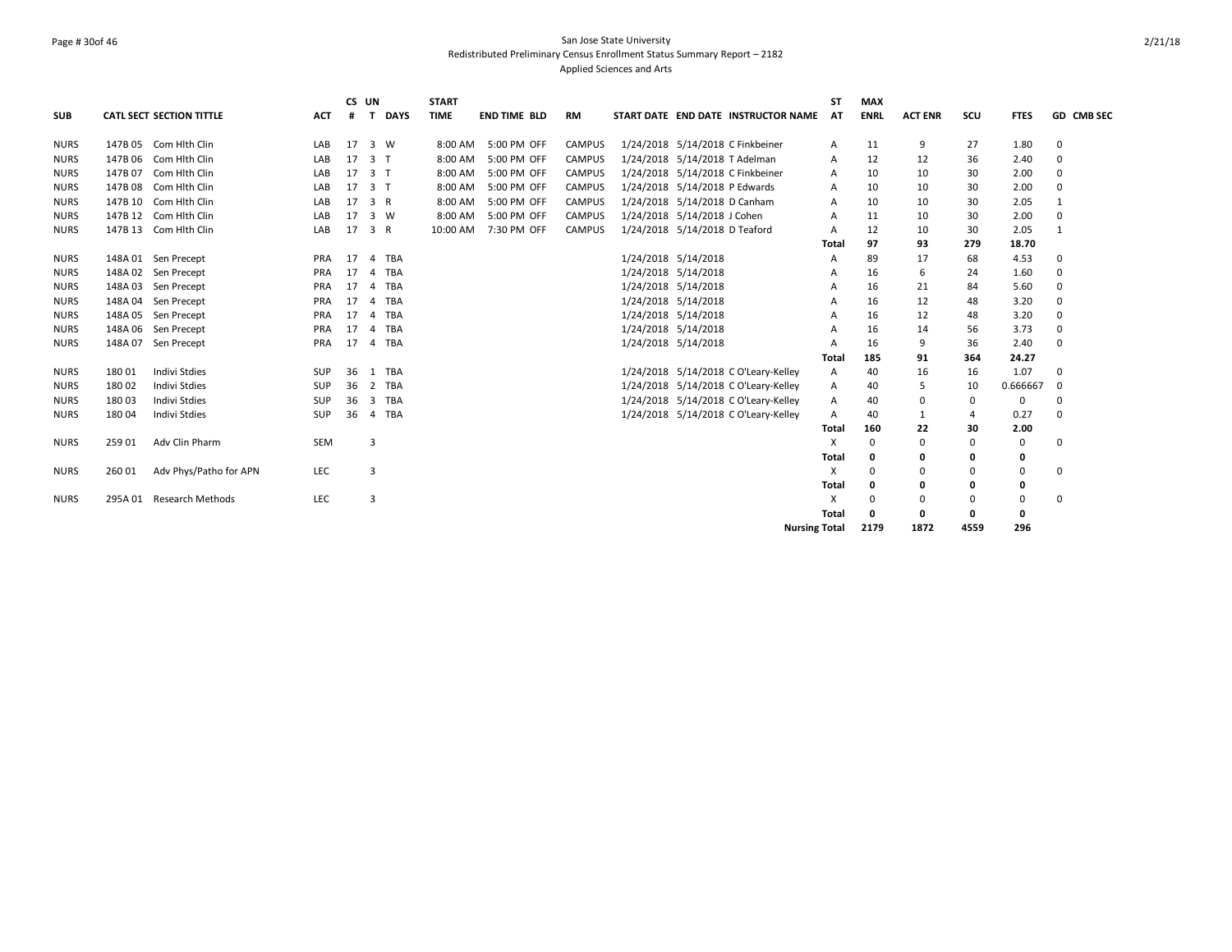## Page # 30of 46 San Jose State University Redistributed Preliminary Census Enrollment Status Summary Report – 2182 Applied Sciences and Arts

|             |         |                                 |            |    | CS UN                   |             | <b>START</b> |                     |               |                     |                                      |                      | <b>ST</b>    | <b>MAX</b>  |                |          |             |              |
|-------------|---------|---------------------------------|------------|----|-------------------------|-------------|--------------|---------------------|---------------|---------------------|--------------------------------------|----------------------|--------------|-------------|----------------|----------|-------------|--------------|
| <b>SUB</b>  |         | <b>CATL SECT SECTION TITTLE</b> | <b>ACT</b> | #  | T.                      | <b>DAYS</b> | <b>TIME</b>  | <b>END TIME BLD</b> | RM            |                     | START DATE END DATE INSTRUCTOR NAME  |                      | AT           | <b>ENRL</b> | <b>ACT ENR</b> | scu      | <b>FTES</b> | GD CMB SEC   |
| <b>NURS</b> | 147B 05 | Com Hlth Clin                   | LAB        | 17 |                         | 3 W         | 8:00 AM      | 5:00 PM OFF         | <b>CAMPUS</b> |                     | 1/24/2018 5/14/2018 C Finkbeiner     |                      | Α            | 11          | 9              | 27       | 1.80        | 0            |
| <b>NURS</b> | 147B 06 | Com Hlth Clin                   | LAB        | 17 | 3 <sub>1</sub>          |             | 8:00 AM      | 5:00 PM OFF         | <b>CAMPUS</b> |                     | 1/24/2018 5/14/2018 T Adelman        |                      | A            | 12          | 12             | 36       | 2.40        | $\Omega$     |
| <b>NURS</b> | 147B 07 | Com Hlth Clin                   | LAB        | 17 | 3 <sub>1</sub>          |             | 8:00 AM      | 5:00 PM OFF         | <b>CAMPUS</b> |                     | 1/24/2018 5/14/2018 C Finkbeiner     |                      | A            | 10          | 10             | 30       | 2.00        | 0            |
| <b>NURS</b> | 147B 08 | Com Hlth Clin                   | LAB        | 17 | 3 <sub>1</sub>          |             | 8:00 AM      | 5:00 PM OFF         | <b>CAMPUS</b> |                     | 1/24/2018 5/14/2018 P Edwards        |                      | A            | 10          | 10             | 30       | 2.00        | $\Omega$     |
| <b>NURS</b> | 147B 10 | Com Hith Clin                   | LAB        | 17 | 3 R                     |             | 8:00 AM      | 5:00 PM OFF         | <b>CAMPUS</b> |                     | 1/24/2018 5/14/2018 D Canham         |                      | A            | 10          | 10             | 30       | 2.05        |              |
| <b>NURS</b> |         | 147B 12 Com Hith Clin           | LAB        | 17 |                         | 3 W         | 8:00 AM      | 5:00 PM OFF         | <b>CAMPUS</b> |                     | 1/24/2018 5/14/2018 J Cohen          |                      | A            | 11          | 10             | 30       | 2.00        | 0            |
| <b>NURS</b> |         | 147B 13 Com Hlth Clin           | LAB        | 17 | 3 R                     |             | 10:00 AM     | 7:30 PM OFF         | <b>CAMPUS</b> |                     | 1/24/2018 5/14/2018 D Teaford        |                      | A            | 12          | 10             | 30       | 2.05        | $\mathbf{1}$ |
|             |         |                                 |            |    |                         |             |              |                     |               |                     |                                      |                      | <b>Total</b> | 97          | 93             | 279      | 18.70       |              |
| NURS        |         | 148A 01 Sen Precept             | <b>PRA</b> | 17 | $\overline{4}$          | <b>TBA</b>  |              |                     |               | 1/24/2018 5/14/2018 |                                      |                      | A            | 89          | 17             | 68       | 4.53        | 0            |
| <b>NURS</b> |         | 148A 02 Sen Precept             | PRA        | 17 | $\overline{4}$          | TBA         |              |                     |               | 1/24/2018 5/14/2018 |                                      |                      | A            | 16          | 6              | 24       | 1.60        | 0            |
| <b>NURS</b> |         | 148A 03 Sen Precept             | <b>PRA</b> | 17 | $\overline{a}$          | <b>TBA</b>  |              |                     |               | 1/24/2018 5/14/2018 |                                      |                      | Α            | 16          | 21             | 84       | 5.60        | $\Omega$     |
| <b>NURS</b> |         | 148A 04 Sen Precept             | PRA        | 17 | $\overline{a}$          | TBA         |              |                     |               | 1/24/2018 5/14/2018 |                                      |                      | A            | 16          | 12             | 48       | 3.20        | $\Omega$     |
| <b>NURS</b> | 148A 05 | Sen Precept                     | PRA        | 17 | $\overline{a}$          | TBA         |              |                     |               | 1/24/2018 5/14/2018 |                                      |                      | A            | 16          | 12             | 48       | 3.20        | 0            |
| <b>NURS</b> |         | 148A 06 Sen Precept             | PRA        | 17 | $\overline{4}$          | TBA         |              |                     |               | 1/24/2018 5/14/2018 |                                      |                      | A            | 16          | 14             | 56       | 3.73        | 0            |
| <b>NURS</b> | 148A 07 | Sen Precept                     | PRA        | 17 | $\overline{4}$          | TBA         |              |                     |               | 1/24/2018 5/14/2018 |                                      |                      | A            | 16          | 9              | 36       | 2.40        | 0            |
|             |         |                                 |            |    |                         |             |              |                     |               |                     |                                      |                      | Total        | 185         | 91             | 364      | 24.27       |              |
| <b>NURS</b> | 18001   | Indivi Stdies                   | <b>SUP</b> | 36 |                         | 1 TBA       |              |                     |               |                     | 1/24/2018 5/14/2018 C O'Leary-Kelley |                      | Α            | 40          | 16             | 16       | 1.07        | 0            |
| <b>NURS</b> | 18002   | <b>Indivi Stdies</b>            | <b>SUP</b> | 36 | $\overline{2}$          | <b>TBA</b>  |              |                     |               |                     | 1/24/2018 5/14/2018 C O'Leary-Kelley |                      | Α            | 40          | 5              | 10       | 0.666667    | 0            |
| <b>NURS</b> | 18003   | Indivi Stdies                   | <b>SUP</b> | 36 | $\overline{\mathbf{3}}$ | TBA         |              |                     |               |                     | 1/24/2018 5/14/2018 C O'Leary-Kelley |                      | A            | 40          | $\Omega$       | 0        | $\Omega$    | 0            |
| <b>NURS</b> | 18004   | Indivi Stdies                   | <b>SUP</b> | 36 | $\overline{4}$          | TBA         |              |                     |               |                     | 1/24/2018 5/14/2018 C O'Leary-Kelley |                      | A            | 40          | $\mathbf{1}$   | 4        | 0.27        | $\Omega$     |
|             |         |                                 |            |    |                         |             |              |                     |               |                     |                                      |                      | <b>Total</b> | 160         | 22             | 30       | 2.00        |              |
| <b>NURS</b> | 259 01  | Adv Clin Pharm                  | <b>SEM</b> |    | 3                       |             |              |                     |               |                     |                                      |                      | X            | 0           | O              | $\Omega$ | 0           | 0            |
|             |         |                                 |            |    |                         |             |              |                     |               |                     |                                      |                      | <b>Total</b> | 0           | O              | 0        | 0           |              |
| <b>NURS</b> | 260 01  | Adv Phys/Patho for APN          | <b>LEC</b> |    | 3                       |             |              |                     |               |                     |                                      |                      | X            | $\Omega$    | O              | $\Omega$ | 0           | 0            |
|             |         |                                 |            |    |                         |             |              |                     |               |                     |                                      |                      | <b>Total</b> | 0           | n              | 0        | 0           |              |
| <b>NURS</b> |         | 295A 01 Research Methods        | LEC        |    | 3                       |             |              |                     |               |                     |                                      |                      | X            | $\Omega$    | O              | $\Omega$ | 0           | 0            |
|             |         |                                 |            |    |                         |             |              |                     |               |                     |                                      |                      | <b>Total</b> | O           | O              | 0        | 0           |              |
|             |         |                                 |            |    |                         |             |              |                     |               |                     |                                      | <b>Nursing Total</b> |              | 2179        | 1872           | 4559     | 296         |              |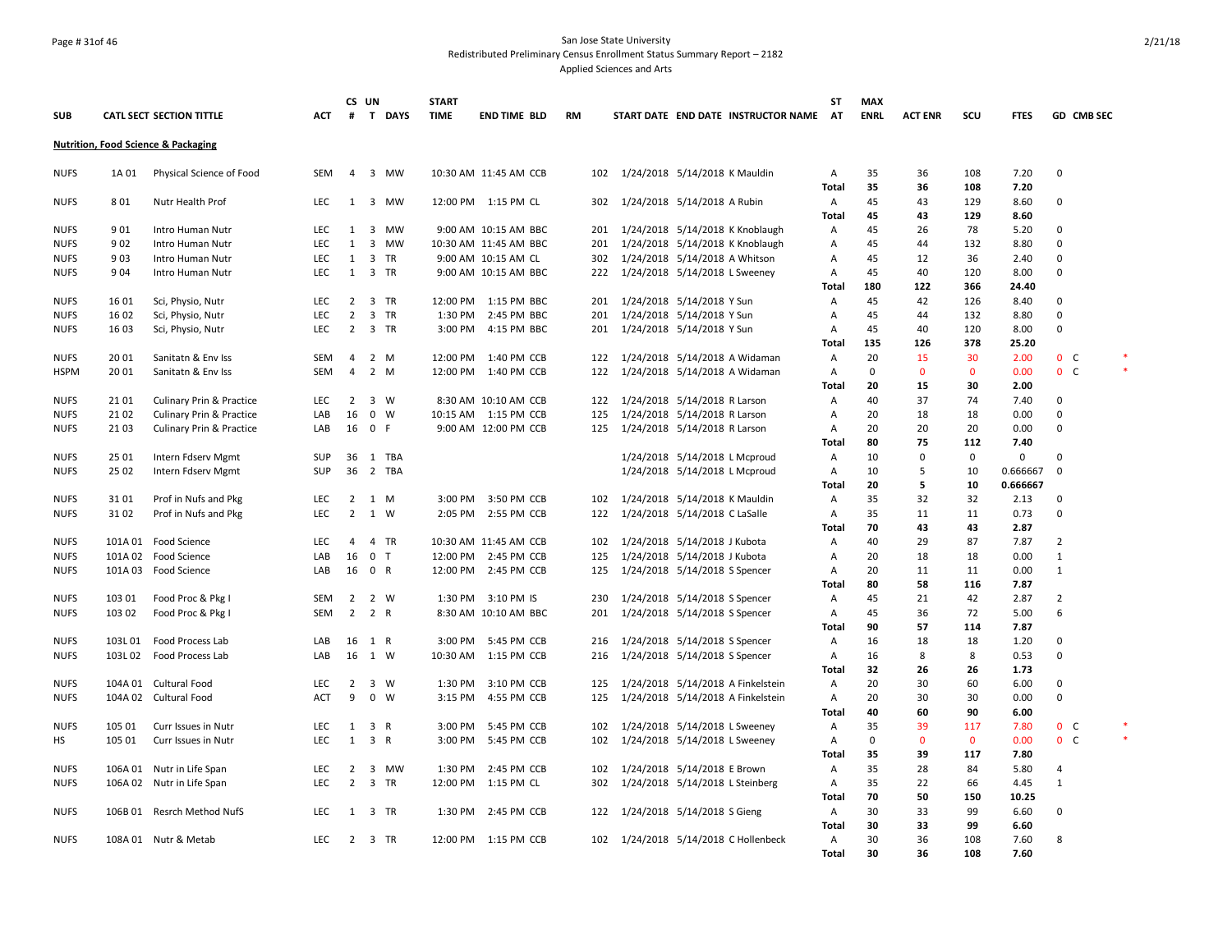## Page # 31of 46 San Jose State University Redistributed Preliminary Census Enrollment Status Summary Report – 2182

Applied Sciences and Arts

|             |         |                                                |            | CS UN          |                     | <b>START</b> |                       |           |     |                                   |                                        | SΤ           | <b>MAX</b>  |                |              |             |                |                   |        |
|-------------|---------|------------------------------------------------|------------|----------------|---------------------|--------------|-----------------------|-----------|-----|-----------------------------------|----------------------------------------|--------------|-------------|----------------|--------------|-------------|----------------|-------------------|--------|
| <b>SUB</b>  |         | <b>CATL SECT SECTION TITTLE</b>                | <b>ACT</b> | #              | T DAYS              | <b>TIME</b>  | <b>END TIME BLD</b>   | <b>RM</b> |     |                                   | START DATE END DATE INSTRUCTOR NAME AT |              | <b>ENRL</b> | <b>ACT ENR</b> | scu          | <b>FTES</b> |                | <b>GD CMB SEC</b> |        |
|             |         | <b>Nutrition, Food Science &amp; Packaging</b> |            |                |                     |              |                       |           |     |                                   |                                        |              |             |                |              |             |                |                   |        |
| <b>NUFS</b> | 1A 01   | Physical Science of Food                       | SEM        |                | 4 3 MW              |              | 10:30 AM 11:45 AM CCB |           |     | 102 1/24/2018 5/14/2018 K Mauldin |                                        | Α            | 35          | 36             | 108          | 7.20        | 0              |                   |        |
|             |         |                                                |            |                |                     |              |                       |           |     |                                   |                                        | Total        | 35          | 36             | 108          | 7.20        |                |                   |        |
| <b>NUFS</b> | 801     | Nutr Health Prof                               | <b>LEC</b> |                | 1 3 MW              |              | 12:00 PM 1:15 PM CL   |           | 302 | 1/24/2018 5/14/2018 A Rubin       |                                        | A            | 45          | 43             | 129          | 8.60        | 0              |                   |        |
|             |         |                                                |            |                |                     |              |                       |           |     |                                   |                                        | Total        | 45          | 43             | 129          | 8.60        |                |                   |        |
| <b>NUFS</b> | 901     | Intro Human Nutr                               | <b>LEC</b> | 1              | 3 MW                |              | 9:00 AM 10:15 AM BBC  |           | 201 |                                   | 1/24/2018 5/14/2018 K Knoblaugh        | Α            | 45          | 26             | 78           | 5.20        | 0              |                   |        |
| <b>NUFS</b> | 902     | Intro Human Nutr                               | <b>LEC</b> | 1              | 3 MW                |              | 10:30 AM 11:45 AM BBC |           | 201 |                                   | 1/24/2018 5/14/2018 K Knoblaugh        | Α            | 45          | 44             | 132          | 8.80        | $\mathbf 0$    |                   |        |
| <b>NUFS</b> | 903     | Intro Human Nutr                               | <b>LEC</b> | 1              | 3 TR                |              | 9:00 AM 10:15 AM CL   |           | 302 | 1/24/2018 5/14/2018 A Whitson     |                                        | A            | 45          | 12             | 36           | 2.40        | 0              |                   |        |
| <b>NUFS</b> | 904     | Intro Human Nutr                               | <b>LEC</b> |                | 1 3 TR              |              | 9:00 AM 10:15 AM BBC  |           | 222 | 1/24/2018 5/14/2018 L Sweeney     |                                        | Α            | 45          | 40             | 120          | 8.00        | 0              |                   |        |
|             |         |                                                |            |                |                     |              |                       |           |     |                                   |                                        | <b>Total</b> | 180         | 122            | 366          | 24.40       |                |                   |        |
| <b>NUFS</b> | 16 01   | Sci, Physio, Nutr                              | <b>LEC</b> | $\overline{2}$ | 3 TR                |              | 12:00 PM 1:15 PM BBC  |           | 201 | 1/24/2018 5/14/2018 Y Sun         |                                        | Α            | 45          | 42             | 126          | 8.40        | 0              |                   |        |
| <b>NUFS</b> | 16 02   | Sci, Physio, Nutr                              | <b>LEC</b> | $\overline{2}$ | 3 TR                |              | 1:30 PM 2:45 PM BBC   |           | 201 | 1/24/2018 5/14/2018 Y Sun         |                                        | Α            | 45          | 44             | 132          | 8.80        | 0              |                   |        |
| <b>NUFS</b> | 16 03   | Sci, Physio, Nutr                              | LEC        | $\overline{2}$ | 3 TR                |              | 3:00 PM 4:15 PM BBC   |           | 201 | 1/24/2018 5/14/2018 Y Sun         |                                        | A            | 45          | 40             | 120          | 8.00        | 0              |                   |        |
|             |         |                                                |            |                |                     |              |                       |           |     |                                   |                                        | Total        | 135         | 126            | 378          | 25.20       |                |                   |        |
| <b>NUFS</b> | 20 01   | Sanitatn & Env Iss                             | SEM        | 4              | $2 \mathsf{M}$      |              | 12:00 PM 1:40 PM CCB  |           | 122 |                                   | 1/24/2018 5/14/2018 A Widaman          | Α            | 20          | 15             | 30           | 2.00        |                | 0 <sup>o</sup>    | $\ast$ |
| <b>HSPM</b> | 20 01   | Sanitatn & Env Iss                             | SEM        | 4              | $2 \mathsf{M}$      |              | 12:00 PM 1:40 PM CCB  |           | 122 |                                   | 1/24/2018 5/14/2018 A Widaman          | Α            | 0           | $\mathbf 0$    | $\mathbf{0}$ | 0.00        |                | 0 <sub>c</sub>    |        |
|             |         |                                                |            |                |                     |              |                       |           |     |                                   |                                        | Total        | 20          | 15             | 30           | 2.00        |                |                   |        |
| <b>NUFS</b> | 21 01   | <b>Culinary Prin &amp; Practice</b>            | <b>LEC</b> | $\overline{2}$ | 3 W                 |              | 8:30 AM 10:10 AM CCB  |           | 122 | 1/24/2018 5/14/2018 R Larson      |                                        | Α            | 40          | 37             | 74           | 7.40        | 0              |                   |        |
| <b>NUFS</b> | 21 02   | <b>Culinary Prin &amp; Practice</b>            | LAB        | 16             | $0 \quad W$         |              | 10:15 AM  1:15 PM CCB |           | 125 | 1/24/2018 5/14/2018 R Larson      |                                        | Α            | 20          | 18             | 18           | 0.00        | 0              |                   |        |
| <b>NUFS</b> | 21 03   | Culinary Prin & Practice                       | LAB        |                | 16 0 F              |              | 9:00 AM 12:00 PM CCB  |           | 125 | 1/24/2018 5/14/2018 R Larson      |                                        | Α            | 20          | 20             | 20           | 0.00        | 0              |                   |        |
|             |         |                                                |            |                |                     |              |                       |           |     |                                   |                                        | <b>Total</b> | 80          | 75             | 112          | 7.40        |                |                   |        |
| <b>NUFS</b> | 25 01   | Intern Fdserv Mgmt                             | <b>SUP</b> |                | 36 1 TBA            |              |                       |           |     |                                   | 1/24/2018 5/14/2018 L Mcproud          | Α            | 10          | 0              | $\mathbf 0$  | 0           | $\Omega$       |                   |        |
| <b>NUFS</b> | 25 02   | Intern Fdserv Mgmt                             | <b>SUP</b> | 36             | 2 TBA               |              |                       |           |     | 1/24/2018 5/14/2018 L Mcproud     |                                        | Α            | 10          | 5              | 10           | 0.666667    | 0              |                   |        |
|             |         |                                                |            |                |                     |              |                       |           |     |                                   |                                        | Total        | 20          | 5              | 10           | 0.666667    |                |                   |        |
| <b>NUFS</b> | 3101    | Prof in Nufs and Pkg                           | <b>LEC</b> |                | 2 1 M               |              | 3:00 PM 3:50 PM CCB   |           | 102 | 1/24/2018 5/14/2018 K Mauldin     |                                        | Α            | 35          | 32             | 32           | 2.13        | 0              |                   |        |
| <b>NUFS</b> | 3102    | Prof in Nufs and Pkg                           | <b>LEC</b> | $\overline{2}$ | 1 W                 |              | 2:05 PM 2:55 PM CCB   |           | 122 | 1/24/2018 5/14/2018 C LaSalle     |                                        | A            | 35          | 11             | 11           | 0.73        | $\Omega$       |                   |        |
|             |         |                                                |            |                |                     |              |                       |           |     |                                   |                                        | Total        | 70          | 43             | 43           | 2.87        |                |                   |        |
| <b>NUFS</b> |         | 101A 01 Food Science                           | <b>LEC</b> | $\overline{4}$ | 4 TR                |              | 10:30 AM 11:45 AM CCB |           | 102 | 1/24/2018 5/14/2018 J Kubota      |                                        | $\mathsf{A}$ | 40          | 29             | 87           | 7.87        | $\overline{2}$ |                   |        |
| <b>NUFS</b> |         | 101A 02 Food Science                           | LAB        | 16             | 0 <sub>T</sub>      |              | 12:00 PM 2:45 PM CCB  |           | 125 | 1/24/2018 5/14/2018 J Kubota      |                                        | Α            | 20          | 18             | 18           | 0.00        | $\mathbf{1}$   |                   |        |
| <b>NUFS</b> |         | 101A 03 Food Science                           | LAB        |                | 16 0 R              |              | 12:00 PM 2:45 PM CCB  |           | 125 | 1/24/2018 5/14/2018 S Spencer     |                                        | Α            | 20          | 11             | 11           | 0.00        | $\mathbf{1}$   |                   |        |
|             |         |                                                |            |                |                     |              |                       |           |     |                                   |                                        | <b>Total</b> | 80          | 58             | 116          | 7.87        |                |                   |        |
| <b>NUFS</b> | 103 01  | Food Proc & Pkg I                              | SEM        | $\overline{2}$ | $2 \quad W$         |              | 1:30 PM 3:10 PM IS    |           | 230 | 1/24/2018 5/14/2018 S Spencer     |                                        | Α            | 45          | 21             | 42           | 2.87        | $\overline{2}$ |                   |        |
| <b>NUFS</b> | 103 02  | Food Proc & Pkg I                              | SEM        | $\overline{2}$ | 2 R                 |              | 8:30 AM 10:10 AM BBC  |           | 201 | 1/24/2018 5/14/2018 S Spencer     |                                        | Α            | 45          | 36             | 72           | 5.00        | 6              |                   |        |
|             |         |                                                |            |                |                     |              |                       |           |     |                                   |                                        | Total        | 90          | 57             | 114          | 7.87        |                |                   |        |
| <b>NUFS</b> |         | 103L 01 Food Process Lab                       | LAB        |                | 16 1 R              |              | 3:00 PM 5:45 PM CCB   |           | 216 | 1/24/2018 5/14/2018 S Spencer     |                                        | A            | 16          | 18             | 18           | 1.20        | 0              |                   |        |
| <b>NUFS</b> | 103L 02 | Food Process Lab                               | LAB        | 16             | 1 W                 |              | 10:30 AM  1:15 PM CCB |           | 216 | 1/24/2018 5/14/2018 S Spencer     |                                        | A            | 16          | 8              | 8            | 0.53        | $\mathbf 0$    |                   |        |
|             |         |                                                |            |                |                     |              |                       |           |     |                                   |                                        | Total        | 32          | 26             | 26           | 1.73        |                |                   |        |
| <b>NUFS</b> |         | 104A 01 Cultural Food                          | LEC        | $\overline{2}$ | 3 W                 |              | 1:30 PM 3:10 PM CCB   |           | 125 |                                   | 1/24/2018 5/14/2018 A Finkelstein      | Α            | 20          | 30             | 60           | 6.00        | 0              |                   |        |
| <b>NUFS</b> |         | 104A 02 Cultural Food                          | <b>ACT</b> | 9              | $0 \quad W$         | 3:15 PM      | 4:55 PM CCB           |           | 125 |                                   | 1/24/2018 5/14/2018 A Finkelstein      | A            | 20          | 30             | 30           | 0.00        | $\mathbf 0$    |                   |        |
|             |         |                                                |            |                |                     |              |                       |           |     |                                   |                                        | <b>Total</b> | 40          | 60             | 90           | 6.00        |                |                   |        |
| <b>NUFS</b> | 105 01  | Curr Issues in Nutr                            | <b>LEC</b> | 1              | 3 R                 | 3:00 PM      | 5:45 PM CCB           |           | 102 | 1/24/2018 5/14/2018 L Sweeney     |                                        | Α            | 35          | 39             | 117          | 7.80        |                | 0 <sub>c</sub>    |        |
| HS          | 105 01  | Curr Issues in Nutr                            | <b>LEC</b> |                | $1 \quad 3 \quad R$ |              | 3:00 PM 5:45 PM CCB   |           | 102 | 1/24/2018 5/14/2018 L Sweeney     |                                        | Α            | 0           | $\mathbf{0}$   | $\mathbf{0}$ | 0.00        |                | $0-$              |        |
|             |         |                                                |            |                |                     |              |                       |           |     |                                   |                                        | Total        | 35          | 39             | 117          | 7.80        |                |                   |        |
| <b>NUFS</b> |         | 106A 01 Nutr in Life Span                      | <b>LEC</b> | $\overline{2}$ | 3<br>MW             | 1:30 PM      | 2:45 PM CCB           |           | 102 | 1/24/2018 5/14/2018 E Brown       |                                        | Α            | 35          | 28             | 84           | 5.80        | $\overline{4}$ |                   |        |
| <b>NUFS</b> |         | 106A 02 Nutr in Life Span                      | LEC        |                | 2 3 TR              |              | 12:00 PM 1:15 PM CL   |           | 302 | 1/24/2018 5/14/2018 L Steinberg   |                                        | A            | 35          | 22             | 66           | 4.45        | $\mathbf{1}$   |                   |        |
|             |         |                                                |            |                |                     |              |                       |           |     |                                   |                                        | Total        | 70          | 50             | 150          | 10.25       |                |                   |        |
| <b>NUFS</b> | 106B 01 | Resrch Method NufS                             | LEC        | 1              | 3 TR                | 1:30 PM      | 2:45 PM CCB           |           | 122 | 1/24/2018 5/14/2018 S Gieng       |                                        | Α            | 30          | 33             | 99           | 6.60        | 0              |                   |        |
|             |         |                                                |            |                |                     |              |                       |           |     |                                   |                                        | Total        | 30          | 33             | 99           | 6.60        |                |                   |        |
| <b>NUFS</b> |         | 108A 01 Nutr & Metab                           | <b>LEC</b> |                | 2 3 TR              |              | 12:00 PM 1:15 PM CCB  |           |     |                                   | 102 1/24/2018 5/14/2018 C Hollenbeck   | A            | 30          | 36             | 108          | 7.60        | 8              |                   |        |
|             |         |                                                |            |                |                     |              |                       |           |     |                                   |                                        | Total        | 30          | 36             | 108          | 7.60        |                |                   |        |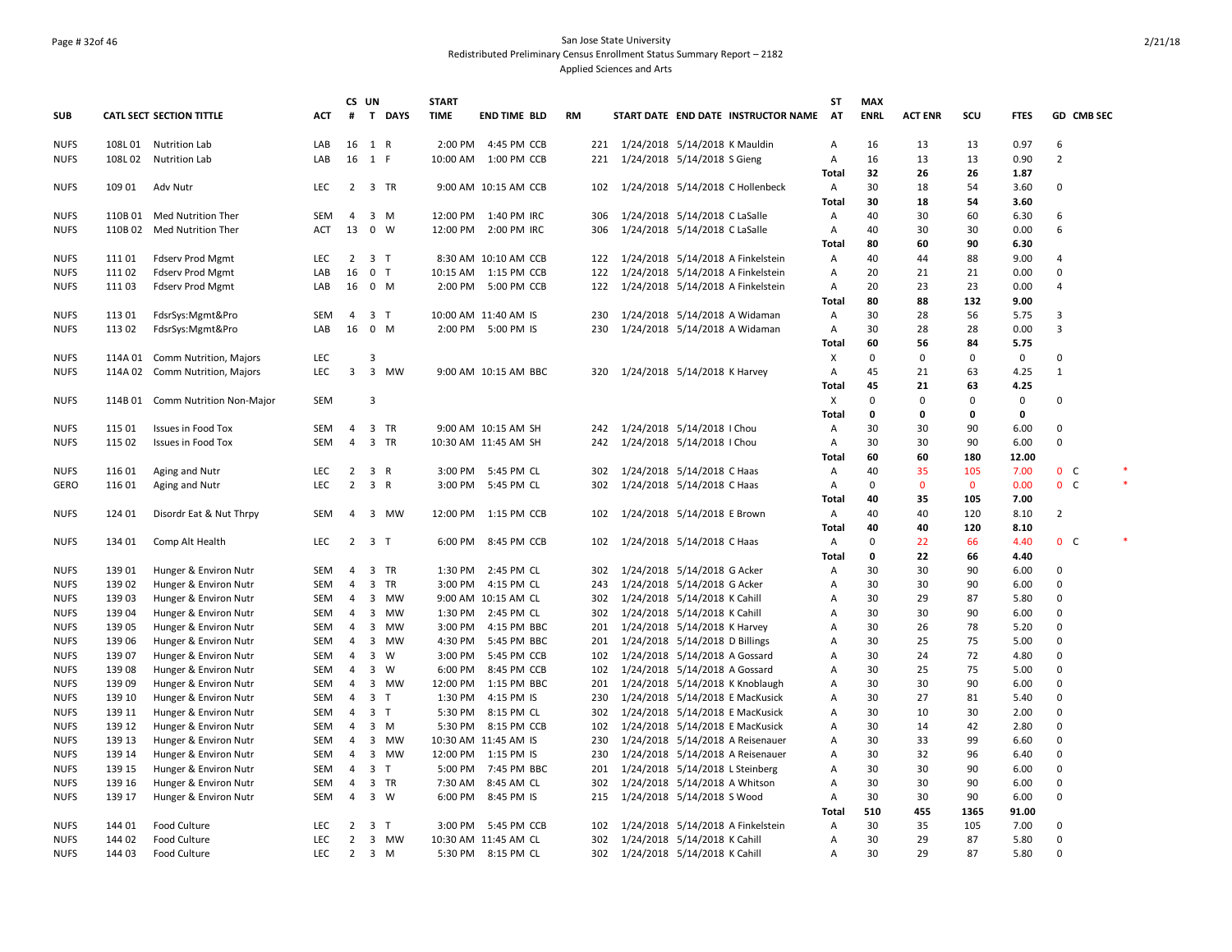## Page # 32of 46 San Jose State University Redistributed Preliminary Census Enrollment Status Summary Report – 2182 Applied Sciences and Arts

|             |         |                            |            | CS UN          |                               | <b>START</b> |                       |           |                                      | ST           | <b>MAX</b>  |                |             |             |                |  |
|-------------|---------|----------------------------|------------|----------------|-------------------------------|--------------|-----------------------|-----------|--------------------------------------|--------------|-------------|----------------|-------------|-------------|----------------|--|
| <b>SUB</b>  |         | CATL SECT SECTION TITTLE   | ACT        | #              | T DAYS                        | <b>TIME</b>  | <b>END TIME BLD</b>   | <b>RM</b> | START DATE END DATE INSTRUCTOR NAME  | AT           | <b>ENRL</b> | <b>ACT ENR</b> | SCU         | <b>FTES</b> | GD CMB SEC     |  |
| <b>NUFS</b> | 108L01  | <b>Nutrition Lab</b>       | LAB        | 16             | 1 R                           | 2:00 PM      | 4:45 PM CCB           |           | 221 1/24/2018 5/14/2018 K Mauldin    | Α            | 16          | 13             | 13          | 0.97        | 6              |  |
| <b>NUFS</b> | 108L02  | <b>Nutrition Lab</b>       | LAB        |                | 16 1 F                        |              | 10:00 AM  1:00 PM CCB | 221       | 1/24/2018 5/14/2018 S Gieng          | Α            | 16          | 13             | 13          | 0.90        | $\overline{2}$ |  |
|             |         |                            |            |                |                               |              |                       |           |                                      | Total        | 32          | 26             | 26          | 1.87        |                |  |
| <b>NUFS</b> | 109 01  | Adv Nutr                   | LEC        | $\overline{2}$ | 3 TR                          |              | 9:00 AM 10:15 AM CCB  |           | 102 1/24/2018 5/14/2018 C Hollenbeck | Α            | 30          | 18             | 54          | 3.60        | $\mathbf 0$    |  |
|             |         |                            |            |                |                               |              |                       |           |                                      | Total        | 30          | 18             | 54          | 3.60        |                |  |
| <b>NUFS</b> | 110B 01 | Med Nutrition Ther         | <b>SEM</b> | $\overline{4}$ | 3 M                           |              | 12:00 PM 1:40 PM IRC  | 306       | 1/24/2018 5/14/2018 C LaSalle        | Α            | 40          | 30             | 60          | 6.30        | 6              |  |
| <b>NUFS</b> |         | 110B 02 Med Nutrition Ther | <b>ACT</b> | 13             | $0 \quad W$                   | 12:00 PM     | 2:00 PM IRC           | 306       | 1/24/2018 5/14/2018 C LaSalle        | Α            | 40          | 30             | 30          | 0.00        | 6              |  |
|             |         |                            |            |                |                               |              |                       |           |                                      | Total        | 80          | 60             | 90          | 6.30        |                |  |
| <b>NUFS</b> | 111 01  | <b>Fdserv Prod Mgmt</b>    | LEC        | 2              | 3 T                           |              | 8:30 AM 10:10 AM CCB  | 122       | 1/24/2018 5/14/2018 A Finkelstein    | Α            | 40          | 44             | 88          | 9.00        | $\overline{4}$ |  |
| <b>NUFS</b> | 111 02  | <b>Fdserv Prod Mgmt</b>    | LAB        | 16             | 0 <sub>T</sub>                |              | 10:15 AM  1:15 PM CCB | 122       | 1/24/2018 5/14/2018 A Finkelstein    | Α            | 20          | 21             | 21          | 0.00        | $\mathbf 0$    |  |
| <b>NUFS</b> | 11103   | <b>Fdserv Prod Mgmt</b>    | LAB        | 16             | 0 M                           |              | 2:00 PM 5:00 PM CCB   | 122       | 1/24/2018 5/14/2018 A Finkelstein    | Α            | 20          | 23             | 23          | 0.00        | $\overline{4}$ |  |
|             |         |                            |            |                |                               |              |                       |           |                                      | Total        | 80          | 88             | 132         | 9.00        |                |  |
| <b>NUFS</b> | 113 01  | FdsrSys:Mgmt&Pro           | <b>SEM</b> | $\overline{4}$ | 3 <sub>T</sub>                |              | 10:00 AM 11:40 AM IS  | 230       | 1/24/2018 5/14/2018 A Widaman        | Α            | 30          | 28             | 56          | 5.75        | $\overline{3}$ |  |
| <b>NUFS</b> | 113 02  | FdsrSys:Mgmt&Pro           | LAB        | 16             | $0$ M                         |              | 2:00 PM 5:00 PM IS    | 230       | 1/24/2018 5/14/2018 A Widaman        | Α            | 30          | 28             | 28          | 0.00        | $\overline{3}$ |  |
|             |         |                            |            |                |                               |              |                       |           |                                      | Total        | 60          | 56             | 84          | 5.75        |                |  |
| <b>NUFS</b> | 114A 01 | Comm Nutrition, Majors     | LEC        |                | 3                             |              |                       |           |                                      | X            | $\mathbf 0$ | $\mathbf 0$    | 0           | $\mathbf 0$ | $\Omega$       |  |
| <b>NUFS</b> | 114A 02 | Comm Nutrition, Majors     | <b>LEC</b> | $\overline{3}$ | 3 MW                          |              | 9:00 AM 10:15 AM BBC  |           | 320 1/24/2018 5/14/2018 K Harvey     | Α            | 45          | 21             | 63          | 4.25        | $\mathbf{1}$   |  |
|             |         |                            |            |                |                               |              |                       |           |                                      | Total        | 45          | 21             | 63          | 4.25        |                |  |
| <b>NUFS</b> | 114B 01 | Comm Nutrition Non-Major   | <b>SEM</b> |                | 3                             |              |                       |           |                                      | х            | $\mathbf 0$ | $\Omega$       | 0           | 0           | $\mathbf 0$    |  |
|             |         |                            |            |                |                               |              |                       |           |                                      | Total        | 0           | 0              | 0           | 0           |                |  |
| <b>NUFS</b> | 115 01  | <b>Issues in Food Tox</b>  | <b>SEM</b> | $\overline{4}$ | 3 TR                          |              | 9:00 AM 10:15 AM SH   |           | 242 1/24/2018 5/14/2018 I Chou       | Α            | 30          | 30             | 90          | 6.00        | $\Omega$       |  |
| <b>NUFS</b> | 115 02  | <b>Issues in Food Tox</b>  | <b>SEM</b> | $\overline{4}$ | 3 TR                          |              | 10:30 AM 11:45 AM SH  | 242       | 1/24/2018 5/14/2018   Chou           | Α            | 30          | 30             | 90          | 6.00        | $\Omega$       |  |
|             |         |                            |            |                |                               |              |                       |           |                                      | Total        | 60          | 60             | 180         | 12.00       |                |  |
| <b>NUFS</b> | 116 01  | Aging and Nutr             | LEC        | $\overline{2}$ | 3 R                           | 3:00 PM      | 5:45 PM CL            | 302       | 1/24/2018 5/14/2018 C Haas           | Α            | 40          | 35             | 105         | 7.00        | 0 <sup>o</sup> |  |
| <b>GERO</b> | 116 01  | Aging and Nutr             | LEC        | $\overline{2}$ | 3 R                           | 3:00 PM      | 5:45 PM CL            | 302       | 1/24/2018 5/14/2018 C Haas           | Α            | 0           | $\mathbf 0$    | $\mathbf 0$ | 0.00        | $0-$           |  |
|             |         |                            |            |                |                               |              |                       |           |                                      | <b>Total</b> | 40          | 35             | 105         | 7.00        |                |  |
| <b>NUFS</b> | 124 01  | Disordr Eat & Nut Thrpy    | <b>SEM</b> | $\overline{4}$ | 3 MW                          |              | 12:00 PM 1:15 PM CCB  | 102       | 1/24/2018 5/14/2018 E Brown          | Α            | 40          | 40             | 120         | 8.10        | $\overline{2}$ |  |
|             |         |                            |            |                |                               |              |                       |           |                                      | Total        | 40          | 40             | 120         | 8.10        |                |  |
| <b>NUFS</b> | 134 01  | Comp Alt Health            | <b>LEC</b> |                | $2 \quad 3 \quad T$           |              | 6:00 PM 8:45 PM CCB   | 102       | 1/24/2018 5/14/2018 C Haas           | Α            | 0           | 22             | 66          | 4.40        | 0 <sup>o</sup> |  |
|             |         |                            |            |                |                               |              |                       |           |                                      | <b>Total</b> | 0           | 22             | 66          | 4.40        |                |  |
| <b>NUFS</b> | 139 01  | Hunger & Environ Nutr      | <b>SEM</b> | $\overline{4}$ | 3 TR                          | 1:30 PM      | 2:45 PM CL            | 302       | 1/24/2018 5/14/2018 G Acker          | Α            | 30          | 30             | 90          | 6.00        | $\Omega$       |  |
| <b>NUFS</b> | 139 02  | Hunger & Environ Nutr      | <b>SEM</b> | $\overline{4}$ | 3 TR                          | 3:00 PM      | 4:15 PM CL            | 243       | 1/24/2018 5/14/2018 G Acker          | Α            | 30          | 30             | 90          | 6.00        | $\mathbf 0$    |  |
| <b>NUFS</b> | 139 03  | Hunger & Environ Nutr      | SEM        | 4              | 3 MW                          |              | 9:00 AM 10:15 AM CL   | 302       | 1/24/2018 5/14/2018 K Cahill         | Α            | 30          | 29             | 87          | 5.80        | $\mathbf 0$    |  |
| <b>NUFS</b> | 139 04  | Hunger & Environ Nutr      | <b>SEM</b> | $\overline{4}$ | 3 MW                          |              | 1:30 PM 2:45 PM CL    | 302       | 1/24/2018 5/14/2018 K Cahill         | Α            | 30          | 30             | 90          | 6.00        | $\Omega$       |  |
| <b>NUFS</b> | 139 05  | Hunger & Environ Nutr      | SEM        | 4              | $\overline{\mathbf{3}}$<br>MW | 3:00 PM      | 4:15 PM BBC           | 201       | 1/24/2018 5/14/2018 K Harvey         | Α            | 30          | 26             | 78          | 5.20        | $\Omega$       |  |
| <b>NUFS</b> | 139 06  | Hunger & Environ Nutr      | SEM        | 4              | 3 MW                          |              | 4:30 PM 5:45 PM BBC   | 201       | 1/24/2018 5/14/2018 D Billings       | Α            | 30          | 25             | 75          | 5.00        | $\mathbf 0$    |  |
| <b>NUFS</b> | 139 07  | Hunger & Environ Nutr      | SEM        | 4              | $3 \quad W$                   | 3:00 PM      | 5:45 PM CCB           | 102       | 1/24/2018 5/14/2018 A Gossard        | Α            | 30          | 24             | 72          | 4.80        | $\mathbf 0$    |  |
| <b>NUFS</b> | 139 08  | Hunger & Environ Nutr      | <b>SEM</b> | $\overline{4}$ | $\overline{3}$<br>W           | 6:00 PM      | 8:45 PM CCB           | 102       | 1/24/2018 5/14/2018 A Gossard        | Α            | 30          | 25             | 75          | 5.00        | $\mathbf 0$    |  |
| <b>NUFS</b> | 139 09  | Hunger & Environ Nutr      | <b>SEM</b> | $\overline{4}$ | 3 MW                          | 12:00 PM     | 1:15 PM BBC           | 201       | 1/24/2018 5/14/2018 K Knoblaugh      | Α            | 30          | 30             | 90          | 6.00        | $\mathbf 0$    |  |
| <b>NUFS</b> | 139 10  | Hunger & Environ Nutr      | <b>SEM</b> | $\overline{4}$ | 3 <sub>T</sub>                | 1:30 PM      | 4:15 PM IS            | 230       | 1/24/2018 5/14/2018 E MacKusick      | Α            | 30          | 27             | 81          | 5.40        | $\mathbf 0$    |  |
| <b>NUFS</b> | 139 11  | Hunger & Environ Nutr      | SEM        | $\overline{4}$ | 3 <sub>T</sub>                | 5:30 PM      | 8:15 PM CL            | 302       | 1/24/2018 5/14/2018 E MacKusick      | Α            | 30          | 10             | 30          | 2.00        | $\Omega$       |  |
| <b>NUFS</b> | 139 12  | Hunger & Environ Nutr      | SEM        | $\overline{4}$ | $3 \, M$                      |              | 5:30 PM 8:15 PM CCB   | 102       | 1/24/2018 5/14/2018 E MacKusick      | Α            | 30          | 14             | 42          | 2.80        | $\mathbf 0$    |  |
| <b>NUFS</b> | 139 13  | Hunger & Environ Nutr      | <b>SEM</b> | $\overline{4}$ | 3 MW                          |              | 10:30 AM 11:45 AM IS  | 230       | 1/24/2018 5/14/2018 A Reisenauer     | Α            | 30          | 33             | 99          | 6.60        | $\Omega$       |  |
| <b>NUFS</b> | 139 14  | Hunger & Environ Nutr      | <b>SEM</b> | $\overline{4}$ | 3 MW                          |              | 12:00 PM 1:15 PM IS   | 230       | 1/24/2018 5/14/2018 A Reisenauer     | Α            | 30          | 32             | 96          | 6.40        | $\mathbf 0$    |  |
| <b>NUFS</b> | 139 15  | Hunger & Environ Nutr      | <b>SEM</b> | $\overline{4}$ | 3 <sub>T</sub>                | 5:00 PM      | 7:45 PM BBC           | 201       | 1/24/2018 5/14/2018 L Steinberg      | Α            | 30          | 30             | 90          | 6.00        | $\Omega$       |  |
| <b>NUFS</b> | 139 16  | Hunger & Environ Nutr      | <b>SEM</b> | $\overline{4}$ | 3 TR                          | 7:30 AM      | 8:45 AM CL            | 302       | 1/24/2018 5/14/2018 A Whitson        | Α            | 30          | 30             | 90          | 6.00        | $\mathbf 0$    |  |
| <b>NUFS</b> | 139 17  | Hunger & Environ Nutr      | <b>SEM</b> | $\overline{4}$ | 3 W                           |              | 6:00 PM 8:45 PM IS    | 215       | 1/24/2018 5/14/2018 S Wood           | Α            | 30          | 30             | 90          | 6.00        | $\Omega$       |  |
|             |         |                            |            |                |                               |              |                       |           |                                      | Total        | 510         | 455            | 1365        | 91.00       |                |  |
| <b>NUFS</b> | 144 01  | Food Culture               | <b>LEC</b> | $\overline{2}$ | 3 <sub>1</sub>                |              | 3:00 PM 5:45 PM CCB   | 102       | 1/24/2018 5/14/2018 A Finkelstein    | Α            | 30          | 35             | 105         | 7.00        | $\mathbf 0$    |  |
| <b>NUFS</b> | 144 02  | Food Culture               | LEC        | 2              | 3 MW                          |              | 10:30 AM 11:45 AM CL  | 302       | 1/24/2018 5/14/2018 K Cahill         | A            | 30          | 29             | 87          | 5.80        | $\Omega$       |  |
| <b>NUFS</b> | 144 03  | Food Culture               | <b>LEC</b> |                | $2 \quad 3 \quad M$           |              | 5:30 PM 8:15 PM CL    |           | 302 1/24/2018 5/14/2018 K Cahill     | Α            | 30          | 29             | 87          | 5.80        | $\Omega$       |  |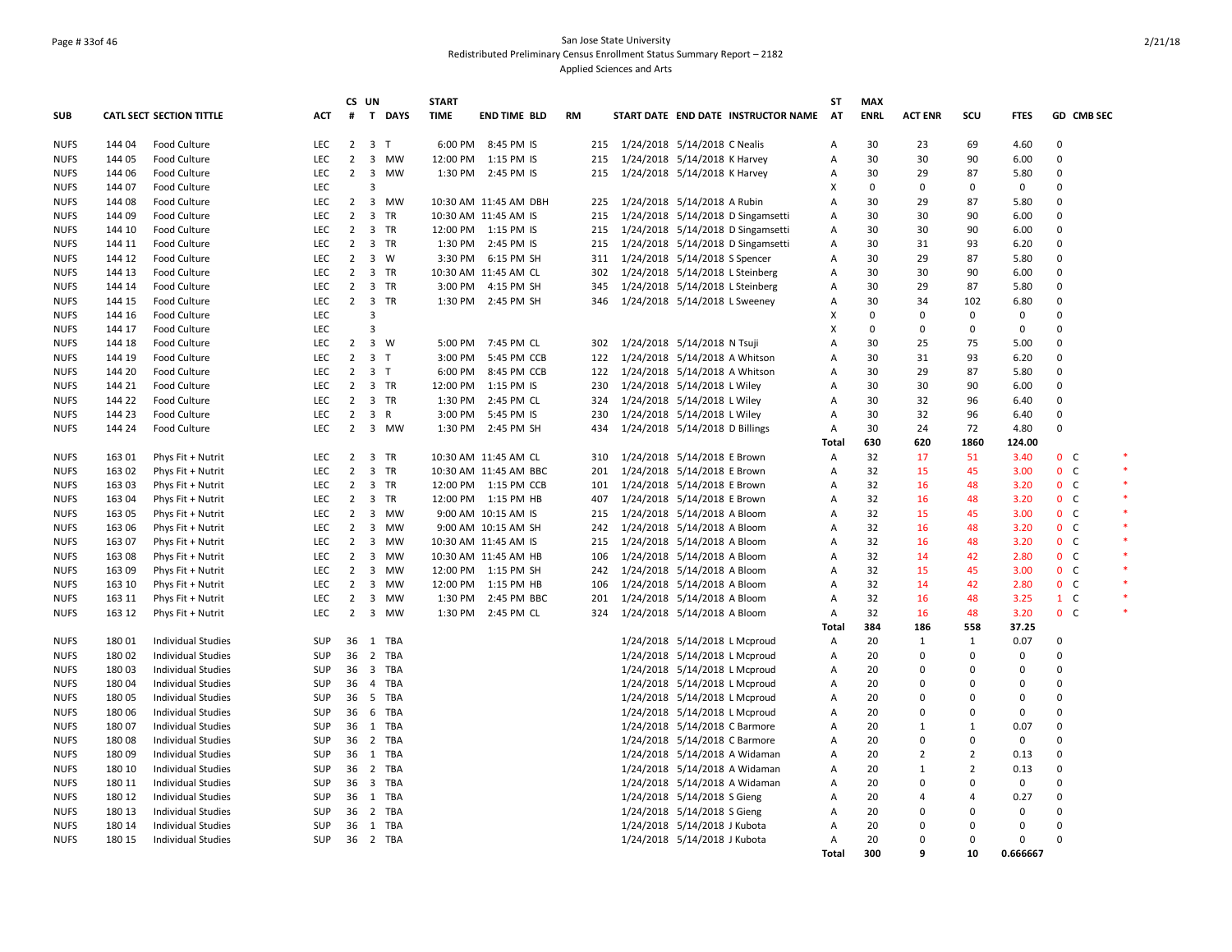## Page # 33of 46 San Jose State University Redistributed Preliminary Census Enrollment Status Summary Report – 2182 Applied Sciences and Arts

|             |        |                                 |            |                | CS UN                         | <b>START</b> |                       |     |                                  |                                 |                                     | ST           | <b>MAX</b>  |                |                |             |                |  |
|-------------|--------|---------------------------------|------------|----------------|-------------------------------|--------------|-----------------------|-----|----------------------------------|---------------------------------|-------------------------------------|--------------|-------------|----------------|----------------|-------------|----------------|--|
| SUB         |        | <b>CATL SECT SECTION TITTLE</b> | ACT        | #              | T DAYS                        | <b>TIME</b>  | <b>END TIME BLD</b>   | RM  |                                  |                                 | START DATE END DATE INSTRUCTOR NAME | AT           | <b>ENRL</b> | <b>ACT ENR</b> | scu            | <b>FTES</b> | GD CMB SEC     |  |
| <b>NUFS</b> | 144 04 | Food Culture                    | <b>LEC</b> | $2^{\circ}$    | 3 <sub>T</sub>                |              | 6:00 PM 8:45 PM IS    |     | 215 1/24/2018 5/14/2018 C Nealis |                                 |                                     | A            | 30          | 23             | 69             | 4.60        | $\Omega$       |  |
| <b>NUFS</b> | 144 05 | Food Culture                    | LEC        | $\overline{2}$ | 3 MW                          |              | 12:00 PM 1:15 PM IS   | 215 |                                  | 1/24/2018 5/14/2018 K Harvey    |                                     | Α            | 30          | 30             | 90             | 6.00        | $\Omega$       |  |
| <b>NUFS</b> | 144 06 | Food Culture                    | <b>LEC</b> | $2^{\circ}$    | 3 MW                          |              | 1:30 PM 2:45 PM IS    | 215 |                                  | 1/24/2018 5/14/2018 K Harvey    |                                     | Α            | 30          | 29             | 87             | 5.80        | 0              |  |
| <b>NUFS</b> | 144 07 | Food Culture                    | LEC        |                | 3                             |              |                       |     |                                  |                                 |                                     | х            | 0           | 0              | 0              | $\mathbf 0$ | $\Omega$       |  |
| <b>NUFS</b> | 144 08 | Food Culture                    | <b>LEC</b> | $2^{\circ}$    | 3 MW                          |              | 10:30 AM 11:45 AM DBH | 225 |                                  | 1/24/2018 5/14/2018 A Rubin     |                                     | A            | 30          | 29             | 87             | 5.80        | $\Omega$       |  |
| <b>NUFS</b> | 144 09 | Food Culture                    | LEC        | $\overline{2}$ | 3 TR                          |              | 10:30 AM 11:45 AM IS  | 215 |                                  |                                 | 1/24/2018 5/14/2018 D Singamsetti   | Α            | 30          | 30             | 90             | 6.00        | $\Omega$       |  |
| <b>NUFS</b> | 144 10 | Food Culture                    | LEC        | $\overline{2}$ | 3 TR                          |              | 12:00 PM 1:15 PM IS   | 215 |                                  |                                 | 1/24/2018 5/14/2018 D Singamsetti   | Α            | 30          | 30             | 90             | 6.00        | 0              |  |
| <b>NUFS</b> | 144 11 | Food Culture                    | <b>LEC</b> | $\overline{2}$ | 3 TR                          |              | 1:30 PM 2:45 PM IS    | 215 |                                  |                                 | 1/24/2018 5/14/2018 D Singamsetti   | Α            | 30          | 31             | 93             | 6.20        | $\Omega$       |  |
| <b>NUFS</b> | 144 12 | Food Culture                    | <b>LEC</b> | 2              | 3 W                           |              | 3:30 PM 6:15 PM SH    | 311 |                                  | 1/24/2018 5/14/2018 S Spencer   |                                     | Α            | 30          | 29             | 87             | 5.80        | $\Omega$       |  |
| <b>NUFS</b> | 144 13 | Food Culture                    | LEC        | $\overline{2}$ | 3 TR                          |              | 10:30 AM 11:45 AM CL  | 302 |                                  |                                 | 1/24/2018 5/14/2018 L Steinberg     | Α            | 30          | 30             | 90             | 6.00        | $\Omega$       |  |
| <b>NUFS</b> | 144 14 | Food Culture                    | LEC        | $\overline{2}$ | 3 TR                          |              | 3:00 PM 4:15 PM SH    | 345 |                                  | 1/24/2018 5/14/2018 L Steinberg |                                     | Α            | 30          | 29             | 87             | 5.80        | 0              |  |
| <b>NUFS</b> | 144 15 | Food Culture                    | LEC        | $\overline{2}$ | 3 TR                          |              | 1:30 PM 2:45 PM SH    | 346 |                                  | 1/24/2018 5/14/2018 L Sweeney   |                                     | Α            | 30          | 34             | 102            | 6.80        | $\Omega$       |  |
| <b>NUFS</b> | 144 16 | Food Culture                    | LEC        |                | 3                             |              |                       |     |                                  |                                 |                                     | x            | $\mathbf 0$ | $\mathbf 0$    | 0              | 0           | $\Omega$       |  |
| <b>NUFS</b> | 144 17 | Food Culture                    | <b>LEC</b> |                | 3                             |              |                       |     |                                  |                                 |                                     | x            | $\Omega$    | 0              | 0              | 0           | $\Omega$       |  |
| <b>NUFS</b> | 144 18 | Food Culture                    | LEC        | $\overline{2}$ | 3 W                           |              | 5:00 PM 7:45 PM CL    | 302 |                                  | 1/24/2018 5/14/2018 N Tsuji     |                                     | Α            | 30          | 25             | 75             | 5.00        | 0              |  |
| <b>NUFS</b> | 144 19 | Food Culture                    | <b>LEC</b> | $\overline{2}$ | 3 <sub>T</sub>                | 3:00 PM      | 5:45 PM CCB           | 122 |                                  | 1/24/2018 5/14/2018 A Whitson   |                                     | A            | 30          | 31             | 93             | 6.20        | $\Omega$       |  |
| <b>NUFS</b> | 144 20 | Food Culture                    | <b>LEC</b> | $\overline{2}$ | 3 <sub>T</sub>                | 6:00 PM      | 8:45 PM CCB           | 122 |                                  | 1/24/2018 5/14/2018 A Whitson   |                                     | Α            | 30          | 29             | 87             | 5.80        | $\Omega$       |  |
| <b>NUFS</b> | 144 21 | Food Culture                    | <b>LEC</b> |                | 2 3 TR                        |              | 12:00 PM 1:15 PM IS   | 230 |                                  | 1/24/2018 5/14/2018 L Wiley     |                                     | A            | 30          | 30             | 90             | 6.00        | $\Omega$       |  |
| <b>NUFS</b> | 144 22 | Food Culture                    | LEC        | $\overline{2}$ | 3 TR                          | 1:30 PM      | 2:45 PM CL            | 324 |                                  | 1/24/2018 5/14/2018 L Wiley     |                                     | Α            | 30          | 32             | 96             | 6.40        | 0              |  |
| <b>NUFS</b> | 144 23 | Food Culture                    | <b>LEC</b> | $\overline{2}$ | 3 R                           | 3:00 PM      | 5:45 PM IS            | 230 |                                  | 1/24/2018 5/14/2018 L Wiley     |                                     | Α            | 30          | 32             | 96             | 6.40        | 0              |  |
| <b>NUFS</b> | 144 24 | Food Culture                    | <b>LEC</b> | $\overline{2}$ | 3 MW                          |              | 1:30 PM 2:45 PM SH    | 434 |                                  | 1/24/2018 5/14/2018 D Billings  |                                     | Α            | 30          | 24             | 72             | 4.80        | $\Omega$       |  |
|             |        |                                 |            |                |                               |              |                       |     |                                  |                                 |                                     | Total        | 630         | 620            | 1860           | 124.00      |                |  |
| <b>NUFS</b> | 163 01 | Phys Fit + Nutrit               | LEC        | $2^{\circ}$    | 3 TR                          |              | 10:30 AM 11:45 AM CL  | 310 |                                  | 1/24/2018 5/14/2018 E Brown     |                                     | Α            | 32          | 17             | 51             | 3.40        | 0 <sub>c</sub> |  |
| <b>NUFS</b> | 163 02 | Phys Fit + Nutrit               | <b>LEC</b> | $\overline{2}$ | 3 TR                          |              | 10:30 AM 11:45 AM BBC | 201 |                                  | 1/24/2018 5/14/2018 E Brown     |                                     | Α            | 32          | 15             | 45             | 3.00        | 0 <sup>o</sup> |  |
| <b>NUFS</b> | 163 03 | Phys Fit + Nutrit               | <b>LEC</b> | $\overline{2}$ | 3 TR                          |              | 12:00 PM 1:15 PM CCB  | 101 |                                  | 1/24/2018 5/14/2018 E Brown     |                                     | Α            | 32          | 16             | 48             | 3.20        | 0 <sup>o</sup> |  |
| <b>NUFS</b> | 163 04 | Phys Fit + Nutrit               | <b>LEC</b> | $\overline{2}$ | 3 TR                          |              | 12:00 PM 1:15 PM HB   | 407 |                                  | 1/24/2018 5/14/2018 E Brown     |                                     | A            | 32          | 16             | 48             | 3.20        | $0-$           |  |
| <b>NUFS</b> | 163 05 | Phys Fit + Nutrit               | LEC        | $\overline{2}$ | 3 MW                          |              | 9:00 AM 10:15 AM IS   | 215 |                                  | 1/24/2018 5/14/2018 A Bloom     |                                     | Α            | 32          | 15             | 45             | 3.00        | 0 <sub>c</sub> |  |
| <b>NUFS</b> | 163 06 | Phys Fit + Nutrit               | <b>LEC</b> | $\overline{2}$ | 3 MW                          |              | 9:00 AM 10:15 AM SH   | 242 |                                  | 1/24/2018 5/14/2018 A Bloom     |                                     | Α            | 32          | 16             | 48             | 3.20        | 0 <sup>o</sup> |  |
| <b>NUFS</b> | 163 07 | Phys Fit + Nutrit               | <b>LEC</b> | $\overline{2}$ | 3 MW                          |              | 10:30 AM 11:45 AM IS  | 215 |                                  | 1/24/2018 5/14/2018 A Bloom     |                                     | Α            | 32          | 16             | 48             | 3.20        | 0 <sub>c</sub> |  |
| <b>NUFS</b> | 163 08 | Phys Fit + Nutrit               | <b>LEC</b> | $\overline{2}$ | $\overline{\mathbf{3}}$<br>MW |              | 10:30 AM 11:45 AM HB  | 106 |                                  | 1/24/2018 5/14/2018 A Bloom     |                                     | A            | 32          | 14             | 42             | 2.80        | 0 <sup>o</sup> |  |
| <b>NUFS</b> | 163 09 | Phys Fit + Nutrit               | LEC        | $\overline{2}$ | 3 MW                          |              | 12:00 PM 1:15 PM SH   | 242 |                                  | 1/24/2018 5/14/2018 A Bloom     |                                     | Α            | 32          | 15             | 45             | 3.00        | 0 <sup>o</sup> |  |
| <b>NUFS</b> | 163 10 | Phys Fit + Nutrit               | <b>LEC</b> | $\overline{2}$ | 3 MW                          |              | 12:00 PM 1:15 PM HB   | 106 |                                  | 1/24/2018 5/14/2018 A Bloom     |                                     | Α            | 32          | 14             | 42             | 2.80        | 0 <sub>c</sub> |  |
| <b>NUFS</b> | 163 11 | Phys Fit + Nutrit               | <b>LEC</b> | $\overline{2}$ | 3 MW                          | 1:30 PM      | 2:45 PM BBC           | 201 |                                  | 1/24/2018 5/14/2018 A Bloom     |                                     | Α            | 32          | 16             | 48             | 3.25        | $1 \quad C$    |  |
| <b>NUFS</b> | 163 12 | Phys Fit + Nutrit               | <b>LEC</b> | $2^{\circ}$    | 3 MW                          |              | 1:30 PM 2:45 PM CL    | 324 |                                  | 1/24/2018 5/14/2018 A Bloom     |                                     | Α            | 32          | 16             | 48             | 3.20        | $0-$           |  |
|             |        |                                 |            |                |                               |              |                       |     |                                  |                                 |                                     | <b>Total</b> | 384         | 186            | 558            | 37.25       |                |  |
| <b>NUFS</b> | 180 01 | Individual Studies              | <b>SUP</b> |                | 36 1 TBA                      |              |                       |     |                                  | 1/24/2018 5/14/2018 L Mcproud   |                                     | Α            | 20          | $\mathbf{1}$   | 1              | 0.07        | 0              |  |
| <b>NUFS</b> | 18002  | <b>Individual Studies</b>       | <b>SUP</b> | 36             | 2 TBA                         |              |                       |     |                                  | 1/24/2018 5/14/2018 L Mcproud   |                                     | Α            | 20          | 0              | 0              | 0           | $\Omega$       |  |
| <b>NUFS</b> | 18003  | <b>Individual Studies</b>       | <b>SUP</b> |                | 36 3 TBA                      |              |                       |     |                                  | 1/24/2018 5/14/2018 L Mcproud   |                                     | Α            | 20          | $\mathbf 0$    | $\Omega$       | 0           | $\Omega$       |  |
| <b>NUFS</b> | 180 04 | <b>Individual Studies</b>       | <b>SUP</b> | 36             | 4 TBA                         |              |                       |     |                                  | 1/24/2018 5/14/2018 L Mcproud   |                                     | Α            | 20          | 0              | 0              | 0           | 0              |  |
| <b>NUFS</b> | 180 05 | Individual Studies              | <b>SUP</b> | 36             | 5 TBA                         |              |                       |     |                                  | 1/24/2018 5/14/2018 L Mcproud   |                                     | Α            | 20          | 0              | 0              | 0           | 0              |  |
| <b>NUFS</b> | 180 06 | <b>Individual Studies</b>       | <b>SUP</b> | 36             | 6 TBA                         |              |                       |     |                                  | 1/24/2018 5/14/2018 L Mcproud   |                                     | Α            | 20          | 0              | 0              | $\Omega$    | $\Omega$       |  |
| <b>NUFS</b> | 18007  | <b>Individual Studies</b>       | <b>SUP</b> |                | 36 1 TBA                      |              |                       |     |                                  | 1/24/2018 5/14/2018 C Barmore   |                                     | Α            | 20          | $\mathbf{1}$   | $\mathbf{1}$   | 0.07        | $\Omega$       |  |
| <b>NUFS</b> | 18008  | <b>Individual Studies</b>       | <b>SUP</b> | 36             | 2 TBA                         |              |                       |     |                                  | 1/24/2018 5/14/2018 C Barmore   |                                     | Α            | 20          | 0              | $\Omega$       | $\mathbf 0$ | $\Omega$       |  |
| <b>NUFS</b> | 180 09 | Individual Studies              | <b>SUP</b> |                | 36 1 TBA                      |              |                       |     |                                  |                                 | 1/24/2018 5/14/2018 A Widaman       | Α            | 20          | $\overline{2}$ | $\overline{2}$ | 0.13        | 0              |  |
| <b>NUFS</b> | 180 10 | <b>Individual Studies</b>       | <b>SUP</b> |                | 36 2 TBA                      |              |                       |     |                                  |                                 | 1/24/2018 5/14/2018 A Widaman       | Α            | 20          | $\mathbf{1}$   | $\overline{2}$ | 0.13        | $\Omega$       |  |
| <b>NUFS</b> | 180 11 | <b>Individual Studies</b>       | <b>SUP</b> |                | 36 3 TBA                      |              |                       |     |                                  |                                 | 1/24/2018 5/14/2018 A Widaman       | Α            | 20          | 0              | 0              | 0           | $\Omega$       |  |
| <b>NUFS</b> | 180 12 | <b>Individual Studies</b>       | <b>SUP</b> |                | 36 1 TBA                      |              |                       |     |                                  | 1/24/2018 5/14/2018 S Gieng     |                                     | Α            | 20          | 4              | $\overline{a}$ | 0.27        | 0              |  |
| <b>NUFS</b> | 180 13 | Individual Studies              | <b>SUP</b> | 36             | 2 TBA                         |              |                       |     |                                  | 1/24/2018 5/14/2018 S Gieng     |                                     | Α            | 20          | 0              | 0              | 0           | 0              |  |
| <b>NUFS</b> | 180 14 | <b>Individual Studies</b>       | <b>SUP</b> | 36             | 1 TBA                         |              |                       |     |                                  | 1/24/2018 5/14/2018 J Kubota    |                                     | Α            | 20          | 0              | 0              | 0           | 0              |  |
| <b>NUFS</b> | 180 15 | Individual Studies              | <b>SUP</b> |                | 36 2 TBA                      |              |                       |     |                                  | 1/24/2018 5/14/2018 J Kubota    |                                     | A            | 20          | $\mathbf 0$    | 0              | 0           | $\Omega$       |  |
|             |        |                                 |            |                |                               |              |                       |     |                                  |                                 |                                     | Total        | 300         | 9              | 10             | 0.666667    |                |  |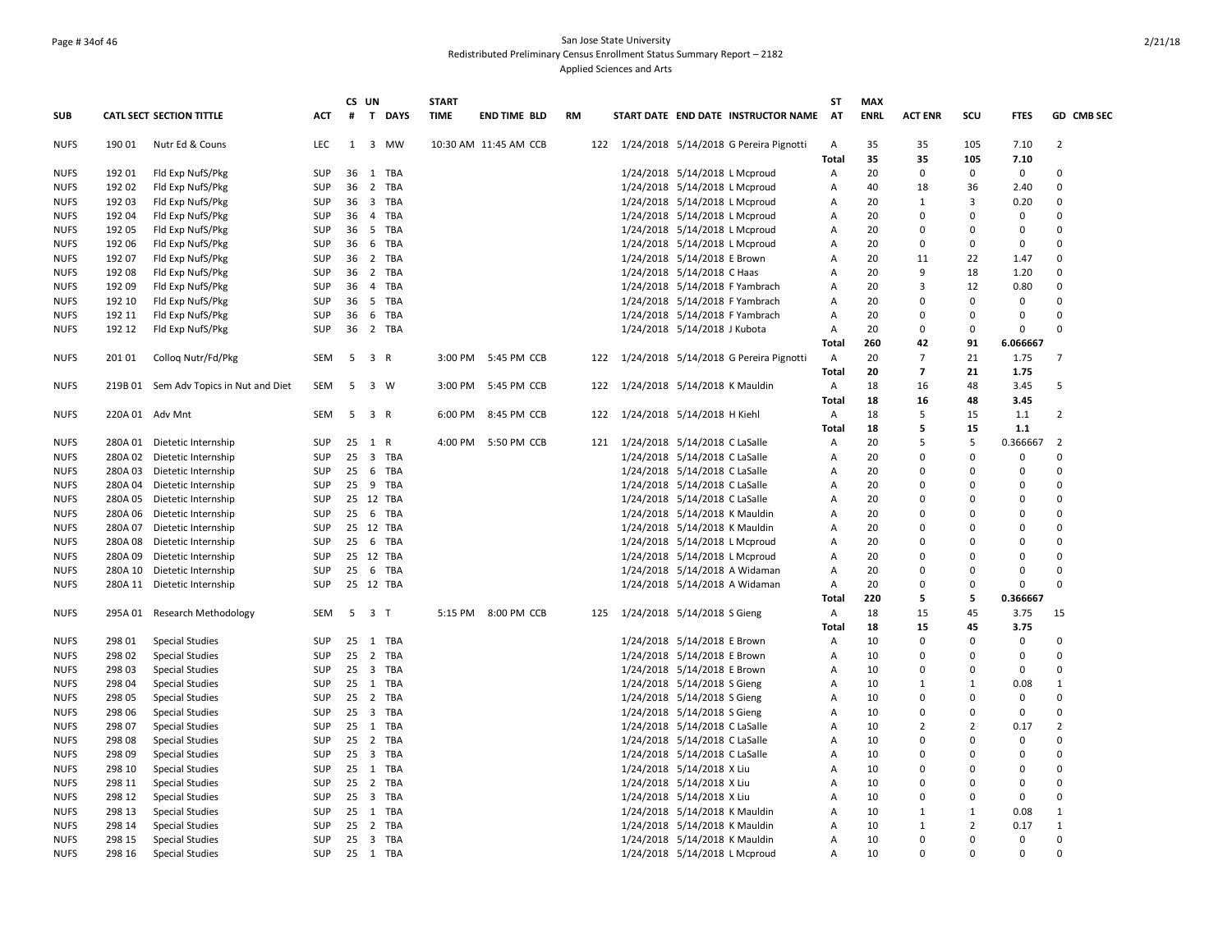## Page # 34of 46 San Jose State University Redistributed Preliminary Census Enrollment Status Summary Report – 2182 Applied Sciences and Arts

|             |         |                                        |            |    | CS UN          |           | <b>START</b> |                       |           |     |                                            | <b>ST</b>      | <b>MAX</b>  |                |                |             |                |
|-------------|---------|----------------------------------------|------------|----|----------------|-----------|--------------|-----------------------|-----------|-----|--------------------------------------------|----------------|-------------|----------------|----------------|-------------|----------------|
| <b>SUB</b>  |         | <b>CATL SECT SECTION TITTLE</b>        | <b>ACT</b> | #  |                | T DAYS    | <b>TIME</b>  | <b>END TIME BLD</b>   | <b>RM</b> |     | START DATE END DATE INSTRUCTOR NAME        | AT             | <b>ENRL</b> | <b>ACT ENR</b> | scu            | <b>FTES</b> | GD CMB SEC     |
| <b>NUFS</b> | 190 01  | Nutr Ed & Couns                        | <b>LEC</b> | 1  |                | 3 MW      |              | 10:30 AM 11:45 AM CCB |           |     | 122 1/24/2018 5/14/2018 G Pereira Pignotti | $\overline{A}$ | 35          | 35             | 105            | 7.10        | 2              |
|             |         |                                        |            |    |                |           |              |                       |           |     |                                            | <b>Total</b>   | 35          | 35             | 105            | 7.10        |                |
| <b>NUFS</b> | 192 01  | Fld Exp NufS/Pkg                       | <b>SUP</b> | 36 |                | 1 TBA     |              |                       |           |     | 1/24/2018 5/14/2018 L Mcproud              | Α              | 20          | $\mathbf 0$    | $\mathbf 0$    | $\mathbf 0$ | $\Omega$       |
| <b>NUFS</b> | 192 02  | Fld Exp NufS/Pkg                       | SUP        | 36 |                | 2 TBA     |              |                       |           |     | 1/24/2018 5/14/2018 L Mcproud              | A              | 40          | 18             | 36             | 2.40        | $\Omega$       |
| <b>NUFS</b> | 192 03  | Fld Exp NufS/Pkg                       | <b>SUP</b> |    |                | 36 3 TBA  |              |                       |           |     | 1/24/2018 5/14/2018 L Mcproud              | A              | 20          | 1              | 3              | 0.20        | $\Omega$       |
| <b>NUFS</b> | 192 04  | Fld Exp NufS/Pkg                       | SUP        |    |                | 36 4 TBA  |              |                       |           |     | 1/24/2018 5/14/2018 L Mcproud              | $\overline{A}$ | 20          | 0              | $\Omega$       | 0           | $\Omega$       |
| <b>NUFS</b> | 192 05  | Fld Exp NufS/Pkg                       | <b>SUP</b> | 36 |                | 5 TBA     |              |                       |           |     | 1/24/2018 5/14/2018 L Mcproud              | Α              | 20          | $\Omega$       | $\Omega$       | 0           | $\Omega$       |
| <b>NUFS</b> | 192 06  | Fld Exp NufS/Pkg                       | <b>SUP</b> | 36 |                | 6 TBA     |              |                       |           |     | 1/24/2018 5/14/2018 L Mcproud              | $\overline{A}$ | 20          | $\Omega$       | $\Omega$       | 0           | $\Omega$       |
| <b>NUFS</b> | 192 07  | Fld Exp NufS/Pkg                       | SUP        |    |                | 36 2 TBA  |              |                       |           |     | 1/24/2018 5/14/2018 E Brown                | Α              | 20          | 11             | 22             | 1.47        | $\Omega$       |
| <b>NUFS</b> | 192 08  | Fld Exp NufS/Pkg                       | <b>SUP</b> |    |                | 36 2 TBA  |              |                       |           |     | 1/24/2018 5/14/2018 C Haas                 | Α              | 20          | 9              | 18             | 1.20        | $\Omega$       |
| <b>NUFS</b> | 192 09  | Fld Exp NufS/Pkg                       | <b>SUP</b> | 36 |                | 4 TBA     |              |                       |           |     | 1/24/2018 5/14/2018 F Yambrach             | Α              | 20          | 3              | 12             | 0.80        | $\Omega$       |
| <b>NUFS</b> | 192 10  | Fld Exp NufS/Pkg                       | <b>SUP</b> | 36 |                | 5 TBA     |              |                       |           |     | 1/24/2018 5/14/2018 F Yambrach             | A              | 20          | $\Omega$       | 0              | 0           | $\Omega$       |
| <b>NUFS</b> | 192 11  | Fld Exp NufS/Pkg                       | <b>SUP</b> | 36 |                | 6 TBA     |              |                       |           |     | 1/24/2018 5/14/2018 F Yambrach             | $\overline{A}$ | 20          | $\Omega$       | $\Omega$       | 0           | $\Omega$       |
| <b>NUFS</b> | 192 12  | Fld Exp NufS/Pkg                       | <b>SUP</b> | 36 |                | 2 TBA     |              |                       |           |     | 1/24/2018 5/14/2018 J Kubota               | $\overline{A}$ | 20          | $\Omega$       | 0              | 0           | $\Omega$       |
|             |         |                                        |            |    |                |           |              |                       |           |     |                                            | Total          | 260         | 42             | 91             | 6.066667    |                |
| <b>NUFS</b> | 201 01  | Collog Nutr/Fd/Pkg                     | SEM        | 5  | 3 R            |           |              | 3:00 PM 5:45 PM CCB   |           |     | 122 1/24/2018 5/14/2018 G Pereira Pignotti | Α              | 20          | $\overline{7}$ | 21             | 1.75        | $\overline{7}$ |
|             |         |                                        |            |    |                |           |              |                       |           |     |                                            | Total          | 20          | $\overline{7}$ | 21             | 1.75        |                |
| <b>NUFS</b> |         | 219B 01 Sem Adv Topics in Nut and Diet | SEM        | 5  |                | 3 W       | 3:00 PM      | 5:45 PM CCB           |           | 122 | 1/24/2018 5/14/2018 K Mauldin              | A              | 18          | 16             | 48             | 3.45        | 5              |
|             |         |                                        |            |    |                |           |              |                       |           |     |                                            | Total          | 18          | 16             | 48             | 3.45        |                |
| <b>NUFS</b> |         | 220A 01 Adv Mnt                        | SEM        |    | 5 3 R          |           |              | 6:00 PM 8:45 PM CCB   |           |     | 122 1/24/2018 5/14/2018 H Kiehl            | A              | 18          | 5              | 15             | $1.1$       | $\overline{2}$ |
|             |         |                                        |            |    |                |           |              |                       |           |     |                                            | <b>Total</b>   | 18          | 5              | 15             | $1.1$       |                |
| <b>NUFS</b> |         | 280A 01 Dietetic Internship            | SUP        | 25 | 1 R            |           |              | 4:00 PM 5:50 PM CCB   |           |     | 121 1/24/2018 5/14/2018 C LaSalle          | Α              | 20          | 5              | 5              | 0.366667    | $\overline{2}$ |
| <b>NUFS</b> |         | 280A 02 Dietetic Internship            | <b>SUP</b> | 25 |                | 3 TBA     |              |                       |           |     | 1/24/2018 5/14/2018 C LaSalle              | Α              | 20          | $\Omega$       | $\Omega$       | 0           | $\Omega$       |
| <b>NUFS</b> | 280A 03 | Dietetic Internship                    | <b>SUP</b> | 25 |                | 6 TBA     |              |                       |           |     | 1/24/2018 5/14/2018 C LaSalle              | Α              | 20          | $\Omega$       | $\Omega$       | 0           | $\Omega$       |
| <b>NUFS</b> |         | 280A 04 Dietetic Internship            | <b>SUP</b> |    |                | 25 9 TBA  |              |                       |           |     | 1/24/2018 5/14/2018 C LaSalle              | $\overline{A}$ | 20          | $\Omega$       | $\Omega$       | 0           | $\Omega$       |
| <b>NUFS</b> | 280A 05 | Dietetic Internship                    | <b>SUP</b> |    |                | 25 12 TBA |              |                       |           |     | 1/24/2018 5/14/2018 C LaSalle              | A              | 20          | O              | $\Omega$       | 0           | $\mathbf 0$    |
| <b>NUFS</b> | 280A 06 | Dietetic Internship                    | SUP        |    |                | 25 6 TBA  |              |                       |           |     | 1/24/2018 5/14/2018 K Mauldin              | Α              | 20          | 0              | $\Omega$       | 0           | $\Omega$       |
| <b>NUFS</b> | 280A 07 | Dietetic Internship                    | <b>SUP</b> |    |                | 25 12 TBA |              |                       |           |     | 1/24/2018 5/14/2018 K Mauldin              | $\overline{A}$ | 20          | $\Omega$       | $\Omega$       | 0           | $\Omega$       |
| <b>NUFS</b> | 280A08  | Dietetic Internship                    | <b>SUP</b> |    |                | 25 6 TBA  |              |                       |           |     | 1/24/2018 5/14/2018 L Mcproud              | Α              | 20          | $\Omega$       | $\Omega$       | 0           | $\Omega$       |
| <b>NUFS</b> |         | 280A 09 Dietetic Internship            | <b>SUP</b> |    |                | 25 12 TBA |              |                       |           |     | 1/24/2018 5/14/2018 L Mcproud              | $\overline{A}$ | 20          | $\Omega$       | $\Omega$       | $\Omega$    | $\Omega$       |
| <b>NUFS</b> | 280A 10 | Dietetic Internship                    | SUP        |    |                | 25 6 TBA  |              |                       |           |     | 1/24/2018 5/14/2018 A Widaman              | A              | 20          | $\mathsf 0$    | $\Omega$       | 0           | $\Omega$       |
| <b>NUFS</b> |         | 280A 11 Dietetic Internship            | SUP        |    |                | 25 12 TBA |              |                       |           |     | 1/24/2018 5/14/2018 A Widaman              | A              | 20          | 0              | $\Omega$       | 0           | $\Omega$       |
|             |         |                                        |            |    |                |           |              |                       |           |     |                                            | Total          | 220         | 5              | 5              | 0.366667    |                |
| <b>NUFS</b> |         | 295A 01 Research Methodology           | <b>SEM</b> | 5  | 3 <sub>T</sub> |           |              | 5:15 PM 8:00 PM CCB   |           | 125 | 1/24/2018 5/14/2018 S Gieng                | A              | 18          | 15             | 45             | 3.75        | 15             |
|             |         |                                        |            |    |                |           |              |                       |           |     |                                            | Total          | 18          | 15             | 45             | 3.75        |                |
| <b>NUFS</b> | 298 01  | <b>Special Studies</b>                 | <b>SUP</b> |    |                | 25 1 TBA  |              |                       |           |     | 1/24/2018 5/14/2018 E Brown                | Α              | 10          | $\Omega$       | $\Omega$       | 0           | $\Omega$       |
|             | 298 02  | <b>Special Studies</b>                 | <b>SUP</b> | 25 |                | 2 TBA     |              |                       |           |     | 1/24/2018 5/14/2018 E Brown                | Α              | 10          | 0              | 0              | 0           | $\Omega$       |
| <b>NUFS</b> |         |                                        | <b>SUP</b> |    |                | 25 3 TBA  |              |                       |           |     |                                            | Α              | 10          | $\mathsf 0$    | 0              | 0           | $\Omega$       |
| <b>NUFS</b> | 298 03  | <b>Special Studies</b>                 |            |    |                |           |              |                       |           |     | 1/24/2018 5/14/2018 E Brown                |                |             |                |                |             | $\mathbf{1}$   |
| <b>NUFS</b> | 298 04  | <b>Special Studies</b>                 | SUP        |    |                | 25 1 TBA  |              |                       |           |     | 1/24/2018 5/14/2018 S Gieng                | Α              | 10          | 1              | 1              | 0.08        | $\Omega$       |
| <b>NUFS</b> | 298 05  | <b>Special Studies</b>                 | SUP        |    |                | 25 2 TBA  |              |                       |           |     | 1/24/2018 5/14/2018 S Gieng                | Α              | 10          | $\Omega$       | $\Omega$       | 0           |                |
| <b>NUFS</b> | 298 06  | <b>Special Studies</b>                 | <b>SUP</b> |    |                | 25 3 TBA  |              |                       |           |     | 1/24/2018 5/14/2018 S Gieng                | $\overline{A}$ | 10          | 0              | $\Omega$       | 0           | $\Omega$       |
| <b>NUFS</b> | 298 07  | <b>Special Studies</b>                 | <b>SUP</b> |    |                | 25 1 TBA  |              |                       |           |     | 1/24/2018 5/14/2018 C LaSalle              | Α              | 10          | $\overline{2}$ | $\overline{2}$ | 0.17        | $\overline{2}$ |
| <b>NUFS</b> | 298 08  | <b>Special Studies</b>                 | SUP        |    |                | 25 2 TBA  |              |                       |           |     | 1/24/2018 5/14/2018 C LaSalle              | A              | 10          | 0              | $\Omega$       | 0           | $\Omega$       |
| <b>NUFS</b> | 298 09  | <b>Special Studies</b>                 | <b>SUP</b> |    |                | 25 3 TBA  |              |                       |           |     | 1/24/2018 5/14/2018 C LaSalle              | Α              | 10          | $\Omega$       | $\Omega$       | 0           | $\Omega$       |
| <b>NUFS</b> | 298 10  | <b>Special Studies</b>                 | SUP        |    |                | 25 1 TBA  |              |                       |           |     | 1/24/2018 5/14/2018 X Liu                  | $\overline{A}$ | 10          | $\Omega$       | $\Omega$       | 0           | $\Omega$       |
| <b>NUFS</b> | 298 11  | <b>Special Studies</b>                 | <b>SUP</b> |    |                | 25 2 TBA  |              |                       |           |     | 1/24/2018 5/14/2018 X Liu                  | Α              | 10          | 0              | $\Omega$       | 0           | $\Omega$       |
| <b>NUFS</b> | 298 12  | <b>Special Studies</b>                 | SUP        |    |                | 25 3 TBA  |              |                       |           |     | 1/24/2018 5/14/2018 X Liu                  | $\overline{A}$ | 10          | O              | $\Omega$       | 0           | $\Omega$       |
| <b>NUFS</b> | 298 13  | <b>Special Studies</b>                 | <b>SUP</b> |    |                | 25 1 TBA  |              |                       |           |     | 1/24/2018 5/14/2018 K Mauldin              | Α              | 10          | $\mathbf{1}$   | 1              | 0.08        | $\mathbf{1}$   |
| <b>NUFS</b> | 298 14  | <b>Special Studies</b>                 | <b>SUP</b> |    |                | 25 2 TBA  |              |                       |           |     | 1/24/2018 5/14/2018 K Mauldin              | $\overline{A}$ | 10          | 1              | $\overline{2}$ | 0.17        | $\mathbf{1}$   |
| <b>NUFS</b> | 298 15  | Special Studies                        | <b>SUP</b> | 25 |                | 3 TBA     |              |                       |           |     | 1/24/2018 5/14/2018 K Mauldin              | Α              | 10          | 0              | $\Omega$       | 0           | $\Omega$       |
| <b>NUFS</b> | 298 16  | <b>Special Studies</b>                 | <b>SUP</b> |    |                | 25 1 TBA  |              |                       |           |     | 1/24/2018 5/14/2018 L Mcproud              | $\overline{A}$ | 10          | $\Omega$       | $\Omega$       | $\Omega$    | $\Omega$       |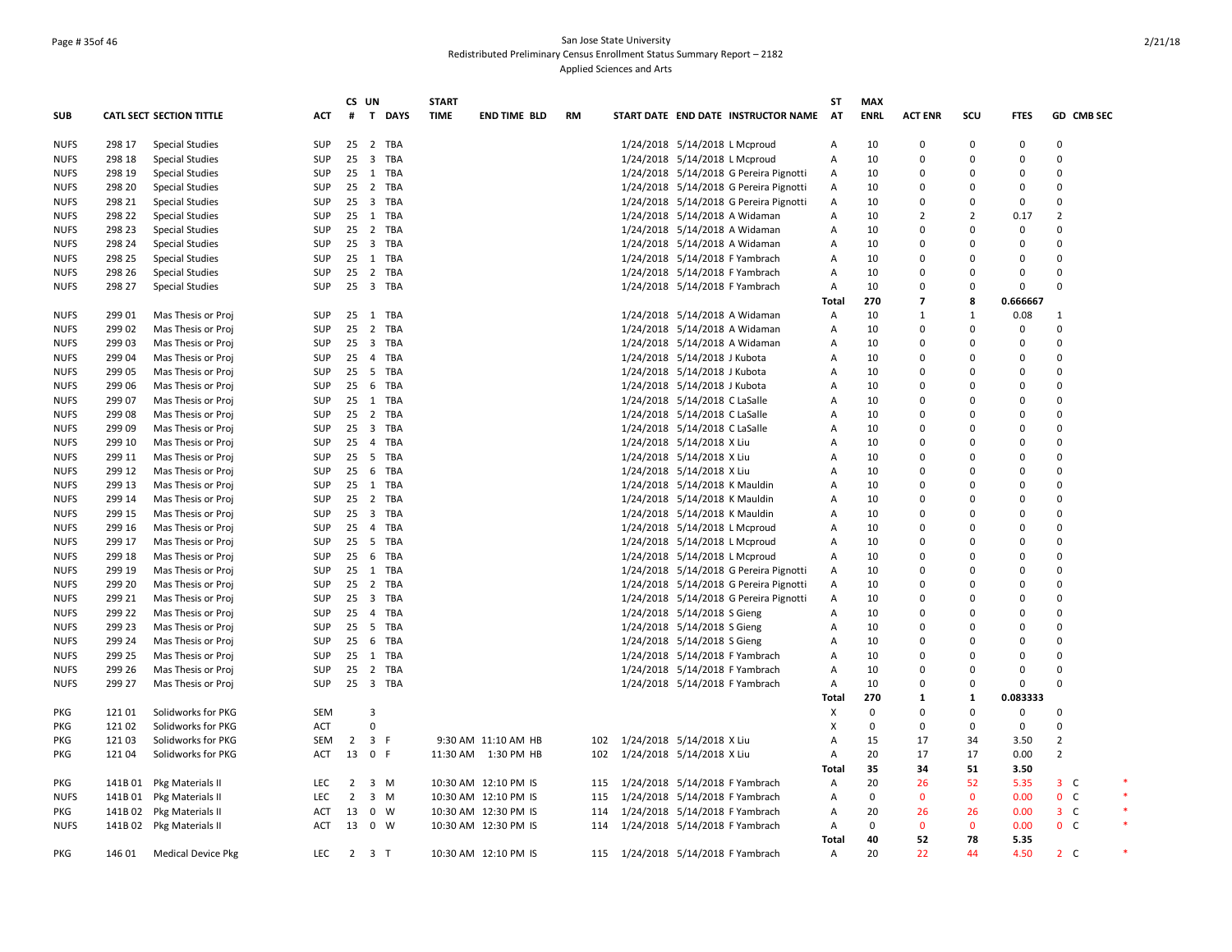## Page # 35of 46 San Jose State University Redistributed Preliminary Census Enrollment Status Summary Report – 2182 Applied Sciences and Arts

|             |         |                                 |            |                | CS UN                 | <b>START</b> |                      |           |                                        | ST    | <b>MAX</b>  |                |                    |             |                |            |  |
|-------------|---------|---------------------------------|------------|----------------|-----------------------|--------------|----------------------|-----------|----------------------------------------|-------|-------------|----------------|--------------------|-------------|----------------|------------|--|
| SUB         |         | <b>CATL SECT SECTION TITTLE</b> | ACT        | #              | T DAYS                | <b>TIME</b>  | END TIME BLD         | <b>RM</b> | START DATE END DATE INSTRUCTOR NAME    | AT    | <b>ENRL</b> | <b>ACT ENR</b> | scu                | <b>FTES</b> |                | GD CMB SEC |  |
| <b>NUFS</b> | 298 17  | <b>Special Studies</b>          | <b>SUP</b> |                | 25 2 TBA              |              |                      |           | 1/24/2018 5/14/2018 L Mcproud          | A     | 10          | $\Omega$       | 0                  | 0           | $\Omega$       |            |  |
| <b>NUFS</b> | 298 18  | <b>Special Studies</b>          | <b>SUP</b> |                | 25 3 TBA              |              |                      |           | 1/24/2018 5/14/2018 L Mcproud          | Α     | 10          | 0              | 0                  | 0           | $\mathbf 0$    |            |  |
| <b>NUFS</b> | 298 19  | <b>Special Studies</b>          | <b>SUP</b> |                | 25 1 TBA              |              |                      |           | 1/24/2018 5/14/2018 G Pereira Pignotti | Α     | 10          | $\Omega$       | $\Omega$           | 0           | $\Omega$       |            |  |
| <b>NUFS</b> | 298 20  | <b>Special Studies</b>          | <b>SUP</b> |                | 25 2 TBA              |              |                      |           | 1/24/2018 5/14/2018 G Pereira Pignotti | Α     | 10          | $\Omega$       | 0                  | 0           | $\Omega$       |            |  |
| <b>NUFS</b> | 298 21  | Special Studies                 | <b>SUP</b> |                | 25 3 TBA              |              |                      |           | 1/24/2018 5/14/2018 G Pereira Pignotti | Α     | 10          | 0              | 0                  | 0           | $\Omega$       |            |  |
| <b>NUFS</b> | 298 22  | Special Studies                 | <b>SUP</b> | 25             | TBA<br>1              |              |                      |           | 1/24/2018 5/14/2018 A Widaman          | Α     | 10          | $\overline{2}$ | $\overline{2}$     | 0.17        | $\overline{2}$ |            |  |
| <b>NUFS</b> | 298 23  | Special Studies                 | <b>SUP</b> |                | 25 2 TBA              |              |                      |           | 1/24/2018 5/14/2018 A Widaman          | Α     | 10          | 0              | 0                  | 0           | $\mathbf 0$    |            |  |
| <b>NUFS</b> | 298 24  | Special Studies                 | <b>SUP</b> |                | 25 3 TBA              |              |                      |           | 1/24/2018 5/14/2018 A Widaman          | Α     | 10          | $\Omega$       | 0                  | 0           | $\Omega$       |            |  |
| <b>NUFS</b> | 298 25  | <b>Special Studies</b>          | <b>SUP</b> | $25 \quad 1$   | TBA                   |              |                      |           | 1/24/2018 5/14/2018 F Yambrach         | A     | 10          | $\Omega$       | $\Omega$           | O           | $\Omega$       |            |  |
| <b>NUFS</b> | 298 26  | <b>Special Studies</b>          | <b>SUP</b> |                | 25 2 TBA              |              |                      |           | 1/24/2018 5/14/2018 F Yambrach         | Α     | 10          | 0              | 0                  | 0           | $\mathbf 0$    |            |  |
| <b>NUFS</b> | 298 27  | Special Studies                 | <b>SUP</b> |                | 25 3 TBA              |              |                      |           | 1/24/2018 5/14/2018 F Yambrach         | Α     | 10          | 0              | 0                  | 0           | $\mathbf 0$    |            |  |
|             |         |                                 |            |                |                       |              |                      |           |                                        | Total | 270         | 7              | 8                  | 0.666667    |                |            |  |
| <b>NUFS</b> | 299 01  | Mas Thesis or Proj              | SUP        |                | 25 1 TBA              |              |                      |           | 1/24/2018 5/14/2018 A Widaman          | Α     | 10          | $\mathbf{1}$   | $\mathbf{1}$       | 0.08        | $\mathbf{1}$   |            |  |
| <b>NUFS</b> | 299 02  | Mas Thesis or Proj              | <b>SUP</b> | $25 \quad 2$   | TBA                   |              |                      |           | 1/24/2018 5/14/2018 A Widaman          | A     | 10          | $\Omega$       | $\Omega$           | 0           | $\Omega$       |            |  |
| <b>NUFS</b> | 299 03  | Mas Thesis or Proj              | SUP        |                | 25 3 TBA              |              |                      |           | 1/24/2018 5/14/2018 A Widaman          | Α     | 10          | 0              | 0                  | 0           | $\Omega$       |            |  |
| <b>NUFS</b> | 299 04  |                                 | <b>SUP</b> |                | 25 4 TBA              |              |                      |           | 1/24/2018 5/14/2018 J Kubota           | Α     | 10          | 0              | $\Omega$           | 0           | $\mathbf 0$    |            |  |
|             | 299 05  | Mas Thesis or Proj              | <b>SUP</b> | 25 5           | TBA                   |              |                      |           |                                        |       | 10          | 0              | $\Omega$           | 0           | $\Omega$       |            |  |
| <b>NUFS</b> |         | Mas Thesis or Proj              |            |                |                       |              |                      |           | 1/24/2018 5/14/2018 J Kubota           | Α     |             | $\Omega$       | $\Omega$           | 0           | $\Omega$       |            |  |
| <b>NUFS</b> | 299 06  | Mas Thesis or Proj              | <b>SUP</b> |                | 25 6 TBA              |              |                      |           | 1/24/2018 5/14/2018 J Kubota           | A     | 10          |                |                    |             |                |            |  |
| <b>NUFS</b> | 299 07  | Mas Thesis or Proj              | <b>SUP</b> | 25             | 1<br>TBA              |              |                      |           | 1/24/2018 5/14/2018 C LaSalle          | Α     | 10          | $\Omega$       | $\Omega$           | 0           | $\Omega$       |            |  |
| <b>NUFS</b> | 299 08  | Mas Thesis or Proj              | <b>SUP</b> |                | 25 2 TBA              |              |                      |           | 1/24/2018 5/14/2018 C LaSalle          | Α     | 10          | $\Omega$       | $\Omega$           | 0           | $\Omega$       |            |  |
| <b>NUFS</b> | 299 09  | Mas Thesis or Proj              | <b>SUP</b> |                | 25 3 TBA              |              |                      |           | 1/24/2018 5/14/2018 C LaSalle          | A     | 10          | $\Omega$       | $\Omega$           | 0           | $\Omega$       |            |  |
| <b>NUFS</b> | 299 10  | Mas Thesis or Proj              | <b>SUP</b> | 25             | $\overline{4}$<br>TBA |              |                      |           | 1/24/2018 5/14/2018 X Liu              | Α     | 10          | $\Omega$       | $\Omega$           | 0           | $\Omega$       |            |  |
| <b>NUFS</b> | 299 11  | Mas Thesis or Proj              | <b>SUP</b> | 25 5           | TBA                   |              |                      |           | 1/24/2018 5/14/2018 X Liu              | Α     | 10          | 0              | $\Omega$           | 0           | $\mathbf 0$    |            |  |
| <b>NUFS</b> | 299 12  | Mas Thesis or Proj              | <b>SUP</b> |                | 25 6 TBA              |              |                      |           | 1/24/2018 5/14/2018 X Liu              | Α     | 10          | $\Omega$       | $\Omega$           | 0           | $\mathbf 0$    |            |  |
| <b>NUFS</b> | 299 13  | Mas Thesis or Proj              | <b>SUP</b> | $25 \quad 1$   | TBA                   |              |                      |           | 1/24/2018 5/14/2018 K Mauldin          | A     | 10          | $\Omega$       | $\Omega$           | 0           | $\Omega$       |            |  |
| <b>NUFS</b> | 299 14  | Mas Thesis or Proj              | SUP        |                | 25 2 TBA              |              |                      |           | 1/24/2018 5/14/2018 K Mauldin          | A     | 10          | 0              | $\Omega$           | O           | $\Omega$       |            |  |
| <b>NUFS</b> | 299 15  | Mas Thesis or Proj              | <b>SUP</b> | $25 \quad 3$   | TBA                   |              |                      |           | 1/24/2018 5/14/2018 K Mauldin          | Α     | 10          | $\Omega$       | $\Omega$           | O           | $\Omega$       |            |  |
| <b>NUFS</b> | 299 16  | Mas Thesis or Proj              | <b>SUP</b> |                | 25 4 TBA              |              |                      |           | 1/24/2018 5/14/2018 L Mcproud          | Α     | 10          | 0              | 0                  | 0           | $\mathbf 0$    |            |  |
| <b>NUFS</b> | 299 17  | Mas Thesis or Proj              | SUP        |                | 25 5 TBA              |              |                      |           | 1/24/2018 5/14/2018 L Mcproud          | A     | 10          | $\Omega$       | $\Omega$           | 0           | $\Omega$       |            |  |
| <b>NUFS</b> | 299 18  | Mas Thesis or Proj              | SUP        |                | 25 6 TBA              |              |                      |           | 1/24/2018 5/14/2018 L Mcproud          | Α     | 10          | 0              | $\Omega$           | 0           | $\Omega$       |            |  |
| <b>NUFS</b> | 299 19  | Mas Thesis or Proj              | <b>SUP</b> |                | 25 1 TBA              |              |                      |           | 1/24/2018 5/14/2018 G Pereira Pignotti | Α     | 10          | $\Omega$       | $\Omega$           | O           | $\Omega$       |            |  |
| <b>NUFS</b> | 299 20  | Mas Thesis or Proj              | <b>SUP</b> | 25             | $\overline{2}$<br>TBA |              |                      |           | 1/24/2018 5/14/2018 G Pereira Pignotti | Α     | 10          | $\Omega$       | $\Omega$           | 0           | $\Omega$       |            |  |
| <b>NUFS</b> | 299 21  | Mas Thesis or Proj              | <b>SUP</b> |                | 25 3 TBA              |              |                      |           | 1/24/2018 5/14/2018 G Pereira Pignotti | Α     | 10          | 0              | $\Omega$           | O           | $\mathbf 0$    |            |  |
| <b>NUFS</b> | 299 22  | Mas Thesis or Proj              | <b>SUP</b> |                | 25  4  TBA            |              |                      |           | 1/24/2018 5/14/2018 S Gieng            | Α     | 10          | 0              | $\Omega$           | 0           | $\Omega$       |            |  |
| <b>NUFS</b> | 299 23  | Mas Thesis or Proj              | <b>SUP</b> | 25 5           | TBA                   |              |                      |           | 1/24/2018 5/14/2018 S Gieng            | Α     | 10          | $\Omega$       | $\Omega$           | O           | $\Omega$       |            |  |
| <b>NUFS</b> | 299 24  | Mas Thesis or Proj              | <b>SUP</b> |                | 25 6 TBA              |              |                      |           | 1/24/2018 5/14/2018 S Gieng            | Α     | 10          | 0              | $\Omega$           | 0           | $\Omega$       |            |  |
| <b>NUFS</b> | 299 25  | Mas Thesis or Proj              | SUP        | $25 \quad 1$   | TBA                   |              |                      |           | 1/24/2018 5/14/2018 F Yambrach         | Α     | 10          | $\Omega$       | $\Omega$           | 0           | $\Omega$       |            |  |
| <b>NUFS</b> | 299 26  | Mas Thesis or Proj              | <b>SUP</b> | 25             | 2 TBA                 |              |                      |           | 1/24/2018 5/14/2018 F Yambrach         | Α     | 10          | $\Omega$       | $\Omega$           | 0           | $\Omega$       |            |  |
| <b>NUFS</b> | 299 27  | Mas Thesis or Proj              | <b>SUP</b> |                | 25 3 TBA              |              |                      |           | 1/24/2018 5/14/2018 F Yambrach         | Α     | 10          | 0              | 0                  | 0           | $\Omega$       |            |  |
|             |         |                                 |            |                |                       |              |                      |           |                                        | Total | 270         | 1              | $\mathbf{1}$       | 0.083333    |                |            |  |
| PKG         | 121 01  | Solidworks for PKG              | <b>SEM</b> |                | 3                     |              |                      |           |                                        | х     | $\mathbf 0$ | 0              | 0                  | 0           | $\mathbf 0$    |            |  |
| <b>PKG</b>  | 12102   | Solidworks for PKG              | ACT        |                | $\Omega$              |              |                      |           |                                        | X     | $\Omega$    | $\Omega$       | 0                  | 0           | $\Omega$       |            |  |
| PKG         | 121 03  | Solidworks for PKG              | <b>SEM</b> |                | $2 \quad 3 \quad F$   |              | 9:30 AM 11:10 AM HB  |           | 102 1/24/2018 5/14/2018 X Liu          | Α     | 15          | 17             | 34                 | 3.50        | $\overline{2}$ |            |  |
| PKG         | 121 04  | Solidworks for PKG              | <b>ACT</b> | 13             | 0 F                   |              | 11:30 AM  1:30 PM HB |           | 102 1/24/2018 5/14/2018 X Liu          | Α     | 20          | 17             | 17                 | 0.00        | $\overline{2}$ |            |  |
|             |         |                                 |            |                |                       |              |                      |           |                                        |       | 35          | 34             | 51                 | 3.50        |                |            |  |
|             |         |                                 |            |                |                       |              |                      |           |                                        | Total |             |                |                    |             |                |            |  |
| PKG         | 141B 01 | Pkg Materials II                | <b>LEC</b> | $\overline{2}$ | 3 M                   |              | 10:30 AM 12:10 PM IS |           | 115 1/24/2018 5/14/2018 F Yambrach     | Α     | 20          | 26             | 52<br>$\mathbf{0}$ | 5.35        | $3-$           |            |  |
| <b>NUFS</b> | 141B 01 | Pkg Materials II                | <b>LEC</b> | $\overline{2}$ | $3 \, M$              |              | 10:30 AM 12:10 PM IS | 115       | 1/24/2018 5/14/2018 F Yambrach         | Α     | 0           | $\mathbf{0}$   |                    | 0.00        | 0 <sup>o</sup> |            |  |
| PKG         |         | 141B 02 Pkg Materials II        | <b>ACT</b> | 13             | $0 \quad W$           |              | 10:30 AM 12:30 PM IS | 114       | 1/24/2018 5/14/2018 F Yambrach         | Α     | 20          | 26             | 26                 | 0.00        | 3 <sup>C</sup> |            |  |
| <b>NUFS</b> |         | 141B 02 Pkg Materials II        | ACT        |                | 13 0 W                |              | 10:30 AM 12:30 PM IS | 114       | 1/24/2018 5/14/2018 F Yambrach         | Α     | $\Omega$    | $\mathbf 0$    | $\mathbf 0$        | 0.00        | 0 <sub>c</sub> |            |  |
|             |         |                                 |            |                |                       |              |                      |           |                                        | Total | 40          | 52             | 78                 | 5.35        |                |            |  |
| PKG         | 146 01  | <b>Medical Device Pkg</b>       | <b>LEC</b> |                | 2 3 T                 |              | 10:30 AM 12:10 PM IS |           | 115 1/24/2018 5/14/2018 F Yambrach     | A     | 20          | 22             | 44                 | 4.50        | 2 <sub>c</sub> |            |  |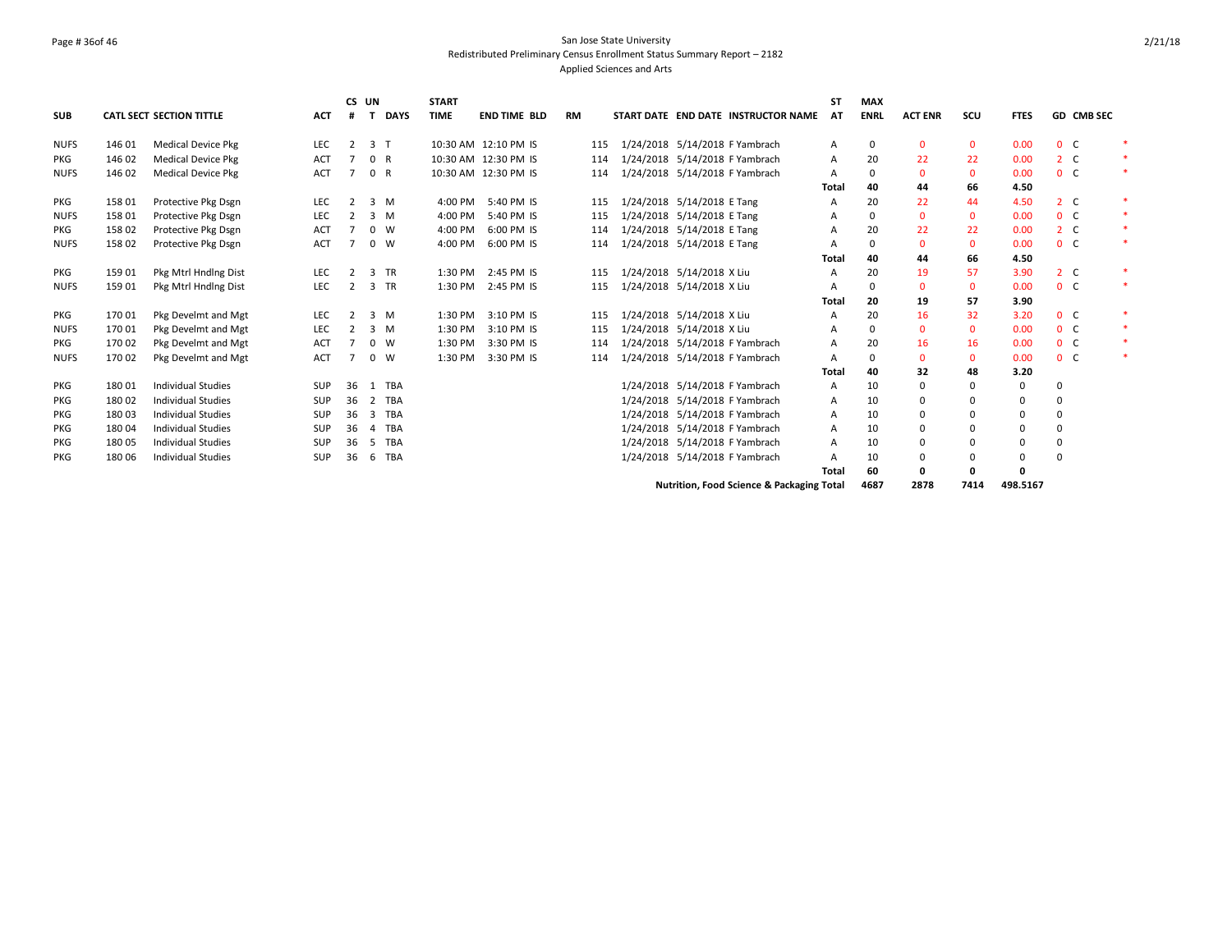## Page # 36of 46 San Jose State University Redistributed Preliminary Census Enrollment Status Summary Report – 2182 Applied Sciences and Arts

|             |        |                           |            |    | CS UN          |             | <b>START</b> |                      |           |     |                            |                            |                                                      | <b>ST</b>      | <b>MAX</b>  |                |              |             |                |            |        |
|-------------|--------|---------------------------|------------|----|----------------|-------------|--------------|----------------------|-----------|-----|----------------------------|----------------------------|------------------------------------------------------|----------------|-------------|----------------|--------------|-------------|----------------|------------|--------|
| <b>SUB</b>  |        | CATL SECT SECTION TITTLE  | <b>ACT</b> | #  | ா              | <b>DAYS</b> | <b>TIME</b>  | <b>END TIME BLD</b>  | <b>RM</b> |     |                            |                            | START DATE END DATE INSTRUCTOR NAME                  | AT             | <b>ENRL</b> | <b>ACT ENR</b> | SCU          | <b>FTES</b> |                | GD CMB SEC |        |
| <b>NUFS</b> | 146 01 | <b>Medical Device Pkg</b> | LEC        | 2  | 3 <sub>T</sub> |             |              | 10:30 AM 12:10 PM IS |           | 115 |                            |                            | 1/24/2018 5/14/2018 F Yambrach                       | Α              | 0           | $\mathbf 0$    | $\mathbf{0}$ | 0.00        | 0 <sup>o</sup> |            |        |
| PKG         | 146 02 | <b>Medical Device Pkg</b> | ACT        |    | $\mathbf{0}$   | R           |              | 10:30 AM 12:30 PM IS |           | 114 |                            |                            | 1/24/2018 5/14/2018 F Yambrach                       | A              | 20          | 22             | 22           | 0.00        | 2 <sub>c</sub> |            |        |
| <b>NUFS</b> | 146 02 | <b>Medical Device Pkg</b> | <b>ACT</b> |    | 0 R            |             |              | 10:30 AM 12:30 PM IS |           | 114 |                            |                            | 1/24/2018 5/14/2018 F Yambrach                       | $\mathsf{A}$   | $\Omega$    | $\mathbf 0$    | $\mathbf{0}$ | 0.00        | 0 <sup>o</sup> |            | $\ast$ |
|             |        |                           |            |    |                |             |              |                      |           |     |                            |                            |                                                      | Total          | 40          | 44             | 66           | 4.50        |                |            |        |
| <b>PKG</b>  | 158 01 | Protective Pkg Dsgn       | LEC        | 2  |                | 3 M         | 4:00 PM      | 5:40 PM IS           |           | 115 | 1/24/2018 5/14/2018 E Tang |                            |                                                      | A              | 20          | 22             | 44           | 4.50        | 2 <sub>c</sub> |            |        |
| <b>NUFS</b> | 158 01 | Protective Pkg Dsgn       | <b>LEC</b> |    |                | 3 M         | 4:00 PM      | 5:40 PM IS           |           | 115 |                            | 1/24/2018 5/14/2018 E Tang |                                                      | A              | $\Omega$    | $\mathbf{0}$   | $\mathbf{0}$ | 0.00        | 0 <sup>o</sup> |            | $\ast$ |
| <b>PKG</b>  | 158 02 | Protective Pkg Dsgn       | ACT        |    |                | $0 \quad W$ | 4:00 PM      | 6:00 PM IS           |           | 114 | 1/24/2018 5/14/2018 E Tang |                            |                                                      | $\overline{A}$ | 20          | 22             | 22           | 0.00        | 2 <sub>c</sub> |            |        |
| <b>NUFS</b> | 158 02 | Protective Pkg Dsgn       | <b>ACT</b> |    |                | $0 \quad W$ | 4:00 PM      | 6:00 PM IS           |           | 114 | 1/24/2018 5/14/2018 E Tang |                            |                                                      | $\overline{A}$ | $\Omega$    | $\Omega$       | $\mathbf{0}$ | 0.00        | 0 <sup>o</sup> |            |        |
|             |        |                           |            |    |                |             |              |                      |           |     |                            |                            |                                                      | Total          | 40          | 44             | 66           | 4.50        |                |            |        |
| PKG         | 159 01 | Pkg Mtrl Hndlng Dist      | LEC        | 2  |                | 3 TR        | 1:30 PM      | 2:45 PM IS           |           | 115 | 1/24/2018 5/14/2018 X Liu  |                            |                                                      | $\overline{A}$ | 20          | 19             | 57           | 3.90        | 2 <sub>c</sub> |            | $\ast$ |
| <b>NUFS</b> | 159 01 | Pkg Mtrl Hndlng Dist      | <b>LEC</b> | 2  |                | 3 TR        | 1:30 PM      | 2:45 PM IS           |           | 115 | 1/24/2018 5/14/2018 X Liu  |                            |                                                      | A              | 0           | $\mathbf 0$    | $\mathbf{0}$ | 0.00        | 0 <sup>o</sup> |            |        |
|             |        |                           |            |    |                |             |              |                      |           |     |                            |                            |                                                      | Total          | 20          | 19             | 57           | 3.90        |                |            |        |
| <b>PKG</b>  | 170 01 | Pkg Develmt and Mgt       | LEC        | 2  |                | 3 M         | 1:30 PM      | 3:10 PM IS           |           | 115 | 1/24/2018 5/14/2018 X Liu  |                            |                                                      | $\overline{A}$ | 20          | 16             | 32           | 3.20        | 0 <sup>o</sup> |            | $\ast$ |
| <b>NUFS</b> | 170 01 | Pkg Develmt and Mgt       | LEC        |    |                | 3 M         | 1:30 PM      | 3:10 PM IS           |           | 115 |                            | 1/24/2018 5/14/2018 X Liu  |                                                      | A              | $\Omega$    | $\mathbf{0}$   | $\mathbf{0}$ | 0.00        | 0 <sub>c</sub> |            | $\ast$ |
| <b>PKG</b>  | 170 02 | Pkg Develmt and Mgt       | ACT        |    |                | $0 \quad W$ | 1:30 PM      | 3:30 PM IS           |           | 114 |                            |                            | 1/24/2018 5/14/2018 F Yambrach                       | A              | 20          | 16             | 16           | 0.00        | 0 <sup>o</sup> |            | $\ast$ |
| <b>NUFS</b> | 170 02 | Pkg Develmt and Mgt       | ACT        |    | $\Omega$       | W           | 1:30 PM      | 3:30 PM IS           |           | 114 |                            |                            | 1/24/2018 5/14/2018 F Yambrach                       | Α              | $\Omega$    | $\mathbf{0}$   | $\mathbf 0$  | 0.00        | 0 <sup>o</sup> |            |        |
|             |        |                           |            |    |                |             |              |                      |           |     |                            |                            |                                                      | Total          | 40          | 32             | 48           | 3.20        |                |            |        |
| PKG         | 18001  | <b>Individual Studies</b> | <b>SUP</b> | 36 |                | 1 TBA       |              |                      |           |     |                            |                            | 1/24/2018 5/14/2018 F Yambrach                       | A              | 10          | 0              | 0            | $\mathbf 0$ | 0              |            |        |
| PKG         | 18002  | <b>Individual Studies</b> | <b>SUP</b> | 36 | 2              | <b>TBA</b>  |              |                      |           |     |                            |                            | 1/24/2018 5/14/2018 F Yambrach                       | Α              | 10          | 0              | 0            | $\mathbf 0$ | 0              |            |        |
| <b>PKG</b>  | 18003  | <b>Individual Studies</b> | <b>SUP</b> | 36 | 3              | <b>TBA</b>  |              |                      |           |     |                            |                            | 1/24/2018 5/14/2018 F Yambrach                       | Α              | 10          | 0              | $\Omega$     | 0           | 0              |            |        |
| PKG         | 18004  | <b>Individual Studies</b> | <b>SUP</b> | 36 | 4              | TBA         |              |                      |           |     |                            |                            | 1/24/2018 5/14/2018 F Yambrach                       | Α              | 10          | 0              | $\Omega$     | 0           | 0              |            |        |
| <b>PKG</b>  | 18005  | <b>Individual Studies</b> | <b>SUP</b> | 36 | -5             | TBA         |              |                      |           |     |                            |                            | 1/24/2018 5/14/2018 F Yambrach                       | A              | 10          | 0              | $\Omega$     | 0           | 0              |            |        |
| <b>PKG</b>  | 180 06 | <b>Individual Studies</b> | <b>SUP</b> | 36 | 6              | <b>TBA</b>  |              |                      |           |     |                            |                            | 1/24/2018 5/14/2018 F Yambrach                       | A              | 10          | 0              | 0            | $\Omega$    | 0              |            |        |
|             |        |                           |            |    |                |             |              |                      |           |     |                            |                            |                                                      | Total          | 60          | 0              | 0            | Ω           |                |            |        |
|             |        |                           |            |    |                |             |              |                      |           |     |                            |                            | <b>Nutrition. Food Science &amp; Packaging Total</b> |                | 4687        | 2878           | 7414         | 498.5167    |                |            |        |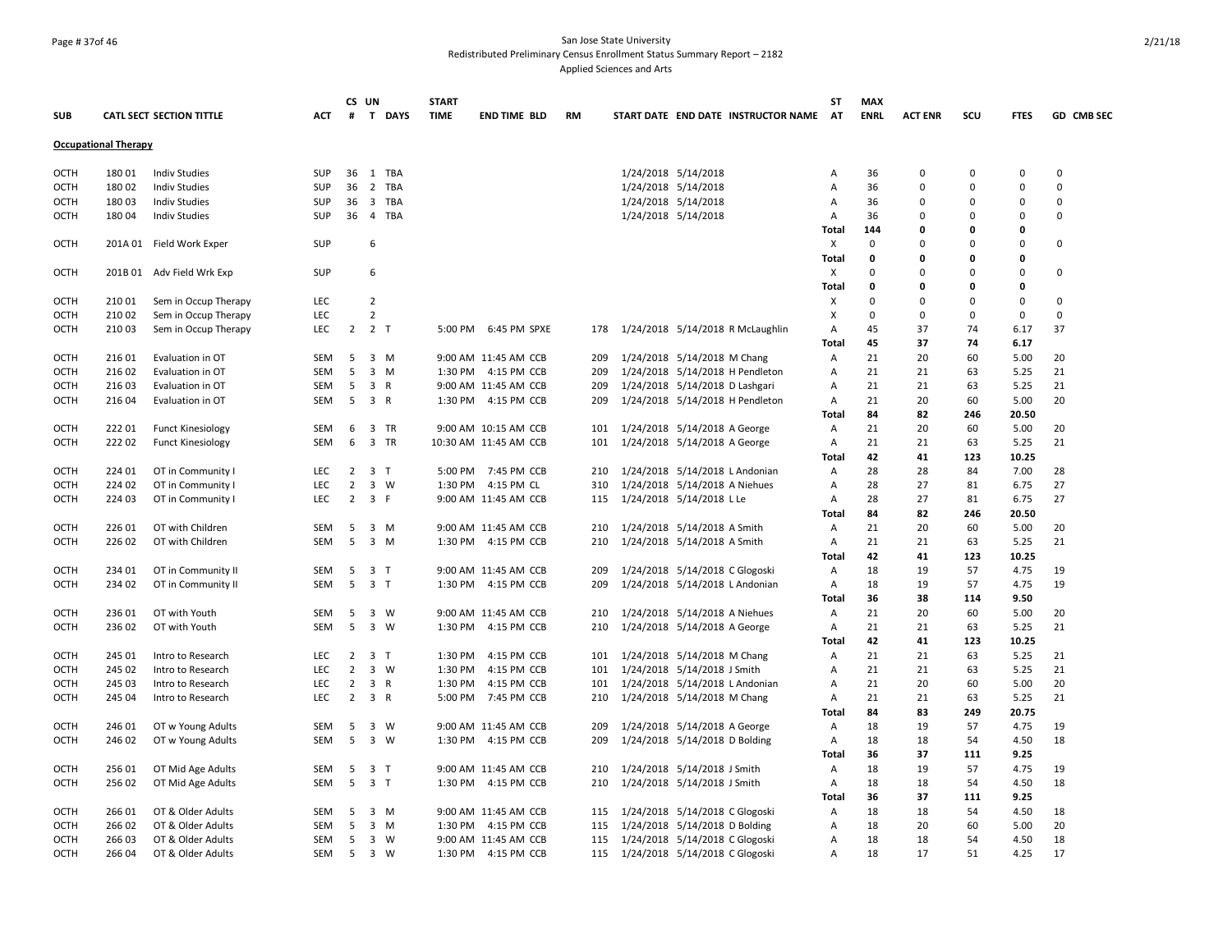## Page # 37of 46 San Jose State University Redistributed Preliminary Census Enrollment Status Summary Report – 2182 Applied Sciences and Arts

|             |                             |                                 |            |                | CS UN          |             | <b>START</b> |                       |           |                                |                                |                                     | SΤ           | <b>MAX</b>  |                |             |             |             |
|-------------|-----------------------------|---------------------------------|------------|----------------|----------------|-------------|--------------|-----------------------|-----------|--------------------------------|--------------------------------|-------------------------------------|--------------|-------------|----------------|-------------|-------------|-------------|
| SUB         |                             | <b>CATL SECT SECTION TITTLE</b> | <b>ACT</b> | #              |                | T DAYS      | <b>TIME</b>  | <b>END TIME BLD</b>   | <b>RM</b> |                                |                                | START DATE END DATE INSTRUCTOR NAME | <b>AT</b>    | <b>ENRL</b> | <b>ACT ENR</b> | scu         | <b>FTES</b> | GD CMB SEC  |
|             | <b>Occupational Therapy</b> |                                 |            |                |                |             |              |                       |           |                                |                                |                                     |              |             |                |             |             |             |
| OCTH        | 180 01                      | <b>Indiv Studies</b>            | <b>SUP</b> | 36             |                | 1 TBA       |              |                       |           |                                | 1/24/2018 5/14/2018            |                                     | Α            | 36          | 0              | 0           | 0           | $\mathbf 0$ |
| <b>OCTH</b> | 18002                       | <b>Indiv Studies</b>            | <b>SUP</b> | 36             | $\overline{2}$ | <b>TBA</b>  |              |                       |           |                                | 1/24/2018 5/14/2018            |                                     | A            | 36          | $\Omega$       | $\Omega$    | $\Omega$    | $\mathbf 0$ |
| OCTH        | 180 03                      | <b>Indiv Studies</b>            | <b>SUP</b> | 36             |                | 3 TBA       |              |                       |           |                                | 1/24/2018 5/14/2018            |                                     | Α            | 36          | 0              | 0           | 0           | $\mathbf 0$ |
| OCTH        | 180 04                      | <b>Indiv Studies</b>            | SUP        | 36             |                | 4 TBA       |              |                       |           |                                | 1/24/2018 5/14/2018            |                                     | Α            | 36          | $\Omega$       | $\Omega$    | $\Omega$    | 0           |
|             |                             |                                 |            |                |                |             |              |                       |           |                                |                                |                                     | Total        | 144         | 0              | 0           | 0           |             |
| OCTH        |                             | 201A 01 Field Work Exper        | <b>SUP</b> |                | 6              |             |              |                       |           |                                |                                |                                     | Х            | $\mathbf 0$ | $\Omega$       | $\Omega$    | $\Omega$    | 0           |
|             |                             |                                 |            |                |                |             |              |                       |           |                                |                                |                                     | Total        | 0           | $\Omega$       | 0           | 0           |             |
| OCTH        |                             | 201B 01 Adv Field Wrk Exp       | <b>SUP</b> |                | 6              |             |              |                       |           |                                |                                |                                     | X            | $\Omega$    | $\Omega$       | $\Omega$    | $\Omega$    | 0           |
|             |                             |                                 |            |                |                |             |              |                       |           |                                |                                |                                     | Total        | 0           | 0              | 0           | 0           |             |
| <b>OCTH</b> | 210 01                      | Sem in Occup Therapy            | <b>LEC</b> |                | $\overline{2}$ |             |              |                       |           |                                |                                |                                     | х            | $\Omega$    | $\Omega$       | $\Omega$    | $\mathbf 0$ | $\mathbf 0$ |
| OCTH        | 210 02                      | Sem in Occup Therapy            | <b>LEC</b> |                | $\overline{2}$ |             |              |                       |           |                                |                                |                                     | х            | $\Omega$    | $\Omega$       | $\mathbf 0$ | $\mathbf 0$ | $\mathbf 0$ |
| OCTH        | 210 03                      | Sem in Occup Therapy            | <b>LEC</b> | $\overline{2}$ | 2 <sub>T</sub> |             |              | 5:00 PM 6:45 PM SPXE  | 178       |                                |                                | 1/24/2018 5/14/2018 R McLaughlin    | Α            | 45          | 37             | 74          | 6.17        | 37          |
|             |                             |                                 |            |                |                |             |              |                       |           |                                |                                |                                     | Total        | 45          | 37             | 74          | 6.17        |             |
| OCTH        | 216 01                      | Evaluation in OT                | SEM        | 5              |                | $3 \, M$    |              | 9:00 AM 11:45 AM CCB  | 209       |                                | 1/24/2018 5/14/2018 M Chang    |                                     | Α            | 21          | 20             | 60          | 5.00        | 20          |
| OCTH        | 216 02                      | Evaluation in OT                | SEM        | 5              |                | $3 \, M$    | 1:30 PM      | 4:15 PM CCB           | 209       |                                |                                | 1/24/2018 5/14/2018 H Pendleton     | Α            | 21          | 21             | 63          | 5.25        | 21          |
| OCTH        | 216 03                      | Evaluation in OT                | SEM        | 5              | 3 R            |             |              | 9:00 AM 11:45 AM CCB  | 209       |                                | 1/24/2018 5/14/2018 D Lashgari |                                     | Α            | 21          | 21             | 63          | 5.25        | 21          |
| OCTH        | 216 04                      | Evaluation in OT                | <b>SEM</b> | 5              | 3 R            |             |              | 1:30 PM 4:15 PM CCB   | 209       |                                |                                | 1/24/2018 5/14/2018 H Pendleton     | A            | 21          | 20             | 60          | 5.00        | 20          |
|             |                             |                                 |            |                |                |             |              |                       |           |                                |                                |                                     | Total        | 84          | 82             | 246         | 20.50       |             |
| OCTH        | 222 01                      | <b>Funct Kinesiology</b>        | SEM        | 6              |                | 3 TR        |              | 9:00 AM 10:15 AM CCB  | 101       |                                | 1/24/2018 5/14/2018 A George   |                                     | Α            | 21          | 20             | 60          | 5.00        | 20          |
| OCTH        | 222 02                      | <b>Funct Kinesiology</b>        | SEM        | 6              |                | 3 TR        |              | 10:30 AM 11:45 AM CCB | 101       |                                | 1/24/2018 5/14/2018 A George   |                                     | Α            | 21          | 21             | 63          | 5.25        | 21          |
|             |                             |                                 |            |                |                |             |              |                       |           |                                |                                |                                     | <b>Total</b> | 42          | 41             | 123         | 10.25       |             |
| OCTH        | 224 01                      | OT in Community I               | LEC        | $\overline{2}$ | 3 <sub>1</sub> |             |              | 5:00 PM 7:45 PM CCB   | 210       |                                | 1/24/2018 5/14/2018 L Andonian |                                     | Α            | 28          | 28             | 84          | 7.00        | 28          |
| OCTH        | 224 02                      | OT in Community I               | <b>LEC</b> | $\overline{2}$ |                | 3 W         | 1:30 PM      | 4:15 PM CL            | 310       |                                | 1/24/2018 5/14/2018 A Niehues  |                                     | Α            | 28          | 27             | 81          | 6.75        | 27          |
| OCTH        | 224 03                      | OT in Community I               | <b>LEC</b> | $\overline{2}$ | 3 F            |             |              | 9:00 AM 11:45 AM CCB  | 115       |                                | 1/24/2018 5/14/2018 L Le       |                                     | Α            | 28          | 27             | 81          | 6.75        | 27          |
|             |                             |                                 |            |                |                |             |              |                       |           |                                |                                |                                     | <b>Total</b> | 84          | 82             | 246         | 20.50       |             |
| OCTH        | 226 01                      | OT with Children                | SEM        | 5              |                | $3 \, M$    |              | 9:00 AM 11:45 AM CCB  | 210       |                                | 1/24/2018 5/14/2018 A Smith    |                                     | Α            | 21          | 20             | 60          | 5.00        | 20          |
| OCTH        | 22602                       | OT with Children                | <b>SEM</b> | 5              |                | 3 M         |              | 1:30 PM 4:15 PM CCB   | 210       |                                | 1/24/2018 5/14/2018 A Smith    |                                     | Α            | 21          | 21             | 63          | 5.25        | 21          |
|             |                             |                                 |            |                |                |             |              |                       |           |                                |                                |                                     | Total        | 42          | 41             | 123         | 10.25       |             |
| <b>OCTH</b> | 234 01                      | OT in Community II              | <b>SEM</b> | 5              | 3 <sub>T</sub> |             |              | 9:00 AM 11:45 AM CCB  | 209       |                                | 1/24/2018 5/14/2018 C Glogoski |                                     | Α            | 18          | 19             | 57          | 4.75        | 19          |
| OCTH        | 234 02                      | OT in Community II              | SEM        | 5              | 3 <sub>T</sub> |             | 1:30 PM      | 4:15 PM CCB           | 209       |                                | 1/24/2018 5/14/2018 L Andonian |                                     | Α            | 18          | 19             | 57          | 4.75        | 19          |
|             |                             |                                 |            |                |                |             |              |                       |           |                                |                                |                                     | <b>Total</b> | 36          | 38             | 114         | 9.50        |             |
| OCTH        | 236 01                      | OT with Youth                   | <b>SEM</b> | 5              |                | 3 W         |              | 9:00 AM 11:45 AM CCB  | 210       |                                | 1/24/2018 5/14/2018 A Niehues  |                                     | Α            | 21          | 20             | 60          | 5.00        | 20          |
| OCTH        | 236 02                      | OT with Youth                   | <b>SEM</b> | 5              |                | 3 W         | 1:30 PM      | 4:15 PM CCB           | 210       |                                | 1/24/2018 5/14/2018 A George   |                                     | Α            | 21          | 21             | 63          | 5.25        | 21          |
|             |                             |                                 |            |                |                |             |              |                       |           |                                |                                |                                     | Total        | 42          | 41             | 123         | 10.25       |             |
| OCTH        | 245 01                      | Intro to Research               | <b>LEC</b> | $\overline{2}$ | 3 <sub>T</sub> |             | 1:30 PM      | 4:15 PM CCB           | 101       |                                | 1/24/2018 5/14/2018 M Chang    |                                     | Α            | 21          | 21             | 63          | 5.25        | 21          |
| OCTH        | 245 02                      | Intro to Research               | <b>LEC</b> | $\overline{2}$ |                | $3 \quad W$ | 1:30 PM      | 4:15 PM CCB           | 101       |                                | 1/24/2018 5/14/2018 J Smith    |                                     | Α            | 21          | 21             | 63          | 5.25        | 21          |
| OCTH        | 245 03                      | Intro to Research               | <b>LEC</b> | $\overline{2}$ | 3 R            |             | 1:30 PM      | 4:15 PM CCB           | 101       |                                | 1/24/2018 5/14/2018 L Andonian |                                     | Α            | 21          | 20             | 60          | 5.00        | 20          |
| OCTH        | 245 04                      | Intro to Research               | <b>LEC</b> | $\overline{2}$ | 3 R            |             | 5:00 PM      | 7:45 PM CCB           | 210       |                                | 1/24/2018 5/14/2018 M Chang    |                                     | Α            | 21          | 21             | 63          | 5.25        | 21          |
|             |                             |                                 |            |                |                |             |              |                       |           |                                |                                |                                     | Total        | 84          | 83             | 249         | 20.75       |             |
| OCTH        | 246 01                      | OT w Young Adults               | <b>SEM</b> | 5              |                | 3 W         |              | 9:00 AM 11:45 AM CCB  | 209       |                                | 1/24/2018 5/14/2018 A George   |                                     | Α            | 18          | 19             | 57          | 4.75        | 19          |
| OCTH        | 246 02                      | OT w Young Adults               | SEM        | 5              |                | 3 W         |              | 1:30 PM 4:15 PM CCB   | 209       |                                | 1/24/2018 5/14/2018 D Bolding  |                                     | Α            | 18          | 18             | 54          | 4.50        | 18          |
|             |                             |                                 |            |                |                |             |              |                       |           |                                |                                |                                     | Total        | 36          | 37             | 111         | 9.25        |             |
| OCTH        | 256 01                      | OT Mid Age Adults               | SEM        | 5              | 3 <sub>T</sub> |             |              | 9:00 AM 11:45 AM CCB  | 210       |                                | 1/24/2018 5/14/2018 J Smith    |                                     | Α            | 18          | 19             | 57          | 4.75        | 19          |
| <b>OCTH</b> | 256 02                      | OT Mid Age Adults               | <b>SEM</b> | 5              | 3 <sub>T</sub> |             |              | 1:30 PM 4:15 PM CCB   | 210       |                                | 1/24/2018 5/14/2018 J Smith    |                                     | Α            | 18          | 18             | 54          | 4.50        | 18          |
|             |                             |                                 |            |                |                |             |              |                       |           |                                |                                |                                     | <b>Total</b> | 36          | 37             | 111         | 9.25        |             |
| OCTH        | 266 01                      | OT & Older Adults               | SEM        | 5              |                | 3 M         |              | 9:00 AM 11:45 AM CCB  | 115       |                                | 1/24/2018 5/14/2018 C Glogoski |                                     | Α            | 18          | 18             | 54          | 4.50        | 18          |
| OCTH        | 266 02                      | OT & Older Adults               | <b>SEM</b> | 5              |                | 3 M         |              | 1:30 PM 4:15 PM CCB   | 115       |                                | 1/24/2018 5/14/2018 D Bolding  |                                     | Α            | 18          | 20             | 60          | 5.00        | 20          |
| <b>OCTH</b> | 26603                       | OT & Older Adults               | <b>SEM</b> | 5              |                | 3 W         |              | 9:00 AM 11:45 AM CCB  | 115       |                                | 1/24/2018 5/14/2018 C Glogoski |                                     | A            | 18          | 18             | 54          | 4.50        | 18          |
| OCTH        | 266 04                      | OT & Older Adults               | SEM        | 5              | 3 W            |             |              | 1:30 PM 4:15 PM CCB   | 115       | 1/24/2018 5/14/2018 C Glogoski |                                |                                     | Α            | 18          | 17             | 51          | 4.25        | 17          |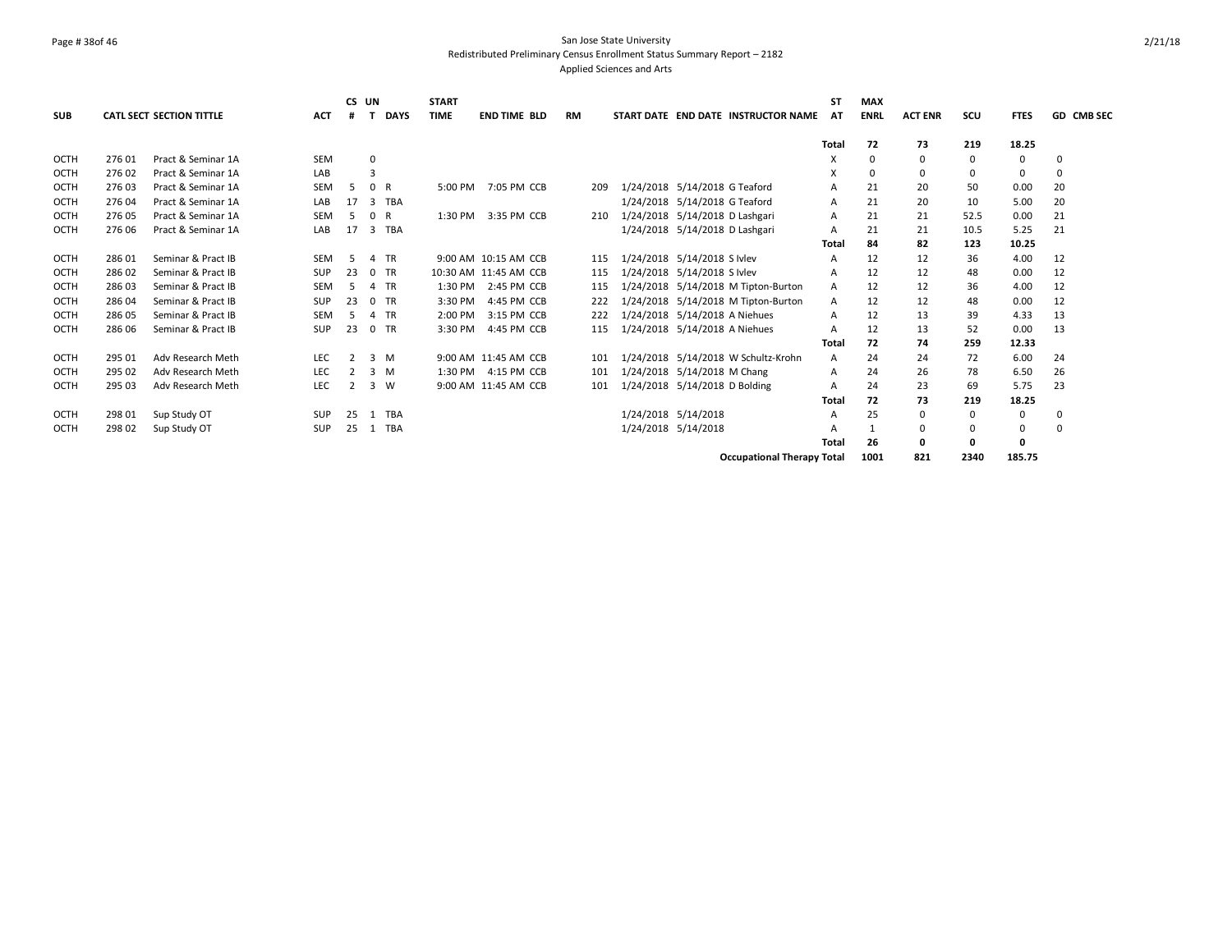## Page # 38of 46 San Jose State University Redistributed Preliminary Census Enrollment Status Summary Report – 2182 Applied Sciences and Arts

|             |        |                                 |            | CS UN          |                |             | <b>START</b> |                       |           |                                     | SΤ           | <b>MAX</b>  |                |          |             |                   |
|-------------|--------|---------------------------------|------------|----------------|----------------|-------------|--------------|-----------------------|-----------|-------------------------------------|--------------|-------------|----------------|----------|-------------|-------------------|
| <b>SUB</b>  |        | <b>CATL SECT SECTION TITTLE</b> | <b>ACT</b> | #              |                | <b>DAYS</b> | <b>TIME</b>  | <b>END TIME BLD</b>   | <b>RM</b> | START DATE END DATE INSTRUCTOR NAME | AT           | <b>ENRL</b> | <b>ACT ENR</b> | scu      | <b>FTES</b> | <b>GD CMB SEC</b> |
|             |        |                                 |            |                |                |             |              |                       |           |                                     | <b>Total</b> | 72          | 73             | 219      | 18.25       |                   |
| OCTH        | 276 01 | Pract & Seminar 1A              | <b>SEM</b> |                | $\mathbf 0$    |             |              |                       |           |                                     | x            | $\Omega$    | $\Omega$       | $\Omega$ | 0           | 0                 |
| OCTH        | 27602  | Pract & Seminar 1A              | LAB        |                | 3              |             |              |                       |           |                                     | X            | 0           | $\Omega$       | 0        | 0           | 0                 |
| <b>OCTH</b> | 276 03 | Pract & Seminar 1A              | <b>SEM</b> | -5             | 0 R            |             | 5:00 PM      | 7:05 PM CCB           | 209       | 1/24/2018 5/14/2018 G Teaford       | A            | 21          | 20             | 50       | 0.00        | 20                |
| <b>OCTH</b> | 276 04 | Pract & Seminar 1A              | LAB        | 17             | $\overline{3}$ | TBA         |              |                       |           | 1/24/2018 5/14/2018 G Teaford       | A            | 21          | 20             | 10       | 5.00        | 20                |
| OCTH        | 27605  | Pract & Seminar 1A              | <b>SEM</b> | -5             | 0 R            |             | 1:30 PM      | 3:35 PM CCB           | 210       | 1/24/2018 5/14/2018 D Lashgari      | Α            | 21          | 21             | 52.5     | 0.00        | 21                |
| <b>OCTH</b> | 276 06 | Pract & Seminar 1A              | LAB        | 17             | 3              | TBA         |              |                       |           | 1/24/2018 5/14/2018 D Lashgari      | A            | 21          | 21             | 10.5     | 5.25        | 21                |
|             |        |                                 |            |                |                |             |              |                       |           |                                     | Total        | 84          | 82             | 123      | 10.25       |                   |
| <b>OCTH</b> | 28601  | Seminar & Pract IB              | <b>SEM</b> | -5             |                | 4 TR        |              | 9:00 AM 10:15 AM CCB  | 115       | 1/24/2018 5/14/2018 S Ivlev         | A            | 12          | 12             | 36       | 4.00        | 12                |
| OCTH        | 28602  | Seminar & Pract IB              | <b>SUP</b> | 23             |                | 0 TR        |              | 10:30 AM 11:45 AM CCB | 115       | 1/24/2018 5/14/2018 S Ivlev         | A            | 12          | 12             | 48       | 0.00        | 12                |
| <b>OCTH</b> | 28603  | Seminar & Pract IB              | SEM        | -5             |                | 4 TR        | 1:30 PM      | 2:45 PM CCB           | 115       | 1/24/2018 5/14/2018 M Tipton-Burton | A            | 12          | 12             | 36       | 4.00        | 12                |
| OCTH        | 28604  | Seminar & Pract IB              | <b>SUP</b> | 23             |                | 0 TR        | 3:30 PM      | 4:45 PM CCB           | 222       | 1/24/2018 5/14/2018 M Tipton-Burton | A            | 12          | 12             | 48       | 0.00        | 12                |
| <b>OCTH</b> | 28605  | Seminar & Pract IB              | <b>SEM</b> | -5             | 4              | <b>TR</b>   | 2:00 PM      | 3:15 PM CCB           | 222       | 1/24/2018 5/14/2018 A Niehues       | A            | 12          | 13             | 39       | 4.33        | 13                |
| <b>OCTH</b> | 286 06 | Seminar & Pract IB              | SUP        | 23             |                | 0 TR        | 3:30 PM      | 4:45 PM CCB           | 115       | 1/24/2018 5/14/2018 A Niehues       | A            | 12          | 13             | 52       | 0.00        | 13                |
|             |        |                                 |            |                |                |             |              |                       |           |                                     | <b>Total</b> | 72          | 74             | 259      | 12.33       |                   |
| OCTH        | 295 01 | Adv Research Meth               | <b>LEC</b> | $\overline{2}$ |                | 3 M         |              | 9:00 AM 11:45 AM CCB  | 101       | 1/24/2018 5/14/2018 W Schultz-Krohn | A            | 24          | 24             | 72       | 6.00        | 24                |
| OCTH        | 295 02 | Adv Research Meth               | <b>LEC</b> | $\overline{2}$ |                | 3 M         |              | 1:30 PM 4:15 PM CCB   | 101       | 1/24/2018 5/14/2018 M Chang         | A            | 24          | 26             | 78       | 6.50        | 26                |
| <b>OCTH</b> | 295 03 | Adv Research Meth               | <b>LEC</b> | 2              |                | 3 W         |              | 9:00 AM 11:45 AM CCB  | 101       | 1/24/2018 5/14/2018 D Bolding       | A            | 24          | 23             | 69       | 5.75        | 23                |
|             |        |                                 |            |                |                |             |              |                       |           |                                     | <b>Total</b> | 72          | 73             | 219      | 18.25       |                   |
| OCTH        | 298 01 | Sup Study OT                    | <b>SUP</b> | 25             |                | 1 TBA       |              |                       |           | 1/24/2018 5/14/2018                 | A            | 25          | 0              | 0        | 0           | 0                 |
| OCTH        | 298 02 | Sup Study OT                    | <b>SUP</b> | 25             | 1              | TBA         |              |                       |           | 1/24/2018 5/14/2018                 | А            | 1           | 0              | 0        | 0           | 0                 |
|             |        |                                 |            |                |                |             |              |                       |           |                                     | Total        | 26          | 0              | 0        | 0           |                   |
|             |        |                                 |            |                |                |             |              |                       |           | <b>Occupational Therapy Total</b>   |              | 1001        | 821            | 2340     | 185.75      |                   |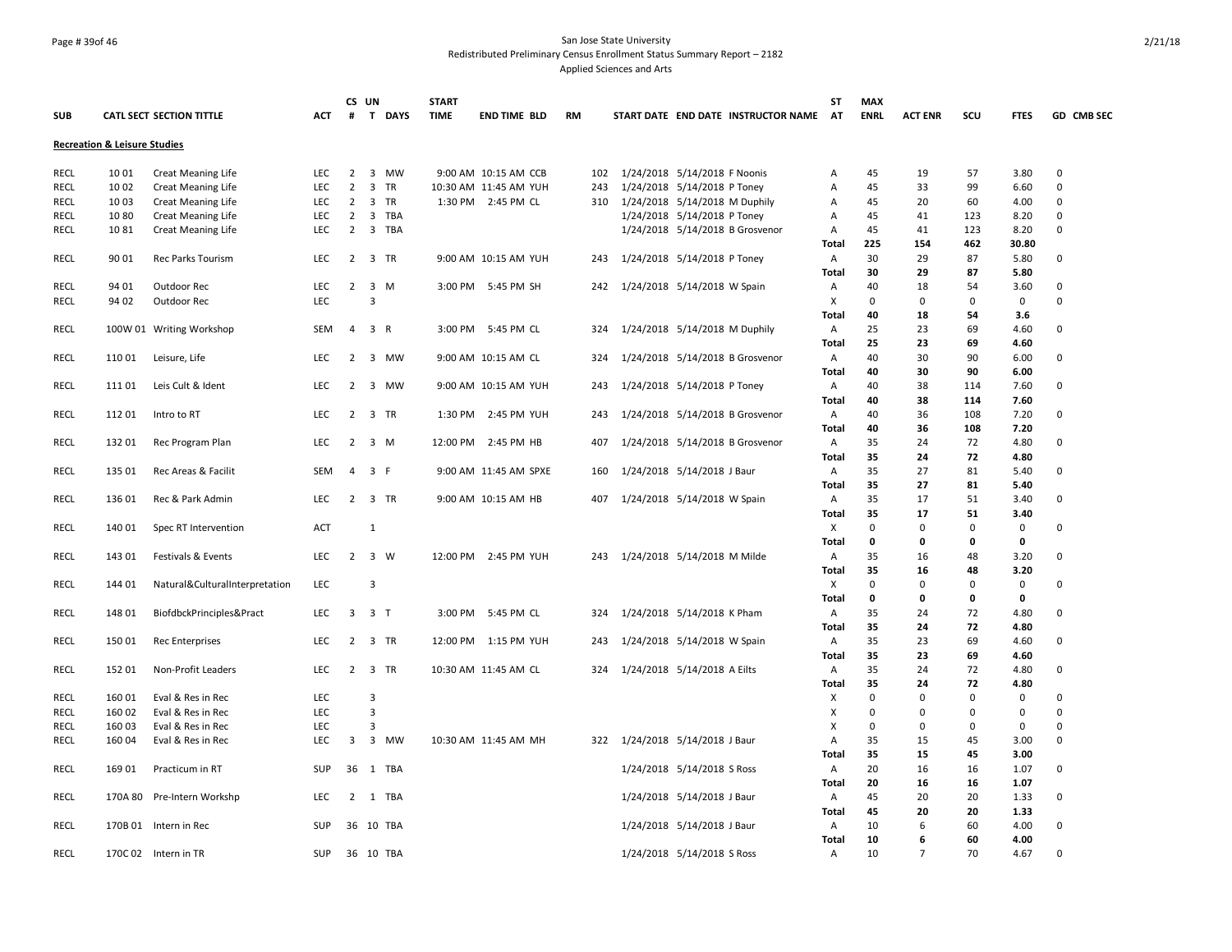## Page # 39of 46 San Jose State University Redistributed Preliminary Census Enrollment Status Summary Report – 2182 Applied Sciences and Arts

| <b>CATL SECT SECTION TITTLE</b><br><b>ENRL</b><br>SCU<br>GD CMB SEC<br><b>SUB</b><br><b>ACT</b><br>#<br>T DAYS<br><b>TIME</b><br><b>END TIME BLD</b><br><b>RM</b><br>START DATE END DATE INSTRUCTOR NAME<br><b>AT</b><br><b>ACT ENR</b><br><b>FTES</b><br><b>Recreation &amp; Leisure Studies</b><br>10 01<br>3 MW<br>1/24/2018 5/14/2018 F Noonis<br>45<br>3.80<br>RECL<br>Creat Meaning Life<br><b>LEC</b><br>$\overline{2}$<br>9:00 AM 10:15 AM CCB<br>102<br>19<br>57<br>0<br>Α<br>$\overline{2}$<br>3 TR<br>45<br><b>RECL</b><br>10 02<br>Creat Meaning Life<br><b>LEC</b><br>10:30 AM 11:45 AM YUH<br>1/24/2018 5/14/2018 P Toney<br>33<br>99<br>0<br>243<br>Α<br>6.60<br>10 03<br><b>Creat Meaning Life</b><br>LEC<br>2<br>3 TR<br>1:30 PM 2:45 PM CL<br>1/24/2018 5/14/2018 M Duphily<br>45<br>0<br>RECL<br>310<br>Α<br>20<br>60<br>4.00<br>$\overline{2}$<br><b>RECL</b><br>1080<br><b>Creat Meaning Life</b><br>LEC<br>3 TBA<br>1/24/2018 5/14/2018 P Toney<br>45<br>41<br>123<br>8.20<br>0<br>A<br>$\overline{2}$<br>3 TBA<br>1/24/2018 5/14/2018 B Grosvenor<br>45<br>0<br><b>RECL</b><br>1081<br>41<br>123<br>8.20<br>Creat Meaning Life<br><b>LEC</b><br>Α<br>225<br>30.80<br><b>Total</b><br>154<br>462<br>87<br><b>RECL</b><br>90 01<br><b>LEC</b><br>2 3 TR<br>9:00 AM 10:15 AM YUH<br>1/24/2018 5/14/2018 P Toney<br>30<br>29<br>5.80<br>0<br>Rec Parks Tourism<br>243<br>A<br>30<br>29<br>87<br>5.80<br>Total<br>94 01<br><b>RECL</b><br>LEC<br>2<br>3 M<br>1/24/2018 5/14/2018 W Spain<br>40<br>18<br>54<br>3.60<br>0<br>Outdoor Rec<br>3:00 PM 5:45 PM SH<br>242<br>A<br>LEC.<br>3<br>X<br>$\mathbf 0$<br>$\mathbf 0$<br>$\mathbf 0$<br>0<br><b>RECL</b><br>94 02<br>Outdoor Rec<br>0<br>40<br>Total<br>18<br>54<br>3.6<br>25<br><b>RECL</b><br>100W 01 Writing Workshop<br>SEM<br>4<br>3 R<br>3:00 PM 5:45 PM CL<br>1/24/2018 5/14/2018 M Duphily<br>Α<br>23<br>69<br>4.60<br>0<br>324<br>25<br>23<br>69<br>4.60<br>Total<br>110 01<br>LEC<br>3 MW<br>40<br>30<br>90<br>6.00<br>0<br><b>RECL</b><br>Leisure, Life<br>2<br>9:00 AM 10:15 AM CL<br>324<br>1/24/2018 5/14/2018 B Grosvenor<br>Α<br>40<br>30<br>90<br>Total<br>6.00<br><b>RECL</b><br>11101<br>Leis Cult & Ident<br><b>LEC</b><br>$\overline{2}$<br>3 MW<br>9:00 AM 10:15 AM YUH<br>1/24/2018 5/14/2018 P Toney<br>Α<br>40<br>38<br>7.60<br>0<br>243<br>114<br>40<br><b>Total</b><br>38<br>114<br>7.60<br><b>RECL</b><br>112 01<br><b>LEC</b><br>2 3 TR<br>40<br>36<br>108<br>7.20<br>0<br>1:30 PM 2:45 PM YUH<br>243<br>1/24/2018 5/14/2018 B Grosvenor<br>Α<br>Intro to RT<br>40<br>Total<br>36<br>108<br>7.20<br>35<br>72<br><b>RECL</b><br>132 01<br><b>LEC</b><br>$\overline{2}$<br>3 M<br>12:00 PM 2:45 PM HB<br>407<br>1/24/2018 5/14/2018 B Grosvenor<br>A<br>24<br>4.80<br>0<br>Rec Program Plan<br>35<br><b>Total</b><br>24<br>72<br>4.80<br>135 01<br>SEM<br>3 F<br>35<br>27<br>81<br>0<br><b>RECL</b><br>Rec Areas & Facilit<br>4<br>9:00 AM 11:45 AM SPXE<br>1/24/2018 5/14/2018 J Baur<br>Α<br>5.40<br>160<br>35<br>27<br>81<br>5.40<br>Total<br>35<br><b>RECL</b><br>136 01<br>LEC<br>2<br>3 TR<br>9:00 AM 10:15 AM HB<br>1/24/2018 5/14/2018 W Spain<br>A<br>17<br>51<br>3.40<br>0<br>Rec & Park Admin<br>407<br>35<br>51<br><b>Total</b><br>17<br>3.40<br>$\pmb{0}$<br>$\mathbf 0$<br>$\mathbf 0$<br>0<br>0<br><b>RECL</b><br>140 01<br>ACT<br>$\mathbf{1}$<br>X<br>Spec RT Intervention<br><b>Total</b><br>0<br>0<br>0<br>0<br>35<br><b>RECL</b><br>143 01<br><b>LEC</b><br>2 3 W<br>12:00 PM 2:45 PM YUH<br>243 1/24/2018 5/14/2018 M Milde<br>A<br>16<br>48<br>3.20<br>0<br>Festivals & Events<br>35<br><b>Total</b><br>16<br>48<br>3.20<br>LEC<br>3<br>$\mathbf 0$<br>$\mathbf 0$<br>$\pmb{0}$<br>0<br><b>RECL</b><br>144 01<br>Natural&CulturalInterpretation<br>X<br>0<br>0<br>Total<br>0<br>0<br>0<br>35<br>148 01<br>3 T<br>1/24/2018 5/14/2018 K Pham<br>A<br>72<br>0<br>RECL<br>BiofdbckPrinciples&Pract<br>LEC<br>3<br>3:00 PM 5:45 PM CL<br>324<br>24<br>4.80<br>35<br>72<br><b>Total</b><br>24<br>4.80<br>35<br>23<br>69<br>0<br><b>RECL</b><br>150 01<br>2 3 TR<br>12:00 PM 1:15 PM YUH<br>1/24/2018 5/14/2018 W Spain<br>Α<br>4.60<br><b>Rec Enterprises</b><br><b>LEC</b><br>243<br><b>Total</b><br>35<br>23<br>69<br>4.60<br>35<br>72<br>152 01<br>2 3 TR<br>1/24/2018 5/14/2018 A Eilts<br>24<br>0<br>RECL<br>Non-Profit Leaders<br>LEC<br>10:30 AM 11:45 AM CL<br>324<br>A<br>4.80<br>35<br><b>Total</b><br>24<br>72<br>4.80<br>$\mathbf 0$<br><b>RECL</b><br>160 01<br>Eval & Res in Rec<br><b>LEC</b><br>3<br>X<br>0<br>$\mathbf 0$<br>0<br>$\Omega$<br>160 02<br>LEC<br>3<br>X<br>$\mathbf 0$<br>$\mathbf 0$<br>$\mathbf 0$<br>$\mathbf 0$<br>0<br>RECL<br>Eval & Res in Rec<br>$\mathbf 0$<br>3<br>X<br>0<br>0<br>0<br>RECL<br>160 03<br>Eval & Res in Rec<br><b>LEC</b><br>0<br>3 MW<br>35<br>3.00<br>0<br><b>RECL</b><br>160 04<br>LEC<br>3<br>10:30 AM 11:45 AM MH<br>322 1/24/2018 5/14/2018 J Baur<br>Α<br>15<br>45<br>Eval & Res in Rec<br>35<br>15<br><b>Total</b><br>45<br>3.00<br><b>RECL</b><br>169 01<br>36<br>1 TBA<br>20<br>16<br>1.07<br>0<br>Practicum in RT<br><b>SUP</b><br>1/24/2018 5/14/2018 S Ross<br>Α<br>16<br>20<br>16<br>16<br>1.07<br>Total<br>45<br><b>RECL</b><br>170A 80<br><b>LEC</b><br>$\overline{2}$<br>1 TBA<br>1/24/2018 5/14/2018 J Baur<br>A<br>20<br>20<br>1.33<br>0<br>Pre-Intern Workshp<br>45<br><b>Total</b><br>20<br>20<br>1.33<br><b>RECL</b><br>36 10 TBA<br>1/24/2018 5/14/2018 J Baur<br>10<br>6<br>60<br>4.00<br>0<br>170B 01 Intern in Rec<br>SUP<br>A<br><b>Total</b><br>10<br>6<br>60<br>4.00<br>36 10 TBA<br>1/24/2018 5/14/2018 S Ross<br>$\overline{7}$<br>70<br>$\Omega$<br>170C 02 Intern in TR<br>Α |             |  |            | CS UN | <b>START</b> |  |  | ST | <b>MAX</b> |  |      |  |
|----------------------------------------------------------------------------------------------------------------------------------------------------------------------------------------------------------------------------------------------------------------------------------------------------------------------------------------------------------------------------------------------------------------------------------------------------------------------------------------------------------------------------------------------------------------------------------------------------------------------------------------------------------------------------------------------------------------------------------------------------------------------------------------------------------------------------------------------------------------------------------------------------------------------------------------------------------------------------------------------------------------------------------------------------------------------------------------------------------------------------------------------------------------------------------------------------------------------------------------------------------------------------------------------------------------------------------------------------------------------------------------------------------------------------------------------------------------------------------------------------------------------------------------------------------------------------------------------------------------------------------------------------------------------------------------------------------------------------------------------------------------------------------------------------------------------------------------------------------------------------------------------------------------------------------------------------------------------------------------------------------------------------------------------------------------------------------------------------------------------------------------------------------------------------------------------------------------------------------------------------------------------------------------------------------------------------------------------------------------------------------------------------------------------------------------------------------------------------------------------------------------------------------------------------------------------------------------------------------------------------------------------------------------------------------------------------------------------------------------------------------------------------------------------------------------------------------------------------------------------------------------------------------------------------------------------------------------------------------------------------------------------------------------------------------------------------------------------------------------------------------------------------------------------------------------------------------------------------------------------------------------------------------------------------------------------------------------------------------------------------------------------------------------------------------------------------------------------------------------------------------------------------------------------------------------------------------------------------------------------------------------------------------------------------------------------------------------------------------------------------------------------------------------------------------------------------------------------------------------------------------------------------------------------------------------------------------------------------------------------------------------------------------------------------------------------------------------------------------------------------------------------------------------------------------------------------------------------------------------------------------------------------------------------------------------------------------------------------------------------------------------------------------------------------------------------------------------------------------------------------------------------------------------------------------------------------------------------------------------------------------------------------------------------------------------------------------------------------------------------------------------------------------------------------------------------------------------------------------------------------------------------------------------------------------------------------------------------------------------------------------------------------------------------------------------------------------------------------------------------------------------------------------------------------------------------------------------------------------------------------------------------------------------------------------------------------------------------------------------------------------------------------------------------------------------------------------------------------------------------------------------------------------------------------------------------------------------------------------------------------------------------------------------------------------------|-------------|--|------------|-------|--------------|--|--|----|------------|--|------|--|
|                                                                                                                                                                                                                                                                                                                                                                                                                                                                                                                                                                                                                                                                                                                                                                                                                                                                                                                                                                                                                                                                                                                                                                                                                                                                                                                                                                                                                                                                                                                                                                                                                                                                                                                                                                                                                                                                                                                                                                                                                                                                                                                                                                                                                                                                                                                                                                                                                                                                                                                                                                                                                                                                                                                                                                                                                                                                                                                                                                                                                                                                                                                                                                                                                                                                                                                                                                                                                                                                                                                                                                                                                                                                                                                                                                                                                                                                                                                                                                                                                                                                                                                                                                                                                                                                                                                                                                                                                                                                                                                                                                                                                                                                                                                                                                                                                                                                                                                                                                                                                                                                                                                                                                                                                                                                                                                                                                                                                                                                                                                                                                                                                                                                                        |             |  |            |       |              |  |  |    |            |  |      |  |
|                                                                                                                                                                                                                                                                                                                                                                                                                                                                                                                                                                                                                                                                                                                                                                                                                                                                                                                                                                                                                                                                                                                                                                                                                                                                                                                                                                                                                                                                                                                                                                                                                                                                                                                                                                                                                                                                                                                                                                                                                                                                                                                                                                                                                                                                                                                                                                                                                                                                                                                                                                                                                                                                                                                                                                                                                                                                                                                                                                                                                                                                                                                                                                                                                                                                                                                                                                                                                                                                                                                                                                                                                                                                                                                                                                                                                                                                                                                                                                                                                                                                                                                                                                                                                                                                                                                                                                                                                                                                                                                                                                                                                                                                                                                                                                                                                                                                                                                                                                                                                                                                                                                                                                                                                                                                                                                                                                                                                                                                                                                                                                                                                                                                                        |             |  |            |       |              |  |  |    |            |  |      |  |
|                                                                                                                                                                                                                                                                                                                                                                                                                                                                                                                                                                                                                                                                                                                                                                                                                                                                                                                                                                                                                                                                                                                                                                                                                                                                                                                                                                                                                                                                                                                                                                                                                                                                                                                                                                                                                                                                                                                                                                                                                                                                                                                                                                                                                                                                                                                                                                                                                                                                                                                                                                                                                                                                                                                                                                                                                                                                                                                                                                                                                                                                                                                                                                                                                                                                                                                                                                                                                                                                                                                                                                                                                                                                                                                                                                                                                                                                                                                                                                                                                                                                                                                                                                                                                                                                                                                                                                                                                                                                                                                                                                                                                                                                                                                                                                                                                                                                                                                                                                                                                                                                                                                                                                                                                                                                                                                                                                                                                                                                                                                                                                                                                                                                                        |             |  |            |       |              |  |  |    |            |  |      |  |
|                                                                                                                                                                                                                                                                                                                                                                                                                                                                                                                                                                                                                                                                                                                                                                                                                                                                                                                                                                                                                                                                                                                                                                                                                                                                                                                                                                                                                                                                                                                                                                                                                                                                                                                                                                                                                                                                                                                                                                                                                                                                                                                                                                                                                                                                                                                                                                                                                                                                                                                                                                                                                                                                                                                                                                                                                                                                                                                                                                                                                                                                                                                                                                                                                                                                                                                                                                                                                                                                                                                                                                                                                                                                                                                                                                                                                                                                                                                                                                                                                                                                                                                                                                                                                                                                                                                                                                                                                                                                                                                                                                                                                                                                                                                                                                                                                                                                                                                                                                                                                                                                                                                                                                                                                                                                                                                                                                                                                                                                                                                                                                                                                                                                                        |             |  |            |       |              |  |  |    |            |  |      |  |
|                                                                                                                                                                                                                                                                                                                                                                                                                                                                                                                                                                                                                                                                                                                                                                                                                                                                                                                                                                                                                                                                                                                                                                                                                                                                                                                                                                                                                                                                                                                                                                                                                                                                                                                                                                                                                                                                                                                                                                                                                                                                                                                                                                                                                                                                                                                                                                                                                                                                                                                                                                                                                                                                                                                                                                                                                                                                                                                                                                                                                                                                                                                                                                                                                                                                                                                                                                                                                                                                                                                                                                                                                                                                                                                                                                                                                                                                                                                                                                                                                                                                                                                                                                                                                                                                                                                                                                                                                                                                                                                                                                                                                                                                                                                                                                                                                                                                                                                                                                                                                                                                                                                                                                                                                                                                                                                                                                                                                                                                                                                                                                                                                                                                                        |             |  |            |       |              |  |  |    |            |  |      |  |
|                                                                                                                                                                                                                                                                                                                                                                                                                                                                                                                                                                                                                                                                                                                                                                                                                                                                                                                                                                                                                                                                                                                                                                                                                                                                                                                                                                                                                                                                                                                                                                                                                                                                                                                                                                                                                                                                                                                                                                                                                                                                                                                                                                                                                                                                                                                                                                                                                                                                                                                                                                                                                                                                                                                                                                                                                                                                                                                                                                                                                                                                                                                                                                                                                                                                                                                                                                                                                                                                                                                                                                                                                                                                                                                                                                                                                                                                                                                                                                                                                                                                                                                                                                                                                                                                                                                                                                                                                                                                                                                                                                                                                                                                                                                                                                                                                                                                                                                                                                                                                                                                                                                                                                                                                                                                                                                                                                                                                                                                                                                                                                                                                                                                                        |             |  |            |       |              |  |  |    |            |  |      |  |
|                                                                                                                                                                                                                                                                                                                                                                                                                                                                                                                                                                                                                                                                                                                                                                                                                                                                                                                                                                                                                                                                                                                                                                                                                                                                                                                                                                                                                                                                                                                                                                                                                                                                                                                                                                                                                                                                                                                                                                                                                                                                                                                                                                                                                                                                                                                                                                                                                                                                                                                                                                                                                                                                                                                                                                                                                                                                                                                                                                                                                                                                                                                                                                                                                                                                                                                                                                                                                                                                                                                                                                                                                                                                                                                                                                                                                                                                                                                                                                                                                                                                                                                                                                                                                                                                                                                                                                                                                                                                                                                                                                                                                                                                                                                                                                                                                                                                                                                                                                                                                                                                                                                                                                                                                                                                                                                                                                                                                                                                                                                                                                                                                                                                                        |             |  |            |       |              |  |  |    |            |  |      |  |
|                                                                                                                                                                                                                                                                                                                                                                                                                                                                                                                                                                                                                                                                                                                                                                                                                                                                                                                                                                                                                                                                                                                                                                                                                                                                                                                                                                                                                                                                                                                                                                                                                                                                                                                                                                                                                                                                                                                                                                                                                                                                                                                                                                                                                                                                                                                                                                                                                                                                                                                                                                                                                                                                                                                                                                                                                                                                                                                                                                                                                                                                                                                                                                                                                                                                                                                                                                                                                                                                                                                                                                                                                                                                                                                                                                                                                                                                                                                                                                                                                                                                                                                                                                                                                                                                                                                                                                                                                                                                                                                                                                                                                                                                                                                                                                                                                                                                                                                                                                                                                                                                                                                                                                                                                                                                                                                                                                                                                                                                                                                                                                                                                                                                                        |             |  |            |       |              |  |  |    |            |  |      |  |
|                                                                                                                                                                                                                                                                                                                                                                                                                                                                                                                                                                                                                                                                                                                                                                                                                                                                                                                                                                                                                                                                                                                                                                                                                                                                                                                                                                                                                                                                                                                                                                                                                                                                                                                                                                                                                                                                                                                                                                                                                                                                                                                                                                                                                                                                                                                                                                                                                                                                                                                                                                                                                                                                                                                                                                                                                                                                                                                                                                                                                                                                                                                                                                                                                                                                                                                                                                                                                                                                                                                                                                                                                                                                                                                                                                                                                                                                                                                                                                                                                                                                                                                                                                                                                                                                                                                                                                                                                                                                                                                                                                                                                                                                                                                                                                                                                                                                                                                                                                                                                                                                                                                                                                                                                                                                                                                                                                                                                                                                                                                                                                                                                                                                                        |             |  |            |       |              |  |  |    |            |  |      |  |
|                                                                                                                                                                                                                                                                                                                                                                                                                                                                                                                                                                                                                                                                                                                                                                                                                                                                                                                                                                                                                                                                                                                                                                                                                                                                                                                                                                                                                                                                                                                                                                                                                                                                                                                                                                                                                                                                                                                                                                                                                                                                                                                                                                                                                                                                                                                                                                                                                                                                                                                                                                                                                                                                                                                                                                                                                                                                                                                                                                                                                                                                                                                                                                                                                                                                                                                                                                                                                                                                                                                                                                                                                                                                                                                                                                                                                                                                                                                                                                                                                                                                                                                                                                                                                                                                                                                                                                                                                                                                                                                                                                                                                                                                                                                                                                                                                                                                                                                                                                                                                                                                                                                                                                                                                                                                                                                                                                                                                                                                                                                                                                                                                                                                                        |             |  |            |       |              |  |  |    |            |  |      |  |
|                                                                                                                                                                                                                                                                                                                                                                                                                                                                                                                                                                                                                                                                                                                                                                                                                                                                                                                                                                                                                                                                                                                                                                                                                                                                                                                                                                                                                                                                                                                                                                                                                                                                                                                                                                                                                                                                                                                                                                                                                                                                                                                                                                                                                                                                                                                                                                                                                                                                                                                                                                                                                                                                                                                                                                                                                                                                                                                                                                                                                                                                                                                                                                                                                                                                                                                                                                                                                                                                                                                                                                                                                                                                                                                                                                                                                                                                                                                                                                                                                                                                                                                                                                                                                                                                                                                                                                                                                                                                                                                                                                                                                                                                                                                                                                                                                                                                                                                                                                                                                                                                                                                                                                                                                                                                                                                                                                                                                                                                                                                                                                                                                                                                                        |             |  |            |       |              |  |  |    |            |  |      |  |
|                                                                                                                                                                                                                                                                                                                                                                                                                                                                                                                                                                                                                                                                                                                                                                                                                                                                                                                                                                                                                                                                                                                                                                                                                                                                                                                                                                                                                                                                                                                                                                                                                                                                                                                                                                                                                                                                                                                                                                                                                                                                                                                                                                                                                                                                                                                                                                                                                                                                                                                                                                                                                                                                                                                                                                                                                                                                                                                                                                                                                                                                                                                                                                                                                                                                                                                                                                                                                                                                                                                                                                                                                                                                                                                                                                                                                                                                                                                                                                                                                                                                                                                                                                                                                                                                                                                                                                                                                                                                                                                                                                                                                                                                                                                                                                                                                                                                                                                                                                                                                                                                                                                                                                                                                                                                                                                                                                                                                                                                                                                                                                                                                                                                                        |             |  |            |       |              |  |  |    |            |  |      |  |
|                                                                                                                                                                                                                                                                                                                                                                                                                                                                                                                                                                                                                                                                                                                                                                                                                                                                                                                                                                                                                                                                                                                                                                                                                                                                                                                                                                                                                                                                                                                                                                                                                                                                                                                                                                                                                                                                                                                                                                                                                                                                                                                                                                                                                                                                                                                                                                                                                                                                                                                                                                                                                                                                                                                                                                                                                                                                                                                                                                                                                                                                                                                                                                                                                                                                                                                                                                                                                                                                                                                                                                                                                                                                                                                                                                                                                                                                                                                                                                                                                                                                                                                                                                                                                                                                                                                                                                                                                                                                                                                                                                                                                                                                                                                                                                                                                                                                                                                                                                                                                                                                                                                                                                                                                                                                                                                                                                                                                                                                                                                                                                                                                                                                                        |             |  |            |       |              |  |  |    |            |  |      |  |
|                                                                                                                                                                                                                                                                                                                                                                                                                                                                                                                                                                                                                                                                                                                                                                                                                                                                                                                                                                                                                                                                                                                                                                                                                                                                                                                                                                                                                                                                                                                                                                                                                                                                                                                                                                                                                                                                                                                                                                                                                                                                                                                                                                                                                                                                                                                                                                                                                                                                                                                                                                                                                                                                                                                                                                                                                                                                                                                                                                                                                                                                                                                                                                                                                                                                                                                                                                                                                                                                                                                                                                                                                                                                                                                                                                                                                                                                                                                                                                                                                                                                                                                                                                                                                                                                                                                                                                                                                                                                                                                                                                                                                                                                                                                                                                                                                                                                                                                                                                                                                                                                                                                                                                                                                                                                                                                                                                                                                                                                                                                                                                                                                                                                                        |             |  |            |       |              |  |  |    |            |  |      |  |
|                                                                                                                                                                                                                                                                                                                                                                                                                                                                                                                                                                                                                                                                                                                                                                                                                                                                                                                                                                                                                                                                                                                                                                                                                                                                                                                                                                                                                                                                                                                                                                                                                                                                                                                                                                                                                                                                                                                                                                                                                                                                                                                                                                                                                                                                                                                                                                                                                                                                                                                                                                                                                                                                                                                                                                                                                                                                                                                                                                                                                                                                                                                                                                                                                                                                                                                                                                                                                                                                                                                                                                                                                                                                                                                                                                                                                                                                                                                                                                                                                                                                                                                                                                                                                                                                                                                                                                                                                                                                                                                                                                                                                                                                                                                                                                                                                                                                                                                                                                                                                                                                                                                                                                                                                                                                                                                                                                                                                                                                                                                                                                                                                                                                                        |             |  |            |       |              |  |  |    |            |  |      |  |
|                                                                                                                                                                                                                                                                                                                                                                                                                                                                                                                                                                                                                                                                                                                                                                                                                                                                                                                                                                                                                                                                                                                                                                                                                                                                                                                                                                                                                                                                                                                                                                                                                                                                                                                                                                                                                                                                                                                                                                                                                                                                                                                                                                                                                                                                                                                                                                                                                                                                                                                                                                                                                                                                                                                                                                                                                                                                                                                                                                                                                                                                                                                                                                                                                                                                                                                                                                                                                                                                                                                                                                                                                                                                                                                                                                                                                                                                                                                                                                                                                                                                                                                                                                                                                                                                                                                                                                                                                                                                                                                                                                                                                                                                                                                                                                                                                                                                                                                                                                                                                                                                                                                                                                                                                                                                                                                                                                                                                                                                                                                                                                                                                                                                                        |             |  |            |       |              |  |  |    |            |  |      |  |
|                                                                                                                                                                                                                                                                                                                                                                                                                                                                                                                                                                                                                                                                                                                                                                                                                                                                                                                                                                                                                                                                                                                                                                                                                                                                                                                                                                                                                                                                                                                                                                                                                                                                                                                                                                                                                                                                                                                                                                                                                                                                                                                                                                                                                                                                                                                                                                                                                                                                                                                                                                                                                                                                                                                                                                                                                                                                                                                                                                                                                                                                                                                                                                                                                                                                                                                                                                                                                                                                                                                                                                                                                                                                                                                                                                                                                                                                                                                                                                                                                                                                                                                                                                                                                                                                                                                                                                                                                                                                                                                                                                                                                                                                                                                                                                                                                                                                                                                                                                                                                                                                                                                                                                                                                                                                                                                                                                                                                                                                                                                                                                                                                                                                                        |             |  |            |       |              |  |  |    |            |  |      |  |
|                                                                                                                                                                                                                                                                                                                                                                                                                                                                                                                                                                                                                                                                                                                                                                                                                                                                                                                                                                                                                                                                                                                                                                                                                                                                                                                                                                                                                                                                                                                                                                                                                                                                                                                                                                                                                                                                                                                                                                                                                                                                                                                                                                                                                                                                                                                                                                                                                                                                                                                                                                                                                                                                                                                                                                                                                                                                                                                                                                                                                                                                                                                                                                                                                                                                                                                                                                                                                                                                                                                                                                                                                                                                                                                                                                                                                                                                                                                                                                                                                                                                                                                                                                                                                                                                                                                                                                                                                                                                                                                                                                                                                                                                                                                                                                                                                                                                                                                                                                                                                                                                                                                                                                                                                                                                                                                                                                                                                                                                                                                                                                                                                                                                                        |             |  |            |       |              |  |  |    |            |  |      |  |
|                                                                                                                                                                                                                                                                                                                                                                                                                                                                                                                                                                                                                                                                                                                                                                                                                                                                                                                                                                                                                                                                                                                                                                                                                                                                                                                                                                                                                                                                                                                                                                                                                                                                                                                                                                                                                                                                                                                                                                                                                                                                                                                                                                                                                                                                                                                                                                                                                                                                                                                                                                                                                                                                                                                                                                                                                                                                                                                                                                                                                                                                                                                                                                                                                                                                                                                                                                                                                                                                                                                                                                                                                                                                                                                                                                                                                                                                                                                                                                                                                                                                                                                                                                                                                                                                                                                                                                                                                                                                                                                                                                                                                                                                                                                                                                                                                                                                                                                                                                                                                                                                                                                                                                                                                                                                                                                                                                                                                                                                                                                                                                                                                                                                                        |             |  |            |       |              |  |  |    |            |  |      |  |
|                                                                                                                                                                                                                                                                                                                                                                                                                                                                                                                                                                                                                                                                                                                                                                                                                                                                                                                                                                                                                                                                                                                                                                                                                                                                                                                                                                                                                                                                                                                                                                                                                                                                                                                                                                                                                                                                                                                                                                                                                                                                                                                                                                                                                                                                                                                                                                                                                                                                                                                                                                                                                                                                                                                                                                                                                                                                                                                                                                                                                                                                                                                                                                                                                                                                                                                                                                                                                                                                                                                                                                                                                                                                                                                                                                                                                                                                                                                                                                                                                                                                                                                                                                                                                                                                                                                                                                                                                                                                                                                                                                                                                                                                                                                                                                                                                                                                                                                                                                                                                                                                                                                                                                                                                                                                                                                                                                                                                                                                                                                                                                                                                                                                                        |             |  |            |       |              |  |  |    |            |  |      |  |
|                                                                                                                                                                                                                                                                                                                                                                                                                                                                                                                                                                                                                                                                                                                                                                                                                                                                                                                                                                                                                                                                                                                                                                                                                                                                                                                                                                                                                                                                                                                                                                                                                                                                                                                                                                                                                                                                                                                                                                                                                                                                                                                                                                                                                                                                                                                                                                                                                                                                                                                                                                                                                                                                                                                                                                                                                                                                                                                                                                                                                                                                                                                                                                                                                                                                                                                                                                                                                                                                                                                                                                                                                                                                                                                                                                                                                                                                                                                                                                                                                                                                                                                                                                                                                                                                                                                                                                                                                                                                                                                                                                                                                                                                                                                                                                                                                                                                                                                                                                                                                                                                                                                                                                                                                                                                                                                                                                                                                                                                                                                                                                                                                                                                                        |             |  |            |       |              |  |  |    |            |  |      |  |
|                                                                                                                                                                                                                                                                                                                                                                                                                                                                                                                                                                                                                                                                                                                                                                                                                                                                                                                                                                                                                                                                                                                                                                                                                                                                                                                                                                                                                                                                                                                                                                                                                                                                                                                                                                                                                                                                                                                                                                                                                                                                                                                                                                                                                                                                                                                                                                                                                                                                                                                                                                                                                                                                                                                                                                                                                                                                                                                                                                                                                                                                                                                                                                                                                                                                                                                                                                                                                                                                                                                                                                                                                                                                                                                                                                                                                                                                                                                                                                                                                                                                                                                                                                                                                                                                                                                                                                                                                                                                                                                                                                                                                                                                                                                                                                                                                                                                                                                                                                                                                                                                                                                                                                                                                                                                                                                                                                                                                                                                                                                                                                                                                                                                                        |             |  |            |       |              |  |  |    |            |  |      |  |
|                                                                                                                                                                                                                                                                                                                                                                                                                                                                                                                                                                                                                                                                                                                                                                                                                                                                                                                                                                                                                                                                                                                                                                                                                                                                                                                                                                                                                                                                                                                                                                                                                                                                                                                                                                                                                                                                                                                                                                                                                                                                                                                                                                                                                                                                                                                                                                                                                                                                                                                                                                                                                                                                                                                                                                                                                                                                                                                                                                                                                                                                                                                                                                                                                                                                                                                                                                                                                                                                                                                                                                                                                                                                                                                                                                                                                                                                                                                                                                                                                                                                                                                                                                                                                                                                                                                                                                                                                                                                                                                                                                                                                                                                                                                                                                                                                                                                                                                                                                                                                                                                                                                                                                                                                                                                                                                                                                                                                                                                                                                                                                                                                                                                                        |             |  |            |       |              |  |  |    |            |  |      |  |
|                                                                                                                                                                                                                                                                                                                                                                                                                                                                                                                                                                                                                                                                                                                                                                                                                                                                                                                                                                                                                                                                                                                                                                                                                                                                                                                                                                                                                                                                                                                                                                                                                                                                                                                                                                                                                                                                                                                                                                                                                                                                                                                                                                                                                                                                                                                                                                                                                                                                                                                                                                                                                                                                                                                                                                                                                                                                                                                                                                                                                                                                                                                                                                                                                                                                                                                                                                                                                                                                                                                                                                                                                                                                                                                                                                                                                                                                                                                                                                                                                                                                                                                                                                                                                                                                                                                                                                                                                                                                                                                                                                                                                                                                                                                                                                                                                                                                                                                                                                                                                                                                                                                                                                                                                                                                                                                                                                                                                                                                                                                                                                                                                                                                                        |             |  |            |       |              |  |  |    |            |  |      |  |
|                                                                                                                                                                                                                                                                                                                                                                                                                                                                                                                                                                                                                                                                                                                                                                                                                                                                                                                                                                                                                                                                                                                                                                                                                                                                                                                                                                                                                                                                                                                                                                                                                                                                                                                                                                                                                                                                                                                                                                                                                                                                                                                                                                                                                                                                                                                                                                                                                                                                                                                                                                                                                                                                                                                                                                                                                                                                                                                                                                                                                                                                                                                                                                                                                                                                                                                                                                                                                                                                                                                                                                                                                                                                                                                                                                                                                                                                                                                                                                                                                                                                                                                                                                                                                                                                                                                                                                                                                                                                                                                                                                                                                                                                                                                                                                                                                                                                                                                                                                                                                                                                                                                                                                                                                                                                                                                                                                                                                                                                                                                                                                                                                                                                                        |             |  |            |       |              |  |  |    |            |  |      |  |
|                                                                                                                                                                                                                                                                                                                                                                                                                                                                                                                                                                                                                                                                                                                                                                                                                                                                                                                                                                                                                                                                                                                                                                                                                                                                                                                                                                                                                                                                                                                                                                                                                                                                                                                                                                                                                                                                                                                                                                                                                                                                                                                                                                                                                                                                                                                                                                                                                                                                                                                                                                                                                                                                                                                                                                                                                                                                                                                                                                                                                                                                                                                                                                                                                                                                                                                                                                                                                                                                                                                                                                                                                                                                                                                                                                                                                                                                                                                                                                                                                                                                                                                                                                                                                                                                                                                                                                                                                                                                                                                                                                                                                                                                                                                                                                                                                                                                                                                                                                                                                                                                                                                                                                                                                                                                                                                                                                                                                                                                                                                                                                                                                                                                                        |             |  |            |       |              |  |  |    |            |  |      |  |
|                                                                                                                                                                                                                                                                                                                                                                                                                                                                                                                                                                                                                                                                                                                                                                                                                                                                                                                                                                                                                                                                                                                                                                                                                                                                                                                                                                                                                                                                                                                                                                                                                                                                                                                                                                                                                                                                                                                                                                                                                                                                                                                                                                                                                                                                                                                                                                                                                                                                                                                                                                                                                                                                                                                                                                                                                                                                                                                                                                                                                                                                                                                                                                                                                                                                                                                                                                                                                                                                                                                                                                                                                                                                                                                                                                                                                                                                                                                                                                                                                                                                                                                                                                                                                                                                                                                                                                                                                                                                                                                                                                                                                                                                                                                                                                                                                                                                                                                                                                                                                                                                                                                                                                                                                                                                                                                                                                                                                                                                                                                                                                                                                                                                                        |             |  |            |       |              |  |  |    |            |  |      |  |
|                                                                                                                                                                                                                                                                                                                                                                                                                                                                                                                                                                                                                                                                                                                                                                                                                                                                                                                                                                                                                                                                                                                                                                                                                                                                                                                                                                                                                                                                                                                                                                                                                                                                                                                                                                                                                                                                                                                                                                                                                                                                                                                                                                                                                                                                                                                                                                                                                                                                                                                                                                                                                                                                                                                                                                                                                                                                                                                                                                                                                                                                                                                                                                                                                                                                                                                                                                                                                                                                                                                                                                                                                                                                                                                                                                                                                                                                                                                                                                                                                                                                                                                                                                                                                                                                                                                                                                                                                                                                                                                                                                                                                                                                                                                                                                                                                                                                                                                                                                                                                                                                                                                                                                                                                                                                                                                                                                                                                                                                                                                                                                                                                                                                                        |             |  |            |       |              |  |  |    |            |  |      |  |
|                                                                                                                                                                                                                                                                                                                                                                                                                                                                                                                                                                                                                                                                                                                                                                                                                                                                                                                                                                                                                                                                                                                                                                                                                                                                                                                                                                                                                                                                                                                                                                                                                                                                                                                                                                                                                                                                                                                                                                                                                                                                                                                                                                                                                                                                                                                                                                                                                                                                                                                                                                                                                                                                                                                                                                                                                                                                                                                                                                                                                                                                                                                                                                                                                                                                                                                                                                                                                                                                                                                                                                                                                                                                                                                                                                                                                                                                                                                                                                                                                                                                                                                                                                                                                                                                                                                                                                                                                                                                                                                                                                                                                                                                                                                                                                                                                                                                                                                                                                                                                                                                                                                                                                                                                                                                                                                                                                                                                                                                                                                                                                                                                                                                                        |             |  |            |       |              |  |  |    |            |  |      |  |
|                                                                                                                                                                                                                                                                                                                                                                                                                                                                                                                                                                                                                                                                                                                                                                                                                                                                                                                                                                                                                                                                                                                                                                                                                                                                                                                                                                                                                                                                                                                                                                                                                                                                                                                                                                                                                                                                                                                                                                                                                                                                                                                                                                                                                                                                                                                                                                                                                                                                                                                                                                                                                                                                                                                                                                                                                                                                                                                                                                                                                                                                                                                                                                                                                                                                                                                                                                                                                                                                                                                                                                                                                                                                                                                                                                                                                                                                                                                                                                                                                                                                                                                                                                                                                                                                                                                                                                                                                                                                                                                                                                                                                                                                                                                                                                                                                                                                                                                                                                                                                                                                                                                                                                                                                                                                                                                                                                                                                                                                                                                                                                                                                                                                                        |             |  |            |       |              |  |  |    |            |  |      |  |
|                                                                                                                                                                                                                                                                                                                                                                                                                                                                                                                                                                                                                                                                                                                                                                                                                                                                                                                                                                                                                                                                                                                                                                                                                                                                                                                                                                                                                                                                                                                                                                                                                                                                                                                                                                                                                                                                                                                                                                                                                                                                                                                                                                                                                                                                                                                                                                                                                                                                                                                                                                                                                                                                                                                                                                                                                                                                                                                                                                                                                                                                                                                                                                                                                                                                                                                                                                                                                                                                                                                                                                                                                                                                                                                                                                                                                                                                                                                                                                                                                                                                                                                                                                                                                                                                                                                                                                                                                                                                                                                                                                                                                                                                                                                                                                                                                                                                                                                                                                                                                                                                                                                                                                                                                                                                                                                                                                                                                                                                                                                                                                                                                                                                                        |             |  |            |       |              |  |  |    |            |  |      |  |
|                                                                                                                                                                                                                                                                                                                                                                                                                                                                                                                                                                                                                                                                                                                                                                                                                                                                                                                                                                                                                                                                                                                                                                                                                                                                                                                                                                                                                                                                                                                                                                                                                                                                                                                                                                                                                                                                                                                                                                                                                                                                                                                                                                                                                                                                                                                                                                                                                                                                                                                                                                                                                                                                                                                                                                                                                                                                                                                                                                                                                                                                                                                                                                                                                                                                                                                                                                                                                                                                                                                                                                                                                                                                                                                                                                                                                                                                                                                                                                                                                                                                                                                                                                                                                                                                                                                                                                                                                                                                                                                                                                                                                                                                                                                                                                                                                                                                                                                                                                                                                                                                                                                                                                                                                                                                                                                                                                                                                                                                                                                                                                                                                                                                                        |             |  |            |       |              |  |  |    |            |  |      |  |
|                                                                                                                                                                                                                                                                                                                                                                                                                                                                                                                                                                                                                                                                                                                                                                                                                                                                                                                                                                                                                                                                                                                                                                                                                                                                                                                                                                                                                                                                                                                                                                                                                                                                                                                                                                                                                                                                                                                                                                                                                                                                                                                                                                                                                                                                                                                                                                                                                                                                                                                                                                                                                                                                                                                                                                                                                                                                                                                                                                                                                                                                                                                                                                                                                                                                                                                                                                                                                                                                                                                                                                                                                                                                                                                                                                                                                                                                                                                                                                                                                                                                                                                                                                                                                                                                                                                                                                                                                                                                                                                                                                                                                                                                                                                                                                                                                                                                                                                                                                                                                                                                                                                                                                                                                                                                                                                                                                                                                                                                                                                                                                                                                                                                                        |             |  |            |       |              |  |  |    |            |  |      |  |
|                                                                                                                                                                                                                                                                                                                                                                                                                                                                                                                                                                                                                                                                                                                                                                                                                                                                                                                                                                                                                                                                                                                                                                                                                                                                                                                                                                                                                                                                                                                                                                                                                                                                                                                                                                                                                                                                                                                                                                                                                                                                                                                                                                                                                                                                                                                                                                                                                                                                                                                                                                                                                                                                                                                                                                                                                                                                                                                                                                                                                                                                                                                                                                                                                                                                                                                                                                                                                                                                                                                                                                                                                                                                                                                                                                                                                                                                                                                                                                                                                                                                                                                                                                                                                                                                                                                                                                                                                                                                                                                                                                                                                                                                                                                                                                                                                                                                                                                                                                                                                                                                                                                                                                                                                                                                                                                                                                                                                                                                                                                                                                                                                                                                                        |             |  |            |       |              |  |  |    |            |  |      |  |
|                                                                                                                                                                                                                                                                                                                                                                                                                                                                                                                                                                                                                                                                                                                                                                                                                                                                                                                                                                                                                                                                                                                                                                                                                                                                                                                                                                                                                                                                                                                                                                                                                                                                                                                                                                                                                                                                                                                                                                                                                                                                                                                                                                                                                                                                                                                                                                                                                                                                                                                                                                                                                                                                                                                                                                                                                                                                                                                                                                                                                                                                                                                                                                                                                                                                                                                                                                                                                                                                                                                                                                                                                                                                                                                                                                                                                                                                                                                                                                                                                                                                                                                                                                                                                                                                                                                                                                                                                                                                                                                                                                                                                                                                                                                                                                                                                                                                                                                                                                                                                                                                                                                                                                                                                                                                                                                                                                                                                                                                                                                                                                                                                                                                                        |             |  |            |       |              |  |  |    |            |  |      |  |
|                                                                                                                                                                                                                                                                                                                                                                                                                                                                                                                                                                                                                                                                                                                                                                                                                                                                                                                                                                                                                                                                                                                                                                                                                                                                                                                                                                                                                                                                                                                                                                                                                                                                                                                                                                                                                                                                                                                                                                                                                                                                                                                                                                                                                                                                                                                                                                                                                                                                                                                                                                                                                                                                                                                                                                                                                                                                                                                                                                                                                                                                                                                                                                                                                                                                                                                                                                                                                                                                                                                                                                                                                                                                                                                                                                                                                                                                                                                                                                                                                                                                                                                                                                                                                                                                                                                                                                                                                                                                                                                                                                                                                                                                                                                                                                                                                                                                                                                                                                                                                                                                                                                                                                                                                                                                                                                                                                                                                                                                                                                                                                                                                                                                                        |             |  |            |       |              |  |  |    |            |  |      |  |
|                                                                                                                                                                                                                                                                                                                                                                                                                                                                                                                                                                                                                                                                                                                                                                                                                                                                                                                                                                                                                                                                                                                                                                                                                                                                                                                                                                                                                                                                                                                                                                                                                                                                                                                                                                                                                                                                                                                                                                                                                                                                                                                                                                                                                                                                                                                                                                                                                                                                                                                                                                                                                                                                                                                                                                                                                                                                                                                                                                                                                                                                                                                                                                                                                                                                                                                                                                                                                                                                                                                                                                                                                                                                                                                                                                                                                                                                                                                                                                                                                                                                                                                                                                                                                                                                                                                                                                                                                                                                                                                                                                                                                                                                                                                                                                                                                                                                                                                                                                                                                                                                                                                                                                                                                                                                                                                                                                                                                                                                                                                                                                                                                                                                                        |             |  |            |       |              |  |  |    |            |  |      |  |
|                                                                                                                                                                                                                                                                                                                                                                                                                                                                                                                                                                                                                                                                                                                                                                                                                                                                                                                                                                                                                                                                                                                                                                                                                                                                                                                                                                                                                                                                                                                                                                                                                                                                                                                                                                                                                                                                                                                                                                                                                                                                                                                                                                                                                                                                                                                                                                                                                                                                                                                                                                                                                                                                                                                                                                                                                                                                                                                                                                                                                                                                                                                                                                                                                                                                                                                                                                                                                                                                                                                                                                                                                                                                                                                                                                                                                                                                                                                                                                                                                                                                                                                                                                                                                                                                                                                                                                                                                                                                                                                                                                                                                                                                                                                                                                                                                                                                                                                                                                                                                                                                                                                                                                                                                                                                                                                                                                                                                                                                                                                                                                                                                                                                                        |             |  |            |       |              |  |  |    |            |  |      |  |
|                                                                                                                                                                                                                                                                                                                                                                                                                                                                                                                                                                                                                                                                                                                                                                                                                                                                                                                                                                                                                                                                                                                                                                                                                                                                                                                                                                                                                                                                                                                                                                                                                                                                                                                                                                                                                                                                                                                                                                                                                                                                                                                                                                                                                                                                                                                                                                                                                                                                                                                                                                                                                                                                                                                                                                                                                                                                                                                                                                                                                                                                                                                                                                                                                                                                                                                                                                                                                                                                                                                                                                                                                                                                                                                                                                                                                                                                                                                                                                                                                                                                                                                                                                                                                                                                                                                                                                                                                                                                                                                                                                                                                                                                                                                                                                                                                                                                                                                                                                                                                                                                                                                                                                                                                                                                                                                                                                                                                                                                                                                                                                                                                                                                                        |             |  |            |       |              |  |  |    |            |  |      |  |
|                                                                                                                                                                                                                                                                                                                                                                                                                                                                                                                                                                                                                                                                                                                                                                                                                                                                                                                                                                                                                                                                                                                                                                                                                                                                                                                                                                                                                                                                                                                                                                                                                                                                                                                                                                                                                                                                                                                                                                                                                                                                                                                                                                                                                                                                                                                                                                                                                                                                                                                                                                                                                                                                                                                                                                                                                                                                                                                                                                                                                                                                                                                                                                                                                                                                                                                                                                                                                                                                                                                                                                                                                                                                                                                                                                                                                                                                                                                                                                                                                                                                                                                                                                                                                                                                                                                                                                                                                                                                                                                                                                                                                                                                                                                                                                                                                                                                                                                                                                                                                                                                                                                                                                                                                                                                                                                                                                                                                                                                                                                                                                                                                                                                                        |             |  |            |       |              |  |  |    |            |  |      |  |
|                                                                                                                                                                                                                                                                                                                                                                                                                                                                                                                                                                                                                                                                                                                                                                                                                                                                                                                                                                                                                                                                                                                                                                                                                                                                                                                                                                                                                                                                                                                                                                                                                                                                                                                                                                                                                                                                                                                                                                                                                                                                                                                                                                                                                                                                                                                                                                                                                                                                                                                                                                                                                                                                                                                                                                                                                                                                                                                                                                                                                                                                                                                                                                                                                                                                                                                                                                                                                                                                                                                                                                                                                                                                                                                                                                                                                                                                                                                                                                                                                                                                                                                                                                                                                                                                                                                                                                                                                                                                                                                                                                                                                                                                                                                                                                                                                                                                                                                                                                                                                                                                                                                                                                                                                                                                                                                                                                                                                                                                                                                                                                                                                                                                                        |             |  |            |       |              |  |  |    |            |  |      |  |
|                                                                                                                                                                                                                                                                                                                                                                                                                                                                                                                                                                                                                                                                                                                                                                                                                                                                                                                                                                                                                                                                                                                                                                                                                                                                                                                                                                                                                                                                                                                                                                                                                                                                                                                                                                                                                                                                                                                                                                                                                                                                                                                                                                                                                                                                                                                                                                                                                                                                                                                                                                                                                                                                                                                                                                                                                                                                                                                                                                                                                                                                                                                                                                                                                                                                                                                                                                                                                                                                                                                                                                                                                                                                                                                                                                                                                                                                                                                                                                                                                                                                                                                                                                                                                                                                                                                                                                                                                                                                                                                                                                                                                                                                                                                                                                                                                                                                                                                                                                                                                                                                                                                                                                                                                                                                                                                                                                                                                                                                                                                                                                                                                                                                                        |             |  |            |       |              |  |  |    |            |  |      |  |
|                                                                                                                                                                                                                                                                                                                                                                                                                                                                                                                                                                                                                                                                                                                                                                                                                                                                                                                                                                                                                                                                                                                                                                                                                                                                                                                                                                                                                                                                                                                                                                                                                                                                                                                                                                                                                                                                                                                                                                                                                                                                                                                                                                                                                                                                                                                                                                                                                                                                                                                                                                                                                                                                                                                                                                                                                                                                                                                                                                                                                                                                                                                                                                                                                                                                                                                                                                                                                                                                                                                                                                                                                                                                                                                                                                                                                                                                                                                                                                                                                                                                                                                                                                                                                                                                                                                                                                                                                                                                                                                                                                                                                                                                                                                                                                                                                                                                                                                                                                                                                                                                                                                                                                                                                                                                                                                                                                                                                                                                                                                                                                                                                                                                                        |             |  |            |       |              |  |  |    |            |  |      |  |
|                                                                                                                                                                                                                                                                                                                                                                                                                                                                                                                                                                                                                                                                                                                                                                                                                                                                                                                                                                                                                                                                                                                                                                                                                                                                                                                                                                                                                                                                                                                                                                                                                                                                                                                                                                                                                                                                                                                                                                                                                                                                                                                                                                                                                                                                                                                                                                                                                                                                                                                                                                                                                                                                                                                                                                                                                                                                                                                                                                                                                                                                                                                                                                                                                                                                                                                                                                                                                                                                                                                                                                                                                                                                                                                                                                                                                                                                                                                                                                                                                                                                                                                                                                                                                                                                                                                                                                                                                                                                                                                                                                                                                                                                                                                                                                                                                                                                                                                                                                                                                                                                                                                                                                                                                                                                                                                                                                                                                                                                                                                                                                                                                                                                                        |             |  |            |       |              |  |  |    |            |  |      |  |
|                                                                                                                                                                                                                                                                                                                                                                                                                                                                                                                                                                                                                                                                                                                                                                                                                                                                                                                                                                                                                                                                                                                                                                                                                                                                                                                                                                                                                                                                                                                                                                                                                                                                                                                                                                                                                                                                                                                                                                                                                                                                                                                                                                                                                                                                                                                                                                                                                                                                                                                                                                                                                                                                                                                                                                                                                                                                                                                                                                                                                                                                                                                                                                                                                                                                                                                                                                                                                                                                                                                                                                                                                                                                                                                                                                                                                                                                                                                                                                                                                                                                                                                                                                                                                                                                                                                                                                                                                                                                                                                                                                                                                                                                                                                                                                                                                                                                                                                                                                                                                                                                                                                                                                                                                                                                                                                                                                                                                                                                                                                                                                                                                                                                                        |             |  |            |       |              |  |  |    |            |  |      |  |
|                                                                                                                                                                                                                                                                                                                                                                                                                                                                                                                                                                                                                                                                                                                                                                                                                                                                                                                                                                                                                                                                                                                                                                                                                                                                                                                                                                                                                                                                                                                                                                                                                                                                                                                                                                                                                                                                                                                                                                                                                                                                                                                                                                                                                                                                                                                                                                                                                                                                                                                                                                                                                                                                                                                                                                                                                                                                                                                                                                                                                                                                                                                                                                                                                                                                                                                                                                                                                                                                                                                                                                                                                                                                                                                                                                                                                                                                                                                                                                                                                                                                                                                                                                                                                                                                                                                                                                                                                                                                                                                                                                                                                                                                                                                                                                                                                                                                                                                                                                                                                                                                                                                                                                                                                                                                                                                                                                                                                                                                                                                                                                                                                                                                                        |             |  |            |       |              |  |  |    |            |  |      |  |
|                                                                                                                                                                                                                                                                                                                                                                                                                                                                                                                                                                                                                                                                                                                                                                                                                                                                                                                                                                                                                                                                                                                                                                                                                                                                                                                                                                                                                                                                                                                                                                                                                                                                                                                                                                                                                                                                                                                                                                                                                                                                                                                                                                                                                                                                                                                                                                                                                                                                                                                                                                                                                                                                                                                                                                                                                                                                                                                                                                                                                                                                                                                                                                                                                                                                                                                                                                                                                                                                                                                                                                                                                                                                                                                                                                                                                                                                                                                                                                                                                                                                                                                                                                                                                                                                                                                                                                                                                                                                                                                                                                                                                                                                                                                                                                                                                                                                                                                                                                                                                                                                                                                                                                                                                                                                                                                                                                                                                                                                                                                                                                                                                                                                                        |             |  |            |       |              |  |  |    |            |  |      |  |
|                                                                                                                                                                                                                                                                                                                                                                                                                                                                                                                                                                                                                                                                                                                                                                                                                                                                                                                                                                                                                                                                                                                                                                                                                                                                                                                                                                                                                                                                                                                                                                                                                                                                                                                                                                                                                                                                                                                                                                                                                                                                                                                                                                                                                                                                                                                                                                                                                                                                                                                                                                                                                                                                                                                                                                                                                                                                                                                                                                                                                                                                                                                                                                                                                                                                                                                                                                                                                                                                                                                                                                                                                                                                                                                                                                                                                                                                                                                                                                                                                                                                                                                                                                                                                                                                                                                                                                                                                                                                                                                                                                                                                                                                                                                                                                                                                                                                                                                                                                                                                                                                                                                                                                                                                                                                                                                                                                                                                                                                                                                                                                                                                                                                                        |             |  |            |       |              |  |  |    |            |  |      |  |
|                                                                                                                                                                                                                                                                                                                                                                                                                                                                                                                                                                                                                                                                                                                                                                                                                                                                                                                                                                                                                                                                                                                                                                                                                                                                                                                                                                                                                                                                                                                                                                                                                                                                                                                                                                                                                                                                                                                                                                                                                                                                                                                                                                                                                                                                                                                                                                                                                                                                                                                                                                                                                                                                                                                                                                                                                                                                                                                                                                                                                                                                                                                                                                                                                                                                                                                                                                                                                                                                                                                                                                                                                                                                                                                                                                                                                                                                                                                                                                                                                                                                                                                                                                                                                                                                                                                                                                                                                                                                                                                                                                                                                                                                                                                                                                                                                                                                                                                                                                                                                                                                                                                                                                                                                                                                                                                                                                                                                                                                                                                                                                                                                                                                                        |             |  |            |       |              |  |  |    |            |  |      |  |
|                                                                                                                                                                                                                                                                                                                                                                                                                                                                                                                                                                                                                                                                                                                                                                                                                                                                                                                                                                                                                                                                                                                                                                                                                                                                                                                                                                                                                                                                                                                                                                                                                                                                                                                                                                                                                                                                                                                                                                                                                                                                                                                                                                                                                                                                                                                                                                                                                                                                                                                                                                                                                                                                                                                                                                                                                                                                                                                                                                                                                                                                                                                                                                                                                                                                                                                                                                                                                                                                                                                                                                                                                                                                                                                                                                                                                                                                                                                                                                                                                                                                                                                                                                                                                                                                                                                                                                                                                                                                                                                                                                                                                                                                                                                                                                                                                                                                                                                                                                                                                                                                                                                                                                                                                                                                                                                                                                                                                                                                                                                                                                                                                                                                                        |             |  |            |       |              |  |  |    |            |  |      |  |
|                                                                                                                                                                                                                                                                                                                                                                                                                                                                                                                                                                                                                                                                                                                                                                                                                                                                                                                                                                                                                                                                                                                                                                                                                                                                                                                                                                                                                                                                                                                                                                                                                                                                                                                                                                                                                                                                                                                                                                                                                                                                                                                                                                                                                                                                                                                                                                                                                                                                                                                                                                                                                                                                                                                                                                                                                                                                                                                                                                                                                                                                                                                                                                                                                                                                                                                                                                                                                                                                                                                                                                                                                                                                                                                                                                                                                                                                                                                                                                                                                                                                                                                                                                                                                                                                                                                                                                                                                                                                                                                                                                                                                                                                                                                                                                                                                                                                                                                                                                                                                                                                                                                                                                                                                                                                                                                                                                                                                                                                                                                                                                                                                                                                                        |             |  |            |       |              |  |  |    |            |  |      |  |
|                                                                                                                                                                                                                                                                                                                                                                                                                                                                                                                                                                                                                                                                                                                                                                                                                                                                                                                                                                                                                                                                                                                                                                                                                                                                                                                                                                                                                                                                                                                                                                                                                                                                                                                                                                                                                                                                                                                                                                                                                                                                                                                                                                                                                                                                                                                                                                                                                                                                                                                                                                                                                                                                                                                                                                                                                                                                                                                                                                                                                                                                                                                                                                                                                                                                                                                                                                                                                                                                                                                                                                                                                                                                                                                                                                                                                                                                                                                                                                                                                                                                                                                                                                                                                                                                                                                                                                                                                                                                                                                                                                                                                                                                                                                                                                                                                                                                                                                                                                                                                                                                                                                                                                                                                                                                                                                                                                                                                                                                                                                                                                                                                                                                                        | <b>RECL</b> |  | <b>SUP</b> |       |              |  |  |    | 10         |  | 4.67 |  |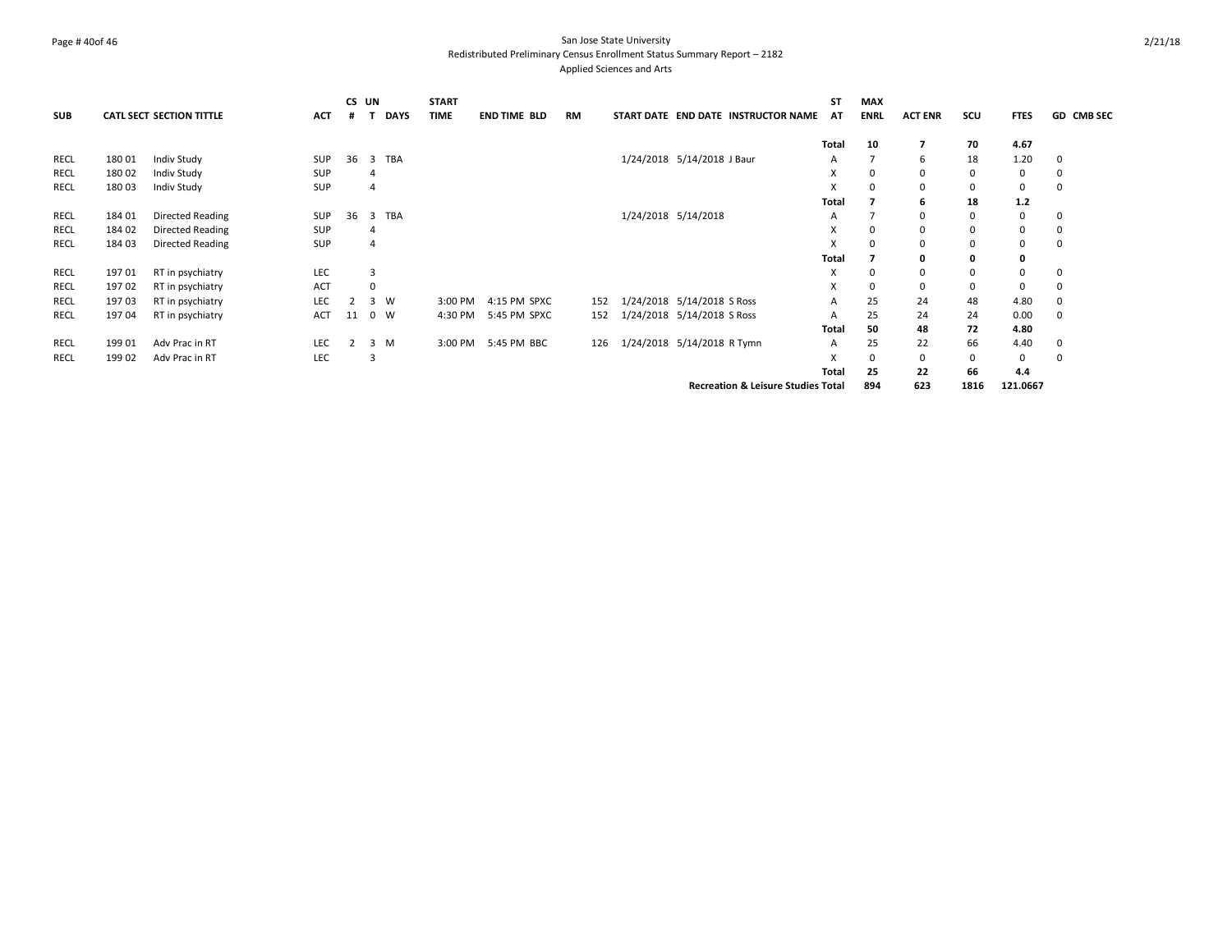## Page # 40of 46 San Jose State University Redistributed Preliminary Census Enrollment Status Summary Report – 2182 Applied Sciences and Arts

|             |        |                          |            | CS UN |                |             | <b>START</b> |                     |     |                            |                                               | <b>ST</b>    | <b>MAX</b>  |                |             |             |            |
|-------------|--------|--------------------------|------------|-------|----------------|-------------|--------------|---------------------|-----|----------------------------|-----------------------------------------------|--------------|-------------|----------------|-------------|-------------|------------|
| <b>SUB</b>  |        | CATL SECT SECTION TITTLE | <b>ACT</b> | #     |                | <b>DAYS</b> | <b>TIME</b>  | <b>END TIME BLD</b> | RM  |                            | START DATE END DATE INSTRUCTOR NAME           | AT           | <b>ENRL</b> | <b>ACT ENR</b> | scu         | <b>FTES</b> | GD CMB SEC |
|             |        |                          |            |       |                |             |              |                     |     |                            |                                               | Total        | 10          |                | 70          | 4.67        |            |
| <b>RECL</b> | 180 01 | Indiv Study              | <b>SUP</b> | 36    | 3              | <b>TBA</b>  |              |                     |     | 1/24/2018 5/14/2018 J Baur |                                               | A            | 7           | 6              | 18          | 1.20        | 0          |
| RECL        | 180 02 | Indiv Study              | <b>SUP</b> |       | 4              |             |              |                     |     |                            |                                               | X            | 0           | 0              | 0           | 0           | 0          |
| <b>RECL</b> | 180 03 | Indiv Study              | <b>SUP</b> |       | $\overline{4}$ |             |              |                     |     |                            |                                               | x            | 0           | 0              | 0           | 0           | 0          |
|             |        |                          |            |       |                |             |              |                     |     |                            |                                               | Total        |             | 6              | 18          | $1.2$       |            |
| <b>RECL</b> | 184 01 | Directed Reading         | <b>SUP</b> | 36    | 3              | <b>TBA</b>  |              |                     |     | 1/24/2018 5/14/2018        |                                               | А            | 7           | 0              | $\mathbf 0$ | 0           | 0          |
| <b>RECL</b> | 184 02 | Directed Reading         | <b>SUP</b> |       | $\overline{4}$ |             |              |                     |     |                            |                                               | X            | 0           | $\Omega$       | $\mathbf 0$ | 0           | 0          |
| RECL        | 184 03 | Directed Reading         | <b>SUP</b> |       | $\overline{4}$ |             |              |                     |     |                            |                                               | X            | 0           | 0              | 0           | 0           | 0          |
|             |        |                          |            |       |                |             |              |                     |     |                            |                                               | <b>Total</b> |             | 0              | 0           | 0           |            |
| <b>RECL</b> | 197 01 | RT in psychiatry         | <b>LEC</b> |       | 3              |             |              |                     |     |                            |                                               | X            | 0           | 0              | 0           | 0           | 0          |
| RECL        | 19702  | RT in psychiatry         | ACT        |       | $\mathbf 0$    |             |              |                     |     |                            |                                               | X            | 0           | 0              | 0           | 0           | 0          |
| <b>RECL</b> | 19703  | RT in psychiatry         | LEC        | 2     |                | 3 W         | 3:00 PM      | 4:15 PM SPXC        | 152 | 1/24/2018 5/14/2018 S Ross |                                               | A            | 25          | 24             | 48          | 4.80        | 0          |
| RECL        | 197 04 | RT in psychiatry         | <b>ACT</b> | 11    |                | 0 W         | 4:30 PM      | 5:45 PM SPXC        | 152 | 1/24/2018 5/14/2018 S Ross |                                               | А            | 25          | 24             | 24          | 0.00        | 0          |
|             |        |                          |            |       |                |             |              |                     |     |                            |                                               | Total        | 50          | 48             | 72          | 4.80        |            |
| <b>RECL</b> | 199 01 | Adv Prac in RT           | <b>LEC</b> |       |                | 3 M         | 3:00 PM      | 5:45 PM BBC         | 126 | 1/24/2018 5/14/2018 R Tymn |                                               | A            | 25          | 22             | 66          | 4.40        | 0          |
| <b>RECL</b> | 199 02 | Adv Prac in RT           | LEC        |       | 3              |             |              |                     |     |                            |                                               | x            | $\Omega$    | $\Omega$       | 0           | 0           | $\Omega$   |
|             |        |                          |            |       |                |             |              |                     |     |                            |                                               | Total        | 25          | 22             | 66          | 4.4         |            |
|             |        |                          |            |       |                |             |              |                     |     |                            | <b>Recreation &amp; Leisure Studies Total</b> |              | 894         | 623            | 1816        | 121.0667    |            |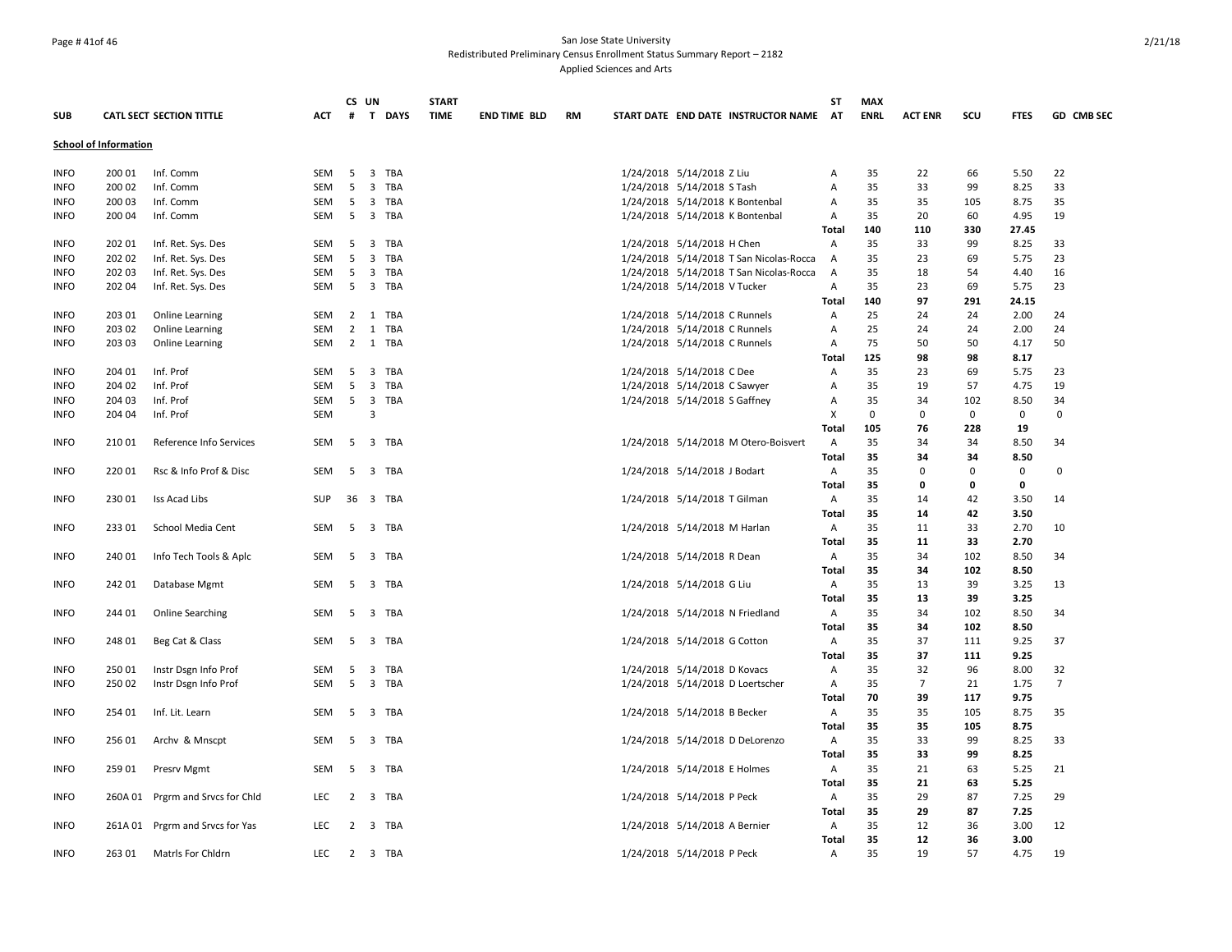## Page # 41of 46 San Jose State University Redistributed Preliminary Census Enrollment Status Summary Report – 2182 Applied Sciences and Arts

|             |                              |                                  |            |                | CS UN   | <b>START</b> |                     |    |                               |                                         | SΤ             | <b>MAX</b>  |                |             |             |                |
|-------------|------------------------------|----------------------------------|------------|----------------|---------|--------------|---------------------|----|-------------------------------|-----------------------------------------|----------------|-------------|----------------|-------------|-------------|----------------|
| <b>SUB</b>  |                              | CATL SECT SECTION TITTLE         | <b>ACT</b> | #              | T DAYS  | <b>TIME</b>  | <b>END TIME BLD</b> | RM |                               | START DATE END DATE INSTRUCTOR NAME AT  |                | <b>ENRL</b> | <b>ACT ENR</b> | scu         | <b>FTES</b> | GD CMB SEC     |
|             | <b>School of Information</b> |                                  |            |                |         |              |                     |    |                               |                                         |                |             |                |             |             |                |
| <b>INFO</b> | 200 01                       | Inf. Comm                        | SEM        | 5              | 3 TBA   |              |                     |    | 1/24/2018 5/14/2018 Z Liu     |                                         | Α              | 35          | 22             | 66          | 5.50        | 22             |
| <b>INFO</b> | 200 02                       | Inf. Comm                        | SEM        | 5              | 3 TBA   |              |                     |    | 1/24/2018 5/14/2018 S Tash    |                                         | Α              | 35          | 33             | 99          | 8.25        | 33             |
| <b>INFO</b> | 200 03                       | Inf. Comm                        | <b>SEM</b> | 5              | 3 TBA   |              |                     |    |                               | 1/24/2018 5/14/2018 K Bontenbal         | Α              | 35          | 35             | 105         | 8.75        | 35             |
| <b>INFO</b> | 200 04                       | Inf. Comm                        | <b>SEM</b> | 5              | 3 TBA   |              |                     |    |                               | 1/24/2018 5/14/2018 K Bontenbal         | Α              | 35          | 20             | 60          | 4.95        | 19             |
|             |                              |                                  |            |                |         |              |                     |    |                               |                                         | <b>Total</b>   | 140         | 110            | 330         | 27.45       |                |
| <b>INFO</b> | 202 01                       | Inf. Ret. Sys. Des               | SEM        | 5 <sup>5</sup> | 3 TBA   |              |                     |    | 1/24/2018 5/14/2018 H Chen    |                                         | Α              | 35          | 33             | 99          | 8.25        | 33             |
| <b>INFO</b> | 202 02                       | Inf. Ret. Sys. Des               | SEM        | 5              | 3 TBA   |              |                     |    |                               | 1/24/2018 5/14/2018 T San Nicolas-Rocca | A              | 35          | 23             | 69          | 5.75        | 23             |
| <b>INFO</b> | 202 03                       | Inf. Ret. Sys. Des               | SEM        | 5              | 3 TBA   |              |                     |    |                               | 1/24/2018 5/14/2018 T San Nicolas-Rocca | A              | 35          | 18             | 54          | 4.40        | 16             |
| <b>INFO</b> | 202 04                       | Inf. Ret. Sys. Des               | <b>SEM</b> | -5             | 3 TBA   |              |                     |    | 1/24/2018 5/14/2018 V Tucker  |                                         | $\overline{A}$ | 35          | 23             | 69          | 5.75        | 23             |
|             |                              |                                  |            |                |         |              |                     |    |                               |                                         | Total          | 140         | 97             | 291         | 24.15       |                |
| <b>INFO</b> | 203 01                       | Online Learning                  | <b>SEM</b> |                | 2 1 TBA |              |                     |    | 1/24/2018 5/14/2018 C Runnels |                                         | $\overline{A}$ | 25          | 24             | 24          | 2.00        | 24             |
| <b>INFO</b> | 203 02                       | Online Learning                  | <b>SEM</b> | $\overline{2}$ | 1 TBA   |              |                     |    | 1/24/2018 5/14/2018 C Runnels |                                         | Α              | 25          | 24             | 24          | 2.00        | 24             |
| <b>INFO</b> | 203 03                       | <b>Online Learning</b>           | SEM        |                | 2 1 TBA |              |                     |    | 1/24/2018 5/14/2018 C Runnels |                                         | Α              | 75          | 50             | 50          | 4.17        | 50             |
|             |                              |                                  |            |                |         |              |                     |    |                               |                                         | Total          | 125         | 98             | 98          | 8.17        |                |
| <b>INFO</b> | 204 01                       | Inf. Prof                        | SEM        | 5              | 3 TBA   |              |                     |    | 1/24/2018 5/14/2018 C Dee     |                                         | Α              | 35          | 23             | 69          | 5.75        | 23             |
| <b>INFO</b> | 204 02                       | Inf. Prof                        | <b>SEM</b> | 5              | 3 TBA   |              |                     |    | 1/24/2018 5/14/2018 C Sawyer  |                                         | Α              | 35          | 19             | 57          | 4.75        | 19             |
| <b>INFO</b> | 204 03                       | Inf. Prof                        | <b>SEM</b> | 5 <sup>5</sup> | 3 TBA   |              |                     |    | 1/24/2018 5/14/2018 S Gaffney |                                         | Α              | 35          | 34             | 102         | 8.50        | 34             |
| <b>INFO</b> | 204 04                       | Inf. Prof                        | <b>SEM</b> |                | 3       |              |                     |    |                               |                                         | X              | $\mathbf 0$ | $\mathbf 0$    | $\mathbf 0$ | 0           | $\mathbf 0$    |
|             |                              |                                  |            |                |         |              |                     |    |                               |                                         | Total          | 105         | 76             | 228         | 19          |                |
| <b>INFO</b> | 210 01                       | Reference Info Services          | SEM        | 5              | 3 TBA   |              |                     |    |                               | 1/24/2018 5/14/2018 M Otero-Boisvert    | Α              | 35          | 34             | 34          | 8.50        | 34             |
|             |                              |                                  |            |                |         |              |                     |    |                               |                                         | Total          | 35          | 34             | 34          | 8.50        |                |
| <b>INFO</b> | 220 01                       | Rsc & Info Prof & Disc           | <b>SEM</b> | 5              | 3 TBA   |              |                     |    | 1/24/2018 5/14/2018 J Bodart  |                                         | $\overline{A}$ | 35          | $\Omega$       | $\mathbf 0$ | 0           | $\Omega$       |
|             |                              |                                  |            |                |         |              |                     |    |                               |                                         | Total          | 35          | 0              | 0           | 0           |                |
| <b>INFO</b> | 230 01                       | Iss Acad Libs                    | SUP        | 36             | 3 TBA   |              |                     |    | 1/24/2018 5/14/2018 T Gilman  |                                         | A              | 35          | 14             | 42          | 3.50        | 14             |
|             |                              |                                  |            |                |         |              |                     |    |                               |                                         | Total          | 35          | 14             | 42          | 3.50        |                |
| <b>INFO</b> | 233 01                       | School Media Cent                | <b>SEM</b> |                | 5 3 TBA |              |                     |    | 1/24/2018 5/14/2018 M Harlan  |                                         | A              | 35          | 11             | 33          | 2.70        | 10             |
|             |                              |                                  |            |                |         |              |                     |    |                               |                                         | Total          | 35          | 11             | 33          | 2.70        |                |
| <b>INFO</b> | 240 01                       | Info Tech Tools & Aplc           | <b>SEM</b> | 5              | 3 TBA   |              |                     |    | 1/24/2018 5/14/2018 R Dean    |                                         | $\mathsf{A}$   | 35          | 34             | 102         | 8.50        | 34             |
|             |                              |                                  |            |                |         |              |                     |    |                               |                                         | Total          | 35          | 34             | 102         | 8.50        |                |
| <b>INFO</b> | 242 01                       | Database Mgmt                    | SEM        | 5              | 3 TBA   |              |                     |    | 1/24/2018 5/14/2018 G Liu     |                                         | A              | 35          | 13             | 39          | 3.25        | 13             |
|             |                              |                                  |            |                |         |              |                     |    |                               |                                         | Total          | 35          | 13             | 39          | 3.25        |                |
| <b>INFO</b> | 244 01                       | <b>Online Searching</b>          | SEM        | 5              | 3 TBA   |              |                     |    |                               | 1/24/2018 5/14/2018 N Friedland         | A              | 35          | 34             | 102         | 8.50        | 34             |
|             |                              |                                  |            |                |         |              |                     |    |                               |                                         | <b>Total</b>   | 35          | 34             | 102         | 8.50        |                |
| <b>INFO</b> | 248 01                       | Beg Cat & Class                  | <b>SEM</b> |                | 5 3 TBA |              |                     |    | 1/24/2018 5/14/2018 G Cotton  |                                         | Α              | 35          | 37             | 111         | 9.25        | 37             |
|             |                              |                                  |            |                |         |              |                     |    |                               |                                         | <b>Total</b>   | 35          | 37             | 111         | 9.25        |                |
| <b>INFO</b> | 250 01                       | Instr Dsgn Info Prof             | SEM        | 5              | 3 TBA   |              |                     |    | 1/24/2018 5/14/2018 D Kovacs  |                                         | Α              | 35          | 32             | 96          | 8.00        | 32             |
| <b>INFO</b> | 250 02                       | Instr Dsgn Info Prof             | <b>SEM</b> | 5              | 3 TBA   |              |                     |    |                               | 1/24/2018 5/14/2018 D Loertscher        | Α              | 35          | $\overline{7}$ | 21          | 1.75        | $\overline{7}$ |
|             |                              |                                  |            |                |         |              |                     |    |                               |                                         | Total          | 70          | 39             | 117         | 9.75        |                |
| <b>INFO</b> | 254 01                       | Inf. Lit. Learn                  | <b>SEM</b> |                | 5 3 TBA |              |                     |    | 1/24/2018 5/14/2018 B Becker  |                                         | A              | 35          | 35             | 105         | 8.75        | 35             |
|             |                              |                                  |            |                |         |              |                     |    |                               |                                         | Total          | 35          | 35             | 105         | 8.75        |                |
| <b>INFO</b> | 256 01                       | Archy & Mnscpt                   | SEM        | 5              | 3 TBA   |              |                     |    |                               | 1/24/2018 5/14/2018 D DeLorenzo         | Α              | 35          | 33             | 99          | 8.25        | 33             |
|             |                              |                                  |            |                |         |              |                     |    |                               |                                         | Total          | 35          | 33             | 99          | 8.25        |                |
| <b>INFO</b> | 259 01                       | Presrv Mgmt                      | <b>SEM</b> | 5              | 3 TBA   |              |                     |    | 1/24/2018 5/14/2018 E Holmes  |                                         | $\mathsf{A}$   | 35          | 21             | 63          | 5.25        | 21             |
|             |                              |                                  |            |                |         |              |                     |    |                               |                                         | Total          | 35          | 21             | 63          | 5.25        |                |
| <b>INFO</b> |                              | 260A 01 Prgrm and Srvcs for Chld | <b>LEC</b> | 2              | 3 TBA   |              |                     |    | 1/24/2018 5/14/2018 P Peck    |                                         | Α              | 35          | 29             | 87          | 7.25        | 29             |
|             |                              |                                  |            |                |         |              |                     |    |                               |                                         | Total          | 35          | 29             | 87          | 7.25        |                |
| <b>INFO</b> |                              | 261A 01 Prgrm and Srvcs for Yas  | <b>LEC</b> |                | 2 3 TBA |              |                     |    | 1/24/2018 5/14/2018 A Bernier |                                         | Α              | 35          | 12             | 36          | 3.00        | 12             |
|             |                              |                                  |            |                |         |              |                     |    |                               |                                         | Total          | 35          | 12             | 36          | 3.00        |                |
| <b>INFO</b> | 263 01                       | Matris For Chidrn                | LEC        |                | 2 3 TBA |              |                     |    | 1/24/2018 5/14/2018 P Peck    |                                         | Α              | 35          | 19             | 57          | 4.75        | 19             |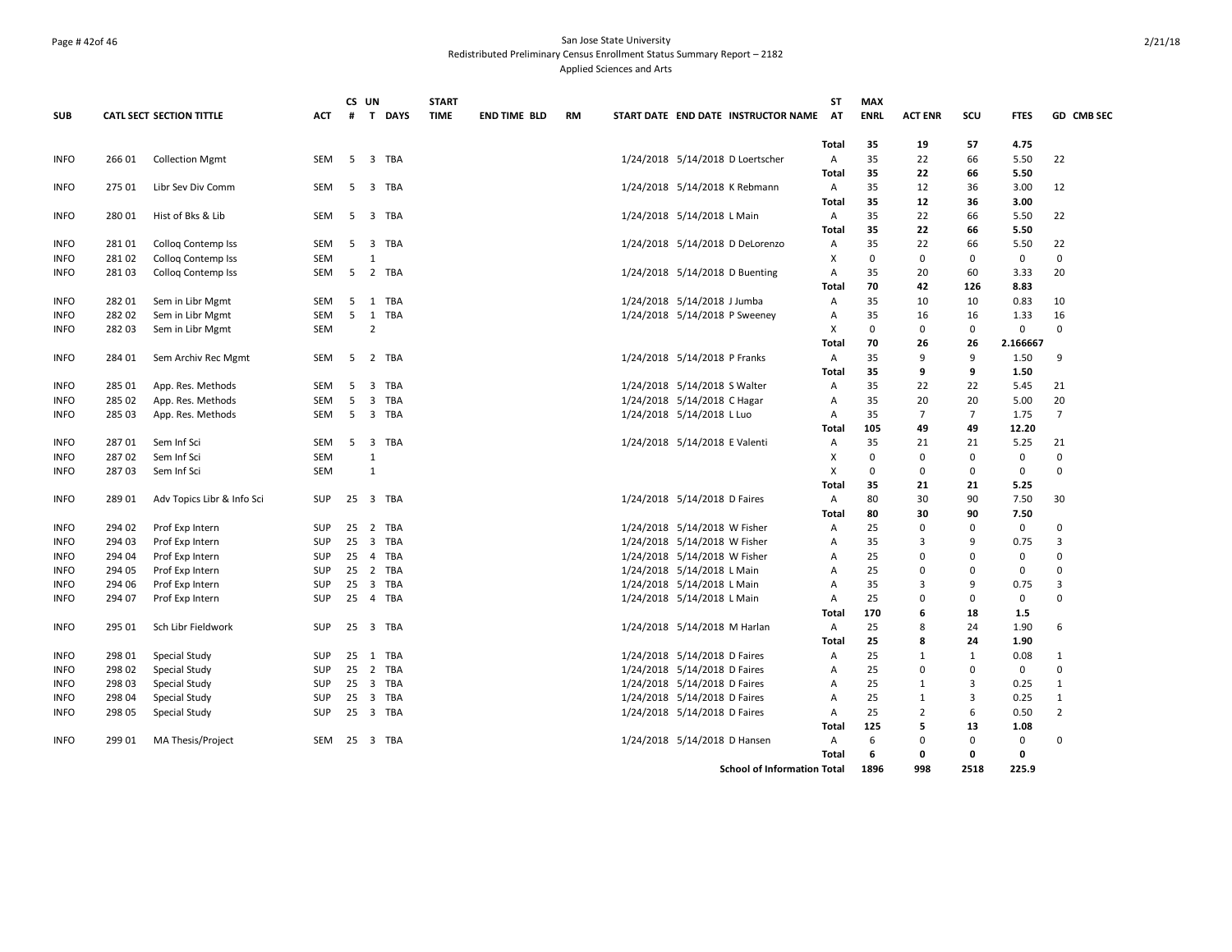## Page # 42of 46 San Jose State University Redistributed Preliminary Census Enrollment Status Summary Report – 2182 Applied Sciences and Arts

|             |        |                                 |            |    | CS UN                          | <b>START</b> |                     |           |                                     | <b>ST</b>    | <b>MAX</b>  |                |                |             |                |
|-------------|--------|---------------------------------|------------|----|--------------------------------|--------------|---------------------|-----------|-------------------------------------|--------------|-------------|----------------|----------------|-------------|----------------|
| <b>SUB</b>  |        | <b>CATL SECT SECTION TITTLE</b> | ACT        |    | # T DAYS                       | <b>TIME</b>  | <b>END TIME BLD</b> | <b>RM</b> | START DATE END DATE INSTRUCTOR NAME | AT           | <b>ENRL</b> | <b>ACT ENR</b> | SCU            | <b>FTES</b> | GD CMB SEC     |
|             |        |                                 |            |    |                                |              |                     |           |                                     | Total        | 35          | 19             | 57             | 4.75        |                |
| <b>INFO</b> | 266 01 | <b>Collection Mgmt</b>          | SEM        | 5  | 3 TBA                          |              |                     |           | 1/24/2018 5/14/2018 D Loertscher    | Α            | 35          | 22             | 66             | 5.50        | 22             |
|             |        |                                 |            |    |                                |              |                     |           |                                     | Total        | 35          | 22             | 66             | 5.50        |                |
| <b>INFO</b> | 275 01 | Libr Sev Div Comm               | SEM        | 5  | 3 TBA                          |              |                     |           | 1/24/2018 5/14/2018 K Rebmann       | Α            | 35          | 12             | 36             | 3.00        | 12             |
|             |        |                                 |            |    |                                |              |                     |           |                                     | <b>Total</b> | 35          | 12             | 36             | 3.00        |                |
| <b>INFO</b> | 280 01 | Hist of Bks & Lib               | SEM        | 5  | 3 TBA                          |              |                     |           | 1/24/2018 5/14/2018 L Main          | Α            | 35          | 22             | 66             | 5.50        | 22             |
|             |        |                                 |            |    |                                |              |                     |           |                                     | <b>Total</b> | 35          | 22             | 66             | 5.50        |                |
| <b>INFO</b> | 28101  | Colloq Contemp Iss              | SEM        | 5  | 3 TBA                          |              |                     |           | 1/24/2018 5/14/2018 D DeLorenzo     | Α            | 35          | 22             | 66             | 5.50        | 22             |
| <b>INFO</b> | 28102  | Collog Contemp Iss              | <b>SEM</b> |    | $\mathbf{1}$                   |              |                     |           |                                     | X            | $\mathbf 0$ | $\Omega$       | $\mathbf 0$    | $\mathbf 0$ | $\mathbf 0$    |
| <b>INFO</b> | 28103  | Collog Contemp Iss              | SEM        |    | 5 2 TBA                        |              |                     |           | 1/24/2018 5/14/2018 D Buenting      | Α            | 35          | 20             | 60             | 3.33        | 20             |
|             |        |                                 |            |    |                                |              |                     |           |                                     | <b>Total</b> | 70          | 42             | 126            | 8.83        |                |
| <b>INFO</b> | 282 01 | Sem in Libr Mgmt                | <b>SEM</b> | 5  | 1 TBA                          |              |                     |           | 1/24/2018 5/14/2018 J Jumba         | Α            | 35          | 10             | 10             | 0.83        | 10             |
| <b>INFO</b> | 282 02 | Sem in Libr Mgmt                | SEM        | 5  | 1 TBA                          |              |                     |           | 1/24/2018 5/14/2018 P Sweeney       | Α            | 35          | 16             | 16             | 1.33        | 16             |
| <b>INFO</b> | 282 03 | Sem in Libr Mgmt                | <b>SEM</b> |    | $\overline{2}$                 |              |                     |           |                                     | X            | $\mathbf 0$ | $\Omega$       | 0              | 0           | $\Omega$       |
|             |        |                                 |            |    |                                |              |                     |           |                                     | Total        | 70          | 26             | 26             | 2.166667    |                |
| <b>INFO</b> | 284 01 | Sem Archiv Rec Mgmt             | <b>SEM</b> | -5 | 2 TBA                          |              |                     |           | 1/24/2018 5/14/2018 P Franks        | A            | 35          | 9              | 9              | 1.50        | 9              |
|             |        |                                 |            |    |                                |              |                     |           |                                     | Total        | 35          | 9              | 9              | 1.50        |                |
| <b>INFO</b> | 285 01 | App. Res. Methods               | <b>SEM</b> | -5 | $\overline{3}$<br>TBA          |              |                     |           | 1/24/2018 5/14/2018 S Walter        | A            | 35          | 22             | 22             | 5.45        | 21             |
| <b>INFO</b> | 285 02 | App. Res. Methods               | SEM        | 5  | 3 TBA                          |              |                     |           | 1/24/2018 5/14/2018 C Hagar         | Α            | 35          | 20             | 20             | 5.00        | 20             |
| <b>INFO</b> | 285 03 | App. Res. Methods               | <b>SEM</b> | 5  | 3 TBA                          |              |                     |           | 1/24/2018 5/14/2018 L Luo           | Α            | 35          | $\overline{7}$ | $\overline{7}$ | 1.75        | $\overline{7}$ |
|             |        |                                 |            |    |                                |              |                     |           |                                     | Total        | 105         | 49             | 49             | 12.20       |                |
| <b>INFO</b> | 28701  | Sem Inf Sci                     | <b>SEM</b> | 5  | $\overline{\mathbf{3}}$<br>TBA |              |                     |           | 1/24/2018 5/14/2018 E Valenti       | Α            | 35          | 21             | 21             | 5.25        | 21             |
| <b>INFO</b> | 28702  | Sem Inf Sci                     | <b>SEM</b> |    | $\mathbf{1}$                   |              |                     |           |                                     | X            | 0           | 0              | $\mathbf 0$    | 0           | $\mathbf 0$    |
| <b>INFO</b> | 28703  | Sem Inf Sci                     | <b>SEM</b> |    | $\mathbf{1}$                   |              |                     |           |                                     | X            | 0           | 0              | 0              | 0           | $\Omega$       |
|             |        |                                 |            |    |                                |              |                     |           |                                     | Total        | 35          | 21             | 21             | 5.25        |                |
| <b>INFO</b> | 28901  | Adv Topics Libr & Info Sci      | <b>SUP</b> |    | 25 3 TBA                       |              |                     |           | 1/24/2018 5/14/2018 D Faires        | Α            | 80          | 30             | 90             | 7.50        | 30             |
|             |        |                                 |            |    |                                |              |                     |           |                                     | Total        | 80          | 30             | 90             | 7.50        |                |
| <b>INFO</b> | 294 02 | Prof Exp Intern                 | <b>SUP</b> |    | 25 2 TBA                       |              |                     |           | 1/24/2018 5/14/2018 W Fisher        | Α            | 25          | 0              | 0              | 0           | 0              |
| <b>INFO</b> | 294 03 | Prof Exp Intern                 | <b>SUP</b> |    | 25 3 TBA                       |              |                     |           | 1/24/2018 5/14/2018 W Fisher        | Α            | 35          | 3              | 9              | 0.75        | 3              |
| <b>INFO</b> | 294 04 | Prof Exp Intern                 | <b>SUP</b> | 25 | 4 TBA                          |              |                     |           | 1/24/2018 5/14/2018 W Fisher        | Α            | 25          | $\Omega$       | 0              | 0           | $\Omega$       |
| <b>INFO</b> | 294 05 | Prof Exp Intern                 | <b>SUP</b> |    | 25 2 TBA                       |              |                     |           | 1/24/2018 5/14/2018 L Main          | Α            | 25          | $\Omega$       | 0              | 0           | $\Omega$       |
| <b>INFO</b> | 294 06 | Prof Exp Intern                 | <b>SUP</b> | 25 | 3 TBA                          |              |                     |           | 1/24/2018 5/14/2018 L Main          | Α            | 35          | 3              | 9              | 0.75        | 3              |
| <b>INFO</b> | 294 07 | Prof Exp Intern                 | <b>SUP</b> |    | 25 4 TBA                       |              |                     |           | 1/24/2018 5/14/2018 L Main          | A            | 25          | $\Omega$       | $\mathbf 0$    | 0           | $\Omega$       |
|             |        |                                 |            |    |                                |              |                     |           |                                     | Total        | 170         | 6              | 18             | 1.5         |                |
| <b>INFO</b> | 295 01 | Sch Libr Fieldwork              | <b>SUP</b> |    | 25 3 TBA                       |              |                     |           | 1/24/2018 5/14/2018 M Harlan        | Α            | 25          | 8              | 24             | 1.90        | 6              |
|             |        |                                 |            |    |                                |              |                     |           |                                     | <b>Total</b> | 25          | 8              | 24             | 1.90        |                |
| <b>INFO</b> | 298 01 | Special Study                   | <b>SUP</b> |    | 25 1 TBA                       |              |                     |           | 1/24/2018 5/14/2018 D Faires        | Α            | 25          | $\mathbf{1}$   | $\mathbf{1}$   | 0.08        | $\mathbf{1}$   |
| <b>INFO</b> | 298 02 | Special Study                   | SUP        |    | 25 2 TBA                       |              |                     |           | 1/24/2018 5/14/2018 D Faires        | Α            | 25          | $\Omega$       | 0              | 0           | $\Omega$       |
| <b>INFO</b> | 298 03 | Special Study                   | <b>SUP</b> |    | 25 3 TBA                       |              |                     |           | 1/24/2018 5/14/2018 D Faires        | Α            | 25          | $\mathbf{1}$   | 3              | 0.25        | $\mathbf{1}$   |
| <b>INFO</b> | 298 04 | Special Study                   | <b>SUP</b> | 25 | 3 TBA                          |              |                     |           | 1/24/2018 5/14/2018 D Faires        | A            | 25          | $\mathbf{1}$   | 3              | 0.25        | $\mathbf{1}$   |
| <b>INFO</b> | 298 05 | Special Study                   | <b>SUP</b> | 25 | 3 TBA                          |              |                     |           | 1/24/2018 5/14/2018 D Faires        | Α            | 25          | $\overline{2}$ | 6              | 0.50        | $\overline{2}$ |
|             |        |                                 |            |    |                                |              |                     |           |                                     | Total        | 125         | 5              | 13             | 1.08        |                |
| <b>INFO</b> | 299 01 | MA Thesis/Project               | SEM        |    | 25 3 TBA                       |              |                     |           | 1/24/2018 5/14/2018 D Hansen        | Α            | 6           | $\Omega$       | $\mathbf 0$    | 0           | $\Omega$       |
|             |        |                                 |            |    |                                |              |                     |           |                                     | Total        | 6           | 0              | 0              | 0           |                |
|             |        |                                 |            |    |                                |              |                     |           | <b>School of Information Total</b>  |              | 1896        | 998            | 2518           | 225.9       |                |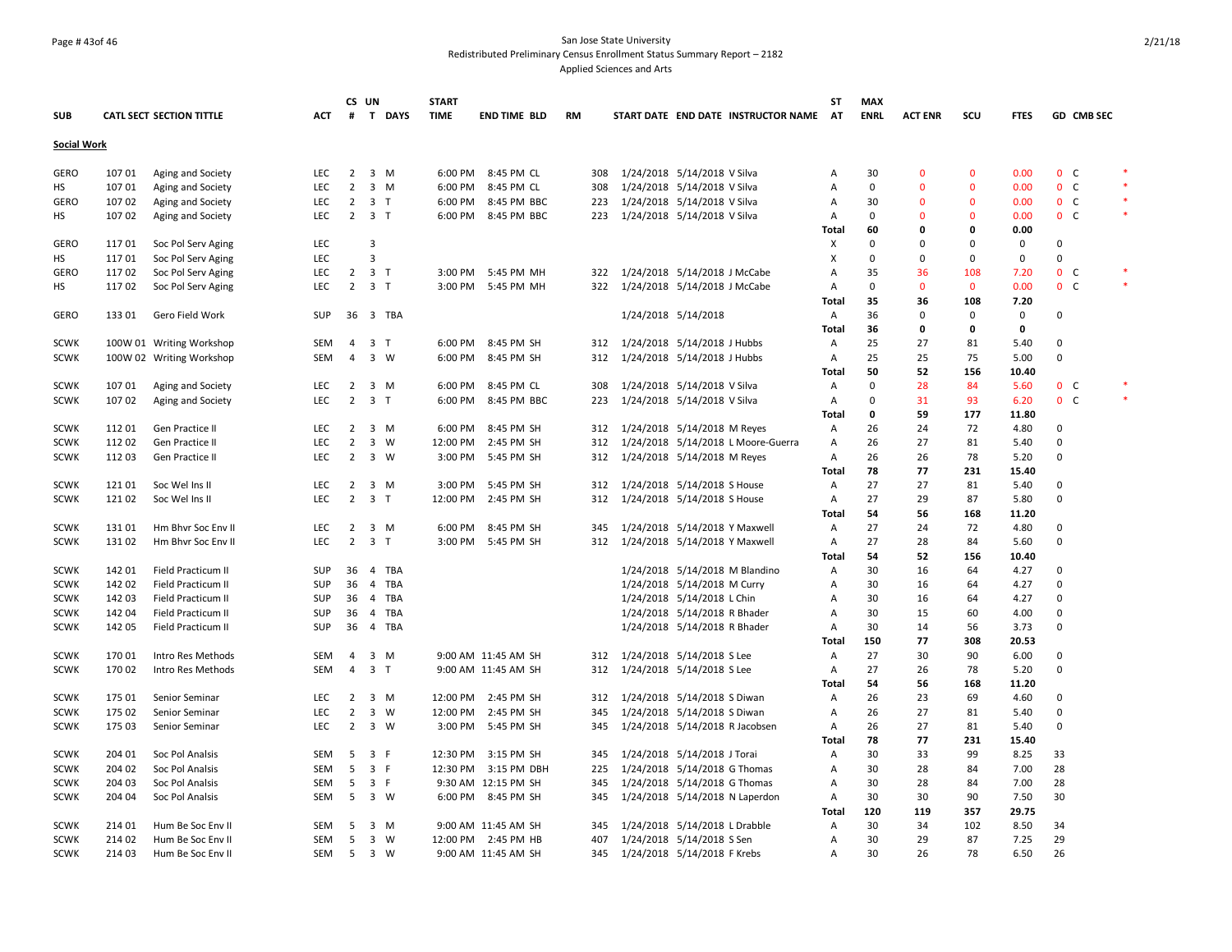## Page # 43of 46 San Jose State University Redistributed Preliminary Census Enrollment Status Summary Report – 2182 Applied Sciences and Arts

|                    |        |                                 |            | CS UN          |                                | <b>START</b> |                      |           |     |                                |                             |                                     | ST             | <b>MAX</b>  |                |              |             |             |                |        |
|--------------------|--------|---------------------------------|------------|----------------|--------------------------------|--------------|----------------------|-----------|-----|--------------------------------|-----------------------------|-------------------------------------|----------------|-------------|----------------|--------------|-------------|-------------|----------------|--------|
| <b>SUB</b>         |        | <b>CATL SECT SECTION TITTLE</b> | <b>ACT</b> | #              | T DAYS                         | <b>TIME</b>  | <b>END TIME BLD</b>  | <b>RM</b> |     |                                |                             | START DATE END DATE INSTRUCTOR NAME | AT             | <b>ENRL</b> | <b>ACT ENR</b> | scu          | <b>FTES</b> |             | GD CMB SEC     |        |
| <b>Social Work</b> |        |                                 |            |                |                                |              |                      |           |     |                                |                             |                                     |                |             |                |              |             |             |                |        |
| <b>GERO</b>        | 107 01 | Aging and Society               | <b>LEC</b> | $\overline{2}$ | 3 M                            |              | 6:00 PM 8:45 PM CL   |           | 308 | 1/24/2018 5/14/2018 V Silva    |                             |                                     | Α              | 30          | $\mathbf{0}$   | 0            | 0.00        |             | 0 <sup>o</sup> |        |
| HS                 | 107 01 | Aging and Society               | <b>LEC</b> | 2              | 3 M                            | 6:00 PM      | 8:45 PM CL           |           | 308 | 1/24/2018 5/14/2018 V Silva    |                             |                                     | Α              | $\Omega$    | $\Omega$       | $\Omega$     | 0.00        |             | 0 <sub>c</sub> |        |
| <b>GERO</b>        | 107 02 | Aging and Society               | LEC        | $\overline{2}$ | 3 <sub>T</sub>                 | 6:00 PM      | 8:45 PM BBC          |           | 223 | 1/24/2018 5/14/2018 V Silva    |                             |                                     | Α              | 30          | $\mathbf 0$    | $\mathbf 0$  | 0.00        |             | 0 <sup>o</sup> |        |
| НS                 | 107 02 | Aging and Society               | <b>LEC</b> | $\overline{2}$ | 3 T                            |              | 6:00 PM 8:45 PM BBC  |           | 223 | 1/24/2018 5/14/2018 V Silva    |                             |                                     | A              | 0           | $\Omega$       | $\Omega$     | 0.00        |             | 0 <sup>o</sup> | $\ast$ |
|                    |        |                                 |            |                |                                |              |                      |           |     |                                |                             |                                     | Total          | 60          | 0              | 0            | 0.00        |             |                |        |
| GERO               | 11701  | Soc Pol Serv Aging              | <b>LEC</b> |                | 3                              |              |                      |           |     |                                |                             |                                     | х              | $\Omega$    | <sup>0</sup>   | $\Omega$     | $\mathbf 0$ | $\Omega$    |                |        |
| HS                 | 11701  | Soc Pol Serv Aging              | LEC        |                | $\overline{3}$                 |              |                      |           |     |                                |                             |                                     | X              | 0           | $\Omega$       | 0            | 0           | $\Omega$    |                |        |
| <b>GERO</b>        | 11702  | Soc Pol Serv Aging              | <b>LEC</b> | $\overline{2}$ | 3 <sub>T</sub>                 |              | 3:00 PM 5:45 PM MH   |           | 322 | 1/24/2018 5/14/2018 J McCabe   |                             |                                     | Α              | 35          | 36             | 108          | 7.20        |             | 0 <sup>o</sup> |        |
|                    | 11702  |                                 | <b>LEC</b> | $\overline{2}$ | 3 <sub>T</sub>                 | 3:00 PM      | 5:45 PM MH           |           | 322 | 1/24/2018 5/14/2018 J McCabe   |                             |                                     | A              | 0           | $\mathbf{0}$   | $\mathbf{0}$ | 0.00        |             | 0 <sub>c</sub> |        |
| НS                 |        | Soc Pol Serv Aging              |            |                |                                |              |                      |           |     |                                |                             |                                     | <b>Total</b>   | 35          | 36             | 108          | 7.20        |             |                |        |
|                    |        |                                 |            |                |                                |              |                      |           |     |                                |                             |                                     |                |             |                |              |             |             |                |        |
| GERO               | 133 01 | Gero Field Work                 | SUP        |                | 36 3 TBA                       |              |                      |           |     | 1/24/2018 5/14/2018            |                             |                                     | A              | 36          | $\Omega$       | 0            | 0           | 0           |                |        |
|                    |        |                                 |            |                |                                |              |                      |           |     |                                |                             |                                     | Total          | 36          | 0              | 0            | 0           |             |                |        |
| <b>SCWK</b>        |        | 100W 01 Writing Workshop        | SEM        | 4              | 3 <sub>T</sub>                 |              | 6:00 PM 8:45 PM SH   |           | 312 | 1/24/2018 5/14/2018 J Hubbs    |                             |                                     | A              | 25          | 27             | 81           | 5.40        | 0           |                |        |
| <b>SCWK</b>        |        | 100W 02 Writing Workshop        | SEM        | $\overline{a}$ | 3 W                            | 6:00 PM      | 8:45 PM SH           |           | 312 | 1/24/2018 5/14/2018 J Hubbs    |                             |                                     | Α              | 25          | 25             | 75           | 5.00        | $\Omega$    |                |        |
|                    |        |                                 |            |                |                                |              |                      |           |     |                                |                             |                                     | Total          | 50          | 52             | 156          | 10.40       |             |                |        |
| <b>SCWK</b>        | 107 01 | Aging and Society               | <b>LEC</b> | 2              | 3 M                            | 6:00 PM      | 8:45 PM CL           |           | 308 | 1/24/2018 5/14/2018 V Silva    |                             |                                     | A              | 0           | 28             | 84           | 5.60        |             | 0 <sup>o</sup> |        |
| <b>SCWK</b>        | 10702  | Aging and Society               | <b>LEC</b> | 2              | 3 <sub>T</sub>                 | 6:00 PM      | 8:45 PM BBC          |           | 223 | 1/24/2018 5/14/2018 V Silva    |                             |                                     | $\overline{A}$ | 0           | 31             | 93           | 6.20        |             | $0\quad C$     |        |
|                    |        |                                 |            |                |                                |              |                      |           |     |                                |                             |                                     | <b>Total</b>   | 0           | 59             | 177          | 11.80       |             |                |        |
| <b>SCWK</b>        | 112 01 | Gen Practice II                 | LEC        | 2              | 3 M                            | 6:00 PM      | 8:45 PM SH           |           | 312 | 1/24/2018 5/14/2018 M Reyes    |                             |                                     | A              | 26          | 24             | 72           | 4.80        | 0           |                |        |
| <b>SCWK</b>        | 112 02 | Gen Practice II                 | LEC        | $\overline{2}$ | 3 W                            | 12:00 PM     | 2:45 PM SH           |           | 312 |                                |                             | 1/24/2018 5/14/2018 L Moore-Guerra  | A              | 26          | 27             | 81           | 5.40        | $\Omega$    |                |        |
| <b>SCWK</b>        | 11203  | Gen Practice II                 | <b>LEC</b> |                | $2 \quad 3 \quad W$            | 3:00 PM      | 5:45 PM SH           |           | 312 | 1/24/2018 5/14/2018 M Reyes    |                             |                                     | $\overline{A}$ | 26          | 26             | 78           | 5.20        | $\Omega$    |                |        |
|                    |        |                                 |            |                |                                |              |                      |           |     |                                |                             |                                     | <b>Total</b>   | 78          | 77             | 231          | 15.40       |             |                |        |
| <b>SCWK</b>        | 121 01 | Soc Wel Ins II                  | <b>LEC</b> | 2              | $\overline{\mathbf{3}}$<br>M   | 3:00 PM      | 5:45 PM SH           |           | 312 | 1/24/2018 5/14/2018 S House    |                             |                                     | Α              | 27          | 27             | 81           | 5.40        | 0           |                |        |
| <b>SCWK</b>        | 121 02 | Soc Wel Ins II                  | <b>LEC</b> | $\overline{2}$ | 3 <sub>T</sub>                 |              | 12:00 PM 2:45 PM SH  |           | 312 | 1/24/2018 5/14/2018 S House    |                             |                                     | Α              | 27          | 29             | 87           | 5.80        | $\Omega$    |                |        |
|                    |        |                                 |            |                |                                |              |                      |           |     |                                |                             |                                     | Total          | 54          | 56             | 168          | 11.20       |             |                |        |
| <b>SCWK</b>        | 131 01 | Hm Bhvr Soc Env II              | LEC        | $\overline{2}$ | 3 M                            | 6:00 PM      | 8:45 PM SH           |           | 345 | 1/24/2018 5/14/2018 Y Maxwell  |                             |                                     | Α              | 27          | 24             | 72           | 4.80        | 0           |                |        |
| <b>SCWK</b>        | 13102  | Hm Bhvr Soc Env II              | <b>LEC</b> | $\overline{2}$ | 3 <sub>T</sub>                 | 3:00 PM      | 5:45 PM SH           |           | 312 | 1/24/2018 5/14/2018 Y Maxwell  |                             |                                     | A              | 27          | 28             | 84           | 5.60        | $\Omega$    |                |        |
|                    |        |                                 |            |                |                                |              |                      |           |     |                                |                             |                                     | Total          | 54          | 52             | 156          | 10.40       |             |                |        |
| <b>SCWK</b>        | 142 01 | Field Practicum II              | <b>SUP</b> | 36             | 4 TBA                          |              |                      |           |     | 1/24/2018 5/14/2018 M Blandino |                             |                                     | Α              | 30          | 16             | 64           | 4.27        | $\Omega$    |                |        |
| <b>SCWK</b>        | 142 02 | Field Practicum II              | <b>SUP</b> | 36             | <b>TBA</b><br>$\overline{4}$   |              |                      |           |     | 1/24/2018 5/14/2018 M Curry    |                             |                                     | Α              | 30          | 16             | 64           | 4.27        | 0           |                |        |
| <b>SCWK</b>        | 142 03 | Field Practicum II              | <b>SUP</b> | 36             | $\overline{4}$<br>TBA          |              |                      |           |     | 1/24/2018 5/14/2018 L Chin     |                             |                                     | Α              | 30          | 16             | 64           | 4.27        | $\Omega$    |                |        |
|                    | 142 04 |                                 |            |                | $\overline{4}$<br>TBA          |              |                      |           |     |                                |                             |                                     |                | 30          | 15             | 60           |             | $\mathbf 0$ |                |        |
| <b>SCWK</b>        |        | Field Practicum II              | <b>SUP</b> | 36             |                                |              |                      |           |     | 1/24/2018 5/14/2018 R Bhader   |                             |                                     | Α              |             |                |              | 4.00        | $\Omega$    |                |        |
| <b>SCWK</b>        | 142 05 | Field Practicum II              | <b>SUP</b> | 36             | $\overline{4}$<br>TBA          |              |                      |           |     | 1/24/2018 5/14/2018 R Bhader   |                             |                                     | $\overline{A}$ | 30          | 14<br>77       | 56           | 3.73        |             |                |        |
|                    |        |                                 |            |                |                                |              |                      |           |     |                                |                             |                                     | Total          | 150         |                | 308          | 20.53       |             |                |        |
| <b>SCWK</b>        | 170 01 | Intro Res Methods               | SEM        | 4              | 3 M                            |              | 9:00 AM 11:45 AM SH  |           | 312 | 1/24/2018 5/14/2018 S Lee      |                             |                                     | Α              | 27          | 30             | 90           | 6.00        | 0           |                |        |
| <b>SCWK</b>        | 170 02 | Intro Res Methods               | <b>SEM</b> | $\overline{4}$ | 3 <sub>T</sub>                 |              | 9:00 AM 11:45 AM SH  |           | 312 | 1/24/2018 5/14/2018 S Lee      |                             |                                     | Α              | 27          | 26             | 78           | 5.20        | $\mathbf 0$ |                |        |
|                    |        |                                 |            |                |                                |              |                      |           |     |                                |                             |                                     | <b>Total</b>   | 54          | 56             | 168          | 11.20       |             |                |        |
| <b>SCWK</b>        | 175 01 | Senior Seminar                  | LEC        | 2              | 3 M                            | 12:00 PM     | 2:45 PM SH           |           | 312 | 1/24/2018 5/14/2018 S Diwan    |                             |                                     | A              | 26          | 23             | 69           | 4.60        | 0           |                |        |
| <b>SCWK</b>        | 175 02 | Senior Seminar                  | <b>LEC</b> | $\overline{2}$ | $\overline{\mathbf{3}}$<br>- W | 12:00 PM     | 2:45 PM SH           |           | 345 | 1/24/2018 5/14/2018 S Diwan    |                             |                                     | Α              | 26          | 27             | 81           | 5.40        | 0           |                |        |
| <b>SCWK</b>        | 175 03 | Senior Seminar                  | <b>LEC</b> | $\overline{2}$ | 3 W                            | 3:00 PM      | 5:45 PM SH           |           | 345 | 1/24/2018 5/14/2018 R Jacobsen |                             |                                     | Α              | 26          | 27             | 81           | 5.40        | $\Omega$    |                |        |
|                    |        |                                 |            |                |                                |              |                      |           |     |                                |                             |                                     | Total          | 78          | 77             | 231          | 15.40       |             |                |        |
| <b>SCWK</b>        | 204 01 | Soc Pol Analsis                 | SEM        | 5              | 3 F                            | 12:30 PM     | 3:15 PM SH           |           | 345 |                                | 1/24/2018 5/14/2018 J Torai |                                     | A              | 30          | 33             | 99           | 8.25        | 33          |                |        |
| <b>SCWK</b>        | 204 02 | Soc Pol Analsis                 | <b>SEM</b> | 5              | 3 F                            |              | 12:30 PM 3:15 PM DBH |           | 225 | 1/24/2018 5/14/2018 G Thomas   |                             |                                     | Α              | 30          | 28             | 84           | 7.00        | 28          |                |        |
| <b>SCWK</b>        | 204 03 | Soc Pol Analsis                 | SEM        | 5              | 3 F                            |              | 9:30 AM 12:15 PM SH  |           | 345 | 1/24/2018 5/14/2018 G Thomas   |                             |                                     | Α              | 30          | 28             | 84           | 7.00        | 28          |                |        |
| <b>SCWK</b>        | 204 04 | Soc Pol Analsis                 | SEM        | 5              | 3 W                            |              | 6:00 PM 8:45 PM SH   |           | 345 | 1/24/2018 5/14/2018 N Laperdon |                             |                                     | Α              | 30          | 30             | 90           | 7.50        | 30          |                |        |
|                    |        |                                 |            |                |                                |              |                      |           |     |                                |                             |                                     | Total          | 120         | 119            | 357          | 29.75       |             |                |        |
| <b>SCWK</b>        | 214 01 | Hum Be Soc Env II               | SEM        | 5              | 3 M                            |              | 9:00 AM 11:45 AM SH  |           | 345 | 1/24/2018 5/14/2018 L Drabble  |                             |                                     | Α              | 30          | 34             | 102          | 8.50        | 34          |                |        |
| <b>SCWK</b>        | 214 02 | Hum Be Soc Env II               | <b>SEM</b> | 5              | $3 \quad W$                    |              | 12:00 PM 2:45 PM HB  |           | 407 | 1/24/2018 5/14/2018 S Sen      |                             |                                     | $\overline{A}$ | 30          | 29             | 87           | 7.25        | 29          |                |        |
| <b>SCWK</b>        | 214 03 | Hum Be Soc Env II               | SEM        | 5 <sup>5</sup> | 3 W                            |              | 9:00 AM 11:45 AM SH  |           | 345 | 1/24/2018 5/14/2018 F Krebs    |                             |                                     | Α              | 30          | 26             | 78           | 6.50        | 26          |                |        |
|                    |        |                                 |            |                |                                |              |                      |           |     |                                |                             |                                     |                |             |                |              |             |             |                |        |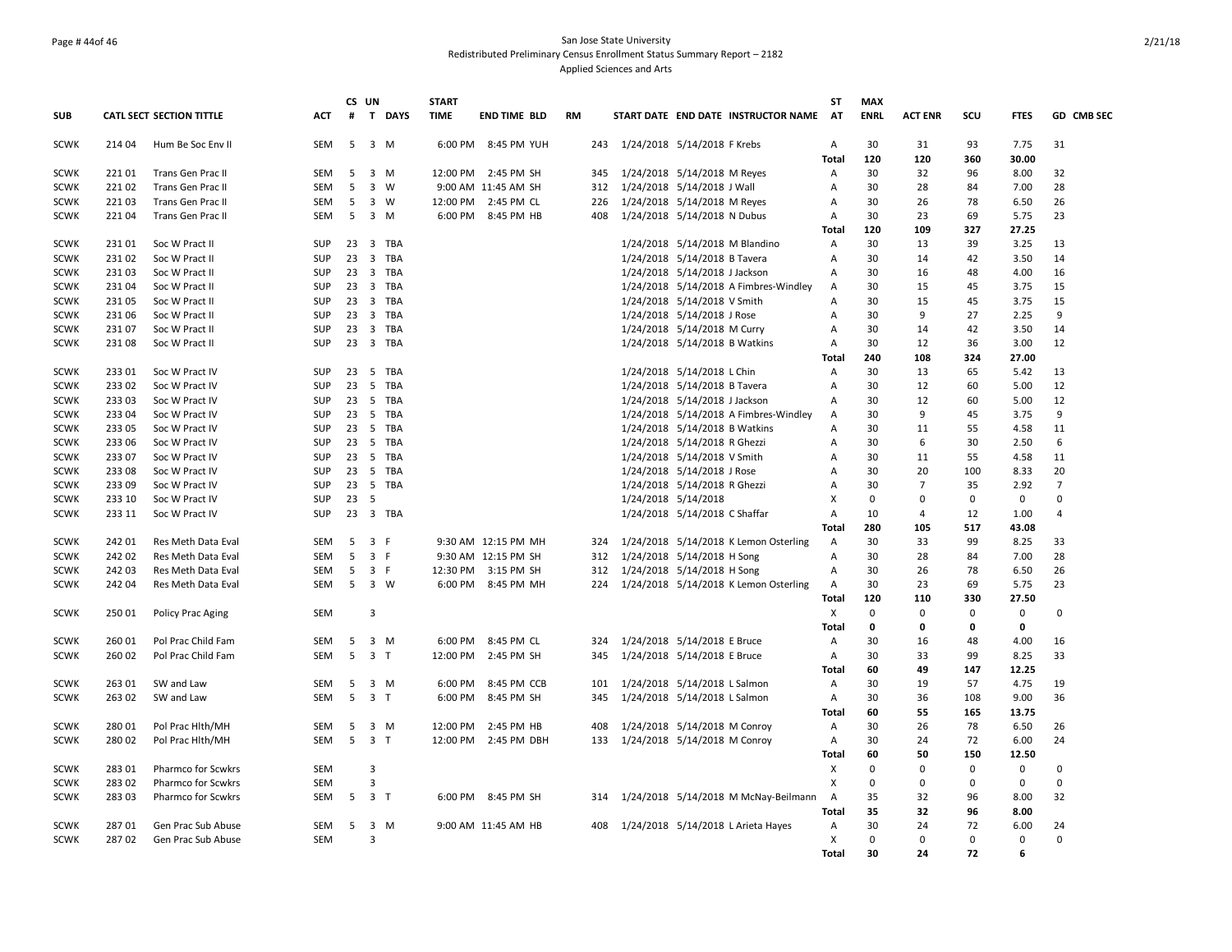## Page # 44of 46 San Jose State University Redistributed Preliminary Census Enrollment Status Summary Report – 2182 Applied Sciences and Arts

|                            |                |                                          |                          |    | CS UN               |                 | <b>START</b> |                     |           |     |                                                                        | ST                        | <b>MAX</b>  |                |             |              |                |
|----------------------------|----------------|------------------------------------------|--------------------------|----|---------------------|-----------------|--------------|---------------------|-----------|-----|------------------------------------------------------------------------|---------------------------|-------------|----------------|-------------|--------------|----------------|
| <b>SUB</b>                 |                | <b>CATL SECT SECTION TITTLE</b>          | <b>ACT</b>               | #  |                     | T DAYS          | <b>TIME</b>  | <b>END TIME BLD</b> | <b>RM</b> |     | START DATE END DATE INSTRUCTOR NAME                                    | AT                        | <b>ENRL</b> | <b>ACT ENR</b> | SCU         | <b>FTES</b>  | GD CMB SEC     |
| <b>SCWK</b>                | 21404          | Hum Be Soc Env II                        | <b>SEM</b>               | 5  |                     | 3 M             | 6:00 PM      | 8:45 PM YUH         |           | 243 | 1/24/2018 5/14/2018 F Krebs                                            | Α                         | 30          | 31             | 93          | 7.75         | 31             |
|                            |                |                                          |                          |    |                     |                 |              |                     |           |     |                                                                        | Total                     | 120         | 120            | 360         | 30.00        |                |
| <b>SCWK</b>                | 22101          | Trans Gen Prac II                        | <b>SEM</b>               | 5  |                     | 3 M             | 12:00 PM     | 2:45 PM SH          |           | 345 | 1/24/2018 5/14/2018 M Reyes                                            | A                         | 30          | 32             | 96          | 8.00         | 32             |
| <b>SCWK</b>                | 221 02         | Trans Gen Prac II                        | <b>SEM</b>               | 5  |                     | 3 W             |              | 9:00 AM 11:45 AM SH |           | 312 | 1/24/2018 5/14/2018 J Wall                                             | Α                         | 30          | 28             | 84          | 7.00         | 28             |
| <b>SCWK</b>                | 221 03         | Trans Gen Prac II                        | <b>SEM</b>               | 5  |                     | 3 W             | 12:00 PM     | 2:45 PM CL          |           | 226 | 1/24/2018 5/14/2018 M Reyes                                            | Α                         | 30          | 26             | 78          | 6.50         | 26             |
| <b>SCWK</b>                | 22104          | Trans Gen Prac II                        | SEM                      | 5  |                     | 3 M             | 6:00 PM      | 8:45 PM HB          |           | 408 | 1/24/2018 5/14/2018 N Dubus                                            | A                         | 30          | 23             | 69          | 5.75         | 23             |
|                            |                |                                          |                          |    |                     |                 |              |                     |           |     |                                                                        | Total                     | 120         | 109            | 327         | 27.25        |                |
| <b>SCWK</b>                | 23101<br>23102 | Soc W Pract II                           | <b>SUP</b><br><b>SUP</b> |    | $23 \quad 3$        | TBA<br>23 3 TBA |              |                     |           |     | 1/24/2018 5/14/2018 M Blandino                                         | $\mathsf{A}$<br>A         | 30<br>30    | 13             | 39<br>42    | 3.25         | 13<br>14       |
| <b>SCWK</b><br><b>SCWK</b> | 23103          | Soc W Pract II<br>Soc W Pract II         | <b>SUP</b>               | 23 |                     | 3 TBA           |              |                     |           |     | 1/24/2018 5/14/2018 B Tavera                                           | $\mathsf{A}$              | 30          | 14<br>16       | 48          | 3.50<br>4.00 | 16             |
| <b>SCWK</b>                | 23104          | Soc W Pract II                           | <b>SUP</b>               | 23 |                     | 3 TBA           |              |                     |           |     | 1/24/2018 5/14/2018 J Jackson<br>1/24/2018 5/14/2018 A Fimbres-Windley |                           | 30          | 15             | 45          | 3.75         | 15             |
| <b>SCWK</b>                | 23105          | Soc W Pract II                           | SUP                      | 23 |                     | 3 TBA           |              |                     |           |     | 1/24/2018 5/14/2018 V Smith                                            | A<br>A                    | 30          | 15             | 45          | 3.75         | 15             |
| <b>SCWK</b>                | 23106          | Soc W Pract II                           | <b>SUP</b>               | 23 |                     | 3 TBA           |              |                     |           |     | 1/24/2018 5/14/2018 J Rose                                             | Α                         | 30          | 9              | 27          | 2.25         | 9              |
| <b>SCWK</b>                | 23107          | Soc W Pract II                           | <b>SUP</b>               | 23 |                     | 3 TBA           |              |                     |           |     | 1/24/2018 5/14/2018 M Curry                                            | $\mathsf{A}$              | 30          | 14             | 42          | 3.50         | 14             |
| <b>SCWK</b>                | 23108          | Soc W Pract II                           | <b>SUP</b>               | 23 |                     | 3 TBA           |              |                     |           |     | 1/24/2018 5/14/2018 B Watkins                                          | Α                         | 30          | 12             | 36          | 3.00         | 12             |
|                            |                |                                          |                          |    |                     |                 |              |                     |           |     |                                                                        | <b>Total</b>              | 240         | 108            | 324         | 27.00        |                |
| <b>SCWK</b>                | 233 01         | Soc W Pract IV                           | <b>SUP</b>               | 23 | - 5                 | TBA             |              |                     |           |     | 1/24/2018 5/14/2018 L Chin                                             | Α                         | 30          | 13             | 65          | 5.42         | 13             |
| <b>SCWK</b>                | 233 02         | Soc W Pract IV                           | <b>SUP</b>               | 23 |                     | 5 TBA           |              |                     |           |     | 1/24/2018 5/14/2018 B Tavera                                           | Α                         | 30          | 12             | 60          | 5.00         | 12             |
| <b>SCWK</b>                | 23303          | Soc W Pract IV                           | <b>SUP</b>               | 23 | - 5                 | TBA             |              |                     |           |     | 1/24/2018 5/14/2018 J Jackson                                          | A                         | 30          | 12             | 60          | 5.00         | 12             |
| <b>SCWK</b>                | 233 04         | Soc W Pract IV                           | <b>SUP</b>               | 23 |                     | 5 TBA           |              |                     |           |     | 1/24/2018 5/14/2018 A Fimbres-Windley                                  | A                         | 30          | 9              | 45          | 3.75         | 9              |
| <b>SCWK</b>                | 23305          | Soc W Pract IV                           | <b>SUP</b>               | 23 |                     | 5 TBA           |              |                     |           |     | 1/24/2018 5/14/2018 B Watkins                                          | A                         | 30          | 11             | 55          | 4.58         | 11             |
| <b>SCWK</b>                | 233 06         | Soc W Pract IV                           | <b>SUP</b>               | 23 |                     | 5 TBA           |              |                     |           |     | 1/24/2018 5/14/2018 R Ghezzi                                           | A                         | 30          | 6              | 30          | 2.50         | 6              |
| <b>SCWK</b>                | 23307          | Soc W Pract IV                           | <b>SUP</b>               |    |                     | 23 5 TBA        |              |                     |           |     | 1/24/2018 5/14/2018 V Smith                                            | $\overline{A}$            | 30          | 11             | 55          | 4.58         | 11             |
| <b>SCWK</b>                | 233 08         | Soc W Pract IV                           | SUP                      | 23 | 5                   | TBA             |              |                     |           |     | 1/24/2018 5/14/2018 J Rose                                             | Α                         | 30          | 20             | 100         | 8.33         | 20             |
| <b>SCWK</b>                | 233 09         | Soc W Pract IV                           | <b>SUP</b>               | 23 |                     | 5 TBA           |              |                     |           |     | 1/24/2018 5/14/2018 R Ghezzi                                           | Α                         | 30          | $\overline{7}$ | 35          | 2.92         | $\overline{7}$ |
| <b>SCWK</b>                | 233 10         | Soc W Pract IV                           | <b>SUP</b>               | 23 | 5                   |                 |              |                     |           |     | 1/24/2018 5/14/2018                                                    | X                         | 0           | 0              | 0           | 0            | $\Omega$       |
| <b>SCWK</b>                | 233 11         | Soc W Pract IV                           | <b>SUP</b>               |    |                     | 23 3 TBA        |              |                     |           |     | 1/24/2018 5/14/2018 C Shaffar                                          | $\overline{A}$            | 10          | $\overline{4}$ | 12          | 1.00         | $\overline{a}$ |
|                            |                |                                          |                          |    |                     |                 |              |                     |           |     |                                                                        | <b>Total</b>              | 280         | 105            | 517         | 43.08        |                |
| <b>SCWK</b>                | 242 01         | Res Meth Data Eval                       | SEM                      | 5  | 3 F                 |                 |              | 9:30 AM 12:15 PM MH |           | 324 | 1/24/2018 5/14/2018 K Lemon Osterling                                  | Α                         | 30          | 33             | 99          | 8.25         | 33             |
| <b>SCWK</b>                | 24202          | Res Meth Data Eval                       | SEM                      | 5  | 3 F                 |                 |              | 9:30 AM 12:15 PM SH |           | 312 | 1/24/2018 5/14/2018 H Song                                             | Α                         | 30          | 28             | 84          | 7.00         | 28             |
| <b>SCWK</b>                | 242 03         | Res Meth Data Eval                       | SEM                      | 5  | 3 F                 |                 | 12:30 PM     | 3:15 PM SH          |           | 312 | 1/24/2018 5/14/2018 H Song                                             | Α                         | 30          | 26             | 78          | 6.50         | 26             |
| <b>SCWK</b>                | 24204          | Res Meth Data Eval                       | <b>SEM</b>               | 5  |                     | 3 W             | 6:00 PM      | 8:45 PM MH          |           | 224 | 1/24/2018 5/14/2018 K Lemon Osterling                                  | $\mathsf{A}$              | 30          | 23             | 69          | 5.75         | 23             |
|                            |                |                                          |                          |    |                     |                 |              |                     |           |     |                                                                        | Total                     | 120         | 110            | 330         | 27.50        |                |
| <b>SCWK</b>                | 250 01         | Policy Prac Aging                        | <b>SEM</b>               |    | $\overline{3}$      |                 |              |                     |           |     |                                                                        | X                         | 0           | $\Omega$       | $\mathbf 0$ | 0            | $\Omega$       |
|                            |                |                                          |                          |    |                     |                 |              |                     |           |     |                                                                        | <b>Total</b>              | 0           | 0              | 0           | 0            |                |
| <b>SCWK</b>                | 260 01         | Pol Prac Child Fam                       | SEM                      | 5  |                     | 3 M             | 6:00 PM      | 8:45 PM CL          |           | 324 | 1/24/2018 5/14/2018 E Bruce                                            | Α                         | 30          | 16             | 48          | 4.00         | 16             |
| <b>SCWK</b>                | 26002          | Pol Prac Child Fam                       | <b>SEM</b>               | 5  | 3 <sub>T</sub>      |                 | 12:00 PM     | 2:45 PM SH          |           | 345 | 1/24/2018 5/14/2018 E Bruce                                            | A                         | 30          | 33             | 99          | 8.25         | 33             |
|                            |                |                                          |                          |    |                     |                 |              |                     |           |     |                                                                        | <b>Total</b>              | 60          | 49             | 147         | 12.25        |                |
| <b>SCWK</b>                | 263 01         | SW and Law                               | <b>SEM</b>               | 5  |                     | 3 M             | 6:00 PM      | 8:45 PM CCB         |           | 101 | 1/24/2018 5/14/2018 L Salmon                                           | Α                         | 30          | 19             | 57          | 4.75         | 19             |
| <b>SCWK</b>                | 26302          | SW and Law                               | <b>SEM</b>               | 5  | 3 <sub>T</sub>      |                 | 6:00 PM      | 8:45 PM SH          |           | 345 | 1/24/2018 5/14/2018 L Salmon                                           | A                         | 30          | 36             | 108         | 9.00         | 36             |
|                            |                |                                          |                          |    |                     |                 |              |                     |           |     |                                                                        | <b>Total</b>              | 60          | 55             | 165         | 13.75        |                |
| <b>SCWK</b>                | 280 01         | Pol Prac Hlth/MH                         | SEM                      | 5  |                     | 3 M             | 12:00 PM     | 2:45 PM HB          |           | 408 | 1/24/2018 5/14/2018 M Conroy                                           | A                         | 30          | 26             | 78          | 6.50         | 26             |
| <b>SCWK</b>                | 28002          | Pol Prac Hith/MH                         | <b>SEM</b>               | 5  | 3 <sub>T</sub>      |                 | 12:00 PM     | 2:45 PM DBH         |           | 133 | 1/24/2018 5/14/2018 M Conroy                                           | A                         | 30          | 24             | 72          | 6.00         | 24             |
|                            |                |                                          |                          |    |                     |                 |              |                     |           |     |                                                                        | Total                     | 60          | 50             | 150         | 12.50        |                |
| <b>SCWK</b>                | 28301          | Pharmco for Scwkrs                       | <b>SEM</b>               |    | 3                   |                 |              |                     |           |     |                                                                        | $\mathsf{x}$              | $\Omega$    | 0              | 0           | 0            | $\Omega$       |
| <b>SCWK</b>                | 283 02         | Pharmco for Scwkrs                       | <b>SEM</b>               | 5  | 3<br>3 <sub>T</sub> |                 |              |                     |           |     |                                                                        | $\boldsymbol{\mathsf{x}}$ | 0           | 0              | $\Omega$    | 0            | $\Omega$       |
| <b>SCWK</b>                | 28303          | Pharmco for Scwkrs                       | <b>SEM</b>               |    |                     |                 |              | 6:00 PM 8:45 PM SH  |           | 314 | 1/24/2018 5/14/2018 M McNay-Beilmann                                   | $\overline{A}$<br>Total   | 35<br>35    | 32<br>32       | 96<br>96    | 8.00<br>8.00 | 32             |
|                            | 28701          |                                          |                          |    |                     |                 |              | 9:00 AM 11:45 AM HB |           | 408 |                                                                        |                           | 30          |                | 72          |              |                |
| <b>SCWK</b><br><b>SCWK</b> | 28702          | Gen Prac Sub Abuse<br>Gen Prac Sub Abuse | SEM<br><b>SEM</b>        | 5  | 3                   | 3 M             |              |                     |           |     | 1/24/2018 5/14/2018 L Arieta Hayes                                     | Α<br>$\mathsf{x}$         | $\Omega$    | 24<br>0        | 0           | 6.00<br>0    | 24<br>$\Omega$ |
|                            |                |                                          |                          |    |                     |                 |              |                     |           |     |                                                                        | <b>Total</b>              | 30          | 24             | 72          | 6            |                |
|                            |                |                                          |                          |    |                     |                 |              |                     |           |     |                                                                        |                           |             |                |             |              |                |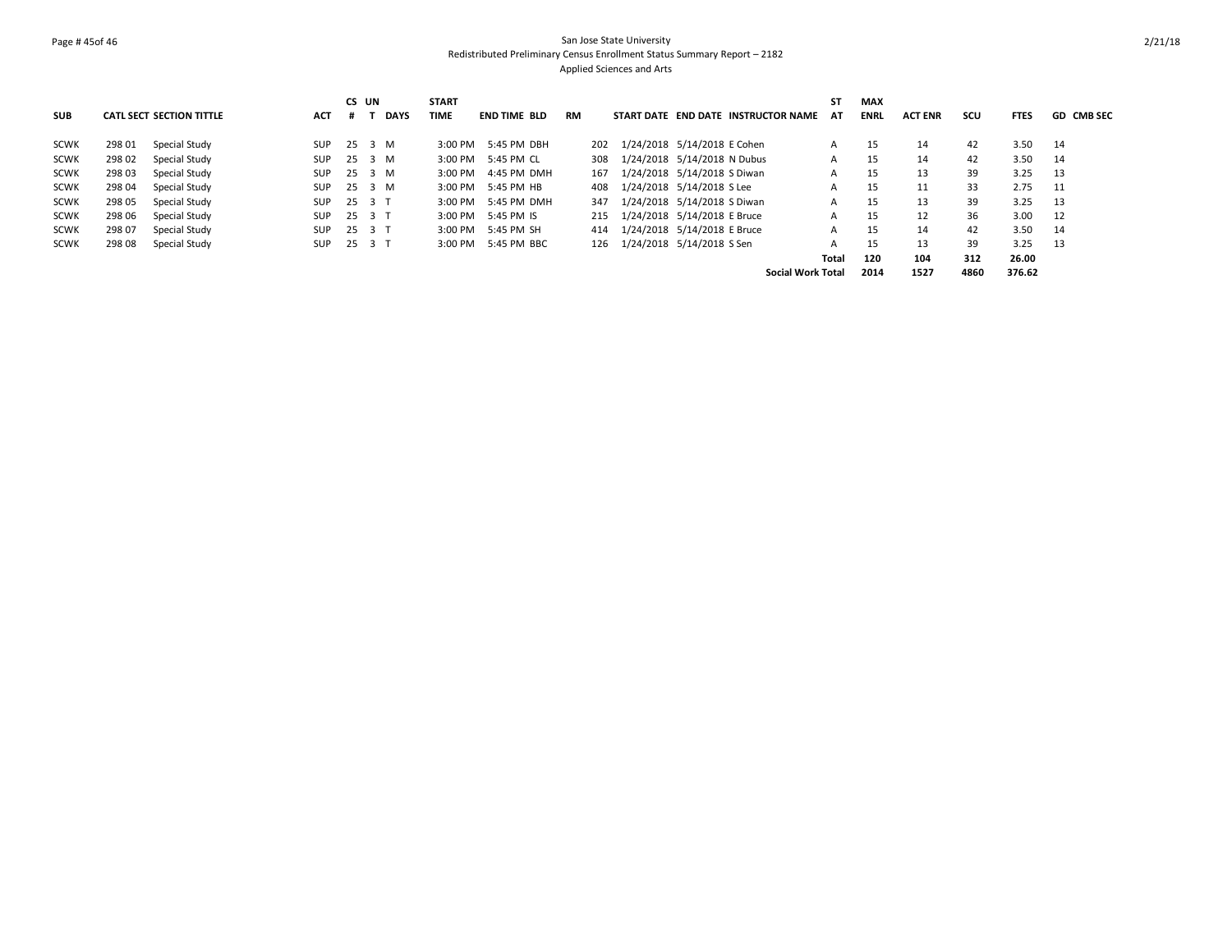## Page # 45of 46 San Jose State University Redistributed Preliminary Census Enrollment Status Summary Report – 2182 Applied Sciences and Arts

|             |        |                                 |            |        | CS UN  |             | <b>START</b> |                     |     |                                     |                          | SΤ | MAX         |                |      |             |                   |
|-------------|--------|---------------------------------|------------|--------|--------|-------------|--------------|---------------------|-----|-------------------------------------|--------------------------|----|-------------|----------------|------|-------------|-------------------|
| <b>SUB</b>  |        | <b>CATL SECT SECTION TITTLE</b> | <b>ACT</b> |        | # T    | <b>DAYS</b> | TIME         | <b>END TIME BLD</b> | RM  | START DATE END DATE INSTRUCTOR NAME |                          | AT | <b>ENRL</b> | <b>ACT ENR</b> | scu  | <b>FTES</b> | <b>GD CMB SEC</b> |
| SCWK        | 298 01 | Special Study                   | <b>SUP</b> |        | 25 3 M |             | $3:00$ PM    | 5:45 PM DBH         | 202 | 1/24/2018 5/14/2018 E Cohen         |                          | A  | 15          | 14             | 42   | 3.50        | 14                |
| <b>SCWK</b> | 298 02 | Special Study                   | SUP        | 25 3 M |        |             |              | 3:00 PM 5:45 PM CL  | 308 | 1/24/2018 5/14/2018 N Dubus         |                          |    | 15          | 14             | 42   | 3.50        | 14                |
| <b>SCWK</b> | 298 03 | Special Study                   | SUP        | 25 3 M |        |             |              | 3:00 PM 4:45 PM DMH | 167 | 1/24/2018 5/14/2018 S Diwan         |                          |    | 15          | 13             | 39   | 3.25        | - 13              |
| <b>SCWK</b> | 298 04 | Special Study                   | SUP        |        | 25 3 M |             |              | 3:00 PM 5:45 PM HB  | 408 | 1/24/2018 5/14/2018 S Lee           |                          |    | 15          | 11             | 33   | 2.75        | - 11              |
| <b>SCWK</b> | 298 05 | Special Study                   | <b>SUP</b> |        | 25 3 T |             | $3:00$ PM    | 5:45 PM DMH         | 347 | 1/24/2018 5/14/2018 S Diwan         |                          |    | 15          | 13             | 39   | 3.25        | 13                |
| <b>SCWK</b> | 298 06 | Special Study                   | <b>SUP</b> |        | 25 3 T |             |              | 3:00 PM 5:45 PM IS  | 215 | 1/24/2018 5/14/2018 E Bruce         |                          |    | 15          | 12             | 36   | 3.00        | 12                |
| <b>SCWK</b> | 298 07 | Special Study                   | <b>SUP</b> |        | 25 3 T |             |              | 3:00 PM 5:45 PM SH  | 414 | 1/24/2018 5/14/2018 E Bruce         |                          |    | 15          | 14             | 42   | 3.50        | 14                |
| <b>SCWK</b> | 298 08 | Special Study                   | <b>SUP</b> |        | 25 3 T |             | $3:00$ PM    | 5:45 PM BBC         | 126 | 1/24/2018 5/14/2018 S Sen           |                          | A  | 15          | 13             | 39   | 3.25        | - 13              |
|             |        |                                 |            |        |        |             |              |                     |     |                                     | Total                    |    | 120         | 104            | 312  | 26.00       |                   |
|             |        |                                 |            |        |        |             |              |                     |     |                                     | <b>Social Work Total</b> |    | 2014        | 1527           | 4860 | 376.62      |                   |